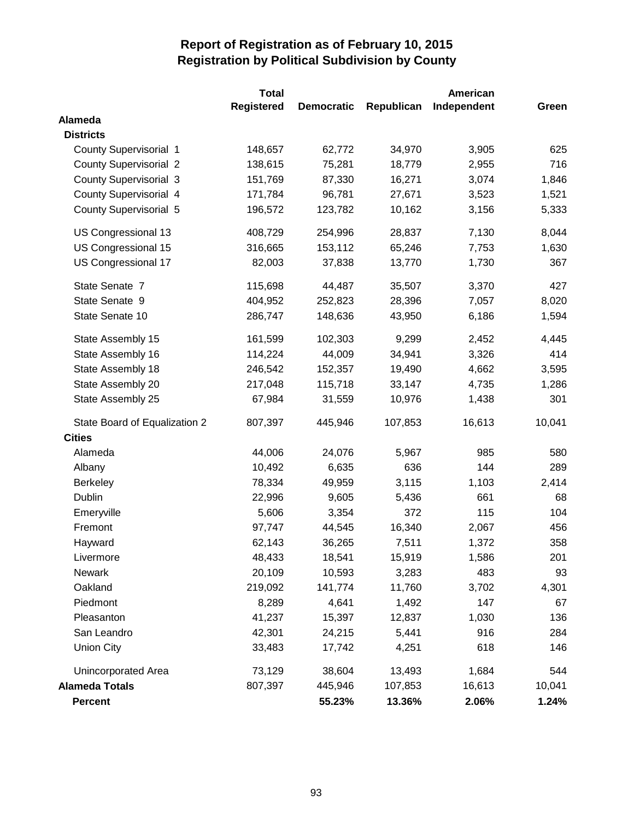|                               | <b>Total</b>      | American          |            |             |        |
|-------------------------------|-------------------|-------------------|------------|-------------|--------|
|                               | <b>Registered</b> | <b>Democratic</b> | Republican | Independent | Green  |
| Alameda                       |                   |                   |            |             |        |
| <b>Districts</b>              |                   |                   |            |             |        |
| <b>County Supervisorial 1</b> | 148,657           | 62,772            | 34,970     | 3,905       | 625    |
| <b>County Supervisorial 2</b> | 138,615           | 75,281            | 18,779     | 2,955       | 716    |
| <b>County Supervisorial 3</b> | 151,769           | 87,330            | 16,271     | 3,074       | 1,846  |
| <b>County Supervisorial 4</b> | 171,784           | 96,781            | 27,671     | 3,523       | 1,521  |
| County Supervisorial 5        | 196,572           | 123,782           | 10,162     | 3,156       | 5,333  |
| US Congressional 13           | 408,729           | 254,996           | 28,837     | 7,130       | 8,044  |
| US Congressional 15           | 316,665           | 153,112           | 65,246     | 7,753       | 1,630  |
| US Congressional 17           | 82,003            | 37,838            | 13,770     | 1,730       | 367    |
| State Senate 7                | 115,698           | 44,487            | 35,507     | 3,370       | 427    |
| State Senate 9                | 404,952           | 252,823           | 28,396     | 7,057       | 8,020  |
| State Senate 10               | 286,747           | 148,636           | 43,950     | 6,186       | 1,594  |
| State Assembly 15             | 161,599           | 102,303           | 9,299      | 2,452       | 4,445  |
| State Assembly 16             | 114,224           | 44,009            | 34,941     | 3,326       | 414    |
| State Assembly 18             | 246,542           | 152,357           | 19,490     | 4,662       | 3,595  |
| State Assembly 20             | 217,048           | 115,718           | 33,147     | 4,735       | 1,286  |
| State Assembly 25             | 67,984            | 31,559            | 10,976     | 1,438       | 301    |
| State Board of Equalization 2 | 807,397           | 445,946           | 107,853    | 16,613      | 10,041 |
| <b>Cities</b>                 |                   |                   |            |             |        |
| Alameda                       | 44,006            | 24,076            | 5,967      | 985         | 580    |
| Albany                        | 10,492            | 6,635             | 636        | 144         | 289    |
| Berkeley                      | 78,334            | 49,959            | 3,115      | 1,103       | 2,414  |
| Dublin                        | 22,996            | 9,605             | 5,436      | 661         | 68     |
| Emeryville                    | 5,606             | 3,354             | 372        | 115         | 104    |
| Fremont                       | 97,747            | 44,545            | 16,340     | 2,067       | 456    |
| Hayward                       | 62,143            | 36,265            | 7,511      | 1,372       | 358    |
| Livermore                     | 48,433            | 18,541            | 15,919     | 1,586       | 201    |
| Newark                        | 20,109            | 10,593            | 3,283      | 483         | 93     |
| Oakland                       | 219,092           | 141,774           | 11,760     | 3,702       | 4,301  |
| Piedmont                      | 8,289             | 4,641             | 1,492      | 147         | 67     |
| Pleasanton                    | 41,237            | 15,397            | 12,837     | 1,030       | 136    |
| San Leandro                   | 42,301            | 24,215            | 5,441      | 916         | 284    |
| <b>Union City</b>             | 33,483            | 17,742            | 4,251      | 618         | 146    |
| Unincorporated Area           | 73,129            | 38,604            | 13,493     | 1,684       | 544    |
| <b>Alameda Totals</b>         | 807,397           | 445,946           | 107,853    | 16,613      | 10,041 |
| <b>Percent</b>                |                   | 55.23%            | 13.36%     | 2.06%       | 1.24%  |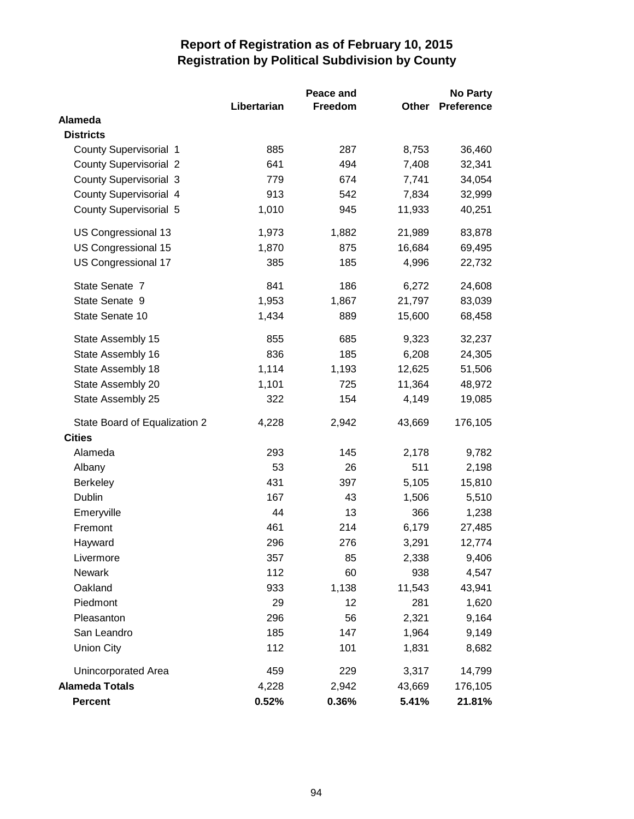|                               |             | Peace and |              | <b>No Party</b>   |
|-------------------------------|-------------|-----------|--------------|-------------------|
|                               | Libertarian | Freedom   | <b>Other</b> | <b>Preference</b> |
| <b>Alameda</b>                |             |           |              |                   |
| <b>Districts</b>              |             |           |              |                   |
| <b>County Supervisorial 1</b> | 885         | 287       | 8,753        | 36,460            |
| <b>County Supervisorial 2</b> | 641         | 494       | 7,408        | 32,341            |
| <b>County Supervisorial 3</b> | 779         | 674       | 7,741        | 34,054            |
| County Supervisorial 4        | 913         | 542       | 7,834        | 32,999            |
| <b>County Supervisorial 5</b> | 1,010       | 945       | 11,933       | 40,251            |
| US Congressional 13           | 1,973       | 1,882     | 21,989       | 83,878            |
| US Congressional 15           | 1,870       | 875       | 16,684       | 69,495            |
| US Congressional 17           | 385         | 185       | 4,996        | 22,732            |
| State Senate 7                | 841         | 186       | 6,272        | 24,608            |
| State Senate 9                | 1,953       | 1,867     | 21,797       | 83,039            |
| State Senate 10               | 1,434       | 889       | 15,600       | 68,458            |
| State Assembly 15             | 855         | 685       | 9,323        | 32,237            |
| State Assembly 16             | 836         | 185       | 6,208        | 24,305            |
| State Assembly 18             | 1,114       | 1,193     | 12,625       | 51,506            |
| State Assembly 20             | 1,101       | 725       | 11,364       | 48,972            |
| State Assembly 25             | 322         | 154       | 4,149        | 19,085            |
| State Board of Equalization 2 | 4,228       | 2,942     | 43,669       | 176,105           |
| <b>Cities</b>                 |             |           |              |                   |
| Alameda                       | 293         | 145       | 2,178        | 9,782             |
| Albany                        | 53          | 26        | 511          | 2,198             |
| <b>Berkeley</b>               | 431         | 397       | 5,105        | 15,810            |
| Dublin                        | 167         | 43        | 1,506        | 5,510             |
| Emeryville                    | 44          | 13        | 366          | 1,238             |
| Fremont                       | 461         | 214       | 6,179        | 27,485            |
| Hayward                       | 296         | 276       | 3,291        | 12,774            |
| Livermore                     | 357         | 85        | 2,338        | 9,406             |
| <b>Newark</b>                 | 112         | 60        | 938          | 4,547             |
| Oakland                       | 933         | 1,138     | 11,543       | 43,941            |
| Piedmont                      | 29          | 12        | 281          | 1,620             |
| Pleasanton                    | 296         | 56        | 2,321        | 9,164             |
| San Leandro                   | 185         | 147       | 1,964        | 9,149             |
| <b>Union City</b>             | 112         | 101       | 1,831        | 8,682             |
| Unincorporated Area           | 459         | 229       | 3,317        | 14,799            |
| <b>Alameda Totals</b>         | 4,228       | 2,942     | 43,669       | 176,105           |
| <b>Percent</b>                | 0.52%       | 0.36%     | 5.41%        | 21.81%            |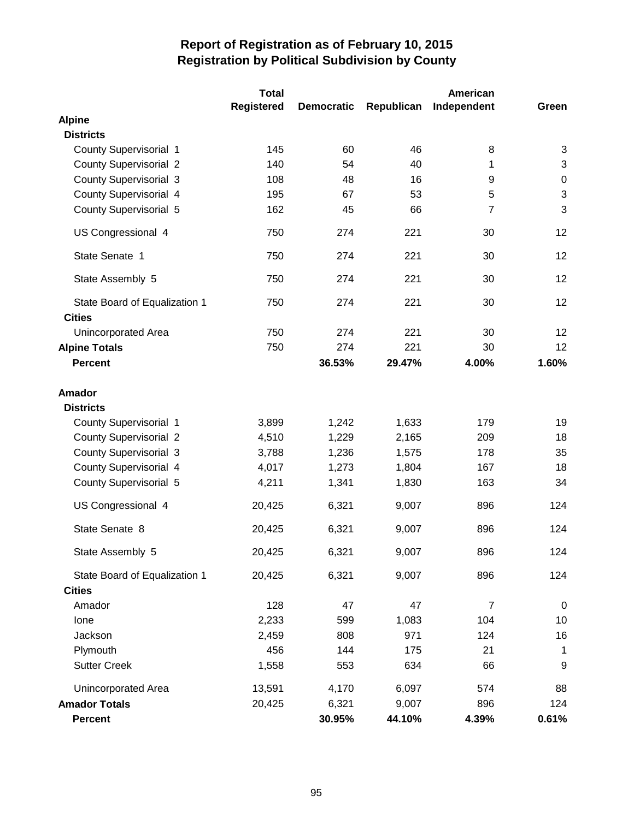|                                                | Total             |                   |            | American       |                  |
|------------------------------------------------|-------------------|-------------------|------------|----------------|------------------|
|                                                | <b>Registered</b> | <b>Democratic</b> | Republican | Independent    | Green            |
| <b>Alpine</b>                                  |                   |                   |            |                |                  |
| <b>Districts</b>                               |                   |                   |            |                |                  |
| County Supervisorial 1                         | 145               | 60                | 46         | 8              | 3                |
| <b>County Supervisorial 2</b>                  | 140               | 54                | 40         | 1              | 3                |
| <b>County Supervisorial 3</b>                  | 108               | 48                | 16         | 9              | $\boldsymbol{0}$ |
| County Supervisorial 4                         | 195               | 67                | 53         | 5              | 3                |
| <b>County Supervisorial 5</b>                  | 162               | 45                | 66         | 7              | 3                |
| US Congressional 4                             | 750               | 274               | 221        | 30             | 12               |
| State Senate 1                                 | 750               | 274               | 221        | 30             | 12               |
| State Assembly 5                               | 750               | 274               | 221        | 30             | 12               |
| State Board of Equalization 1<br><b>Cities</b> | 750               | 274               | 221        | 30             | 12               |
| <b>Unincorporated Area</b>                     | 750               | 274               | 221        | 30             | 12               |
| <b>Alpine Totals</b>                           | 750               | 274               | 221        | 30             | 12               |
| <b>Percent</b>                                 |                   | 36.53%            | 29.47%     | 4.00%          | 1.60%            |
| <b>Amador</b>                                  |                   |                   |            |                |                  |
| <b>Districts</b>                               |                   |                   |            |                |                  |
| <b>County Supervisorial 1</b>                  | 3,899             | 1,242             | 1,633      | 179            | 19               |
| <b>County Supervisorial 2</b>                  | 4,510             | 1,229             | 2,165      | 209            | 18               |
| <b>County Supervisorial 3</b>                  | 3,788             | 1,236             | 1,575      | 178            | 35               |
| County Supervisorial 4                         | 4,017             | 1,273             | 1,804      | 167            | 18               |
| <b>County Supervisorial 5</b>                  | 4,211             | 1,341             | 1,830      | 163            | 34               |
| US Congressional 4                             | 20,425            | 6,321             | 9,007      | 896            | 124              |
| State Senate 8                                 | 20,425            | 6,321             | 9,007      | 896            | 124              |
| State Assembly 5                               | 20,425            | 6,321             | 9,007      | 896            | 124              |
| State Board of Equalization 1                  | 20,425            | 6,321             | 9,007      | 896            | 124              |
| <b>Cities</b>                                  |                   |                   |            |                |                  |
| Amador                                         | 128               | 47                | 47         | $\overline{7}$ | $\mathbf 0$      |
| Ione                                           | 2,233             | 599               | 1,083      | 104            | 10               |
| Jackson                                        | 2,459             | 808               | 971        | 124            | 16               |
| Plymouth                                       | 456               | 144               | 175        | 21             | $\mathbf{1}$     |
| <b>Sutter Creek</b>                            | 1,558             | 553               | 634        | 66             | 9                |
| Unincorporated Area                            | 13,591            | 4,170             | 6,097      | 574            | 88               |
| <b>Amador Totals</b>                           | 20,425            | 6,321             | 9,007      | 896            | 124              |
| <b>Percent</b>                                 |                   | 30.95%            | 44.10%     | 4.39%          | 0.61%            |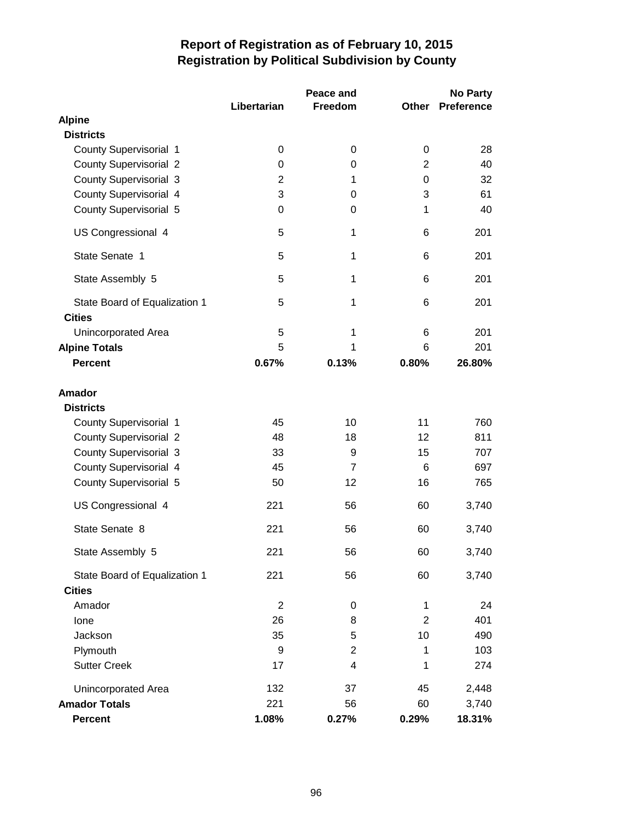|                               | Libertarian    | Peace and<br><b>Freedom</b> | Other          | No Party<br><b>Preference</b> |
|-------------------------------|----------------|-----------------------------|----------------|-------------------------------|
| <b>Alpine</b>                 |                |                             |                |                               |
| <b>Districts</b>              |                |                             |                |                               |
| <b>County Supervisorial 1</b> | 0              | 0                           | 0              | 28                            |
| <b>County Supervisorial 2</b> | 0              | 0                           | 2              | 40                            |
| <b>County Supervisorial 3</b> | 2              | 1                           | 0              | 32                            |
| County Supervisorial 4        | 3              | 0                           | 3              | 61                            |
| <b>County Supervisorial 5</b> | 0              | 0                           | 1              | 40                            |
| US Congressional 4            | 5              | 1                           | 6              | 201                           |
| State Senate 1                | 5              | 1                           | 6              | 201                           |
| State Assembly 5              | 5              | 1                           | 6              | 201                           |
| State Board of Equalization 1 | 5              | 1                           | 6              | 201                           |
| <b>Cities</b>                 |                |                             |                |                               |
| Unincorporated Area           | 5              | 1                           | 6              | 201                           |
| <b>Alpine Totals</b>          | 5              | 1                           | 6              | 201                           |
| <b>Percent</b>                | 0.67%          | 0.13%                       | 0.80%          | 26.80%                        |
| <b>Amador</b>                 |                |                             |                |                               |
| <b>Districts</b>              |                |                             |                |                               |
| <b>County Supervisorial 1</b> | 45             | 10                          | 11             | 760                           |
| <b>County Supervisorial 2</b> | 48             | 18                          | 12             | 811                           |
| <b>County Supervisorial 3</b> | 33             | 9                           | 15             | 707                           |
| County Supervisorial 4        | 45             | $\overline{7}$              | 6              | 697                           |
| County Supervisorial 5        | 50             | 12                          | 16             | 765                           |
| US Congressional 4            | 221            | 56                          | 60             | 3,740                         |
| State Senate 8                | 221            | 56                          | 60             | 3,740                         |
| State Assembly 5              | 221            | 56                          | 60             | 3,740                         |
| State Board of Equalization 1 | 221            | 56                          | 60             | 3,740                         |
| <b>Cities</b>                 |                |                             |                |                               |
| Amador                        | $\overline{2}$ | 0                           | 1              | 24                            |
| Ione                          | 26             | 8                           | $\overline{2}$ | 401                           |
| Jackson                       | 35             | 5                           | 10             | 490                           |
| Plymouth                      | 9              | $\overline{2}$              | 1              | 103                           |
| <b>Sutter Creek</b>           | 17             | 4                           | 1              | 274                           |
| Unincorporated Area           | 132            | 37                          | 45             | 2,448                         |
| <b>Amador Totals</b>          | 221            | 56                          | 60             | 3,740                         |
| <b>Percent</b>                | 1.08%          | 0.27%                       | 0.29%          | 18.31%                        |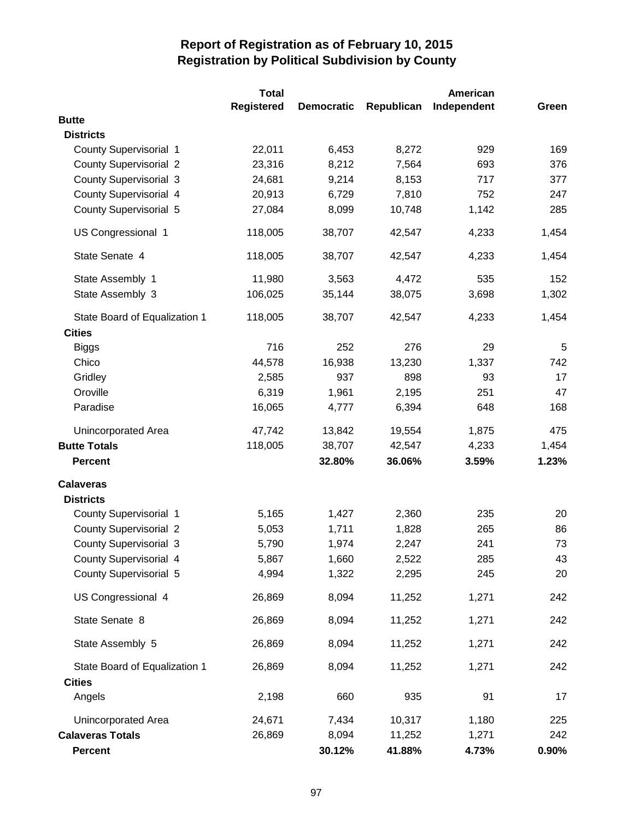|                               | <b>Total</b>      |                   |            | American    |       |
|-------------------------------|-------------------|-------------------|------------|-------------|-------|
|                               | <b>Registered</b> | <b>Democratic</b> | Republican | Independent | Green |
| <b>Butte</b>                  |                   |                   |            |             |       |
| <b>Districts</b>              |                   |                   |            |             |       |
| <b>County Supervisorial 1</b> | 22,011            | 6,453             | 8,272      | 929         | 169   |
| <b>County Supervisorial 2</b> | 23,316            | 8,212             | 7,564      | 693         | 376   |
| County Supervisorial 3        | 24,681            | 9,214             | 8,153      | 717         | 377   |
| County Supervisorial 4        | 20,913            | 6,729             | 7,810      | 752         | 247   |
| County Supervisorial 5        | 27,084            | 8,099             | 10,748     | 1,142       | 285   |
| US Congressional 1            | 118,005           | 38,707            | 42,547     | 4,233       | 1,454 |
| State Senate 4                | 118,005           | 38,707            | 42,547     | 4,233       | 1,454 |
| State Assembly 1              | 11,980            | 3,563             | 4,472      | 535         | 152   |
| State Assembly 3              | 106,025           | 35,144            | 38,075     | 3,698       | 1,302 |
| State Board of Equalization 1 | 118,005           | 38,707            | 42,547     | 4,233       | 1,454 |
| <b>Cities</b>                 |                   |                   |            |             |       |
| <b>Biggs</b>                  | 716               | 252               | 276        | 29          | 5     |
| Chico                         | 44,578            | 16,938            | 13,230     | 1,337       | 742   |
| Gridley                       | 2,585             | 937               | 898        | 93          | 17    |
| Oroville                      | 6,319             | 1,961             | 2,195      | 251         | 47    |
| Paradise                      | 16,065            | 4,777             | 6,394      | 648         | 168   |
| Unincorporated Area           | 47,742            | 13,842            | 19,554     | 1,875       | 475   |
| <b>Butte Totals</b>           | 118,005           | 38,707            | 42,547     | 4,233       | 1,454 |
| <b>Percent</b>                |                   | 32.80%            | 36.06%     | 3.59%       | 1.23% |
| <b>Calaveras</b>              |                   |                   |            |             |       |
| <b>Districts</b>              |                   |                   |            |             |       |
| <b>County Supervisorial 1</b> | 5,165             | 1,427             | 2,360      | 235         | 20    |
| <b>County Supervisorial 2</b> | 5,053             | 1,711             | 1,828      | 265         | 86    |
| <b>County Supervisorial 3</b> | 5,790             | 1,974             | 2,247      | 241         | 73    |
| County Supervisorial 4        | 5,867             | 1,660             | 2,522      | 285         | 43    |
| County Supervisorial 5        | 4,994             | 1,322             | 2,295      | 245         | 20    |
| US Congressional 4            | 26,869            | 8,094             | 11,252     | 1,271       | 242   |
| State Senate 8                | 26,869            | 8,094             | 11,252     | 1,271       | 242   |
| State Assembly 5              | 26,869            | 8,094             | 11,252     | 1,271       | 242   |
| State Board of Equalization 1 | 26,869            | 8,094             | 11,252     | 1,271       | 242   |
| <b>Cities</b>                 |                   |                   |            |             |       |
| Angels                        | 2,198             | 660               | 935        | 91          | 17    |
| Unincorporated Area           | 24,671            | 7,434             | 10,317     | 1,180       | 225   |
| <b>Calaveras Totals</b>       | 26,869            | 8,094             | 11,252     | 1,271       | 242   |
| Percent                       |                   | 30.12%            | 41.88%     | 4.73%       | 0.90% |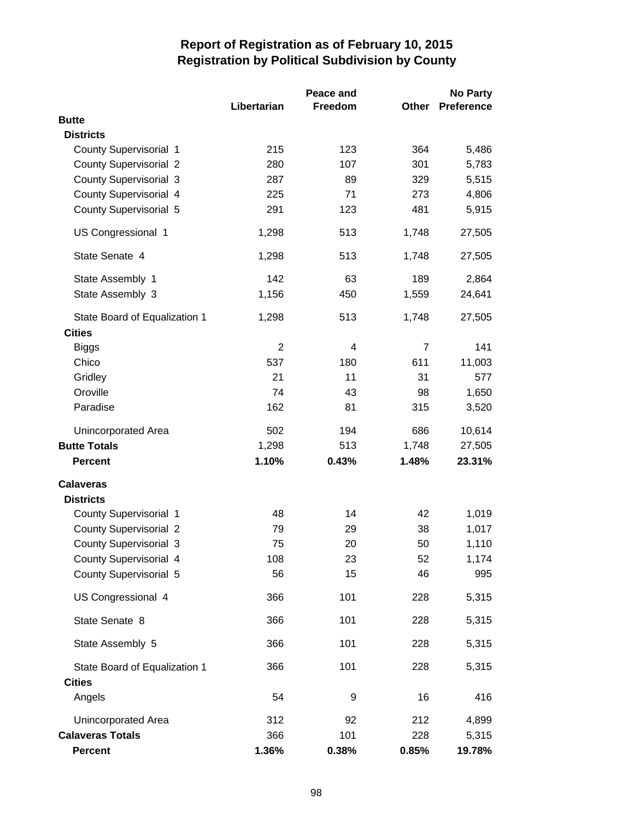|                               |             | Peace and |                | No Party          |
|-------------------------------|-------------|-----------|----------------|-------------------|
|                               | Libertarian | Freedom   | Other          | <b>Preference</b> |
| <b>Butte</b>                  |             |           |                |                   |
| <b>Districts</b>              |             |           |                |                   |
| <b>County Supervisorial 1</b> | 215         | 123       | 364            | 5,486             |
| <b>County Supervisorial 2</b> | 280         | 107       | 301            | 5,783             |
| <b>County Supervisorial 3</b> | 287         | 89        | 329            | 5,515             |
| <b>County Supervisorial 4</b> | 225         | 71        | 273            | 4,806             |
| <b>County Supervisorial 5</b> | 291         | 123       | 481            | 5,915             |
| US Congressional 1            | 1,298       | 513       | 1,748          | 27,505            |
| State Senate 4                | 1,298       | 513       | 1,748          | 27,505            |
| State Assembly 1              | 142         | 63        | 189            | 2,864             |
| State Assembly 3              | 1,156       | 450       | 1,559          | 24,641            |
| State Board of Equalization 1 | 1,298       | 513       | 1,748          | 27,505            |
| <b>Cities</b>                 |             |           |                |                   |
| <b>Biggs</b>                  | 2           | 4         | $\overline{7}$ | 141               |
| Chico                         | 537         | 180       | 611            | 11,003            |
| Gridley                       | 21          | 11        | 31             | 577               |
| Oroville                      | 74          | 43        | 98             | 1,650             |
| Paradise                      | 162         | 81        | 315            | 3,520             |
| Unincorporated Area           | 502         | 194       | 686            | 10,614            |
| <b>Butte Totals</b>           | 1,298       | 513       | 1,748          | 27,505            |
| <b>Percent</b>                | 1.10%       | 0.43%     | 1.48%          | 23.31%            |
| <b>Calaveras</b>              |             |           |                |                   |
| <b>Districts</b>              |             |           |                |                   |
| <b>County Supervisorial 1</b> | 48          | 14        | 42             | 1,019             |
| <b>County Supervisorial 2</b> | 79          | 29        | 38             | 1,017             |
| <b>County Supervisorial 3</b> | 75          | 20        | 50             | 1,110             |
| <b>County Supervisorial 4</b> | 108         | 23        | 52             | 1,174             |
| <b>County Supervisorial 5</b> | 56          | 15        | 46             | 995               |
| US Congressional 4            | 366         | 101       | 228            | 5,315             |
| State Senate 8                | 366         | 101       | 228            | 5,315             |
| State Assembly 5              | 366         | 101       | 228            | 5,315             |
| State Board of Equalization 1 | 366         | 101       | 228            | 5,315             |
| <b>Cities</b>                 |             |           |                |                   |
| Angels                        | 54          | 9         | 16             | 416               |
| Unincorporated Area           | 312         | 92        | 212            | 4,899             |
| <b>Calaveras Totals</b>       | 366         | 101       | 228            | 5,315             |
| <b>Percent</b>                | 1.36%       | 0.38%     | 0.85%          | 19.78%            |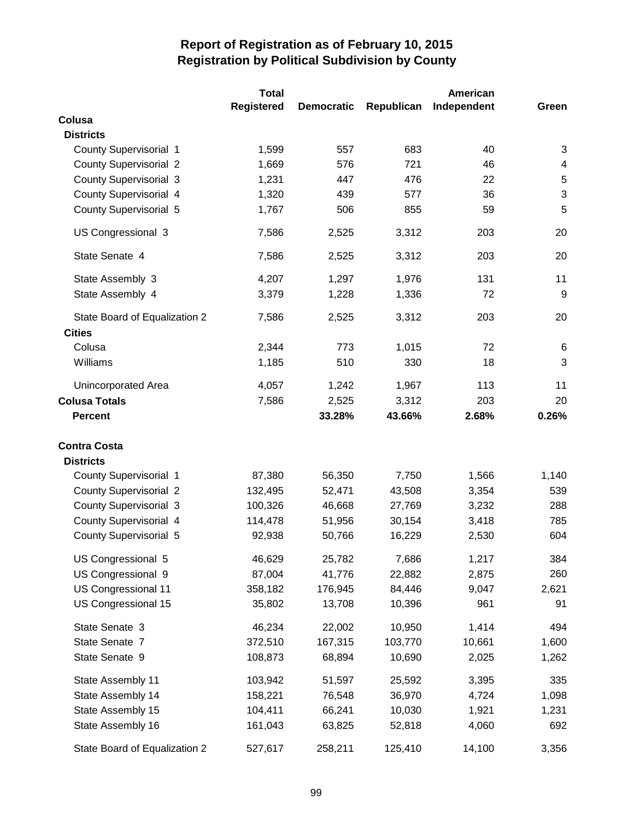|                               | Total             |                   |            | American    |                           |
|-------------------------------|-------------------|-------------------|------------|-------------|---------------------------|
|                               | <b>Registered</b> | <b>Democratic</b> | Republican | Independent | Green                     |
| Colusa                        |                   |                   |            |             |                           |
| <b>Districts</b>              |                   |                   |            |             |                           |
| <b>County Supervisorial 1</b> | 1,599             | 557               | 683        | 40          | 3                         |
| <b>County Supervisorial 2</b> | 1,669             | 576               | 721        | 46          | $\overline{4}$            |
| <b>County Supervisorial 3</b> | 1,231             | 447               | 476        | 22          | $\mathbf 5$               |
| County Supervisorial 4        | 1,320             | 439               | 577        | 36          | $\ensuremath{\mathsf{3}}$ |
| County Supervisorial 5        | 1,767             | 506               | 855        | 59          | 5                         |
| US Congressional 3            | 7,586             | 2,525             | 3,312      | 203         | 20                        |
| State Senate 4                | 7,586             | 2,525             | 3,312      | 203         | 20                        |
| State Assembly 3              | 4,207             | 1,297             | 1,976      | 131         | 11                        |
| State Assembly 4              | 3,379             | 1,228             | 1,336      | 72          | 9                         |
| State Board of Equalization 2 | 7,586             | 2,525             | 3,312      | 203         | 20                        |
| <b>Cities</b>                 |                   |                   |            |             |                           |
| Colusa                        | 2,344             | 773               | 1,015      | 72          | 6                         |
| Williams                      | 1,185             | 510               | 330        | 18          | 3                         |
| Unincorporated Area           | 4,057             | 1,242             | 1,967      | 113         | 11                        |
| <b>Colusa Totals</b>          | 7,586             | 2,525             | 3,312      | 203         | 20                        |
| <b>Percent</b>                |                   | 33.28%            | 43.66%     | 2.68%       | 0.26%                     |
| <b>Contra Costa</b>           |                   |                   |            |             |                           |
| <b>Districts</b>              |                   |                   |            |             |                           |
| County Supervisorial 1        | 87,380            | 56,350            | 7,750      | 1,566       | 1,140                     |
| <b>County Supervisorial 2</b> | 132,495           | 52,471            | 43,508     | 3,354       | 539                       |
| <b>County Supervisorial 3</b> | 100,326           | 46,668            | 27,769     | 3,232       | 288                       |
| County Supervisorial 4        | 114,478           | 51,956            | 30,154     | 3,418       | 785                       |
| <b>County Supervisorial 5</b> | 92,938            | 50,766            | 16,229     | 2,530       | 604                       |
| US Congressional 5            | 46,629            | 25,782            | 7,686      | 1,217       | 384                       |
| US Congressional 9            | 87,004            | 41,776            | 22,882     | 2,875       | 260                       |
| US Congressional 11           | 358,182           | 176,945           | 84,446     | 9,047       | 2,621                     |
| US Congressional 15           | 35,802            | 13,708            | 10,396     | 961         | 91                        |
| State Senate 3                | 46,234            | 22,002            | 10,950     | 1,414       | 494                       |
| State Senate 7                | 372,510           | 167,315           | 103,770    | 10,661      | 1,600                     |
| State Senate 9                | 108,873           | 68,894            | 10,690     | 2,025       | 1,262                     |
| State Assembly 11             | 103,942           | 51,597            | 25,592     | 3,395       | 335                       |
| State Assembly 14             | 158,221           | 76,548            | 36,970     | 4,724       | 1,098                     |
| State Assembly 15             | 104,411           | 66,241            | 10,030     | 1,921       | 1,231                     |
| State Assembly 16             | 161,043           | 63,825            | 52,818     | 4,060       | 692                       |
| State Board of Equalization 2 | 527,617           | 258,211           | 125,410    | 14,100      | 3,356                     |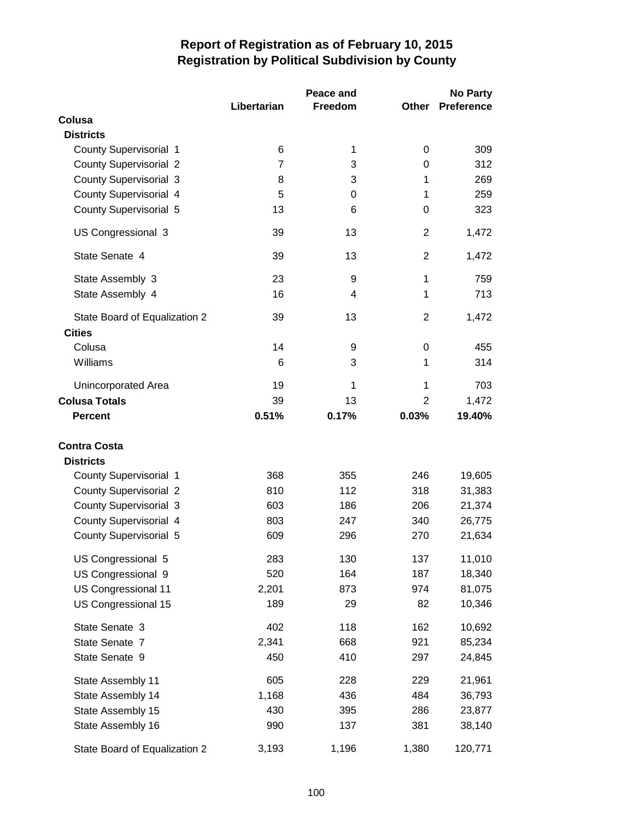|                               |                | Peace and |                | <b>No Party</b>   |
|-------------------------------|----------------|-----------|----------------|-------------------|
|                               | Libertarian    | Freedom   | Other          | <b>Preference</b> |
| Colusa                        |                |           |                |                   |
| <b>Districts</b>              |                |           |                |                   |
| <b>County Supervisorial 1</b> | 6              | 1         | 0              | 309               |
| <b>County Supervisorial 2</b> | $\overline{7}$ | 3         | 0              | 312               |
| <b>County Supervisorial 3</b> | 8              | 3         | 1              | 269               |
| County Supervisorial 4        | 5              | 0         | 1              | 259               |
| <b>County Supervisorial 5</b> | 13             | 6         | 0              | 323               |
| US Congressional 3            | 39             | 13        | $\overline{2}$ | 1,472             |
| State Senate 4                | 39             | 13        | $\overline{2}$ | 1,472             |
| State Assembly 3              | 23             | 9         | 1              | 759               |
| State Assembly 4              | 16             | 4         | 1              | 713               |
| State Board of Equalization 2 | 39             | 13        | 2              | 1,472             |
| <b>Cities</b>                 |                |           |                |                   |
| Colusa                        | 14             | 9         | 0              | 455               |
| Williams                      | 6              | 3         | 1              | 314               |
| <b>Unincorporated Area</b>    | 19             | 1         | 1              | 703               |
| <b>Colusa Totals</b>          | 39             | 13        | 2              | 1,472             |
| <b>Percent</b>                | 0.51%          | 0.17%     | 0.03%          | 19.40%            |
| <b>Contra Costa</b>           |                |           |                |                   |
| <b>Districts</b>              |                |           |                |                   |
| County Supervisorial 1        | 368            | 355       | 246            | 19,605            |
| <b>County Supervisorial 2</b> | 810            | 112       | 318            | 31,383            |
| <b>County Supervisorial 3</b> | 603            | 186       | 206            | 21,374            |
| County Supervisorial 4        | 803            | 247       | 340            | 26,775            |
| <b>County Supervisorial 5</b> | 609            | 296       | 270            | 21,634            |
| US Congressional 5            | 283            | 130       | 137            | 11,010            |
| US Congressional 9            | 520            | 164       | 187            | 18,340            |
| US Congressional 11           | 2,201          | 873       | 974            | 81,075            |
| US Congressional 15           | 189            | 29        | 82             | 10,346            |
| State Senate 3                | 402            | 118       | 162            | 10,692            |
| State Senate 7                | 2,341          | 668       | 921            | 85,234            |
| State Senate 9                | 450            | 410       | 297            | 24,845            |
| State Assembly 11             | 605            | 228       | 229            | 21,961            |
| State Assembly 14             | 1,168          | 436       | 484            | 36,793            |
| State Assembly 15             | 430            | 395       | 286            | 23,877            |
| State Assembly 16             | 990            | 137       | 381            | 38,140            |
| State Board of Equalization 2 | 3,193          | 1,196     | 1,380          | 120,771           |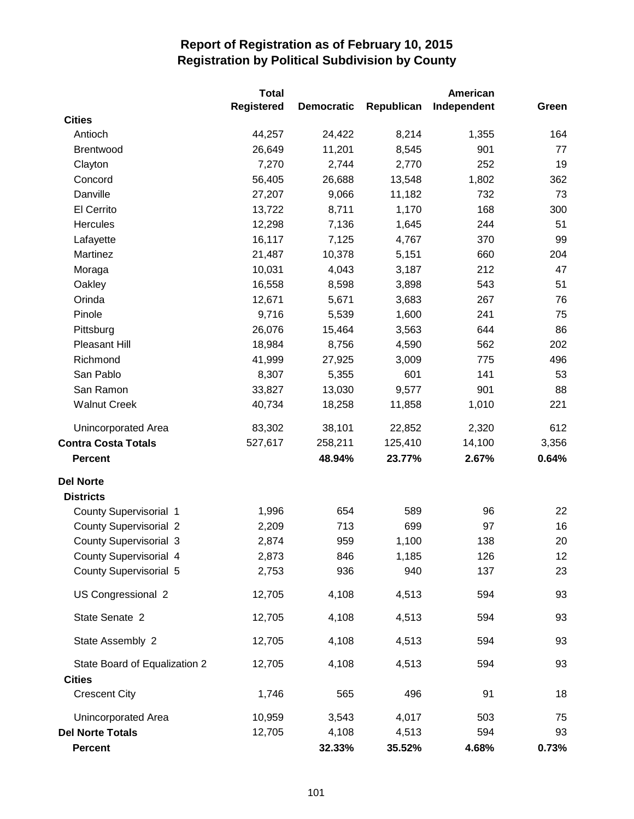|                               | Total             |                   |            | American    |       |
|-------------------------------|-------------------|-------------------|------------|-------------|-------|
|                               | <b>Registered</b> | <b>Democratic</b> | Republican | Independent | Green |
| <b>Cities</b>                 |                   |                   |            |             |       |
| Antioch                       | 44,257            | 24,422            | 8,214      | 1,355       | 164   |
| Brentwood                     | 26,649            | 11,201            | 8,545      | 901         | 77    |
| Clayton                       | 7,270             | 2,744             | 2,770      | 252         | 19    |
| Concord                       | 56,405            | 26,688            | 13,548     | 1,802       | 362   |
| Danville                      | 27,207            | 9,066             | 11,182     | 732         | 73    |
| El Cerrito                    | 13,722            | 8,711             | 1,170      | 168         | 300   |
| <b>Hercules</b>               | 12,298            | 7,136             | 1,645      | 244         | 51    |
| Lafayette                     | 16,117            | 7,125             | 4,767      | 370         | 99    |
| Martinez                      | 21,487            | 10,378            | 5,151      | 660         | 204   |
| Moraga                        | 10,031            | 4,043             | 3,187      | 212         | 47    |
| Oakley                        | 16,558            | 8,598             | 3,898      | 543         | 51    |
| Orinda                        | 12,671            | 5,671             | 3,683      | 267         | 76    |
| Pinole                        | 9,716             | 5,539             | 1,600      | 241         | 75    |
| Pittsburg                     | 26,076            | 15,464            | 3,563      | 644         | 86    |
| Pleasant Hill                 | 18,984            | 8,756             | 4,590      | 562         | 202   |
| Richmond                      | 41,999            | 27,925            | 3,009      | 775         | 496   |
| San Pablo                     | 8,307             | 5,355             | 601        | 141         | 53    |
| San Ramon                     | 33,827            | 13,030            | 9,577      | 901         | 88    |
| <b>Walnut Creek</b>           | 40,734            | 18,258            | 11,858     | 1,010       | 221   |
| Unincorporated Area           | 83,302            | 38,101            | 22,852     | 2,320       | 612   |
| <b>Contra Costa Totals</b>    | 527,617           | 258,211           | 125,410    | 14,100      | 3,356 |
| <b>Percent</b>                |                   | 48.94%            | 23.77%     | 2.67%       | 0.64% |
| <b>Del Norte</b>              |                   |                   |            |             |       |
| <b>Districts</b>              |                   |                   |            |             |       |
| County Supervisorial 1        | 1,996             | 654               | 589        | 96          | 22    |
| <b>County Supervisorial 2</b> | 2,209             | 713               | 699        | 97          | 16    |
| <b>County Supervisorial 3</b> | 2,874             | 959               | 1,100      | 138         | 20    |
| <b>County Supervisorial 4</b> | 2,873             | 846               | 1,185      | 126         | 12    |
| County Supervisorial 5        | 2,753             | 936               | 940        | 137         | 23    |
| US Congressional 2            | 12,705            | 4,108             | 4,513      | 594         | 93    |
| State Senate 2                | 12,705            | 4,108             | 4,513      | 594         | 93    |
| State Assembly 2              | 12,705            | 4,108             | 4,513      | 594         | 93    |
| State Board of Equalization 2 | 12,705            | 4,108             | 4,513      | 594         | 93    |
| <b>Cities</b>                 |                   |                   |            |             |       |
| <b>Crescent City</b>          | 1,746             | 565               | 496        | 91          | 18    |
| Unincorporated Area           | 10,959            | 3,543             | 4,017      | 503         | 75    |
| <b>Del Norte Totals</b>       | 12,705            | 4,108             | 4,513      | 594         | 93    |
| Percent                       |                   | 32.33%            | 35.52%     | 4.68%       | 0.73% |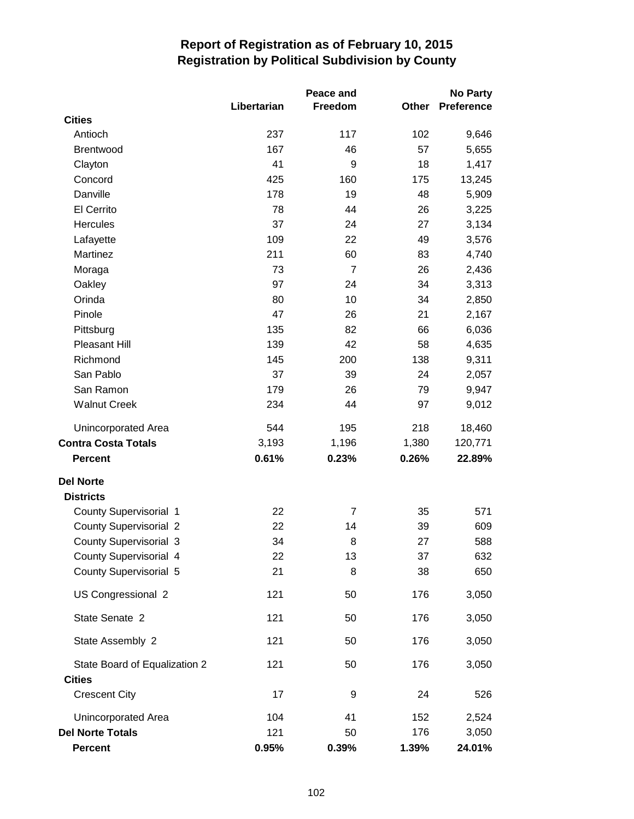|                               | Libertarian | Peace and<br>Freedom | <b>Other</b> | <b>No Party</b><br><b>Preference</b> |
|-------------------------------|-------------|----------------------|--------------|--------------------------------------|
| <b>Cities</b>                 |             |                      |              |                                      |
| Antioch                       | 237         | 117                  | 102          | 9,646                                |
| Brentwood                     | 167         | 46                   | 57           | 5,655                                |
| Clayton                       | 41          | 9                    | 18           | 1,417                                |
| Concord                       | 425         | 160                  | 175          | 13,245                               |
| Danville                      | 178         | 19                   | 48           | 5,909                                |
| El Cerrito                    | 78          | 44                   | 26           | 3,225                                |
| Hercules                      | 37          | 24                   | 27           | 3,134                                |
| Lafayette                     | 109         | 22                   | 49           | 3,576                                |
| Martinez                      | 211         | 60                   | 83           | 4,740                                |
| Moraga                        | 73          | $\overline{7}$       | 26           | 2,436                                |
| Oakley                        | 97          | 24                   | 34           | 3,313                                |
| Orinda                        | 80          | 10                   | 34           | 2,850                                |
| Pinole                        | 47          | 26                   | 21           | 2,167                                |
| Pittsburg                     | 135         | 82                   | 66           | 6,036                                |
| <b>Pleasant Hill</b>          | 139         | 42                   | 58           | 4,635                                |
| Richmond                      | 145         | 200                  | 138          | 9,311                                |
| San Pablo                     | 37          | 39                   | 24           | 2,057                                |
| San Ramon                     | 179         | 26                   | 79           | 9,947                                |
| <b>Walnut Creek</b>           | 234         | 44                   | 97           | 9,012                                |
| Unincorporated Area           | 544         | 195                  | 218          | 18,460                               |
| <b>Contra Costa Totals</b>    | 3,193       | 1,196                | 1,380        | 120,771                              |
| <b>Percent</b>                | 0.61%       | 0.23%                | 0.26%        | 22.89%                               |
| <b>Del Norte</b>              |             |                      |              |                                      |
| <b>Districts</b>              |             |                      |              |                                      |
| <b>County Supervisorial 1</b> | 22          | $\overline{7}$       | 35           | 571                                  |
| <b>County Supervisorial 2</b> | 22          | 14                   | 39           | 609                                  |
| <b>County Supervisorial 3</b> | 34          | 8                    | 27           | 588                                  |
| County Supervisorial 4        | 22          | 13                   | 37           | 632                                  |
| County Supervisorial 5        | 21          | 8                    | 38           | 650                                  |
| US Congressional 2            | 121         | 50                   | 176          | 3,050                                |
| State Senate 2                | 121         | 50                   | 176          | 3,050                                |
| State Assembly 2              | 121         | 50                   | 176          | 3,050                                |
| State Board of Equalization 2 | 121         | 50                   | 176          | 3,050                                |
| <b>Cities</b>                 |             |                      |              |                                      |
| <b>Crescent City</b>          | 17          | 9                    | 24           | 526                                  |
| Unincorporated Area           | 104         | 41                   | 152          | 2,524                                |
| <b>Del Norte Totals</b>       | 121         | 50                   | 176          | 3,050                                |
| <b>Percent</b>                | 0.95%       | 0.39%                | 1.39%        | 24.01%                               |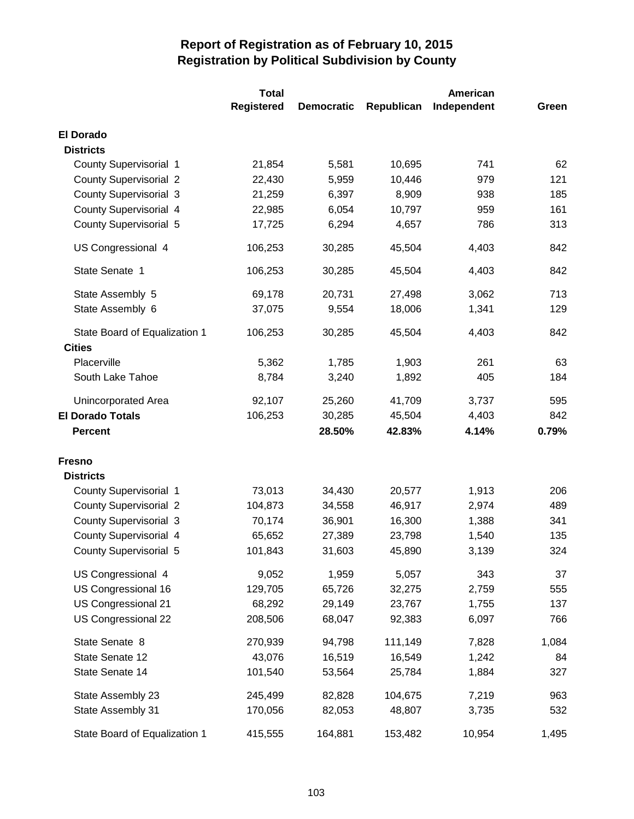|                               | <b>Total</b>      |                   |            | American    |       |
|-------------------------------|-------------------|-------------------|------------|-------------|-------|
|                               | <b>Registered</b> | <b>Democratic</b> | Republican | Independent | Green |
| <b>El Dorado</b>              |                   |                   |            |             |       |
| <b>Districts</b>              |                   |                   |            |             |       |
| County Supervisorial 1        | 21,854            | 5,581             | 10,695     | 741         | 62    |
| <b>County Supervisorial 2</b> | 22,430            | 5,959             | 10,446     | 979         | 121   |
| <b>County Supervisorial 3</b> | 21,259            | 6,397             | 8,909      | 938         | 185   |
| County Supervisorial 4        | 22,985            | 6,054             | 10,797     | 959         | 161   |
| County Supervisorial 5        | 17,725            | 6,294             | 4,657      | 786         | 313   |
| US Congressional 4            | 106,253           | 30,285            | 45,504     | 4,403       | 842   |
| State Senate 1                | 106,253           | 30,285            | 45,504     | 4,403       | 842   |
| State Assembly 5              | 69,178            | 20,731            | 27,498     | 3,062       | 713   |
| State Assembly 6              | 37,075            | 9,554             | 18,006     | 1,341       | 129   |
| State Board of Equalization 1 | 106,253           | 30,285            | 45,504     | 4,403       | 842   |
| <b>Cities</b><br>Placerville  |                   |                   |            | 261         |       |
|                               | 5,362             | 1,785             | 1,903      | 405         | 63    |
| South Lake Tahoe              | 8,784             | 3,240             | 1,892      |             | 184   |
| Unincorporated Area           | 92,107            | 25,260            | 41,709     | 3,737       | 595   |
| <b>El Dorado Totals</b>       | 106,253           | 30,285            | 45,504     | 4,403       | 842   |
| <b>Percent</b>                |                   | 28.50%            | 42.83%     | 4.14%       | 0.79% |
| <b>Fresno</b>                 |                   |                   |            |             |       |
| <b>Districts</b>              |                   |                   |            |             |       |
| County Supervisorial 1        | 73,013            | 34,430            | 20,577     | 1,913       | 206   |
| <b>County Supervisorial 2</b> | 104,873           | 34,558            | 46,917     | 2,974       | 489   |
| <b>County Supervisorial 3</b> | 70,174            | 36,901            | 16,300     | 1,388       | 341   |
| <b>County Supervisorial 4</b> | 65,652            | 27,389            | 23,798     | 1,540       | 135   |
| <b>County Supervisorial 5</b> | 101,843           | 31,603            | 45,890     | 3,139       | 324   |
| US Congressional 4            | 9,052             | 1,959             | 5,057      | 343         | 37    |
| US Congressional 16           | 129,705           | 65,726            | 32,275     | 2,759       | 555   |
| US Congressional 21           | 68,292            | 29,149            | 23,767     | 1,755       | 137   |
| US Congressional 22           | 208,506           | 68,047            | 92,383     | 6,097       | 766   |
| State Senate 8                | 270,939           | 94,798            | 111,149    | 7,828       | 1,084 |
| State Senate 12               | 43,076            | 16,519            | 16,549     | 1,242       | 84    |
| State Senate 14               | 101,540           | 53,564            | 25,784     | 1,884       | 327   |
| State Assembly 23             | 245,499           | 82,828            | 104,675    | 7,219       | 963   |
| State Assembly 31             | 170,056           | 82,053            | 48,807     | 3,735       | 532   |
| State Board of Equalization 1 | 415,555           | 164,881           | 153,482    | 10,954      | 1,495 |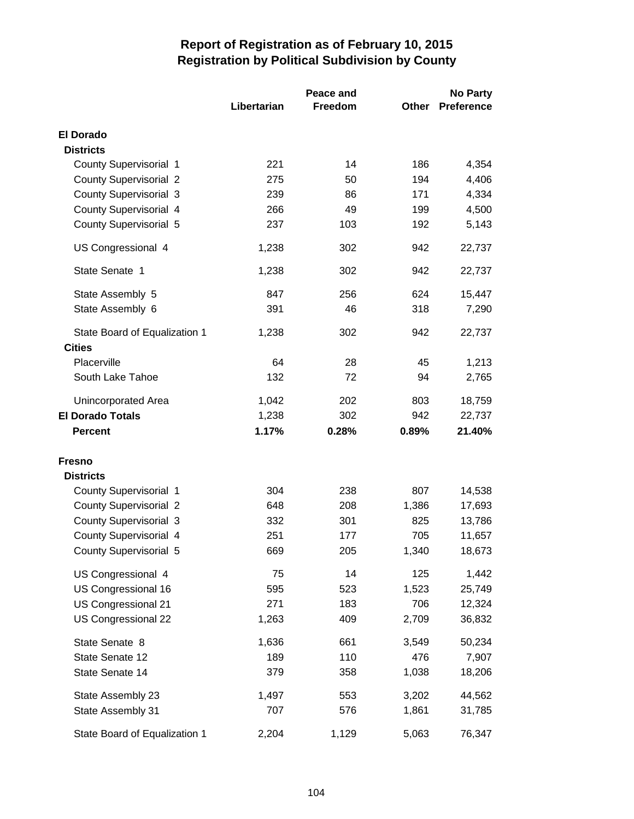|                                                |             | Peace and | <b>No Party</b> |                   |
|------------------------------------------------|-------------|-----------|-----------------|-------------------|
|                                                | Libertarian | Freedom   | Other           | <b>Preference</b> |
| <b>El Dorado</b>                               |             |           |                 |                   |
| <b>Districts</b>                               |             |           |                 |                   |
| County Supervisorial 1                         | 221         | 14        | 186             | 4,354             |
| <b>County Supervisorial 2</b>                  | 275         | 50        | 194             | 4,406             |
| County Supervisorial 3                         | 239         | 86        | 171             | 4,334             |
| County Supervisorial 4                         | 266         | 49        | 199             | 4,500             |
| <b>County Supervisorial 5</b>                  | 237         | 103       | 192             | 5,143             |
| US Congressional 4                             | 1,238       | 302       | 942             | 22,737            |
| State Senate 1                                 | 1,238       | 302       | 942             | 22,737            |
| State Assembly 5                               | 847         | 256       | 624             | 15,447            |
| State Assembly 6                               | 391         | 46        | 318             | 7,290             |
| State Board of Equalization 1<br><b>Cities</b> | 1,238       | 302       | 942             | 22,737            |
| Placerville                                    | 64          | 28        | 45              | 1,213             |
| South Lake Tahoe                               | 132         | 72        | 94              | 2,765             |
| Unincorporated Area                            | 1,042       | 202       | 803             | 18,759            |
| <b>El Dorado Totals</b>                        | 1,238       | 302       | 942             | 22,737            |
| <b>Percent</b>                                 | 1.17%       | 0.28%     | 0.89%           | 21.40%            |
| <b>Fresno</b>                                  |             |           |                 |                   |
| <b>Districts</b>                               |             |           |                 |                   |
| <b>County Supervisorial 1</b>                  | 304         | 238       | 807             | 14,538            |
| <b>County Supervisorial 2</b>                  | 648         | 208       | 1,386           | 17,693            |
| <b>County Supervisorial 3</b>                  | 332         | 301       | 825             | 13,786            |
| County Supervisorial 4                         | 251         | 177       | 705             | 11,657            |
| County Supervisorial 5                         | 669         | 205       | 1,340           | 18,673            |
| US Congressional 4                             | 75          | 14        | 125             | 1,442             |
| US Congressional 16                            | 595         | 523       | 1,523           | 25,749            |
| US Congressional 21                            | 271         | 183       | 706             | 12,324            |
| US Congressional 22                            | 1,263       | 409       | 2,709           | 36,832            |
| State Senate 8                                 | 1,636       | 661       | 3,549           | 50,234            |
| State Senate 12                                | 189         | 110       | 476             | 7,907             |
| State Senate 14                                | 379         | 358       | 1,038           | 18,206            |
| State Assembly 23                              | 1,497       | 553       | 3,202           | 44,562            |
| State Assembly 31                              | 707         | 576       | 1,861           | 31,785            |
| State Board of Equalization 1                  | 2,204       | 1,129     | 5,063           | 76,347            |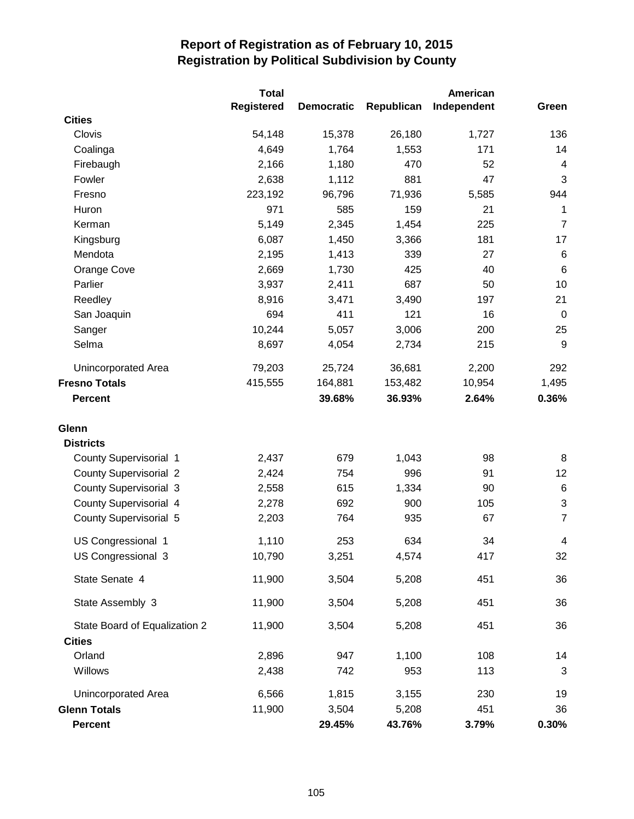|                               |                   |                   |            |             | American                  |  | <b>Total</b> |  |  |  |
|-------------------------------|-------------------|-------------------|------------|-------------|---------------------------|--|--------------|--|--|--|
|                               | <b>Registered</b> | <b>Democratic</b> | Republican | Independent | Green                     |  |              |  |  |  |
| <b>Cities</b>                 |                   |                   |            |             |                           |  |              |  |  |  |
| Clovis                        | 54,148            | 15,378            | 26,180     | 1,727       | 136                       |  |              |  |  |  |
| Coalinga                      | 4,649             | 1,764             | 1,553      | 171         | 14                        |  |              |  |  |  |
| Firebaugh                     | 2,166             | 1,180             | 470        | 52          | 4                         |  |              |  |  |  |
| Fowler                        | 2,638             | 1,112             | 881        | 47          | 3                         |  |              |  |  |  |
| Fresno                        | 223,192           | 96,796            | 71,936     | 5,585       | 944                       |  |              |  |  |  |
| Huron                         | 971               | 585               | 159        | 21          | 1                         |  |              |  |  |  |
| Kerman                        | 5,149             | 2,345             | 1,454      | 225         | $\overline{7}$            |  |              |  |  |  |
| Kingsburg                     | 6,087             | 1,450             | 3,366      | 181         | 17                        |  |              |  |  |  |
| Mendota                       | 2,195             | 1,413             | 339        | 27          | $\,6$                     |  |              |  |  |  |
| Orange Cove                   | 2,669             | 1,730             | 425        | 40          | $\,6$                     |  |              |  |  |  |
| Parlier                       | 3,937             | 2,411             | 687        | 50          | 10                        |  |              |  |  |  |
| Reedley                       | 8,916             | 3,471             | 3,490      | 197         | 21                        |  |              |  |  |  |
| San Joaquin                   | 694               | 411               | 121        | 16          | $\mathbf 0$               |  |              |  |  |  |
| Sanger                        | 10,244            | 5,057             | 3,006      | 200         | 25                        |  |              |  |  |  |
| Selma                         | 8,697             | 4,054             | 2,734      | 215         | 9                         |  |              |  |  |  |
| Unincorporated Area           | 79,203            | 25,724            | 36,681     | 2,200       | 292                       |  |              |  |  |  |
| <b>Fresno Totals</b>          | 415,555           | 164,881           | 153,482    | 10,954      | 1,495                     |  |              |  |  |  |
| <b>Percent</b>                |                   | 39.68%            | 36.93%     | 2.64%       | 0.36%                     |  |              |  |  |  |
| Glenn                         |                   |                   |            |             |                           |  |              |  |  |  |
| <b>Districts</b>              |                   |                   |            |             |                           |  |              |  |  |  |
| <b>County Supervisorial 1</b> | 2,437             | 679               | 1,043      | 98          | 8                         |  |              |  |  |  |
| <b>County Supervisorial 2</b> | 2,424             | 754               | 996        | 91          | 12                        |  |              |  |  |  |
| <b>County Supervisorial 3</b> | 2,558             | 615               | 1,334      | 90          | $\,6$                     |  |              |  |  |  |
| County Supervisorial 4        | 2,278             | 692               | 900        | 105         | $\ensuremath{\mathsf{3}}$ |  |              |  |  |  |
| <b>County Supervisorial 5</b> | 2,203             | 764               | 935        | 67          | $\overline{7}$            |  |              |  |  |  |
| US Congressional 1            | 1,110             | 253               | 634        | 34          | $\overline{\mathbf{4}}$   |  |              |  |  |  |
| US Congressional 3            | 10,790            | 3,251             | 4,574      | 417         | 32                        |  |              |  |  |  |
| State Senate 4                | 11,900            | 3,504             | 5,208      | 451         | 36                        |  |              |  |  |  |
| State Assembly 3              | 11,900            | 3,504             | 5,208      | 451         | 36                        |  |              |  |  |  |
| State Board of Equalization 2 | 11,900            | 3,504             | 5,208      | 451         | 36                        |  |              |  |  |  |
| <b>Cities</b>                 |                   |                   |            |             |                           |  |              |  |  |  |
| Orland                        | 2,896             | 947               | 1,100      | 108         | 14                        |  |              |  |  |  |
| Willows                       | 2,438             | 742               | 953        | 113         | 3                         |  |              |  |  |  |
| Unincorporated Area           | 6,566             | 1,815             | 3,155      | 230         | 19                        |  |              |  |  |  |
| <b>Glenn Totals</b>           | 11,900            | 3,504             | 5,208      | 451         | 36                        |  |              |  |  |  |
| <b>Percent</b>                |                   | 29.45%            | 43.76%     | 3.79%       | 0.30%                     |  |              |  |  |  |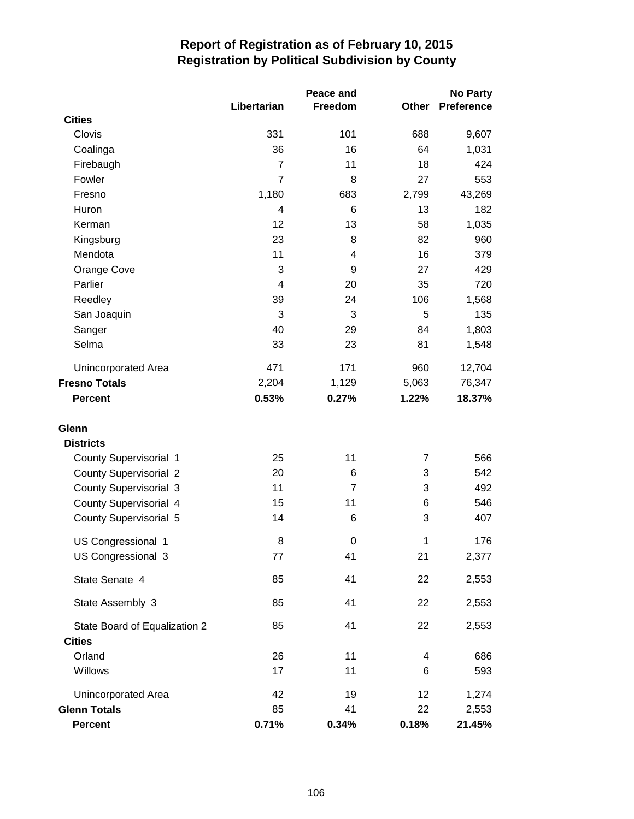|                               | Libertarian    | Peace and<br>Freedom | Other | <b>No Party</b><br><b>Preference</b> |
|-------------------------------|----------------|----------------------|-------|--------------------------------------|
| <b>Cities</b>                 |                |                      |       |                                      |
| Clovis                        | 331            | 101                  | 688   | 9,607                                |
| Coalinga                      | 36             | 16                   | 64    | 1,031                                |
| Firebaugh                     | $\overline{7}$ | 11                   | 18    | 424                                  |
| Fowler                        | $\overline{7}$ | 8                    | 27    | 553                                  |
| Fresno                        | 1,180          | 683                  | 2,799 | 43,269                               |
| Huron                         | 4              | 6                    | 13    | 182                                  |
| Kerman                        | 12             | 13                   | 58    | 1,035                                |
| Kingsburg                     | 23             | 8                    | 82    | 960                                  |
| Mendota                       | 11             | 4                    | 16    | 379                                  |
| Orange Cove                   | 3              | 9                    | 27    | 429                                  |
| Parlier                       | 4              | 20                   | 35    | 720                                  |
| Reedley                       | 39             | 24                   | 106   | 1,568                                |
| San Joaquin                   | 3              | 3                    | 5     | 135                                  |
| Sanger                        | 40             | 29                   | 84    | 1,803                                |
| Selma                         | 33             | 23                   | 81    | 1,548                                |
| Unincorporated Area           | 471            | 171                  | 960   | 12,704                               |
| <b>Fresno Totals</b>          | 2,204          | 1,129                | 5,063 | 76,347                               |
| <b>Percent</b>                | 0.53%          | 0.27%                | 1.22% | 18.37%                               |
| Glenn                         |                |                      |       |                                      |
| <b>Districts</b>              |                |                      |       |                                      |
| County Supervisorial 1        | 25             | 11                   | 7     | 566                                  |
| <b>County Supervisorial 2</b> | 20             | 6                    | 3     | 542                                  |
| <b>County Supervisorial 3</b> | 11             | $\overline{7}$       | 3     | 492                                  |
| <b>County Supervisorial 4</b> | 15             | 11                   | 6     | 546                                  |
| <b>County Supervisorial 5</b> | 14             | 6                    | 3     | 407                                  |
|                               |                |                      |       |                                      |
| US Congressional 1            | 8              | 0                    | 1     | 176                                  |
| US Congressional 3            | 77             | 41                   | 21    | 2,377                                |
| State Senate 4                | 85             | 41                   | 22    | 2,553                                |
| State Assembly 3              | 85             | 41                   | 22    | 2,553                                |
| State Board of Equalization 2 | 85             | 41                   | 22    | 2,553                                |
| <b>Cities</b>                 |                |                      |       |                                      |
| Orland                        | 26             | 11                   | 4     | 686                                  |
| Willows                       | 17             | 11                   | 6     | 593                                  |
| Unincorporated Area           | 42             | 19                   | 12    | 1,274                                |
| <b>Glenn Totals</b>           | 85             | 41                   | 22    | 2,553                                |
| <b>Percent</b>                | 0.71%          | 0.34%                | 0.18% | 21.45%                               |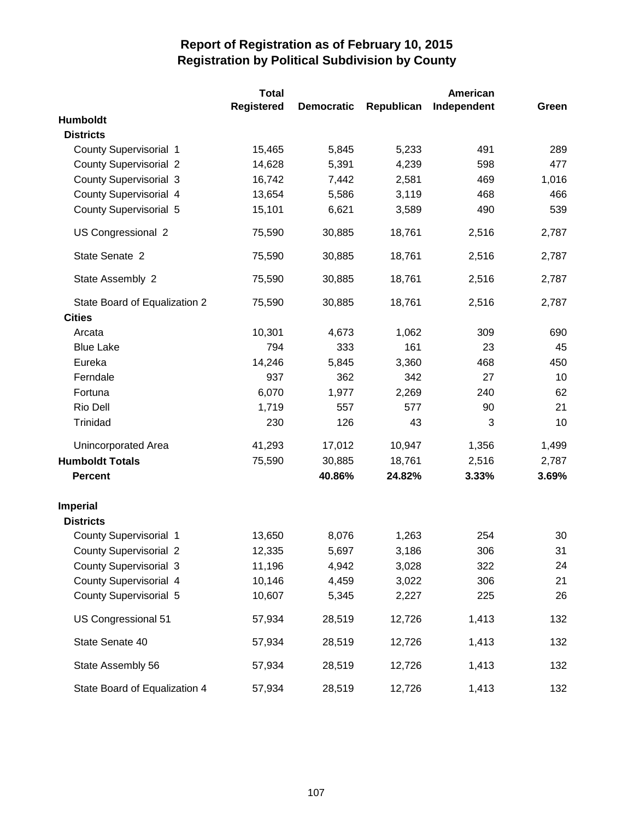|                               | <b>Total</b>      | American          |            |             |       |
|-------------------------------|-------------------|-------------------|------------|-------------|-------|
|                               | <b>Registered</b> | <b>Democratic</b> | Republican | Independent | Green |
| <b>Humboldt</b>               |                   |                   |            |             |       |
| <b>Districts</b>              |                   |                   |            |             |       |
| County Supervisorial 1        | 15,465            | 5,845             | 5,233      | 491         | 289   |
| <b>County Supervisorial 2</b> | 14,628            | 5,391             | 4,239      | 598         | 477   |
| <b>County Supervisorial 3</b> | 16,742            | 7,442             | 2,581      | 469         | 1,016 |
| County Supervisorial 4        | 13,654            | 5,586             | 3,119      | 468         | 466   |
| <b>County Supervisorial 5</b> | 15,101            | 6,621             | 3,589      | 490         | 539   |
| US Congressional 2            | 75,590            | 30,885            | 18,761     | 2,516       | 2,787 |
| State Senate 2                | 75,590            | 30,885            | 18,761     | 2,516       | 2,787 |
| State Assembly 2              | 75,590            | 30,885            | 18,761     | 2,516       | 2,787 |
| State Board of Equalization 2 | 75,590            | 30,885            | 18,761     | 2,516       | 2,787 |
| <b>Cities</b>                 |                   |                   |            |             |       |
| Arcata                        | 10,301            | 4,673             | 1,062      | 309         | 690   |
| <b>Blue Lake</b>              | 794               | 333               | 161        | 23          | 45    |
| Eureka                        | 14,246            | 5,845             | 3,360      | 468         | 450   |
| Ferndale                      | 937               | 362               | 342        | 27          | 10    |
| Fortuna                       | 6,070             | 1,977             | 2,269      | 240         | 62    |
| Rio Dell                      | 1,719             | 557               | 577        | 90          | 21    |
| Trinidad                      | 230               | 126               | 43         | 3           | 10    |
| Unincorporated Area           | 41,293            | 17,012            | 10,947     | 1,356       | 1,499 |
| <b>Humboldt Totals</b>        | 75,590            | 30,885            | 18,761     | 2,516       | 2,787 |
| <b>Percent</b>                |                   | 40.86%            | 24.82%     | 3.33%       | 3.69% |
| <b>Imperial</b>               |                   |                   |            |             |       |
| <b>Districts</b>              |                   |                   |            |             |       |
| <b>County Supervisorial 1</b> | 13,650            | 8,076             | 1,263      | 254         | 30    |
| <b>County Supervisorial 2</b> | 12,335            | 5,697             | 3,186      | 306         | 31    |
| <b>County Supervisorial 3</b> | 11,196            | 4,942             | 3,028      | 322         | 24    |
| County Supervisorial 4        | 10,146            | 4,459             | 3,022      | 306         | 21    |
| <b>County Supervisorial 5</b> | 10,607            | 5,345             | 2,227      | 225         | 26    |
| US Congressional 51           | 57,934            | 28,519            | 12,726     | 1,413       | 132   |
| State Senate 40               | 57,934            | 28,519            | 12,726     | 1,413       | 132   |
| State Assembly 56             | 57,934            | 28,519            | 12,726     | 1,413       | 132   |
| State Board of Equalization 4 | 57,934            | 28,519            | 12,726     | 1,413       | 132   |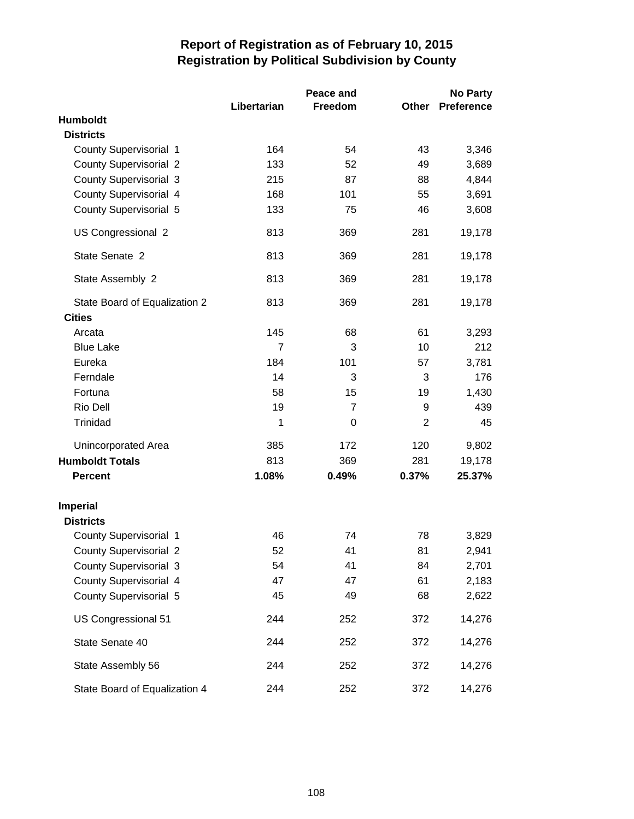|                               |             | Peace and      |                | <b>No Party</b> |  |
|-------------------------------|-------------|----------------|----------------|-----------------|--|
|                               | Libertarian | Freedom        | Other          | Preference      |  |
| Humboldt                      |             |                |                |                 |  |
| <b>Districts</b>              |             |                |                |                 |  |
| County Supervisorial 1        | 164         | 54             | 43             | 3,346           |  |
| <b>County Supervisorial 2</b> | 133         | 52             | 49             | 3,689           |  |
| County Supervisorial 3        | 215         | 87             | 88             | 4,844           |  |
| County Supervisorial 4        | 168         | 101            | 55             | 3,691           |  |
| County Supervisorial 5        | 133         | 75             | 46             | 3,608           |  |
| US Congressional 2            | 813         | 369            | 281            | 19,178          |  |
| State Senate 2                | 813         | 369            | 281            | 19,178          |  |
| State Assembly 2              | 813         | 369            | 281            | 19,178          |  |
| State Board of Equalization 2 | 813         | 369            | 281            | 19,178          |  |
| <b>Cities</b>                 |             |                |                |                 |  |
| Arcata                        | 145         | 68             | 61             | 3,293           |  |
| <b>Blue Lake</b>              | 7           | 3              | 10             | 212             |  |
| Eureka                        | 184         | 101            | 57             | 3,781           |  |
| Ferndale                      | 14          | 3              | 3              | 176             |  |
| Fortuna                       | 58          | 15             | 19             | 1,430           |  |
| Rio Dell                      | 19          | $\overline{7}$ | 9              | 439             |  |
| Trinidad                      | 1           | 0              | $\overline{2}$ | 45              |  |
| Unincorporated Area           | 385         | 172            | 120            | 9,802           |  |
| <b>Humboldt Totals</b>        | 813         | 369            | 281            | 19,178          |  |
| <b>Percent</b>                | 1.08%       | 0.49%          | 0.37%          | 25.37%          |  |
| <b>Imperial</b>               |             |                |                |                 |  |
| <b>Districts</b>              |             |                |                |                 |  |
| <b>County Supervisorial 1</b> | 46          | 74             | 78             | 3,829           |  |
| <b>County Supervisorial 2</b> | 52          | 41             | 81             | 2,941           |  |
| <b>County Supervisorial 3</b> | 54          | 41             | 84             | 2,701           |  |
| County Supervisorial 4        | 47          | 47             | 61             | 2,183           |  |
| County Supervisorial 5        | 45          | 49             | 68             | 2,622           |  |
| US Congressional 51           | 244         | 252            | 372            | 14,276          |  |
| State Senate 40               | 244         | 252            | 372            | 14,276          |  |
| State Assembly 56             | 244         | 252            | 372            | 14,276          |  |
| State Board of Equalization 4 | 244         | 252            | 372            | 14,276          |  |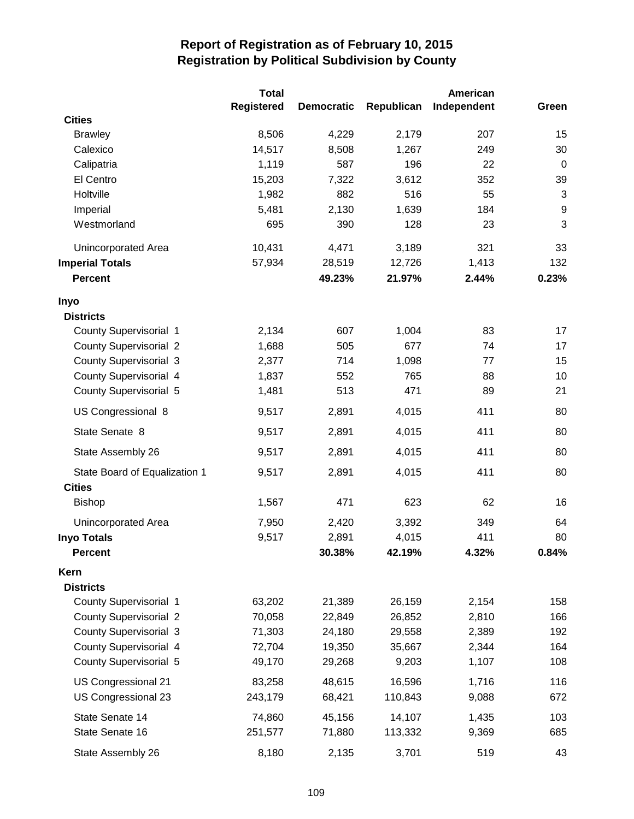|                               | <b>Total</b>      |                   |            | American    |                  |  |
|-------------------------------|-------------------|-------------------|------------|-------------|------------------|--|
|                               | <b>Registered</b> | <b>Democratic</b> | Republican | Independent | Green            |  |
| <b>Cities</b>                 |                   |                   |            |             |                  |  |
| <b>Brawley</b>                | 8,506             | 4,229             | 2,179      | 207         | 15               |  |
| Calexico                      | 14,517            | 8,508             | 1,267      | 249         | 30               |  |
| Calipatria                    | 1,119             | 587               | 196        | 22          | $\mathbf 0$      |  |
| El Centro                     | 15,203            | 7,322             | 3,612      | 352         | 39               |  |
| Holtville                     | 1,982             | 882               | 516        | 55          | $\mathbf{3}$     |  |
| Imperial                      | 5,481             | 2,130             | 1,639      | 184         | $\boldsymbol{9}$ |  |
| Westmorland                   | 695               | 390               | 128        | 23          | 3                |  |
| Unincorporated Area           | 10,431            | 4,471             | 3,189      | 321         | 33               |  |
| <b>Imperial Totals</b>        | 57,934            | 28,519            | 12,726     | 1,413       | 132              |  |
| <b>Percent</b>                |                   | 49.23%            | 21.97%     | 2.44%       | 0.23%            |  |
| Inyo                          |                   |                   |            |             |                  |  |
| <b>Districts</b>              |                   |                   |            |             |                  |  |
| <b>County Supervisorial 1</b> | 2,134             | 607               | 1,004      | 83          | 17               |  |
| <b>County Supervisorial 2</b> | 1,688             | 505               | 677        | 74          | 17               |  |
| <b>County Supervisorial 3</b> | 2,377             | 714               | 1,098      | 77          | 15               |  |
| County Supervisorial 4        | 1,837             | 552               | 765        | 88          | 10               |  |
| <b>County Supervisorial 5</b> | 1,481             | 513               | 471        | 89          | 21               |  |
| US Congressional 8            | 9,517             | 2,891             | 4,015      | 411         | 80               |  |
| State Senate 8                | 9,517             | 2,891             | 4,015      | 411         | 80               |  |
| State Assembly 26             | 9,517             | 2,891             | 4,015      | 411         | 80               |  |
| State Board of Equalization 1 | 9,517             | 2,891             | 4,015      | 411         | 80               |  |
| <b>Cities</b>                 |                   |                   |            |             |                  |  |
| <b>Bishop</b>                 | 1,567             | 471               | 623        | 62          | 16               |  |
| <b>Unincorporated Area</b>    | 7,950             | 2,420             | 3,392      | 349         | 64               |  |
| <b>Inyo Totals</b>            | 9,517             | 2,891             | 4,015      | 411         | 80               |  |
| Percent                       |                   | 30.38%            | 42.19%     | 4.32%       | 0.84%            |  |
| Kern                          |                   |                   |            |             |                  |  |
| <b>Districts</b>              |                   |                   |            |             |                  |  |
| County Supervisorial 1        | 63,202            | 21,389            | 26,159     | 2,154       | 158              |  |
| <b>County Supervisorial 2</b> | 70,058            | 22,849            | 26,852     | 2,810       | 166              |  |
| <b>County Supervisorial 3</b> | 71,303            | 24,180            | 29,558     | 2,389       | 192              |  |
| County Supervisorial 4        | 72,704            | 19,350            | 35,667     | 2,344       | 164              |  |
| <b>County Supervisorial 5</b> | 49,170            | 29,268            | 9,203      | 1,107       | 108              |  |
| US Congressional 21           | 83,258            | 48,615            | 16,596     | 1,716       | 116              |  |
| US Congressional 23           | 243,179           | 68,421            | 110,843    | 9,088       | 672              |  |
| State Senate 14               | 74,860            | 45,156            | 14,107     | 1,435       | 103              |  |
| State Senate 16               | 251,577           | 71,880            | 113,332    | 9,369       | 685              |  |
| State Assembly 26             | 8,180             | 2,135             | 3,701      | 519         | 43               |  |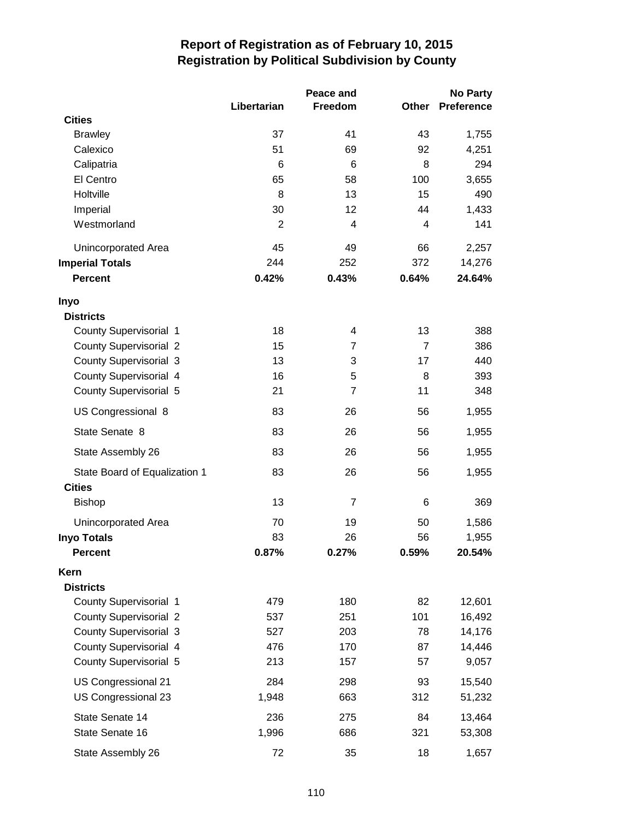|                               | Libertarian    | Peace and<br>Freedom | <b>Other</b>   | <b>No Party</b><br><b>Preference</b> |
|-------------------------------|----------------|----------------------|----------------|--------------------------------------|
| <b>Cities</b>                 |                |                      |                |                                      |
| <b>Brawley</b>                | 37             | 41                   | 43             | 1,755                                |
| Calexico                      | 51             | 69                   | 92             | 4,251                                |
| Calipatria                    | 6              | 6                    | 8              | 294                                  |
| El Centro                     | 65             | 58                   | 100            | 3,655                                |
| Holtville                     | 8              | 13                   | 15             | 490                                  |
| Imperial                      | 30             | 12                   | 44             | 1,433                                |
| Westmorland                   | $\overline{2}$ | 4                    | 4              | 141                                  |
| Unincorporated Area           | 45             | 49                   | 66             | 2,257                                |
| <b>Imperial Totals</b>        | 244            | 252                  | 372            | 14,276                               |
| <b>Percent</b>                | 0.42%          | 0.43%                | 0.64%          | 24.64%                               |
| Inyo                          |                |                      |                |                                      |
| <b>Districts</b>              |                |                      |                |                                      |
| <b>County Supervisorial 1</b> | 18             | 4                    | 13             | 388                                  |
| <b>County Supervisorial 2</b> | 15             | 7                    | $\overline{7}$ | 386                                  |
| <b>County Supervisorial 3</b> | 13             | 3                    | 17             | 440                                  |
| County Supervisorial 4        | 16             | 5                    | 8              | 393                                  |
| County Supervisorial 5        | 21             | $\overline{7}$       | 11             | 348                                  |
| US Congressional 8            | 83             | 26                   | 56             | 1,955                                |
| State Senate 8                | 83             | 26                   | 56             | 1,955                                |
| State Assembly 26             | 83             | 26                   | 56             | 1,955                                |
| State Board of Equalization 1 | 83             | 26                   | 56             | 1,955                                |
| <b>Cities</b>                 |                |                      |                |                                      |
| <b>Bishop</b>                 | 13             | $\overline{7}$       | 6              | 369                                  |
| <b>Unincorporated Area</b>    | 70             | 19                   | 50             | 1,586                                |
| <b>Inyo Totals</b>            | 83             | 26                   | 56             | 1,955                                |
| <b>Percent</b>                | 0.87%          | 0.27%                | 0.59%          | 20.54%                               |
| Kern                          |                |                      |                |                                      |
| <b>Districts</b>              |                |                      |                |                                      |
| <b>County Supervisorial 1</b> | 479            | 180                  | 82             | 12,601                               |
| <b>County Supervisorial 2</b> | 537            | 251                  | 101            | 16,492                               |
| <b>County Supervisorial 3</b> | 527            | 203                  | 78             | 14,176                               |
| County Supervisorial 4        | 476            | 170                  | 87             | 14,446                               |
| County Supervisorial 5        | 213            | 157                  | 57             | 9,057                                |
| US Congressional 21           | 284            | 298                  | 93             | 15,540                               |
| US Congressional 23           | 1,948          | 663                  | 312            | 51,232                               |
| State Senate 14               | 236            | 275                  | 84             | 13,464                               |
| State Senate 16               | 1,996          | 686                  | 321            | 53,308                               |
| State Assembly 26             | 72             | 35                   | 18             | 1,657                                |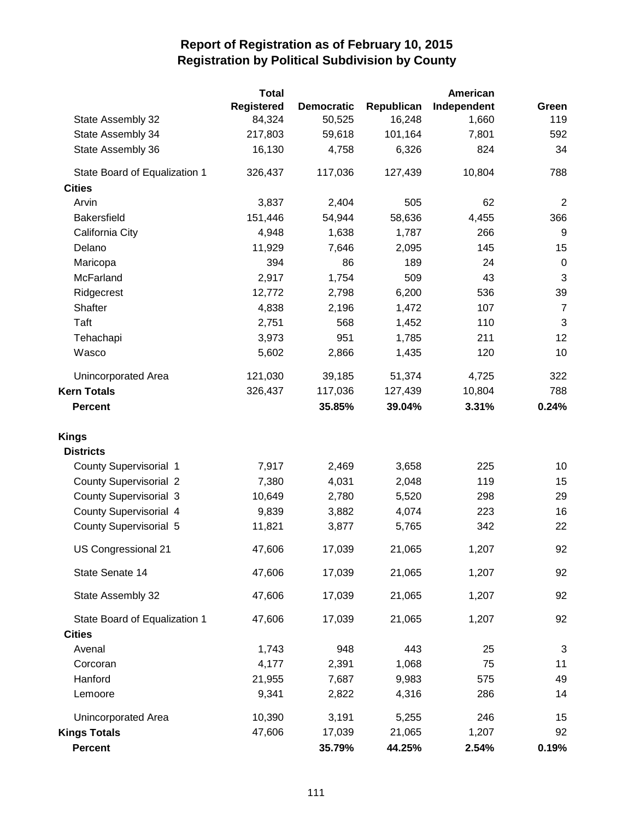|                               | Total      |                   |            | American    |                |
|-------------------------------|------------|-------------------|------------|-------------|----------------|
|                               | Registered | <b>Democratic</b> | Republican | Independent | Green          |
| State Assembly 32             | 84,324     | 50,525            | 16,248     | 1,660       | 119            |
| State Assembly 34             | 217,803    | 59,618            | 101,164    | 7,801       | 592            |
| State Assembly 36             | 16,130     | 4,758             | 6,326      | 824         | 34             |
| State Board of Equalization 1 | 326,437    | 117,036           | 127,439    | 10,804      | 788            |
| <b>Cities</b>                 |            |                   |            |             |                |
| Arvin                         | 3,837      | 2,404             | 505        | 62          | $\overline{2}$ |
| <b>Bakersfield</b>            | 151,446    | 54,944            | 58,636     | 4,455       | 366            |
| California City               | 4,948      | 1,638             | 1,787      | 266         | 9              |
| Delano                        | 11,929     | 7,646             | 2,095      | 145         | 15             |
| Maricopa                      | 394        | 86                | 189        | 24          | $\pmb{0}$      |
| McFarland                     | 2,917      | 1,754             | 509        | 43          | $\sqrt{3}$     |
| Ridgecrest                    | 12,772     | 2,798             | 6,200      | 536         | 39             |
| Shafter                       | 4,838      | 2,196             | 1,472      | 107         | $\overline{7}$ |
| Taft                          | 2,751      | 568               | 1,452      | 110         | 3              |
| Tehachapi                     | 3,973      | 951               | 1,785      | 211         | 12             |
| Wasco                         | 5,602      | 2,866             | 1,435      | 120         | 10             |
| Unincorporated Area           | 121,030    | 39,185            | 51,374     | 4,725       | 322            |
| <b>Kern Totals</b>            | 326,437    | 117,036           | 127,439    | 10,804      | 788            |
| <b>Percent</b>                |            | 35.85%            | 39.04%     | 3.31%       | 0.24%          |
| <b>Kings</b>                  |            |                   |            |             |                |
| <b>Districts</b>              |            |                   |            |             |                |
| <b>County Supervisorial 1</b> | 7,917      | 2,469             | 3,658      | 225         | 10             |
| <b>County Supervisorial 2</b> | 7,380      | 4,031             | 2,048      | 119         | 15             |
| <b>County Supervisorial 3</b> | 10,649     | 2,780             | 5,520      | 298         | 29             |
| County Supervisorial 4        | 9,839      | 3,882             | 4,074      | 223         | 16             |
| County Supervisorial 5        | 11,821     | 3,877             | 5,765      | 342         | 22             |
| US Congressional 21           | 47,606     | 17,039            | 21,065     | 1,207       | 92             |
| State Senate 14               | 47,606     | 17,039            | 21,065     | 1,207       | 92             |
| State Assembly 32             | 47,606     | 17,039            | 21,065     | 1,207       | 92             |
| State Board of Equalization 1 | 47,606     | 17,039            | 21,065     | 1,207       | 92             |
| <b>Cities</b>                 |            |                   |            |             |                |
| Avenal                        | 1,743      | 948               | 443        | 25          | 3              |
| Corcoran                      | 4,177      | 2,391             | 1,068      | 75          | 11             |
| Hanford                       | 21,955     | 7,687             | 9,983      | 575         | 49             |
| Lemoore                       | 9,341      | 2,822             | 4,316      | 286         | 14             |
| Unincorporated Area           | 10,390     | 3,191             | 5,255      | 246         | 15             |
| <b>Kings Totals</b>           | 47,606     | 17,039            | 21,065     | 1,207       | 92             |
| Percent                       |            | 35.79%            | 44.25%     | 2.54%       | 0.19%          |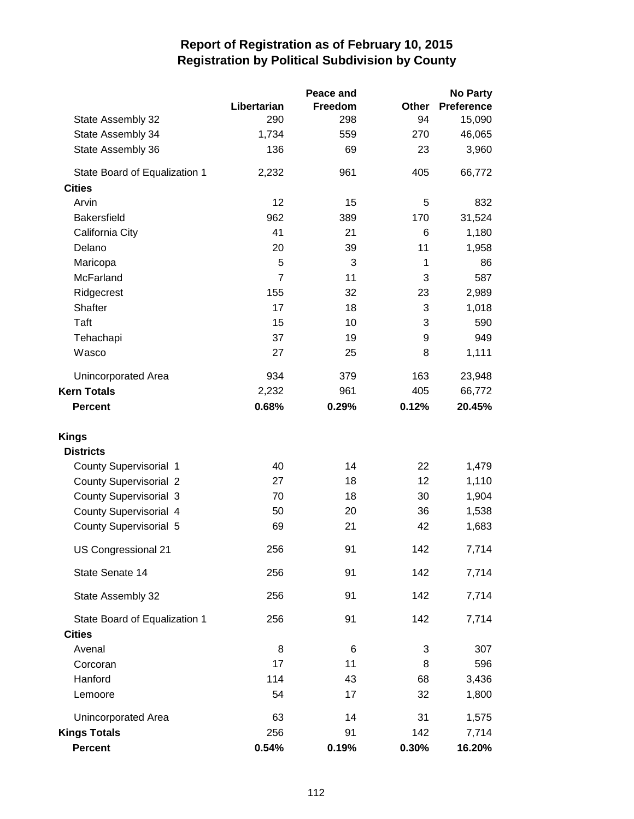|                               |                | Peace and |       | <b>No Party</b>   |
|-------------------------------|----------------|-----------|-------|-------------------|
|                               | Libertarian    | Freedom   | Other | <b>Preference</b> |
| State Assembly 32             | 290            | 298       | 94    | 15,090            |
| State Assembly 34             | 1,734          | 559       | 270   | 46,065            |
| State Assembly 36             | 136            | 69        | 23    | 3,960             |
| State Board of Equalization 1 | 2,232          | 961       | 405   | 66,772            |
| <b>Cities</b>                 |                |           |       |                   |
| Arvin                         | 12             | 15        | 5     | 832               |
| <b>Bakersfield</b>            | 962            | 389       | 170   | 31,524            |
| California City               | 41             | 21        | 6     | 1,180             |
| Delano                        | 20             | 39        | 11    | 1,958             |
| Maricopa                      | 5              | 3         | 1     | 86                |
| McFarland                     | $\overline{7}$ | 11        | 3     | 587               |
| Ridgecrest                    | 155            | 32        | 23    | 2,989             |
| Shafter                       | 17             | 18        | 3     | 1,018             |
| Taft                          | 15             | 10        | 3     | 590               |
| Tehachapi                     | 37             | 19        | 9     | 949               |
| Wasco                         | 27             | 25        | 8     | 1,111             |
| Unincorporated Area           | 934            | 379       | 163   | 23,948            |
| <b>Kern Totals</b>            | 2,232          | 961       | 405   | 66,772            |
| <b>Percent</b>                | 0.68%          | 0.29%     | 0.12% | 20.45%            |
| <b>Kings</b>                  |                |           |       |                   |
| <b>Districts</b>              |                |           |       |                   |
| County Supervisorial 1        | 40             | 14        | 22    | 1,479             |
| <b>County Supervisorial 2</b> | 27             | 18        | 12    | 1,110             |
| <b>County Supervisorial 3</b> | 70             | 18        | 30    | 1,904             |
| County Supervisorial 4        | 50             | 20        | 36    | 1,538             |
| <b>County Supervisorial 5</b> | 69             | 21        | 42    | 1,683             |
| US Congressional 21           | 256            | 91        | 142   | 7,714             |
| State Senate 14               | 256            | 91        | 142   | 7,714             |
| State Assembly 32             | 256            | 91        | 142   | 7,714             |
| State Board of Equalization 1 | 256            | 91        | 142   | 7,714             |
| <b>Cities</b>                 |                |           |       |                   |
| Avenal                        | 8              | 6         | 3     | 307               |
| Corcoran                      | 17             | 11        | 8     | 596               |
| Hanford                       | 114            | 43        | 68    | 3,436             |
| Lemoore                       | 54             | 17        | 32    | 1,800             |
| Unincorporated Area           | 63             | 14        | 31    | 1,575             |
| <b>Kings Totals</b>           | 256            | 91        | 142   | 7,714             |
| Percent                       | 0.54%          | 0.19%     | 0.30% | 16.20%            |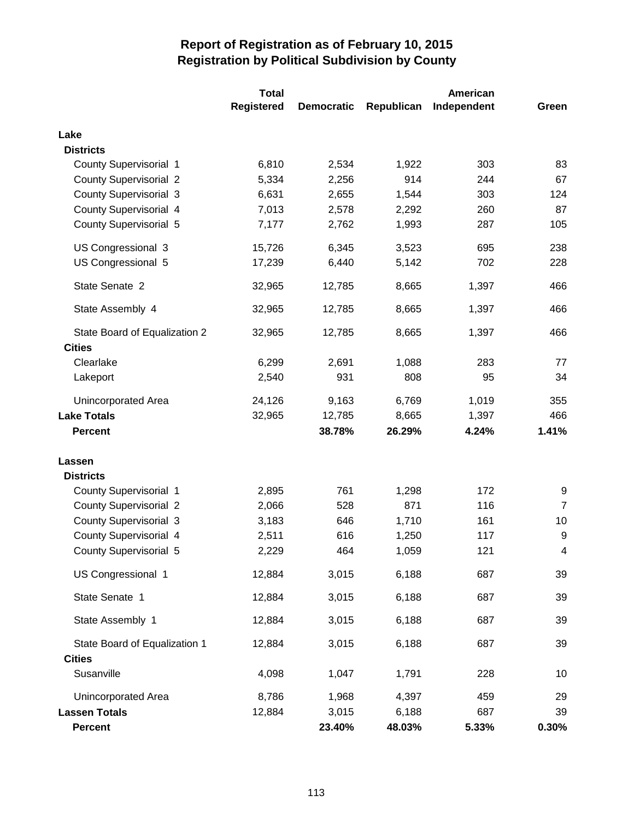|                               | <b>Total</b>      | <b>American</b>   |            |             |                |
|-------------------------------|-------------------|-------------------|------------|-------------|----------------|
|                               | <b>Registered</b> | <b>Democratic</b> | Republican | Independent | Green          |
| Lake                          |                   |                   |            |             |                |
| <b>Districts</b>              |                   |                   |            |             |                |
| <b>County Supervisorial 1</b> | 6,810             | 2,534             | 1,922      | 303         | 83             |
| <b>County Supervisorial 2</b> | 5,334             | 2,256             | 914        | 244         | 67             |
| <b>County Supervisorial 3</b> | 6,631             | 2,655             | 1,544      | 303         | 124            |
| County Supervisorial 4        | 7,013             | 2,578             | 2,292      | 260         | 87             |
| <b>County Supervisorial 5</b> | 7,177             | 2,762             | 1,993      | 287         | 105            |
| US Congressional 3            | 15,726            | 6,345             | 3,523      | 695         | 238            |
| US Congressional 5            | 17,239            | 6,440             | 5,142      | 702         | 228            |
| State Senate 2                | 32,965            | 12,785            | 8,665      | 1,397       | 466            |
| State Assembly 4              | 32,965            | 12,785            | 8,665      | 1,397       | 466            |
| State Board of Equalization 2 | 32,965            | 12,785            | 8,665      | 1,397       | 466            |
| <b>Cities</b>                 |                   |                   |            |             |                |
| Clearlake                     | 6,299             | 2,691             | 1,088      | 283         | 77             |
| Lakeport                      | 2,540             | 931               | 808        | 95          | 34             |
| Unincorporated Area           | 24,126            | 9,163             | 6,769      | 1,019       | 355            |
| <b>Lake Totals</b>            | 32,965            | 12,785            | 8,665      | 1,397       | 466            |
| <b>Percent</b>                |                   | 38.78%            | 26.29%     | 4.24%       | 1.41%          |
| Lassen                        |                   |                   |            |             |                |
| <b>Districts</b>              |                   |                   |            |             |                |
| County Supervisorial 1        | 2,895             | 761               | 1,298      | 172         | 9              |
| <b>County Supervisorial 2</b> | 2,066             | 528               | 871        | 116         | $\overline{7}$ |
| <b>County Supervisorial 3</b> | 3,183             | 646               | 1,710      | 161         | 10             |
| <b>County Supervisorial 4</b> | 2,511             | 616               | 1,250      | 117         | 9              |
| <b>County Supervisorial 5</b> | 2,229             | 464               | 1,059      | 121         | 4              |
| US Congressional 1            | 12,884            | 3,015             | 6,188      | 687         | 39             |
| State Senate 1                | 12,884            | 3,015             | 6,188      | 687         | 39             |
| State Assembly 1              | 12,884            | 3,015             | 6,188      | 687         | 39             |
| State Board of Equalization 1 | 12,884            | 3,015             | 6,188      | 687         | 39             |
| <b>Cities</b>                 |                   |                   |            |             |                |
| Susanville                    | 4,098             | 1,047             | 1,791      | 228         | 10             |
| Unincorporated Area           | 8,786             | 1,968             | 4,397      | 459         | 29             |
| <b>Lassen Totals</b>          | 12,884            | 3,015             | 6,188      | 687         | 39             |
| <b>Percent</b>                |                   | 23.40%            | 48.03%     | 5.33%       | 0.30%          |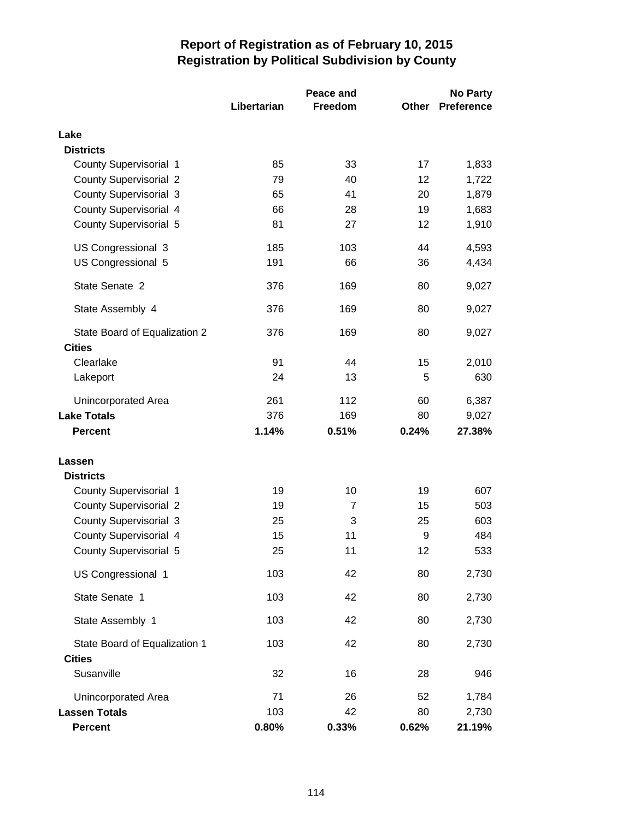|                                                |             | Peace and |       | <b>No Party</b>   |
|------------------------------------------------|-------------|-----------|-------|-------------------|
|                                                | Libertarian | Freedom   | Other | <b>Preference</b> |
| Lake                                           |             |           |       |                   |
| <b>Districts</b>                               |             |           |       |                   |
| County Supervisorial 1                         | 85          | 33        | 17    | 1,833             |
| <b>County Supervisorial 2</b>                  | 79          | 40        | 12    | 1,722             |
| <b>County Supervisorial 3</b>                  | 65          | 41        | 20    | 1,879             |
| County Supervisorial 4                         | 66          | 28        | 19    | 1,683             |
| <b>County Supervisorial 5</b>                  | 81          | 27        | 12    | 1,910             |
| US Congressional 3                             | 185         | 103       | 44    | 4,593             |
| US Congressional 5                             | 191         | 66        | 36    | 4,434             |
| State Senate 2                                 | 376         | 169       | 80    | 9,027             |
| State Assembly 4                               | 376         | 169       | 80    | 9,027             |
| State Board of Equalization 2<br><b>Cities</b> | 376         | 169       | 80    | 9,027             |
| Clearlake                                      | 91          | 44        | 15    | 2,010             |
| Lakeport                                       | 24          | 13        | 5     | 630               |
| Unincorporated Area                            | 261         | 112       | 60    | 6,387             |
| <b>Lake Totals</b>                             | 376         | 169       | 80    | 9,027             |
| <b>Percent</b>                                 | 1.14%       | 0.51%     | 0.24% | 27.38%            |
| Lassen                                         |             |           |       |                   |
| <b>Districts</b>                               |             |           |       |                   |
| <b>County Supervisorial 1</b>                  | 19          | 10        | 19    | 607               |
| <b>County Supervisorial 2</b>                  | 19          | 7         | 15    | 503               |
| <b>County Supervisorial 3</b>                  | 25          | 3         | 25    | 603               |
| <b>County Supervisorial 4</b>                  | 15          | 11        | 9     | 484               |
| County Supervisorial 5                         | 25          | 11        | 12    | 533               |
| US Congressional 1                             | 103         | 42        | 80    | 2,730             |
| State Senate 1                                 | 103         | 42        | 80    | 2,730             |
| State Assembly 1                               | 103         | 42        | 80    | 2,730             |
| State Board of Equalization 1                  | 103         | 42        | 80    | 2,730             |
| <b>Cities</b>                                  |             |           |       |                   |
| Susanville                                     | 32          | 16        | 28    | 946               |
| Unincorporated Area                            | 71          | 26        | 52    | 1,784             |
| <b>Lassen Totals</b>                           | 103         | 42        | 80    | 2,730             |
| <b>Percent</b>                                 | 0.80%       | 0.33%     | 0.62% | 21.19%            |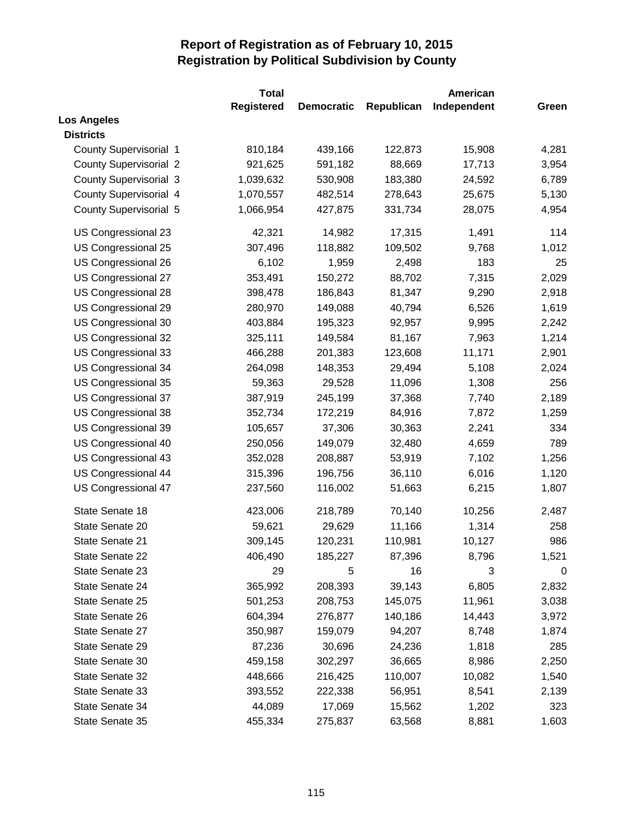|                               | <b>Total</b>      |                   |            | American    |       |
|-------------------------------|-------------------|-------------------|------------|-------------|-------|
|                               | <b>Registered</b> | <b>Democratic</b> | Republican | Independent | Green |
| <b>Los Angeles</b>            |                   |                   |            |             |       |
| <b>Districts</b>              |                   |                   |            |             |       |
| <b>County Supervisorial 1</b> | 810,184           | 439,166           | 122,873    | 15,908      | 4,281 |
| <b>County Supervisorial 2</b> | 921,625           | 591,182           | 88,669     | 17,713      | 3,954 |
| <b>County Supervisorial 3</b> | 1,039,632         | 530,908           | 183,380    | 24,592      | 6,789 |
| <b>County Supervisorial 4</b> | 1,070,557         | 482,514           | 278,643    | 25,675      | 5,130 |
| <b>County Supervisorial 5</b> | 1,066,954         | 427,875           | 331,734    | 28,075      | 4,954 |
| US Congressional 23           | 42,321            | 14,982            | 17,315     | 1,491       | 114   |
| US Congressional 25           | 307,496           | 118,882           | 109,502    | 9,768       | 1,012 |
| US Congressional 26           | 6,102             | 1,959             | 2,498      | 183         | 25    |
| US Congressional 27           | 353,491           | 150,272           | 88,702     | 7,315       | 2,029 |
| US Congressional 28           | 398,478           | 186,843           | 81,347     | 9,290       | 2,918 |
| US Congressional 29           | 280,970           | 149,088           | 40,794     | 6,526       | 1,619 |
| US Congressional 30           | 403,884           | 195,323           | 92,957     | 9,995       | 2,242 |
| US Congressional 32           | 325,111           | 149,584           | 81,167     | 7,963       | 1,214 |
| US Congressional 33           | 466,288           | 201,383           | 123,608    | 11,171      | 2,901 |
| <b>US Congressional 34</b>    | 264,098           | 148,353           | 29,494     | 5,108       | 2,024 |
| US Congressional 35           | 59,363            | 29,528            | 11,096     | 1,308       | 256   |
| US Congressional 37           | 387,919           | 245,199           | 37,368     | 7,740       | 2,189 |
| US Congressional 38           | 352,734           | 172,219           | 84,916     | 7,872       | 1,259 |
| US Congressional 39           | 105,657           | 37,306            | 30,363     | 2,241       | 334   |
| US Congressional 40           | 250,056           | 149,079           | 32,480     | 4,659       | 789   |
| US Congressional 43           | 352,028           | 208,887           | 53,919     | 7,102       | 1,256 |
| US Congressional 44           | 315,396           | 196,756           | 36,110     | 6,016       | 1,120 |
| US Congressional 47           | 237,560           | 116,002           | 51,663     | 6,215       | 1,807 |
| State Senate 18               | 423,006           | 218,789           | 70,140     | 10,256      | 2,487 |
| State Senate 20               | 59,621            | 29,629            | 11,166     | 1,314       | 258   |
| State Senate 21               | 309,145           | 120,231           | 110,981    | 10,127      | 986   |
| State Senate 22               | 406,490           | 185,227           | 87,396     | 8,796       | 1,521 |
| State Senate 23               | 29                | 5                 | 16         | 3           | 0     |
| State Senate 24               | 365,992           | 208,393           | 39,143     | 6,805       | 2,832 |
| State Senate 25               | 501,253           | 208,753           | 145,075    | 11,961      | 3,038 |
| State Senate 26               | 604,394           | 276,877           | 140,186    | 14,443      | 3,972 |
| State Senate 27               | 350,987           | 159,079           | 94,207     | 8,748       | 1,874 |
| State Senate 29               | 87,236            | 30,696            | 24,236     | 1,818       | 285   |
| State Senate 30               | 459,158           | 302,297           | 36,665     | 8,986       | 2,250 |
| State Senate 32               | 448,666           | 216,425           | 110,007    | 10,082      | 1,540 |
| State Senate 33               | 393,552           | 222,338           | 56,951     | 8,541       | 2,139 |
| State Senate 34               | 44,089            | 17,069            | 15,562     | 1,202       | 323   |
| State Senate 35               | 455,334           | 275,837           | 63,568     | 8,881       | 1,603 |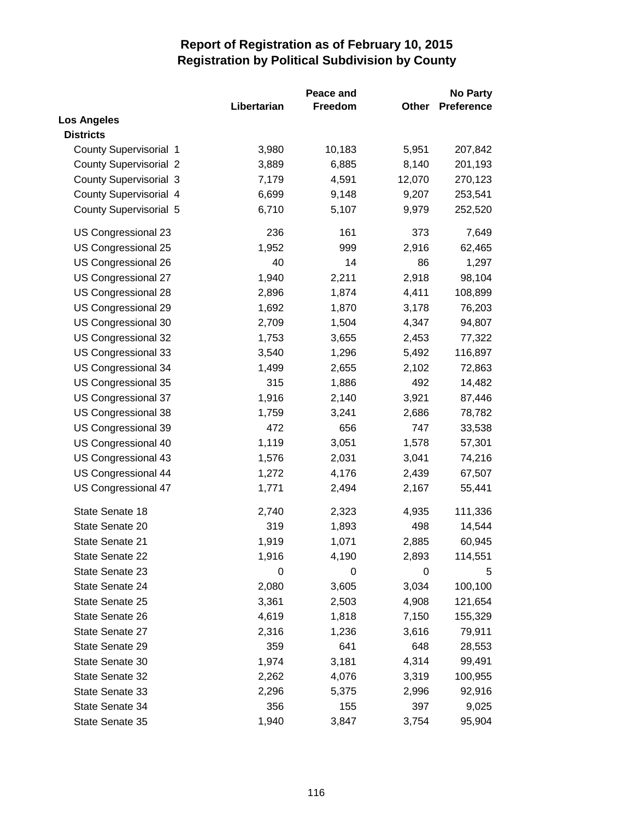|                               |             | <b>Peace and</b> |        | <b>No Party</b>   |  |
|-------------------------------|-------------|------------------|--------|-------------------|--|
|                               | Libertarian | Freedom          | Other  | <b>Preference</b> |  |
| <b>Los Angeles</b>            |             |                  |        |                   |  |
| <b>Districts</b>              |             |                  |        |                   |  |
| <b>County Supervisorial 1</b> | 3,980       | 10,183           | 5,951  | 207,842           |  |
| <b>County Supervisorial 2</b> | 3,889       | 6,885            | 8,140  | 201,193           |  |
| <b>County Supervisorial 3</b> | 7,179       | 4,591            | 12,070 | 270,123           |  |
| <b>County Supervisorial 4</b> | 6,699       | 9,148            | 9,207  | 253,541           |  |
| <b>County Supervisorial 5</b> | 6,710       | 5,107            | 9,979  | 252,520           |  |
| US Congressional 23           | 236         | 161              | 373    | 7,649             |  |
| US Congressional 25           | 1,952       | 999              | 2,916  | 62,465            |  |
| US Congressional 26           | 40          | 14               | 86     | 1,297             |  |
| US Congressional 27           | 1,940       | 2,211            | 2,918  | 98,104            |  |
| US Congressional 28           | 2,896       | 1,874            | 4,411  | 108,899           |  |
| US Congressional 29           | 1,692       | 1,870            | 3,178  | 76,203            |  |
| US Congressional 30           | 2,709       | 1,504            | 4,347  | 94,807            |  |
| US Congressional 32           | 1,753       | 3,655            | 2,453  | 77,322            |  |
| US Congressional 33           | 3,540       | 1,296            | 5,492  | 116,897           |  |
| US Congressional 34           | 1,499       | 2,655            | 2,102  | 72,863            |  |
| US Congressional 35           | 315         | 1,886            | 492    | 14,482            |  |
| US Congressional 37           | 1,916       | 2,140            | 3,921  | 87,446            |  |
| US Congressional 38           | 1,759       | 3,241            | 2,686  | 78,782            |  |
| US Congressional 39           | 472         | 656              | 747    | 33,538            |  |
| US Congressional 40           | 1,119       | 3,051            | 1,578  | 57,301            |  |
| US Congressional 43           | 1,576       | 2,031            | 3,041  | 74,216            |  |
| <b>US Congressional 44</b>    | 1,272       | 4,176            | 2,439  | 67,507            |  |
| US Congressional 47           | 1,771       | 2,494            | 2,167  | 55,441            |  |
| State Senate 18               | 2,740       | 2,323            | 4,935  | 111,336           |  |
| State Senate 20               | 319         | 1,893            | 498    | 14,544            |  |
| State Senate 21               | 1,919       | 1,071            | 2,885  | 60,945            |  |
| State Senate 22               | 1,916       | 4,190            | 2,893  | 114,551           |  |
| State Senate 23               | 0           | 0                | 0      | 5                 |  |
| State Senate 24               | 2,080       | 3,605            | 3,034  | 100,100           |  |
| State Senate 25               | 3,361       | 2,503            | 4,908  | 121,654           |  |
| State Senate 26               | 4,619       | 1,818            | 7,150  | 155,329           |  |
| State Senate 27               | 2,316       | 1,236            | 3,616  | 79,911            |  |
| State Senate 29               | 359         | 641              | 648    | 28,553            |  |
| State Senate 30               | 1,974       | 3,181            | 4,314  | 99,491            |  |
| State Senate 32               | 2,262       | 4,076            | 3,319  | 100,955           |  |
| State Senate 33               | 2,296       | 5,375            | 2,996  | 92,916            |  |
| State Senate 34               | 356         | 155              | 397    | 9,025             |  |
| State Senate 35               | 1,940       | 3,847            | 3,754  | 95,904            |  |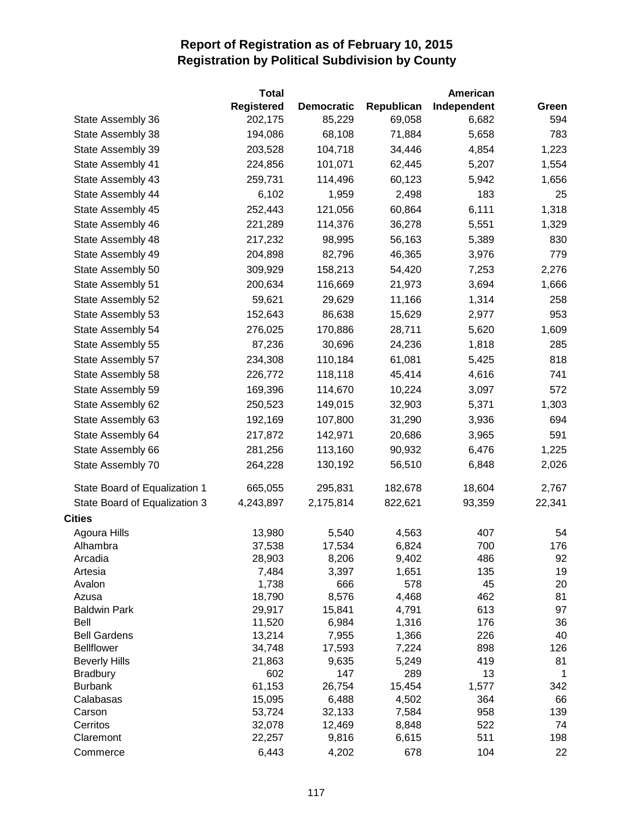|                                         | Total             |                   |              | American    |              |
|-----------------------------------------|-------------------|-------------------|--------------|-------------|--------------|
|                                         | <b>Registered</b> | <b>Democratic</b> | Republican   | Independent | Green        |
| State Assembly 36                       | 202,175           | 85,229            | 69,058       | 6,682       | 594          |
| State Assembly 38                       | 194,086           | 68,108            | 71,884       | 5,658       | 783          |
| State Assembly 39                       | 203,528           | 104,718           | 34,446       | 4,854       | 1,223        |
| State Assembly 41                       | 224,856           | 101,071           | 62,445       | 5,207       | 1,554        |
| State Assembly 43                       | 259,731           | 114,496           | 60,123       | 5,942       | 1,656        |
| State Assembly 44                       | 6,102             | 1,959             | 2,498        | 183         | 25           |
| State Assembly 45                       | 252,443           | 121,056           | 60,864       | 6,111       | 1,318        |
| State Assembly 46                       | 221,289           | 114,376           | 36,278       | 5,551       | 1,329        |
| State Assembly 48                       | 217,232           | 98,995            | 56,163       | 5,389       | 830          |
| State Assembly 49                       | 204,898           | 82,796            | 46,365       | 3,976       | 779          |
| State Assembly 50                       | 309,929           | 158,213           | 54,420       | 7,253       | 2,276        |
| State Assembly 51                       | 200,634           | 116,669           | 21,973       | 3,694       | 1,666        |
| State Assembly 52                       | 59,621            | 29,629            | 11,166       | 1,314       | 258          |
| State Assembly 53                       | 152,643           | 86,638            | 15,629       | 2,977       | 953          |
| State Assembly 54                       | 276,025           | 170,886           | 28,711       | 5,620       | 1,609        |
| State Assembly 55                       | 87,236            | 30,696            | 24,236       | 1,818       | 285          |
| State Assembly 57                       | 234,308           | 110,184           | 61,081       | 5,425       | 818          |
| State Assembly 58                       | 226,772           | 118,118           | 45,414       | 4,616       | 741          |
| State Assembly 59                       | 169,396           | 114,670           | 10,224       | 3,097       | 572          |
| State Assembly 62                       | 250,523           | 149,015           | 32,903       | 5,371       | 1,303        |
| State Assembly 63                       | 192,169           | 107,800           | 31,290       | 3,936       | 694          |
| State Assembly 64                       | 217,872           | 142,971           | 20,686       | 3,965       | 591          |
| State Assembly 66                       | 281,256           | 113,160           | 90,932       | 6,476       | 1,225        |
| State Assembly 70                       | 264,228           | 130,192           | 56,510       | 6,848       | 2,026        |
|                                         |                   |                   |              |             |              |
| State Board of Equalization 1           | 665,055           | 295,831           | 182,678      | 18,604      | 2,767        |
| State Board of Equalization 3           | 4,243,897         | 2,175,814         | 822,621      | 93,359      | 22,341       |
| <b>Cities</b>                           |                   |                   |              |             |              |
| Agoura Hills                            | 13,980            | 5,540             | 4,563        | 407         | 54           |
| Alhambra                                | 37,538            | 17,534            | 6,824        | 700         | 176          |
| Arcadia                                 | 28,903            | 8,206             | 9,402        | 486         | 92           |
| Artesia                                 | 7,484             | 3,397             | 1,651        | 135         | 19           |
| Avalon                                  | 1,738             | 666               | 578          | 45          | 20           |
| Azusa                                   | 18,790            | 8,576             | 4,468        | 462         | 81           |
| <b>Baldwin Park</b>                     | 29,917            | 15,841            | 4,791        | 613         | 97           |
| Bell                                    | 11,520            | 6,984             | 1,316        | 176         | 36           |
| <b>Bell Gardens</b>                     | 13,214            | 7,955             | 1,366        | 226         | 40           |
| <b>Bellflower</b>                       | 34,748            | 17,593<br>9,635   | 7,224        | 898<br>419  | 126<br>81    |
| <b>Beverly Hills</b><br><b>Bradbury</b> | 21,863<br>602     | 147               | 5,249<br>289 | 13          | $\mathbf{1}$ |
| <b>Burbank</b>                          | 61,153            | 26,754            | 15,454       | 1,577       | 342          |
| Calabasas                               | 15,095            | 6,488             | 4,502        | 364         | 66           |
| Carson                                  | 53,724            | 32,133            | 7,584        | 958         | 139          |
| Cerritos                                | 32,078            | 12,469            | 8,848        | 522         | 74           |
| Claremont                               | 22,257            | 9,816             | 6,615        | 511         | 198          |
| Commerce                                | 6,443             | 4,202             | 678          | 104         | 22           |
|                                         |                   |                   |              |             |              |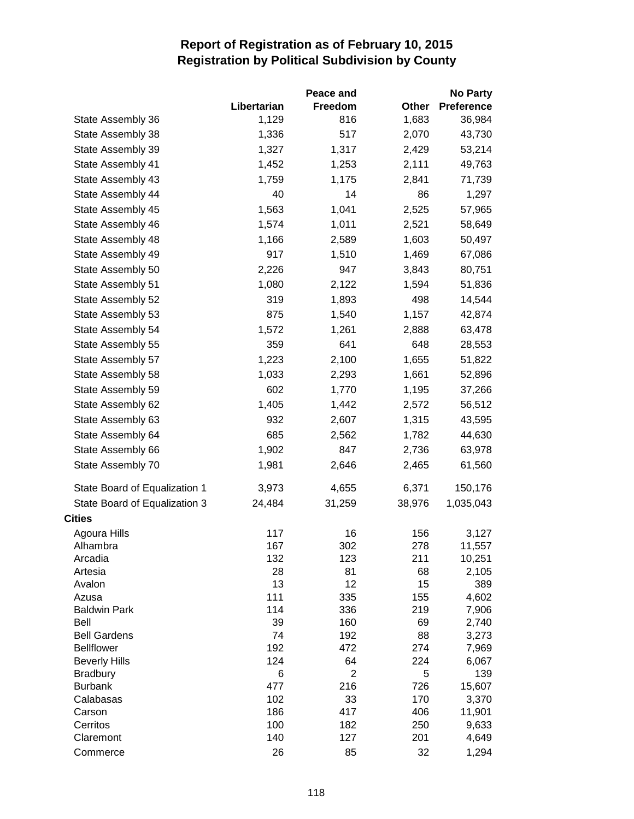|                               |             | Peace and      |          | <b>No Party</b>   |
|-------------------------------|-------------|----------------|----------|-------------------|
|                               | Libertarian | Freedom        | Other    | <b>Preference</b> |
| State Assembly 36             | 1,129       | 816            | 1,683    | 36,984            |
| State Assembly 38             | 1,336       | 517            | 2,070    | 43,730            |
| State Assembly 39             | 1,327       | 1,317          | 2,429    | 53,214            |
| State Assembly 41             | 1,452       | 1,253          | 2,111    | 49,763            |
| State Assembly 43             | 1,759       | 1,175          | 2,841    | 71,739            |
| State Assembly 44             | 40          | 14             | 86       | 1,297             |
| State Assembly 45             | 1,563       | 1,041          | 2,525    | 57,965            |
| State Assembly 46             | 1,574       | 1,011          | 2,521    | 58,649            |
| State Assembly 48             | 1,166       | 2,589          | 1,603    | 50,497            |
| State Assembly 49             | 917         | 1,510          | 1,469    | 67,086            |
| State Assembly 50             | 2,226       | 947            | 3,843    | 80,751            |
| State Assembly 51             | 1,080       | 2,122          | 1,594    | 51,836            |
| State Assembly 52             | 319         | 1,893          | 498      | 14,544            |
| State Assembly 53             | 875         | 1,540          | 1,157    | 42,874            |
| State Assembly 54             | 1,572       | 1,261          | 2,888    | 63,478            |
| State Assembly 55             | 359         | 641            | 648      | 28,553            |
| State Assembly 57             | 1,223       | 2,100          | 1,655    | 51,822            |
| State Assembly 58             | 1,033       | 2,293          | 1,661    | 52,896            |
|                               | 602         |                |          |                   |
| State Assembly 59             |             | 1,770          | 1,195    | 37,266            |
| State Assembly 62             | 1,405       | 1,442          | 2,572    | 56,512            |
| State Assembly 63             | 932         | 2,607          | 1,315    | 43,595            |
| State Assembly 64             | 685         | 2,562          | 1,782    | 44,630            |
| State Assembly 66             | 1,902       | 847            | 2,736    | 63,978            |
| State Assembly 70             | 1,981       | 2,646          | 2,465    | 61,560            |
| State Board of Equalization 1 | 3,973       | 4,655          | 6,371    | 150,176           |
| State Board of Equalization 3 | 24,484      | 31,259         | 38,976   | 1,035,043         |
| <b>Cities</b>                 |             |                |          |                   |
| Agoura Hills                  | 117         | 16             | 156      | 3,127             |
| Alhambra                      | 167         | 302            | 278      | 11,557            |
| Arcadia                       | 132         | 123            | 211      | 10,251            |
| Artesia                       | 28          | 81             | 68       | 2,105             |
| Avalon                        | 13          | 12             | 15       | 389               |
| Azusa                         | 111         | 335            | 155      | 4,602             |
| <b>Baldwin Park</b>           | 114         | 336            | 219      | 7,906             |
| Bell<br><b>Bell Gardens</b>   | 39<br>74    | 160            | 69<br>88 | 2,740             |
| <b>Bellflower</b>             | 192         | 192<br>472     | 274      | 3,273<br>7,969    |
| <b>Beverly Hills</b>          | 124         | 64             | 224      | 6,067             |
| <b>Bradbury</b>               | 6           | $\overline{2}$ | 5        | 139               |
| <b>Burbank</b>                | 477         | 216            | 726      | 15,607            |
| Calabasas                     | 102         | 33             | 170      | 3,370             |
| Carson                        | 186         | 417            | 406      | 11,901            |
| Cerritos                      | 100         | 182            | 250      | 9,633             |
| Claremont                     | 140         | 127            | 201      | 4,649             |
| Commerce                      | 26          | 85             | 32       | 1,294             |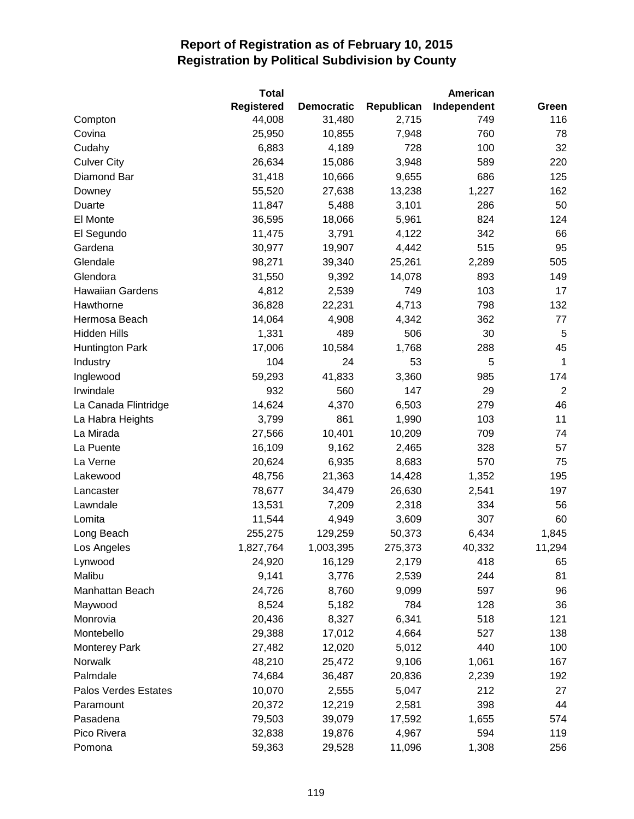|                         | <b>Total</b>      |                   |            | American    |                |
|-------------------------|-------------------|-------------------|------------|-------------|----------------|
|                         | <b>Registered</b> | <b>Democratic</b> | Republican | Independent | Green          |
| Compton                 | 44,008            | 31,480            | 2,715      | 749         | 116            |
| Covina                  | 25,950            | 10,855            | 7,948      | 760         | 78             |
| Cudahy                  | 6,883             | 4,189             | 728        | 100         | 32             |
| <b>Culver City</b>      | 26,634            | 15,086            | 3,948      | 589         | 220            |
| Diamond Bar             | 31,418            | 10,666            | 9,655      | 686         | 125            |
| Downey                  | 55,520            | 27,638            | 13,238     | 1,227       | 162            |
| Duarte                  | 11,847            | 5,488             | 3,101      | 286         | 50             |
| El Monte                | 36,595            | 18,066            | 5,961      | 824         | 124            |
| El Segundo              | 11,475            | 3,791             | 4,122      | 342         | 66             |
| Gardena                 | 30,977            | 19,907            | 4,442      | 515         | 95             |
| Glendale                | 98,271            | 39,340            | 25,261     | 2,289       | 505            |
| Glendora                | 31,550            | 9,392             | 14,078     | 893         | 149            |
| <b>Hawaiian Gardens</b> | 4,812             | 2,539             | 749        | 103         | 17             |
| Hawthorne               | 36,828            | 22,231            | 4,713      | 798         | 132            |
| Hermosa Beach           | 14,064            | 4,908             | 4,342      | 362         | 77             |
| <b>Hidden Hills</b>     | 1,331             | 489               | 506        | 30          | 5              |
| <b>Huntington Park</b>  | 17,006            | 10,584            | 1,768      | 288         | 45             |
| Industry                | 104               | 24                | 53         | 5           | 1              |
| Inglewood               | 59,293            | 41,833            | 3,360      | 985         | 174            |
| Irwindale               | 932               | 560               | 147        | 29          | $\overline{2}$ |
| La Canada Flintridge    | 14,624            | 4,370             | 6,503      | 279         | 46             |
| La Habra Heights        | 3,799             | 861               | 1,990      | 103         | 11             |
| La Mirada               | 27,566            | 10,401            | 10,209     | 709         | 74             |
| La Puente               | 16,109            | 9,162             | 2,465      | 328         | 57             |
| La Verne                | 20,624            | 6,935             | 8,683      | 570         | 75             |
| Lakewood                | 48,756            | 21,363            | 14,428     | 1,352       | 195            |
| Lancaster               | 78,677            | 34,479            | 26,630     | 2,541       | 197            |
| Lawndale                | 13,531            | 7,209             | 2,318      | 334         | 56             |
| Lomita                  | 11,544            | 4,949             | 3,609      | 307         | 60             |
| Long Beach              | 255,275           | 129,259           | 50,373     | 6,434       | 1,845          |
| Los Angeles             | 1,827,764         | 1,003,395         | 275,373    | 40,332      | 11,294         |
| Lynwood                 | 24,920            | 16,129            | 2,179      | 418         | 65             |
| Malibu                  | 9,141             | 3,776             | 2,539      | 244         | 81             |
| Manhattan Beach         | 24,726            | 8,760             | 9,099      | 597         | 96             |
| Maywood                 | 8,524             | 5,182             | 784        | 128         | 36             |
| Monrovia                | 20,436            | 8,327             | 6,341      | 518         | 121            |
| Montebello              | 29,388            | 17,012            | 4,664      | 527         | 138            |
| <b>Monterey Park</b>    | 27,482            | 12,020            | 5,012      | 440         | 100            |
| Norwalk                 | 48,210            | 25,472            | 9,106      | 1,061       | 167            |
| Palmdale                | 74,684            | 36,487            | 20,836     | 2,239       | 192            |
| Palos Verdes Estates    | 10,070            | 2,555             | 5,047      | 212         | 27             |
| Paramount               | 20,372            | 12,219            | 2,581      | 398         | 44             |
| Pasadena                | 79,503            | 39,079            | 17,592     | 1,655       | 574            |
| Pico Rivera             | 32,838            | 19,876            | 4,967      | 594         | 119            |
| Pomona                  | 59,363            | 29,528            | 11,096     | 1,308       | 256            |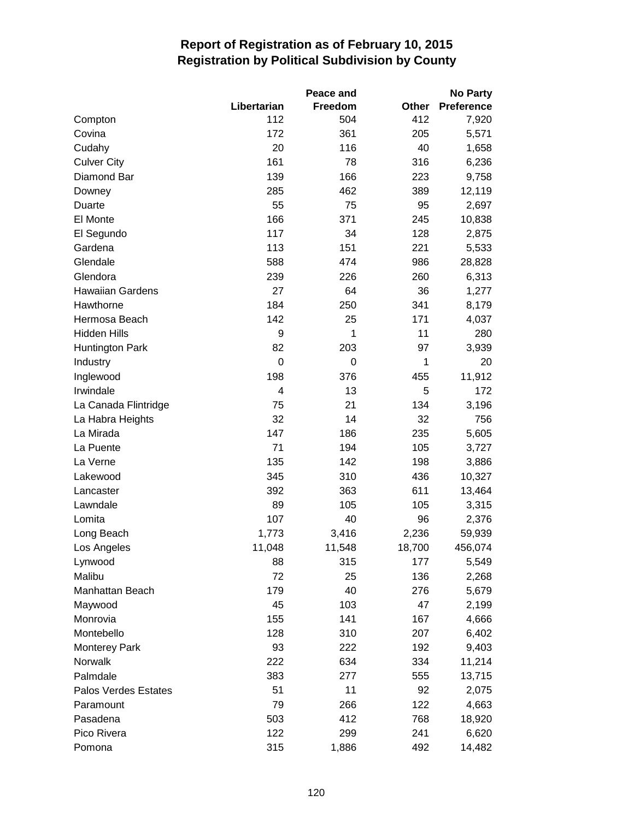|                         |             | <b>Peace and</b> |        | <b>No Party</b> |
|-------------------------|-------------|------------------|--------|-----------------|
|                         | Libertarian | <b>Freedom</b>   | Other  | Preference      |
| Compton                 | 112         | 504              | 412    | 7,920           |
| Covina                  | 172         | 361              | 205    | 5,571           |
| Cudahy                  | 20          | 116              | 40     | 1,658           |
| <b>Culver City</b>      | 161         | 78               | 316    | 6,236           |
| Diamond Bar             | 139         | 166              | 223    | 9,758           |
| Downey                  | 285         | 462              | 389    | 12,119          |
| Duarte                  | 55          | 75               | 95     | 2,697           |
| El Monte                | 166         | 371              | 245    | 10,838          |
| El Segundo              | 117         | 34               | 128    | 2,875           |
| Gardena                 | 113         | 151              | 221    | 5,533           |
| Glendale                | 588         | 474              | 986    | 28,828          |
| Glendora                | 239         | 226              | 260    | 6,313           |
| <b>Hawaiian Gardens</b> | 27          | 64               | 36     | 1,277           |
| Hawthorne               | 184         | 250              | 341    | 8,179           |
| Hermosa Beach           | 142         | 25               | 171    | 4,037           |
| Hidden Hills            | 9           | 1                | 11     | 280             |
| <b>Huntington Park</b>  | 82          | 203              | 97     | 3,939           |
| Industry                | $\mathbf 0$ | $\mathbf 0$      | 1      | 20              |
| Inglewood               | 198         | 376              | 455    | 11,912          |
| Irwindale               | 4           | 13               | 5      | 172             |
| La Canada Flintridge    | 75          | 21               | 134    | 3,196           |
| La Habra Heights        | 32          | 14               | 32     | 756             |
| La Mirada               | 147         | 186              | 235    | 5,605           |
| La Puente               | 71          | 194              | 105    | 3,727           |
| La Verne                | 135         | 142              | 198    | 3,886           |
| Lakewood                | 345         | 310              | 436    | 10,327          |
| Lancaster               | 392         | 363              | 611    | 13,464          |
| Lawndale                | 89          | 105              | 105    | 3,315           |
| Lomita                  | 107         | 40               | 96     | 2,376           |
| Long Beach              | 1,773       | 3,416            | 2,236  | 59,939          |
| Los Angeles             | 11,048      | 11,548           | 18,700 | 456,074         |
| Lynwood                 | 88          | 315              | 177    | 5,549           |
| Malibu                  | 72          | 25               | 136    | 2,268           |
| Manhattan Beach         | 179         | 40               | 276    | 5,679           |
| Maywood                 | 45          | 103              | 47     | 2,199           |
| Monrovia                | 155         | 141              | 167    | 4,666           |
| Montebello              | 128         | 310              | 207    | 6,402           |
| <b>Monterey Park</b>    | 93          | 222              | 192    | 9,403           |
| Norwalk                 | 222         | 634              | 334    | 11,214          |
| Palmdale                | 383         | 277              | 555    | 13,715          |
| Palos Verdes Estates    | 51          | 11               | 92     | 2,075           |
| Paramount               | 79          | 266              | 122    | 4,663           |
| Pasadena                | 503         | 412              | 768    | 18,920          |
| Pico Rivera             | 122         | 299              | 241    | 6,620           |
| Pomona                  | 315         | 1,886            | 492    | 14,482          |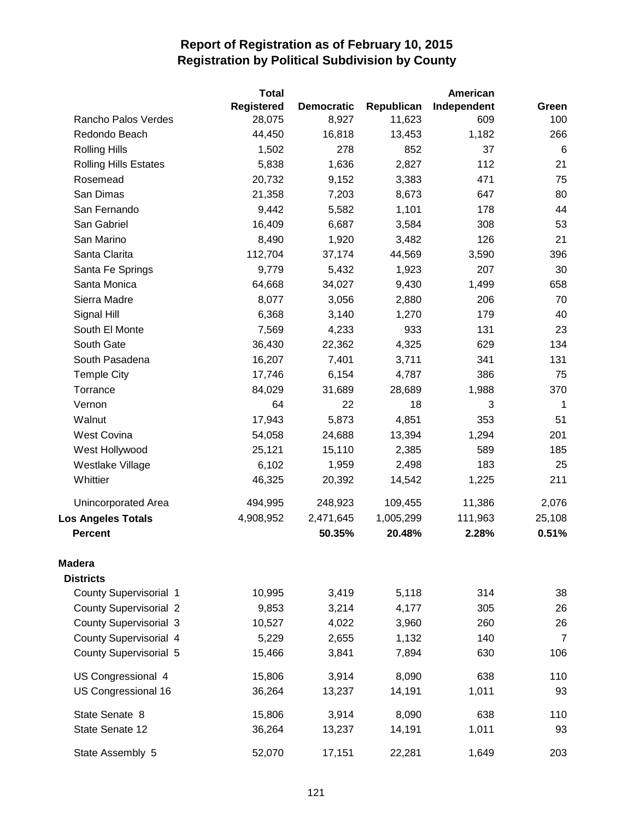|                               | Total             |                   |            | American    |                |
|-------------------------------|-------------------|-------------------|------------|-------------|----------------|
|                               | <b>Registered</b> | <b>Democratic</b> | Republican | Independent | Green          |
| Rancho Palos Verdes           | 28,075            | 8,927             | 11,623     | 609         | 100            |
| Redondo Beach                 | 44,450            | 16,818            | 13,453     | 1,182       | 266            |
| <b>Rolling Hills</b>          | 1,502             | 278               | 852        | 37          | 6              |
| <b>Rolling Hills Estates</b>  | 5,838             | 1,636             | 2,827      | 112         | 21             |
| Rosemead                      | 20,732            | 9,152             | 3,383      | 471         | 75             |
| San Dimas                     | 21,358            | 7,203             | 8,673      | 647         | 80             |
| San Fernando                  | 9,442             | 5,582             | 1,101      | 178         | 44             |
| San Gabriel                   | 16,409            | 6,687             | 3,584      | 308         | 53             |
| San Marino                    | 8,490             | 1,920             | 3,482      | 126         | 21             |
| Santa Clarita                 | 112,704           | 37,174            | 44,569     | 3,590       | 396            |
| Santa Fe Springs              | 9,779             | 5,432             | 1,923      | 207         | 30             |
| Santa Monica                  | 64,668            | 34,027            | 9,430      | 1,499       | 658            |
| Sierra Madre                  | 8,077             | 3,056             | 2,880      | 206         | 70             |
| Signal Hill                   | 6,368             | 3,140             | 1,270      | 179         | 40             |
| South El Monte                | 7,569             | 4,233             | 933        | 131         | 23             |
| South Gate                    | 36,430            | 22,362            | 4,325      | 629         | 134            |
| South Pasadena                | 16,207            | 7,401             | 3,711      | 341         | 131            |
| <b>Temple City</b>            | 17,746            | 6,154             | 4,787      | 386         | 75             |
| Torrance                      | 84,029            | 31,689            | 28,689     | 1,988       | 370            |
| Vernon                        | 64                | 22                | 18         | 3           | $\mathbf 1$    |
| Walnut                        | 17,943            | 5,873             | 4,851      | 353         | 51             |
| <b>West Covina</b>            | 54,058            | 24,688            | 13,394     | 1,294       | 201            |
| West Hollywood                | 25,121            | 15,110            | 2,385      | 589         | 185            |
| Westlake Village              | 6,102             | 1,959             | 2,498      | 183         | 25             |
| Whittier                      | 46,325            | 20,392            | 14,542     | 1,225       | 211            |
| Unincorporated Area           | 494,995           | 248,923           | 109,455    | 11,386      | 2,076          |
| <b>Los Angeles Totals</b>     | 4,908,952         | 2,471,645         | 1,005,299  | 111,963     | 25,108         |
| <b>Percent</b>                |                   | 50.35%            | 20.48%     | 2.28%       | 0.51%          |
| <b>Madera</b>                 |                   |                   |            |             |                |
| <b>Districts</b>              |                   |                   |            |             |                |
| <b>County Supervisorial 1</b> | 10,995            | 3,419             | 5,118      | 314         | 38             |
| <b>County Supervisorial 2</b> | 9,853             | 3,214             | 4,177      | 305         | 26             |
| County Supervisorial 3        | 10,527            | 4,022             | 3,960      | 260         | 26             |
| County Supervisorial 4        | 5,229             | 2,655             | 1,132      | 140         | $\overline{7}$ |
| County Supervisorial 5        | 15,466            | 3,841             | 7,894      | 630         | 106            |
| US Congressional 4            | 15,806            | 3,914             | 8,090      | 638         | 110            |
| US Congressional 16           | 36,264            | 13,237            | 14,191     | 1,011       | 93             |
| State Senate 8                | 15,806            | 3,914             | 8,090      | 638         | 110            |
| State Senate 12               | 36,264            | 13,237            | 14,191     | 1,011       | 93             |
| State Assembly 5              | 52,070            | 17,151            | 22,281     | 1,649       | 203            |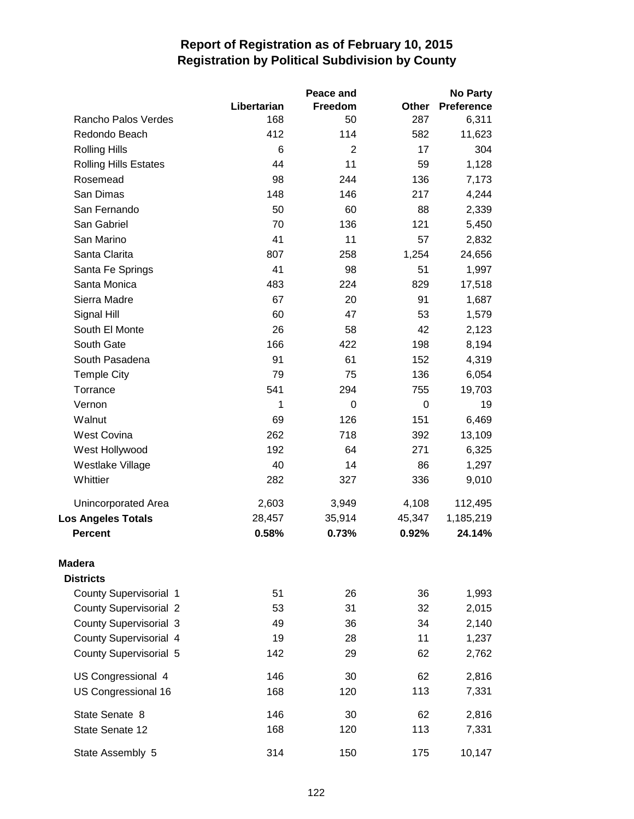|                               |             | Peace and      |        | <b>No Party</b>   |
|-------------------------------|-------------|----------------|--------|-------------------|
|                               | Libertarian | Freedom        | Other  | <b>Preference</b> |
| Rancho Palos Verdes           | 168         | 50             | 287    | 6,311             |
| Redondo Beach                 | 412         | 114            | 582    | 11,623            |
| <b>Rolling Hills</b>          | 6           | $\overline{2}$ | 17     | 304               |
| <b>Rolling Hills Estates</b>  | 44          | 11             | 59     | 1,128             |
| Rosemead                      | 98          | 244            | 136    | 7,173             |
| San Dimas                     | 148         | 146            | 217    | 4,244             |
| San Fernando                  | 50          | 60             | 88     | 2,339             |
| San Gabriel                   | 70          | 136            | 121    | 5,450             |
| San Marino                    | 41          | 11             | 57     | 2,832             |
| Santa Clarita                 | 807         | 258            | 1,254  | 24,656            |
| Santa Fe Springs              | 41          | 98             | 51     | 1,997             |
| Santa Monica                  | 483         | 224            | 829    | 17,518            |
| Sierra Madre                  | 67          | 20             | 91     | 1,687             |
| Signal Hill                   | 60          | 47             | 53     | 1,579             |
| South El Monte                | 26          | 58             | 42     | 2,123             |
| South Gate                    | 166         | 422            | 198    | 8,194             |
| South Pasadena                | 91          | 61             | 152    | 4,319             |
| <b>Temple City</b>            | 79          | 75             | 136    | 6,054             |
| Torrance                      | 541         | 294            | 755    | 19,703            |
| Vernon                        | 1           | 0              | 0      | 19                |
| Walnut                        | 69          | 126            | 151    | 6,469             |
| <b>West Covina</b>            | 262         | 718            | 392    | 13,109            |
| West Hollywood                | 192         | 64             | 271    | 6,325             |
| Westlake Village              | 40          | 14             | 86     | 1,297             |
| Whittier                      | 282         | 327            | 336    | 9,010             |
| Unincorporated Area           | 2,603       | 3,949          | 4,108  | 112,495           |
| <b>Los Angeles Totals</b>     | 28,457      | 35,914         | 45,347 | 1,185,219         |
| <b>Percent</b>                | 0.58%       | 0.73%          | 0.92%  | 24.14%            |
| <b>Madera</b>                 |             |                |        |                   |
| <b>Districts</b>              |             |                |        |                   |
| <b>County Supervisorial 1</b> | 51          | 26             | 36     | 1,993             |
| <b>County Supervisorial 2</b> | 53          | 31             | 32     | 2,015             |
| <b>County Supervisorial 3</b> | 49          | 36             | 34     | 2,140             |
| <b>County Supervisorial 4</b> | 19          | 28             | 11     | 1,237             |
| <b>County Supervisorial 5</b> | 142         | 29             | 62     | 2,762             |
| US Congressional 4            | 146         | 30             | 62     | 2,816             |
| US Congressional 16           | 168         | 120            | 113    | 7,331             |
| State Senate 8                | 146         | 30             | 62     | 2,816             |
| State Senate 12               | 168         | 120            | 113    | 7,331             |
| State Assembly 5              | 314         | 150            | 175    | 10,147            |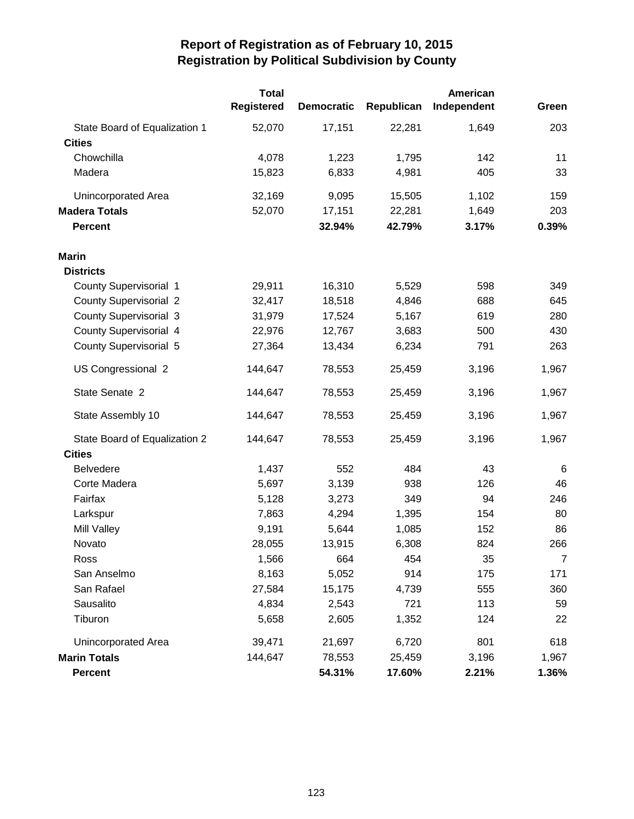|                               | <b>Total</b>      |                   |            | American    |       |
|-------------------------------|-------------------|-------------------|------------|-------------|-------|
|                               | <b>Registered</b> | <b>Democratic</b> | Republican | Independent | Green |
| State Board of Equalization 1 | 52,070            | 17,151            | 22,281     | 1,649       | 203   |
| <b>Cities</b>                 |                   |                   |            |             |       |
| Chowchilla                    | 4,078             | 1,223             | 1,795      | 142         | 11    |
| Madera                        | 15,823            | 6,833             | 4,981      | 405         | 33    |
| Unincorporated Area           | 32,169            | 9,095             | 15,505     | 1,102       | 159   |
| <b>Madera Totals</b>          | 52,070            | 17,151            | 22,281     | 1,649       | 203   |
| <b>Percent</b>                |                   | 32.94%            | 42.79%     | 3.17%       | 0.39% |
| <b>Marin</b>                  |                   |                   |            |             |       |
| <b>Districts</b>              |                   |                   |            |             |       |
| <b>County Supervisorial 1</b> | 29,911            | 16,310            | 5,529      | 598         | 349   |
| <b>County Supervisorial 2</b> | 32,417            | 18,518            | 4,846      | 688         | 645   |
| <b>County Supervisorial 3</b> | 31,979            | 17,524            | 5,167      | 619         | 280   |
| <b>County Supervisorial 4</b> | 22,976            | 12,767            | 3,683      | 500         | 430   |
| <b>County Supervisorial 5</b> | 27,364            | 13,434            | 6,234      | 791         | 263   |
| US Congressional 2            | 144,647           | 78,553            | 25,459     | 3,196       | 1,967 |
| State Senate 2                | 144,647           | 78,553            | 25,459     | 3,196       | 1,967 |
| State Assembly 10             | 144,647           | 78,553            | 25,459     | 3,196       | 1,967 |
| State Board of Equalization 2 | 144,647           | 78,553            | 25,459     | 3,196       | 1,967 |
| <b>Cities</b>                 |                   |                   |            |             |       |
| <b>Belvedere</b>              | 1,437             | 552               | 484        | 43          | 6     |
| Corte Madera                  | 5,697             | 3,139             | 938        | 126         | 46    |
| Fairfax                       | 5,128             | 3,273             | 349        | 94          | 246   |
| Larkspur                      | 7,863             | 4,294             | 1,395      | 154         | 80    |
| Mill Valley                   | 9,191             | 5,644             | 1,085      | 152         | 86    |
| Novato                        | 28,055            | 13,915            | 6,308      | 824         | 266   |
| Ross                          | 1,566             | 664               | 454        | 35          | 7     |
| San Anselmo                   | 8,163             | 5,052             | 914        | 175         | 171   |
| San Rafael                    | 27,584            | 15,175            | 4,739      | 555         | 360   |
| Sausalito                     | 4,834             | 2,543             | 721        | 113         | 59    |
| Tiburon                       | 5,658             | 2,605             | 1,352      | 124         | 22    |
| Unincorporated Area           | 39,471            | 21,697            | 6,720      | 801         | 618   |
| <b>Marin Totals</b>           | 144,647           | 78,553            | 25,459     | 3,196       | 1,967 |
| <b>Percent</b>                |                   | 54.31%            | 17.60%     | 2.21%       | 1.36% |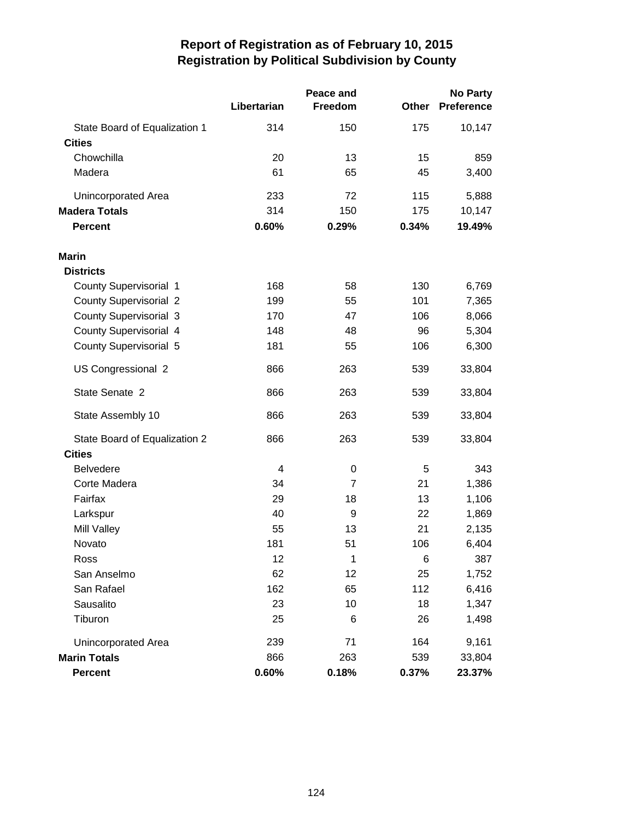|                                                | Libertarian | Peace and<br>Freedom | Other | <b>No Party</b><br><b>Preference</b> |
|------------------------------------------------|-------------|----------------------|-------|--------------------------------------|
|                                                | 314         | 150                  | 175   |                                      |
| State Board of Equalization 1<br><b>Cities</b> |             |                      |       | 10,147                               |
| Chowchilla                                     | 20          | 13                   | 15    | 859                                  |
| Madera                                         | 61          | 65                   | 45    | 3,400                                |
|                                                |             |                      |       |                                      |
| Unincorporated Area                            | 233         | 72                   | 115   | 5,888                                |
| <b>Madera Totals</b>                           | 314         | 150                  | 175   | 10,147                               |
| <b>Percent</b>                                 | 0.60%       | 0.29%                | 0.34% | 19.49%                               |
| Marin                                          |             |                      |       |                                      |
| <b>Districts</b>                               |             |                      |       |                                      |
| <b>County Supervisorial 1</b>                  | 168         | 58                   | 130   | 6,769                                |
| <b>County Supervisorial 2</b>                  | 199         | 55                   | 101   | 7,365                                |
| <b>County Supervisorial 3</b>                  | 170         | 47                   | 106   | 8,066                                |
| <b>County Supervisorial 4</b>                  | 148         | 48                   | 96    | 5,304                                |
| <b>County Supervisorial 5</b>                  | 181         | 55                   | 106   | 6,300                                |
| US Congressional 2                             | 866         | 263                  | 539   | 33,804                               |
| State Senate 2                                 | 866         | 263                  | 539   | 33,804                               |
| State Assembly 10                              | 866         | 263                  | 539   | 33,804                               |
| State Board of Equalization 2                  | 866         | 263                  | 539   | 33,804                               |
| <b>Cities</b>                                  |             |                      |       |                                      |
| <b>Belvedere</b>                               | 4           | $\mathbf 0$          | 5     | 343                                  |
| Corte Madera                                   | 34          | 7                    | 21    | 1,386                                |
| Fairfax                                        | 29          | 18                   | 13    | 1,106                                |
| Larkspur                                       | 40          | 9                    | 22    | 1,869                                |
| Mill Valley                                    | 55          | 13                   | 21    | 2,135                                |
| Novato                                         | 181         | 51                   | 106   | 6,404                                |
| Ross                                           | 12          | 1                    | 6     | 387                                  |
| San Anselmo                                    | 62          | 12                   | 25    | 1,752                                |
| San Rafael                                     | 162         | 65                   | 112   | 6,416                                |
| Sausalito                                      | 23          | 10                   | 18    | 1,347                                |
| Tiburon                                        | 25          | 6                    | 26    | 1,498                                |
| Unincorporated Area                            | 239         | 71                   | 164   | 9,161                                |
| <b>Marin Totals</b>                            | 866         | 263                  | 539   | 33,804                               |
| <b>Percent</b>                                 | 0.60%       | 0.18%                | 0.37% | 23.37%                               |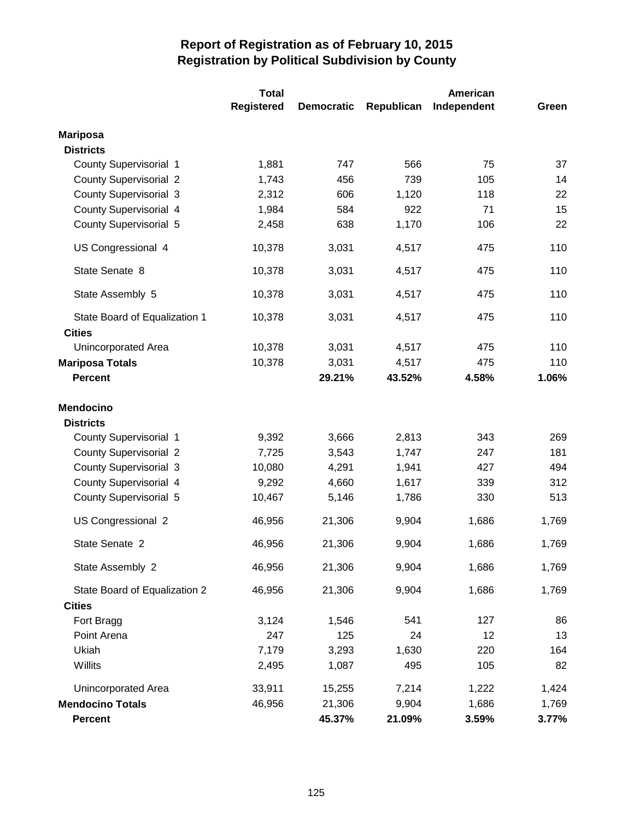|                                                | <b>Total</b>      | American          |            |             |       |
|------------------------------------------------|-------------------|-------------------|------------|-------------|-------|
|                                                | <b>Registered</b> | <b>Democratic</b> | Republican | Independent | Green |
| <b>Mariposa</b>                                |                   |                   |            |             |       |
| <b>Districts</b>                               |                   |                   |            |             |       |
| County Supervisorial 1                         | 1,881             | 747               | 566        | 75          | 37    |
| <b>County Supervisorial 2</b>                  | 1,743             | 456               | 739        | 105         | 14    |
| <b>County Supervisorial 3</b>                  | 2,312             | 606               | 1,120      | 118         | 22    |
| County Supervisorial 4                         | 1,984             | 584               | 922        | 71          | 15    |
| County Supervisorial 5                         | 2,458             | 638               | 1,170      | 106         | 22    |
| US Congressional 4                             | 10,378            | 3,031             | 4,517      | 475         | 110   |
| State Senate 8                                 | 10,378            | 3,031             | 4,517      | 475         | 110   |
| State Assembly 5                               | 10,378            | 3,031             | 4,517      | 475         | 110   |
| State Board of Equalization 1<br><b>Cities</b> | 10,378            | 3,031             | 4,517      | 475         | 110   |
| Unincorporated Area                            | 10,378            | 3,031             | 4,517      | 475         | 110   |
| <b>Mariposa Totals</b>                         | 10,378            | 3,031             | 4,517      | 475         | 110   |
| <b>Percent</b>                                 |                   | 29.21%            | 43.52%     | 4.58%       | 1.06% |
| <b>Mendocino</b><br><b>Districts</b>           |                   |                   |            |             |       |
| County Supervisorial 1                         | 9,392             | 3,666             | 2,813      | 343         | 269   |
| <b>County Supervisorial 2</b>                  | 7,725             | 3,543             | 1,747      | 247         | 181   |
| <b>County Supervisorial 3</b>                  | 10,080            | 4,291             | 1,941      | 427         | 494   |
| <b>County Supervisorial 4</b>                  | 9,292             | 4,660             | 1,617      | 339         | 312   |
| County Supervisorial 5                         | 10,467            | 5,146             | 1,786      | 330         | 513   |
| US Congressional 2                             | 46,956            | 21,306            | 9,904      | 1,686       | 1,769 |
| State Senate 2                                 | 46,956            | 21,306            | 9,904      | 1,686       | 1,769 |
| State Assembly 2                               | 46,956            | 21,306            | 9,904      | 1,686       | 1,769 |
| State Board of Equalization 2<br><b>Cities</b> | 46,956            | 21,306            | 9,904      | 1,686       | 1,769 |
| Fort Bragg                                     | 3,124             | 1,546             | 541        | 127         | 86    |
| Point Arena                                    | 247               | 125               | 24         | 12          | 13    |
| Ukiah                                          | 7,179             | 3,293             | 1,630      | 220         | 164   |
| Willits                                        | 2,495             | 1,087             | 495        | 105         | 82    |
| Unincorporated Area                            | 33,911            | 15,255            | 7,214      | 1,222       | 1,424 |
| <b>Mendocino Totals</b>                        | 46,956            | 21,306            | 9,904      | 1,686       | 1,769 |
| <b>Percent</b>                                 |                   | 45.37%            | 21.09%     | 3.59%       | 3.77% |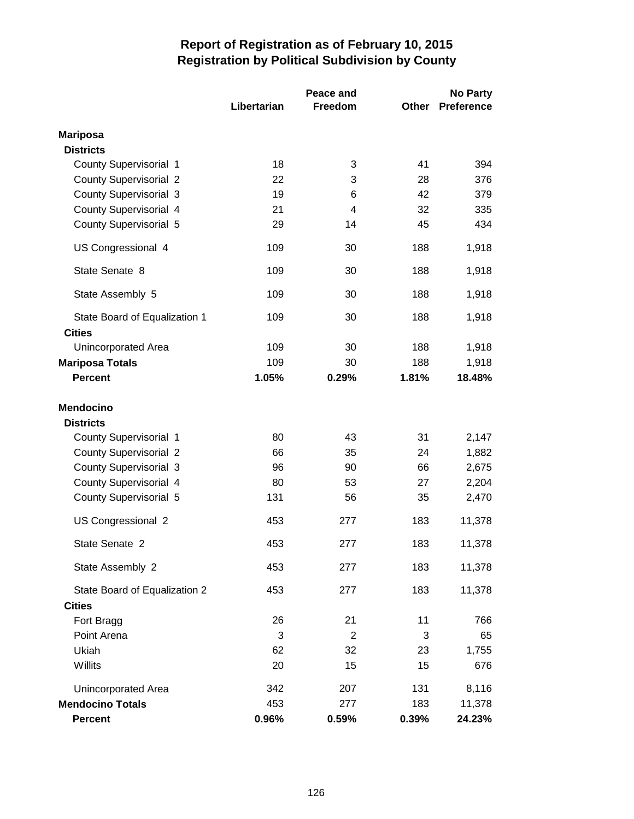|                                          |             | Peace and      | <b>No Party</b> |                 |
|------------------------------------------|-------------|----------------|-----------------|-----------------|
|                                          | Libertarian | Freedom        | Other           | Preference      |
| <b>Mariposa</b>                          |             |                |                 |                 |
| <b>Districts</b>                         |             |                |                 |                 |
| <b>County Supervisorial 1</b>            | 18          | 3              | 41              | 394             |
| <b>County Supervisorial 2</b>            | 22          | 3              | 28              | 376             |
| <b>County Supervisorial 3</b>            | 19          | 6              | 42              | 379             |
| County Supervisorial 4                   | 21          | 4              | 32              | 335             |
| <b>County Supervisorial 5</b>            | 29          | 14             | 45              | 434             |
| US Congressional 4                       | 109         | 30             | 188             | 1,918           |
| State Senate 8                           | 109         | 30             | 188             | 1,918           |
| State Assembly 5                         | 109         | 30             | 188             | 1,918           |
| State Board of Equalization 1            | 109         | 30             | 188             | 1,918           |
| <b>Cities</b>                            |             |                |                 |                 |
| Unincorporated Area                      | 109<br>109  | 30             | 188             | 1,918           |
| <b>Mariposa Totals</b><br><b>Percent</b> | 1.05%       | 30<br>0.29%    | 188<br>1.81%    | 1,918<br>18.48% |
|                                          |             |                |                 |                 |
| <b>Mendocino</b><br><b>Districts</b>     |             |                |                 |                 |
| County Supervisorial 1                   | 80          | 43             | 31              | 2,147           |
| <b>County Supervisorial 2</b>            | 66          | 35             | 24              | 1,882           |
| <b>County Supervisorial 3</b>            | 96          | 90             | 66              | 2,675           |
| County Supervisorial 4                   | 80          | 53             | 27              | 2,204           |
| County Supervisorial 5                   | 131         | 56             | 35              | 2,470           |
| US Congressional 2                       | 453         | 277            | 183             | 11,378          |
| State Senate 2                           | 453         | 277            | 183             | 11,378          |
| State Assembly 2                         | 453         | 277            | 183             | 11,378          |
| State Board of Equalization 2            | 453         | 277            | 183             | 11,378          |
| <b>Cities</b>                            | 26          | 21             | 11              | 766             |
| Fort Bragg<br>Point Arena                | 3           | $\overline{2}$ | 3               | 65              |
| Ukiah                                    | 62          | 32             | 23              | 1,755           |
| Willits                                  | 20          | 15             | 15              | 676             |
| Unincorporated Area                      | 342         | 207            | 131             | 8,116           |
| <b>Mendocino Totals</b>                  | 453         | 277            | 183             | 11,378          |
| <b>Percent</b>                           | 0.96%       | 0.59%          | 0.39%           | 24.23%          |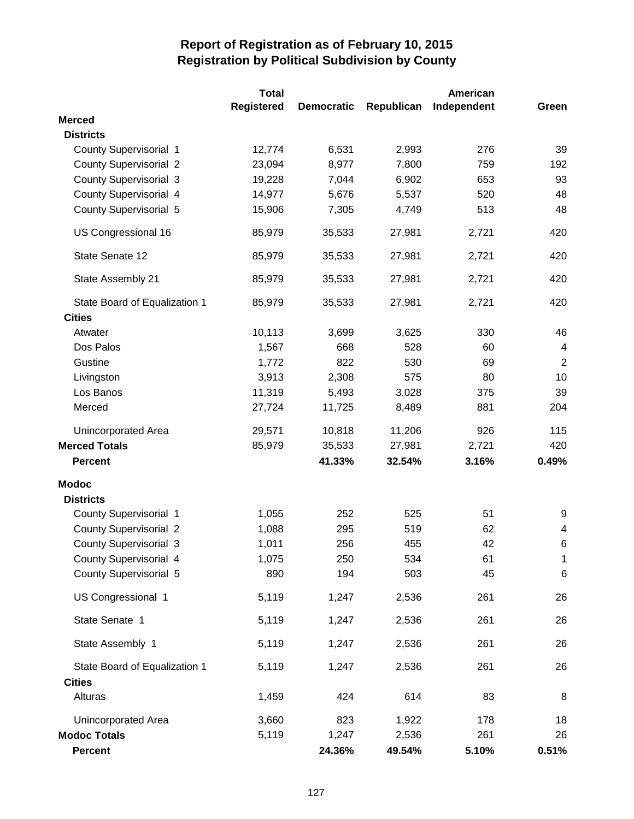|                               | Total             |                   |            | American    |                         |
|-------------------------------|-------------------|-------------------|------------|-------------|-------------------------|
|                               | <b>Registered</b> | <b>Democratic</b> | Republican | Independent | Green                   |
| <b>Merced</b>                 |                   |                   |            |             |                         |
| <b>Districts</b>              |                   |                   |            |             |                         |
| County Supervisorial 1        | 12,774            | 6,531             | 2,993      | 276         | 39                      |
| <b>County Supervisorial 2</b> | 23,094            | 8,977             | 7,800      | 759         | 192                     |
| <b>County Supervisorial 3</b> | 19,228            | 7,044             | 6,902      | 653         | 93                      |
| County Supervisorial 4        | 14,977            | 5,676             | 5,537      | 520         | 48                      |
| <b>County Supervisorial 5</b> | 15,906            | 7,305             | 4,749      | 513         | 48                      |
| US Congressional 16           | 85,979            | 35,533            | 27,981     | 2,721       | 420                     |
| State Senate 12               | 85,979            | 35,533            | 27,981     | 2,721       | 420                     |
| State Assembly 21             | 85,979            | 35,533            | 27,981     | 2,721       | 420                     |
| State Board of Equalization 1 | 85,979            | 35,533            | 27,981     | 2,721       | 420                     |
| <b>Cities</b>                 |                   |                   |            |             |                         |
| Atwater                       | 10,113            | 3,699             | 3,625      | 330         | 46                      |
| Dos Palos                     | 1,567             | 668               | 528        | 60          | $\overline{\mathbf{4}}$ |
| Gustine                       | 1,772             | 822               | 530        | 69          | $\overline{2}$          |
| Livingston                    | 3,913             | 2,308             | 575        | 80          | 10                      |
| Los Banos                     | 11,319            | 5,493             | 3,028      | 375         | 39                      |
| Merced                        | 27,724            | 11,725            | 8,489      | 881         | 204                     |
| Unincorporated Area           | 29,571            | 10,818            | 11,206     | 926         | 115                     |
| <b>Merced Totals</b>          | 85,979            | 35,533            | 27,981     | 2,721       | 420                     |
| <b>Percent</b>                |                   | 41.33%            | 32.54%     | 3.16%       | 0.49%                   |
| <b>Modoc</b>                  |                   |                   |            |             |                         |
| <b>Districts</b>              |                   |                   |            |             |                         |
| <b>County Supervisorial 1</b> | 1,055             | 252               | 525        | 51          | 9                       |
| <b>County Supervisorial 2</b> | 1,088             | 295               | 519        | 62          | 4                       |
| <b>County Supervisorial 3</b> | 1,011             | 256               | 455        | 42          | 6                       |
| County Supervisorial 4        | 1,075             | 250               | 534        | 61          | $\mathbf 1$             |
| <b>County Supervisorial 5</b> | 890               | 194               | 503        | 45          | 6                       |
| US Congressional 1            | 5,119             | 1,247             | 2,536      | 261         | 26                      |
| State Senate 1                | 5,119             | 1,247             | 2,536      | 261         | 26                      |
| State Assembly 1              | 5,119             | 1,247             | 2,536      | 261         | 26                      |
| State Board of Equalization 1 | 5,119             | 1,247             | 2,536      | 261         | 26                      |
| <b>Cities</b>                 |                   |                   |            |             |                         |
| Alturas                       | 1,459             | 424               | 614        | 83          | 8                       |
| Unincorporated Area           | 3,660             | 823               | 1,922      | 178         | 18                      |
| <b>Modoc Totals</b>           | 5,119             | 1,247             | 2,536      | 261         | 26                      |
| <b>Percent</b>                |                   | 24.36%            | 49.54%     | 5.10%       | 0.51%                   |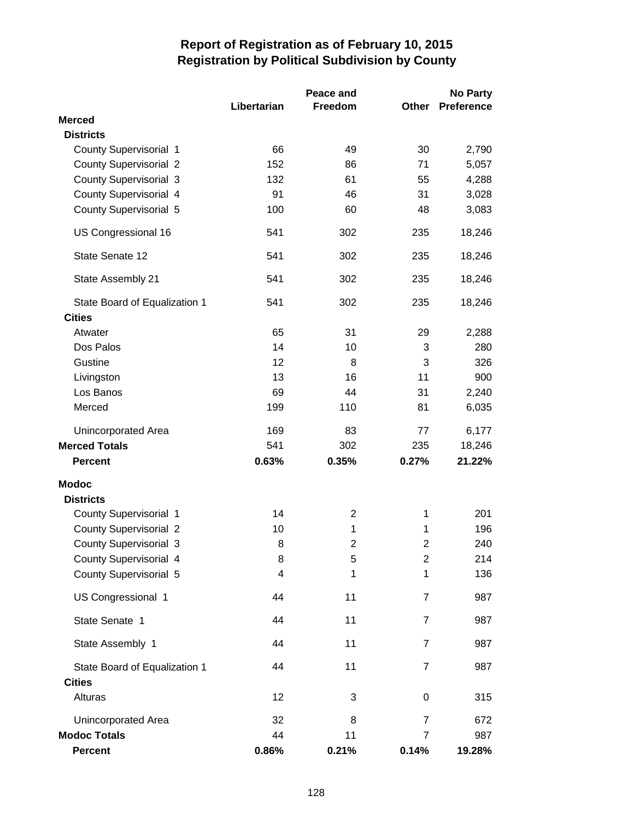|                               | Libertarian | Peace and<br>Freedom | Other          | <b>No Party</b><br><b>Preference</b> |
|-------------------------------|-------------|----------------------|----------------|--------------------------------------|
| <b>Merced</b>                 |             |                      |                |                                      |
| <b>Districts</b>              |             |                      |                |                                      |
| County Supervisorial 1        | 66          | 49                   | 30             | 2,790                                |
| <b>County Supervisorial 2</b> | 152         | 86                   | 71             | 5,057                                |
| <b>County Supervisorial 3</b> | 132         | 61                   | 55             | 4,288                                |
| County Supervisorial 4        | 91          | 46                   | 31             | 3,028                                |
| <b>County Supervisorial 5</b> | 100         | 60                   | 48             | 3,083                                |
| US Congressional 16           | 541         | 302                  | 235            | 18,246                               |
| State Senate 12               | 541         | 302                  | 235            | 18,246                               |
| State Assembly 21             | 541         | 302                  | 235            | 18,246                               |
| State Board of Equalization 1 | 541         | 302                  | 235            | 18,246                               |
| <b>Cities</b>                 |             |                      |                |                                      |
| Atwater                       | 65          | 31                   | 29             | 2,288                                |
| Dos Palos                     | 14          | 10                   | 3              | 280                                  |
| Gustine                       | 12          | 8                    | 3              | 326                                  |
| Livingston                    | 13          | 16                   | 11             | 900                                  |
| Los Banos                     | 69          | 44                   | 31             | 2,240                                |
| Merced                        | 199         | 110                  | 81             | 6,035                                |
| Unincorporated Area           | 169         | 83                   | 77             | 6,177                                |
| <b>Merced Totals</b>          | 541         | 302                  | 235            | 18,246                               |
| <b>Percent</b>                | 0.63%       | 0.35%                | 0.27%          | 21.22%                               |
| <b>Modoc</b>                  |             |                      |                |                                      |
| <b>Districts</b>              |             |                      |                |                                      |
| County Supervisorial 1        | 14          | $\overline{2}$       | 1              | 201                                  |
| <b>County Supervisorial 2</b> | 10          | 1                    | 1              | 196                                  |
| <b>County Supervisorial 3</b> | $\, 8$      | 2                    | 2              | 240                                  |
| County Supervisorial 4        | 8           | 5                    | $\overline{2}$ | 214                                  |
| <b>County Supervisorial 5</b> | 4           | 1                    | 1              | 136                                  |
| US Congressional 1            | 44          | 11                   | 7              | 987                                  |
| State Senate 1                | 44          | 11                   | $\overline{7}$ | 987                                  |
| State Assembly 1              | 44          | 11                   | $\overline{7}$ | 987                                  |
| State Board of Equalization 1 | 44          | 11                   | $\overline{7}$ | 987                                  |
| <b>Cities</b>                 |             |                      |                |                                      |
| Alturas                       | 12          | 3                    | 0              | 315                                  |
| Unincorporated Area           | 32          | 8                    | $\overline{7}$ | 672                                  |
| <b>Modoc Totals</b>           | 44          | 11                   | $\overline{7}$ | 987                                  |
| Percent                       | 0.86%       | 0.21%                | 0.14%          | 19.28%                               |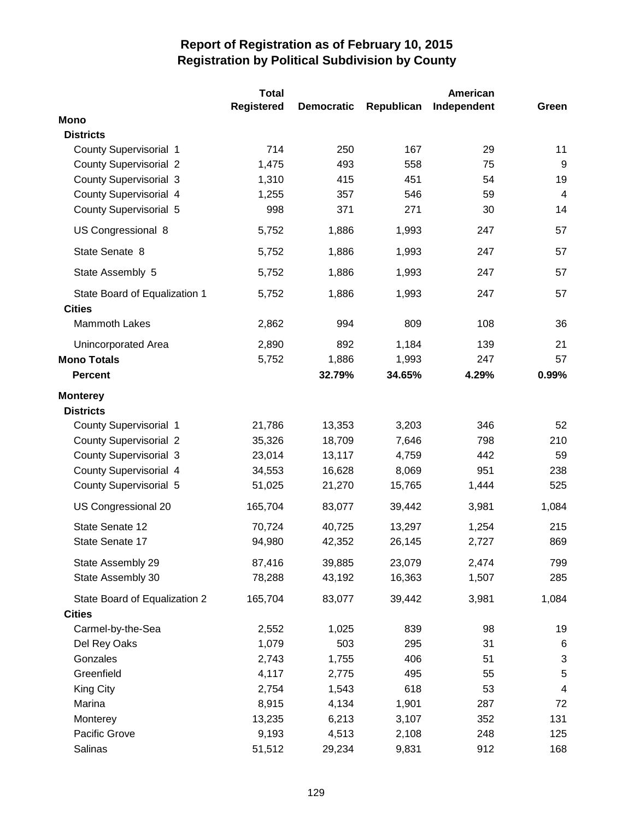|                                                | Total             |                   |            | American    |                  |
|------------------------------------------------|-------------------|-------------------|------------|-------------|------------------|
|                                                | <b>Registered</b> | <b>Democratic</b> | Republican | Independent | Green            |
| <b>Mono</b>                                    |                   |                   |            |             |                  |
| <b>Districts</b>                               |                   |                   |            |             |                  |
| County Supervisorial 1                         | 714               | 250               | 167        | 29          | 11               |
| <b>County Supervisorial 2</b>                  | 1,475             | 493               | 558        | 75          | $\boldsymbol{9}$ |
| <b>County Supervisorial 3</b>                  | 1,310             | 415               | 451        | 54          | 19               |
| County Supervisorial 4                         | 1,255             | 357               | 546        | 59          | $\overline{4}$   |
| <b>County Supervisorial 5</b>                  | 998               | 371               | 271        | 30          | 14               |
| US Congressional 8                             | 5,752             | 1,886             | 1,993      | 247         | 57               |
| State Senate 8                                 | 5,752             | 1,886             | 1,993      | 247         | 57               |
| State Assembly 5                               | 5,752             | 1,886             | 1,993      | 247         | 57               |
| State Board of Equalization 1<br><b>Cities</b> | 5,752             | 1,886             | 1,993      | 247         | 57               |
| <b>Mammoth Lakes</b>                           | 2,862             | 994               | 809        | 108         | 36               |
| Unincorporated Area                            | 2,890             | 892               | 1,184      | 139         | 21               |
| <b>Mono Totals</b>                             | 5,752             | 1,886             | 1,993      | 247         | 57               |
| <b>Percent</b>                                 |                   | 32.79%            | 34.65%     | 4.29%       | 0.99%            |
| <b>Monterey</b>                                |                   |                   |            |             |                  |
| <b>Districts</b>                               |                   |                   |            |             |                  |
| County Supervisorial 1                         | 21,786            | 13,353            | 3,203      | 346         | 52               |
| <b>County Supervisorial 2</b>                  | 35,326            | 18,709            | 7,646      | 798         | 210              |
| <b>County Supervisorial 3</b>                  | 23,014            | 13,117            | 4,759      | 442         | 59               |
| County Supervisorial 4                         | 34,553            | 16,628            | 8,069      | 951         | 238              |
| <b>County Supervisorial 5</b>                  | 51,025            | 21,270            | 15,765     | 1,444       | 525              |
| US Congressional 20                            | 165,704           | 83,077            | 39,442     | 3,981       | 1,084            |
| State Senate 12                                | 70,724            | 40,725            | 13,297     | 1,254       | 215              |
| State Senate 17                                | 94,980            | 42,352            | 26,145     | 2,727       | 869              |
| State Assembly 29                              | 87,416            | 39,885            | 23,079     | 2,474       | 799              |
| State Assembly 30                              | 78,288            | 43,192            | 16,363     | 1,507       | 285              |
| State Board of Equalization 2                  | 165,704           | 83,077            | 39,442     | 3,981       | 1,084            |
| <b>Cities</b>                                  |                   |                   |            |             |                  |
| Carmel-by-the-Sea                              | 2,552             | 1,025             | 839        | 98          | 19               |
| Del Rey Oaks                                   | 1,079             | 503               | 295        | 31          | 6                |
| Gonzales                                       | 2,743             | 1,755             | 406        | 51          | 3                |
| Greenfield                                     | 4,117             | 2,775             | 495        | 55          | $\sqrt{5}$       |
| King City                                      | 2,754             | 1,543             | 618        | 53          | 4                |
| Marina                                         | 8,915             | 4,134             | 1,901      | 287         | 72               |
| Monterey                                       | 13,235            | 6,213             | 3,107      | 352         | 131              |
| Pacific Grove                                  | 9,193             | 4,513             | 2,108      | 248         | 125              |
| Salinas                                        | 51,512            | 29,234            | 9,831      | 912         | 168              |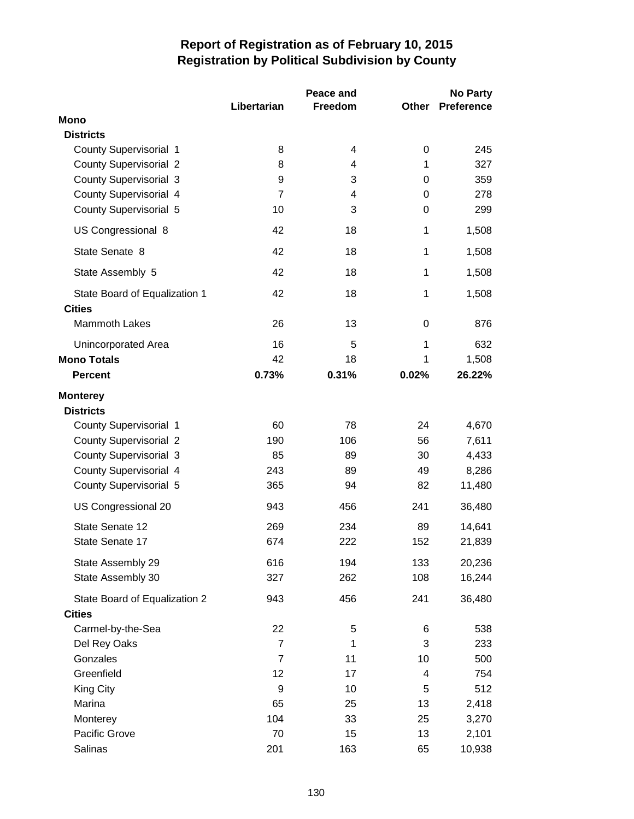|                                                  | Libertarian          | Peace and<br>Freedom | Other  | <b>No Party</b><br><b>Preference</b> |
|--------------------------------------------------|----------------------|----------------------|--------|--------------------------------------|
| <b>Mono</b>                                      |                      |                      |        |                                      |
| <b>Districts</b>                                 |                      |                      |        |                                      |
| <b>County Supervisorial 1</b>                    | 8                    | 4                    | 0      | 245                                  |
| <b>County Supervisorial 2</b>                    | 8                    | 4                    | 1      | 327                                  |
| <b>County Supervisorial 3</b>                    | 9<br>$\overline{7}$  | 3<br>4               | 0<br>0 | 359<br>278                           |
| County Supervisorial 4<br>County Supervisorial 5 | 10                   | 3                    | 0      | 299                                  |
| US Congressional 8                               | 42                   | 18                   | 1      | 1,508                                |
| State Senate 8                                   | 42                   | 18                   | 1      | 1,508                                |
|                                                  | 42                   | 18                   | 1      |                                      |
| State Assembly 5                                 |                      |                      |        | 1,508                                |
| State Board of Equalization 1<br><b>Cities</b>   | 42                   | 18                   | 1      | 1,508                                |
| <b>Mammoth Lakes</b>                             | 26                   | 13                   | 0      | 876                                  |
| Unincorporated Area                              | 16                   | 5                    | 1      | 632                                  |
| <b>Mono Totals</b>                               | 42                   | 18                   | 1      | 1,508                                |
| <b>Percent</b>                                   | 0.73%                | 0.31%                | 0.02%  | 26.22%                               |
| <b>Monterey</b><br><b>Districts</b>              |                      |                      |        |                                      |
| County Supervisorial 1                           | 60                   | 78                   | 24     | 4,670                                |
| <b>County Supervisorial 2</b>                    | 190                  | 106                  | 56     | 7,611                                |
| <b>County Supervisorial 3</b>                    | 85                   | 89                   | 30     | 4,433                                |
| <b>County Supervisorial 4</b>                    | 243                  | 89                   | 49     | 8,286                                |
| <b>County Supervisorial 5</b>                    | 365                  | 94                   | 82     | 11,480                               |
| US Congressional 20                              | 943                  | 456                  | 241    | 36,480                               |
| State Senate 12                                  | 269                  | 234                  | 89     | 14,641                               |
| State Senate 17                                  | 674                  | 222                  | 152    | 21,839                               |
| State Assembly 29                                | 616                  | 194                  | 133    | 20,236                               |
| State Assembly 30                                | 327                  | 262                  | 108    | 16,244                               |
| State Board of Equalization 2                    | 943                  | 456                  | 241    | 36,480                               |
| <b>Cities</b>                                    |                      |                      |        |                                      |
| Carmel-by-the-Sea<br>Del Rey Oaks                | 22<br>$\overline{7}$ | 5<br>1               | 6<br>3 | 538<br>233                           |
| Gonzales                                         | $\overline{7}$       | 11                   | 10     | 500                                  |
| Greenfield                                       | 12                   | 17                   | 4      | 754                                  |
| <b>King City</b>                                 | 9                    | 10                   | 5      | 512                                  |
| Marina                                           | 65                   | 25                   | 13     | 2,418                                |
| Monterey                                         | 104                  | 33                   | 25     | 3,270                                |
| Pacific Grove                                    | 70                   | 15                   | 13     | 2,101                                |
| Salinas                                          | 201                  | 163                  | 65     | 10,938                               |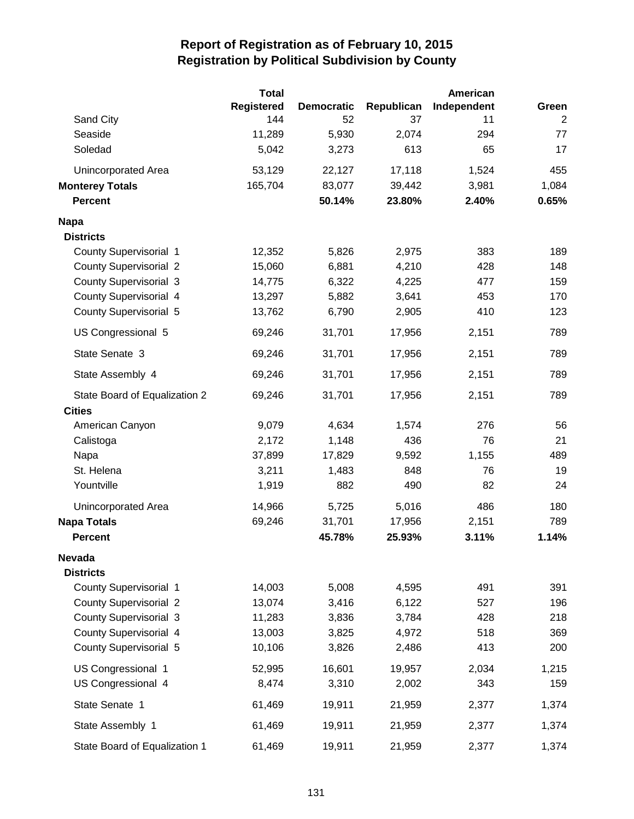|                               | <b>Total</b> |                   |            | American    |       |
|-------------------------------|--------------|-------------------|------------|-------------|-------|
|                               | Registered   | <b>Democratic</b> | Republican | Independent | Green |
| Sand City                     | 144          | 52                | 37         | 11          | 2     |
| Seaside                       | 11,289       | 5,930             | 2,074      | 294         | 77    |
| Soledad                       | 5,042        | 3,273             | 613        | 65          | 17    |
| Unincorporated Area           | 53,129       | 22,127            | 17,118     | 1,524       | 455   |
| <b>Monterey Totals</b>        | 165,704      | 83,077            | 39,442     | 3,981       | 1,084 |
| <b>Percent</b>                |              | 50.14%            | 23.80%     | 2.40%       | 0.65% |
| <b>Napa</b>                   |              |                   |            |             |       |
| <b>Districts</b>              |              |                   |            |             |       |
| <b>County Supervisorial 1</b> | 12,352       | 5,826             | 2,975      | 383         | 189   |
| <b>County Supervisorial 2</b> | 15,060       | 6,881             | 4,210      | 428         | 148   |
| <b>County Supervisorial 3</b> | 14,775       | 6,322             | 4,225      | 477         | 159   |
| <b>County Supervisorial 4</b> | 13,297       | 5,882             | 3,641      | 453         | 170   |
| <b>County Supervisorial 5</b> | 13,762       | 6,790             | 2,905      | 410         | 123   |
| US Congressional 5            | 69,246       | 31,701            | 17,956     | 2,151       | 789   |
| State Senate 3                | 69,246       | 31,701            | 17,956     | 2,151       | 789   |
| State Assembly 4              | 69,246       | 31,701            | 17,956     | 2,151       | 789   |
| State Board of Equalization 2 | 69,246       | 31,701            | 17,956     | 2,151       | 789   |
| <b>Cities</b>                 |              |                   |            |             |       |
| American Canyon               | 9,079        | 4,634             | 1,574      | 276         | 56    |
| Calistoga                     | 2,172        | 1,148             | 436        | 76          | 21    |
| Napa                          | 37,899       | 17,829            | 9,592      | 1,155       | 489   |
| St. Helena                    | 3,211        | 1,483             | 848        | 76          | 19    |
| Yountville                    | 1,919        | 882               | 490        | 82          | 24    |
| Unincorporated Area           | 14,966       | 5,725             | 5,016      | 486         | 180   |
| <b>Napa Totals</b>            | 69,246       | 31,701            | 17,956     | 2,151       | 789   |
| <b>Percent</b>                |              | 45.78%            | 25.93%     | 3.11%       | 1.14% |
| <b>Nevada</b>                 |              |                   |            |             |       |
| <b>Districts</b>              |              |                   |            |             |       |
| County Supervisorial 1        | 14,003       | 5,008             | 4,595      | 491         | 391   |
| <b>County Supervisorial 2</b> | 13,074       | 3,416             | 6,122      | 527         | 196   |
| <b>County Supervisorial 3</b> | 11,283       | 3,836             | 3,784      | 428         | 218   |
| County Supervisorial 4        | 13,003       | 3,825             | 4,972      | 518         | 369   |
| County Supervisorial 5        | 10,106       | 3,826             | 2,486      | 413         | 200   |
| US Congressional 1            | 52,995       | 16,601            | 19,957     | 2,034       | 1,215 |
| US Congressional 4            | 8,474        | 3,310             | 2,002      | 343         | 159   |
| State Senate 1                | 61,469       | 19,911            | 21,959     | 2,377       | 1,374 |
| State Assembly 1              | 61,469       | 19,911            | 21,959     | 2,377       | 1,374 |
| State Board of Equalization 1 | 61,469       | 19,911            | 21,959     | 2,377       | 1,374 |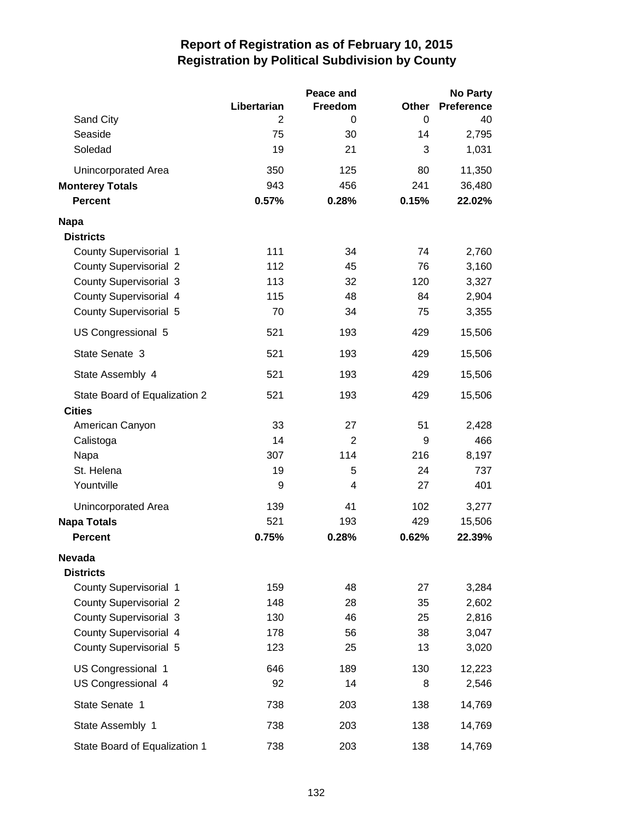|                               |                | Peace and      |       | <b>No Party</b>   |
|-------------------------------|----------------|----------------|-------|-------------------|
|                               | Libertarian    | Freedom        | Other | <b>Preference</b> |
| Sand City                     | $\overline{2}$ | 0              | 0     | 40                |
| Seaside                       | 75             | 30             | 14    | 2,795             |
| Soledad                       | 19             | 21             | 3     | 1,031             |
| Unincorporated Area           | 350            | 125            | 80    | 11,350            |
| <b>Monterey Totals</b>        | 943            | 456            | 241   | 36,480            |
| <b>Percent</b>                | 0.57%          | 0.28%          | 0.15% | 22.02%            |
| <b>Napa</b>                   |                |                |       |                   |
| <b>Districts</b>              |                |                |       |                   |
| County Supervisorial 1        | 111            | 34             | 74    | 2,760             |
| <b>County Supervisorial 2</b> | 112            | 45             | 76    | 3,160             |
| <b>County Supervisorial 3</b> | 113            | 32             | 120   | 3,327             |
| County Supervisorial 4        | 115            | 48             | 84    | 2,904             |
| <b>County Supervisorial 5</b> | 70             | 34             | 75    | 3,355             |
| US Congressional 5            | 521            | 193            | 429   | 15,506            |
| State Senate 3                | 521            | 193            | 429   | 15,506            |
| State Assembly 4              | 521            | 193            | 429   | 15,506            |
| State Board of Equalization 2 | 521            | 193            | 429   | 15,506            |
| <b>Cities</b>                 |                |                |       |                   |
| American Canyon               | 33             | 27             | 51    | 2,428             |
| Calistoga                     | 14             | $\overline{2}$ | 9     | 466               |
| Napa                          | 307            | 114            | 216   | 8,197             |
| St. Helena                    | 19             | 5              | 24    | 737               |
| Yountville                    | 9              | 4              | 27    | 401               |
| <b>Unincorporated Area</b>    | 139            | 41             | 102   | 3,277             |
| <b>Napa Totals</b>            | 521            | 193            | 429   | 15,506            |
| <b>Percent</b>                | 0.75%          | 0.28%          | 0.62% | 22.39%            |
| Nevada                        |                |                |       |                   |
| <b>Districts</b>              |                |                |       |                   |
| County Supervisorial 1        | 159            | 48             | 27    | 3,284             |
| <b>County Supervisorial 2</b> | 148            | 28             | 35    | 2,602             |
| <b>County Supervisorial 3</b> | 130            | 46             | 25    | 2,816             |
| County Supervisorial 4        | 178            | 56             | 38    | 3,047             |
| County Supervisorial 5        | 123            | 25             | 13    | 3,020             |
| US Congressional 1            | 646            | 189            | 130   | 12,223            |
| US Congressional 4            | 92             | 14             | 8     | 2,546             |
| State Senate 1                | 738            | 203            | 138   | 14,769            |
| State Assembly 1              | 738            | 203            | 138   | 14,769            |
| State Board of Equalization 1 | 738            | 203            | 138   | 14,769            |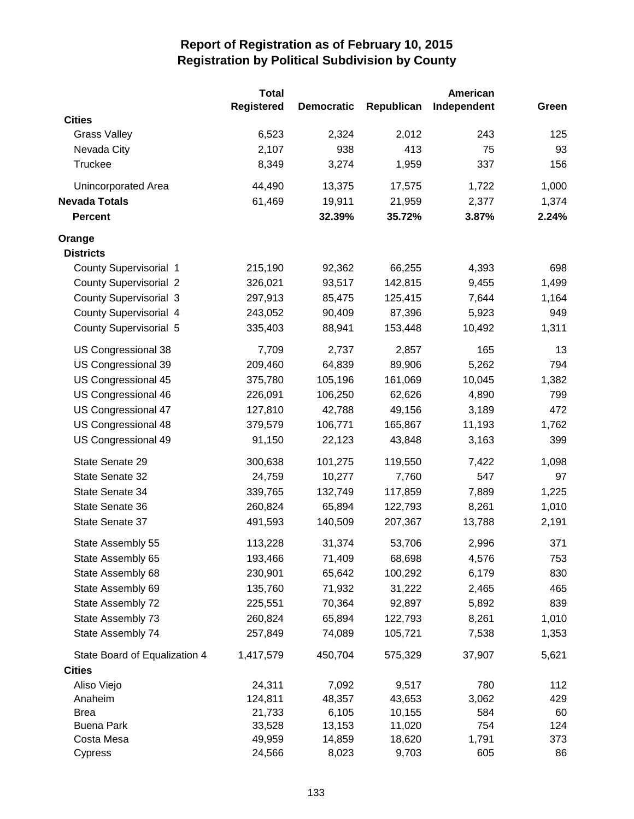|                               | Total             |                   |            | American    |       |
|-------------------------------|-------------------|-------------------|------------|-------------|-------|
|                               | <b>Registered</b> | <b>Democratic</b> | Republican | Independent | Green |
| <b>Cities</b>                 |                   |                   |            |             |       |
| <b>Grass Valley</b>           | 6,523             | 2,324             | 2,012      | 243         | 125   |
| Nevada City                   | 2,107             | 938               | 413        | 75          | 93    |
| Truckee                       | 8,349             | 3,274             | 1,959      | 337         | 156   |
| Unincorporated Area           | 44,490            | 13,375            | 17,575     | 1,722       | 1,000 |
| <b>Nevada Totals</b>          | 61,469            | 19,911            | 21,959     | 2,377       | 1,374 |
| <b>Percent</b>                |                   | 32.39%            | 35.72%     | 3.87%       | 2.24% |
| Orange                        |                   |                   |            |             |       |
| <b>Districts</b>              |                   |                   |            |             |       |
| <b>County Supervisorial 1</b> | 215,190           | 92,362            | 66,255     | 4,393       | 698   |
| <b>County Supervisorial 2</b> | 326,021           | 93,517            | 142,815    | 9,455       | 1,499 |
| <b>County Supervisorial 3</b> | 297,913           | 85,475            | 125,415    | 7,644       | 1,164 |
| <b>County Supervisorial 4</b> | 243,052           | 90,409            | 87,396     | 5,923       | 949   |
| County Supervisorial 5        | 335,403           | 88,941            | 153,448    | 10,492      | 1,311 |
| US Congressional 38           | 7,709             | 2,737             | 2,857      | 165         | 13    |
| US Congressional 39           | 209,460           | 64,839            | 89,906     | 5,262       | 794   |
| US Congressional 45           | 375,780           | 105,196           | 161,069    | 10,045      | 1,382 |
| US Congressional 46           | 226,091           | 106,250           | 62,626     | 4,890       | 799   |
| US Congressional 47           | 127,810           | 42,788            | 49,156     | 3,189       | 472   |
| US Congressional 48           | 379,579           | 106,771           | 165,867    | 11,193      | 1,762 |
| US Congressional 49           | 91,150            | 22,123            | 43,848     | 3,163       | 399   |
| State Senate 29               | 300,638           | 101,275           | 119,550    | 7,422       | 1,098 |
| State Senate 32               | 24,759            | 10,277            | 7,760      | 547         | 97    |
| State Senate 34               | 339,765           | 132,749           | 117,859    | 7,889       | 1,225 |
| State Senate 36               | 260,824           | 65,894            | 122,793    | 8,261       | 1,010 |
| State Senate 37               | 491,593           | 140,509           | 207,367    | 13,788      | 2,191 |
| State Assembly 55             | 113,228           | 31,374            | 53,706     | 2,996       | 371   |
| State Assembly 65             | 193,466           | 71,409            | 68,698     | 4,576       | 753   |
| State Assembly 68             | 230,901           | 65,642            | 100,292    | 6,179       | 830   |
| State Assembly 69             | 135,760           | 71,932            | 31,222     | 2,465       | 465   |
| State Assembly 72             | 225,551           | 70,364            | 92,897     | 5,892       | 839   |
| State Assembly 73             | 260,824           | 65,894            | 122,793    | 8,261       | 1,010 |
| State Assembly 74             | 257,849           | 74,089            | 105,721    | 7,538       | 1,353 |
| State Board of Equalization 4 | 1,417,579         | 450,704           | 575,329    | 37,907      | 5,621 |
| <b>Cities</b>                 |                   |                   |            |             |       |
| Aliso Viejo                   | 24,311            | 7,092             | 9,517      | 780         | 112   |
| Anaheim                       | 124,811           | 48,357            | 43,653     | 3,062       | 429   |
| <b>Brea</b>                   | 21,733            | 6,105             | 10,155     | 584         | 60    |
| <b>Buena Park</b>             | 33,528            | 13,153            | 11,020     | 754         | 124   |
| Costa Mesa                    | 49,959            | 14,859            | 18,620     | 1,791       | 373   |
| Cypress                       | 24,566            | 8,023             | 9,703      | 605         | 86    |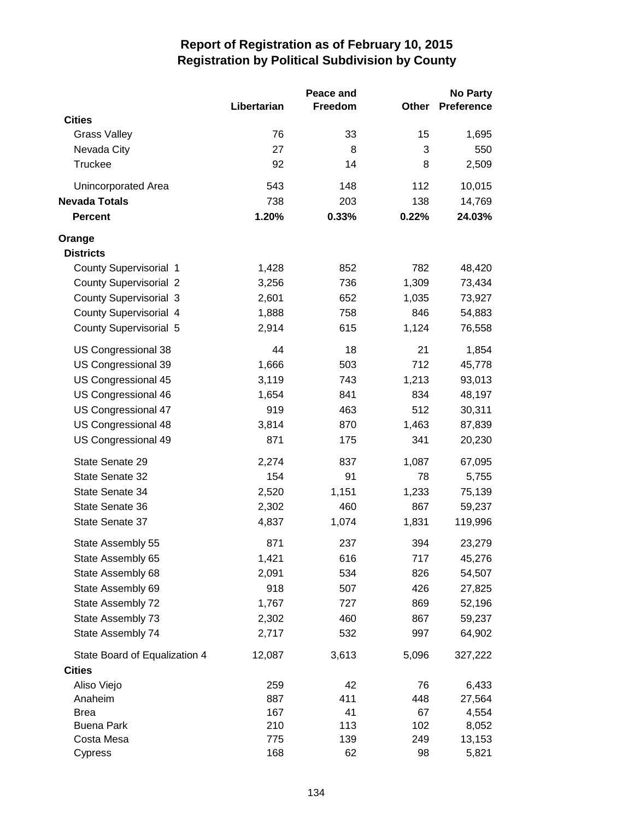|                               | Libertarian | Peace and<br><b>Freedom</b> | Other | <b>No Party</b><br><b>Preference</b> |
|-------------------------------|-------------|-----------------------------|-------|--------------------------------------|
| <b>Cities</b>                 |             |                             |       |                                      |
| <b>Grass Valley</b>           | 76          | 33                          | 15    | 1,695                                |
| Nevada City                   | 27          | 8                           | 3     | 550                                  |
| Truckee                       | 92          | 14                          | 8     | 2,509                                |
| Unincorporated Area           | 543         | 148                         | 112   | 10,015                               |
| Nevada Totals                 | 738         | 203                         | 138   | 14,769                               |
| <b>Percent</b>                | 1.20%       | 0.33%                       | 0.22% | 24.03%                               |
| Orange                        |             |                             |       |                                      |
| <b>Districts</b>              |             |                             |       |                                      |
| <b>County Supervisorial 1</b> | 1,428       | 852                         | 782   | 48,420                               |
| <b>County Supervisorial 2</b> | 3,256       | 736                         | 1,309 | 73,434                               |
| <b>County Supervisorial 3</b> | 2,601       | 652                         | 1,035 | 73,927                               |
| <b>County Supervisorial 4</b> | 1,888       | 758                         | 846   | 54,883                               |
| <b>County Supervisorial 5</b> | 2,914       | 615                         | 1,124 | 76,558                               |
| US Congressional 38           | 44          | 18                          | 21    | 1,854                                |
| US Congressional 39           | 1,666       | 503                         | 712   | 45,778                               |
| US Congressional 45           | 3,119       | 743                         | 1,213 | 93,013                               |
| US Congressional 46           | 1,654       | 841                         | 834   | 48,197                               |
| US Congressional 47           | 919         | 463                         | 512   | 30,311                               |
| US Congressional 48           | 3,814       | 870                         | 1,463 | 87,839                               |
| US Congressional 49           | 871         | 175                         | 341   | 20,230                               |
| State Senate 29               | 2,274       | 837                         | 1,087 | 67,095                               |
| State Senate 32               | 154         | 91                          | 78    | 5,755                                |
| State Senate 34               | 2,520       | 1,151                       | 1,233 | 75,139                               |
| State Senate 36               | 2,302       | 460                         | 867   | 59,237                               |
| State Senate 37               | 4,837       | 1,074                       | 1,831 | 119,996                              |
| State Assembly 55             | 871         | 237                         | 394   | 23,279                               |
| State Assembly 65             | 1,421       | 616                         | 717   | 45,276                               |
| State Assembly 68             | 2,091       | 534                         | 826   | 54,507                               |
| State Assembly 69             | 918         | 507                         | 426   | 27,825                               |
| State Assembly 72             | 1,767       | 727                         | 869   | 52,196                               |
| State Assembly 73             | 2,302       | 460                         | 867   | 59,237                               |
| State Assembly 74             | 2,717       | 532                         | 997   | 64,902                               |
| State Board of Equalization 4 | 12,087      | 3,613                       | 5,096 | 327,222                              |
| <b>Cities</b>                 |             |                             |       |                                      |
| Aliso Viejo                   | 259         | 42                          | 76    | 6,433                                |
| Anaheim                       | 887         | 411                         | 448   | 27,564                               |
| <b>Brea</b>                   | 167         | 41                          | 67    | 4,554                                |
| <b>Buena Park</b>             | 210         | 113                         | 102   | 8,052                                |
| Costa Mesa                    | 775         | 139                         | 249   | 13,153                               |
| Cypress                       | 168         | 62                          | 98    | 5,821                                |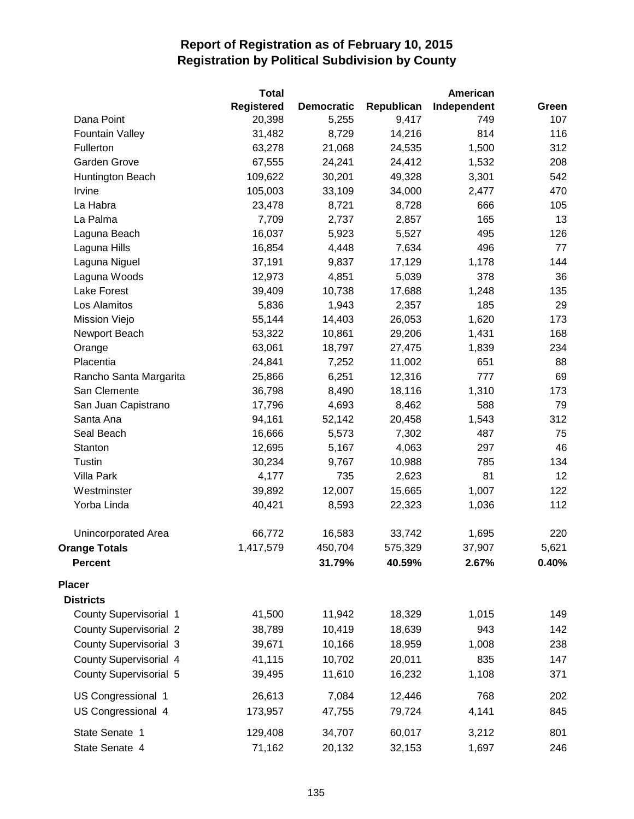|                               | <b>Total</b>      |                   |            | American    |       |
|-------------------------------|-------------------|-------------------|------------|-------------|-------|
|                               | <b>Registered</b> | <b>Democratic</b> | Republican | Independent | Green |
| Dana Point                    | 20,398            | 5,255             | 9,417      | 749         | 107   |
| <b>Fountain Valley</b>        | 31,482            | 8,729             | 14,216     | 814         | 116   |
| Fullerton                     | 63,278            | 21,068            | 24,535     | 1,500       | 312   |
| Garden Grove                  | 67,555            | 24,241            | 24,412     | 1,532       | 208   |
| Huntington Beach              | 109,622           | 30,201            | 49,328     | 3,301       | 542   |
| Irvine                        | 105,003           | 33,109            | 34,000     | 2,477       | 470   |
| La Habra                      | 23,478            | 8,721             | 8,728      | 666         | 105   |
| La Palma                      | 7,709             | 2,737             | 2,857      | 165         | 13    |
| Laguna Beach                  | 16,037            | 5,923             | 5,527      | 495         | 126   |
| Laguna Hills                  | 16,854            | 4,448             | 7,634      | 496         | 77    |
| Laguna Niguel                 | 37,191            | 9,837             | 17,129     | 1,178       | 144   |
| Laguna Woods                  | 12,973            | 4,851             | 5,039      | 378         | 36    |
| Lake Forest                   | 39,409            | 10,738            | 17,688     | 1,248       | 135   |
| Los Alamitos                  | 5,836             | 1,943             | 2,357      | 185         | 29    |
| Mission Viejo                 | 55,144            | 14,403            | 26,053     | 1,620       | 173   |
| Newport Beach                 | 53,322            | 10,861            | 29,206     | 1,431       | 168   |
| Orange                        | 63,061            | 18,797            | 27,475     | 1,839       | 234   |
| Placentia                     | 24,841            | 7,252             | 11,002     | 651         | 88    |
| Rancho Santa Margarita        | 25,866            | 6,251             | 12,316     | 777         | 69    |
| San Clemente                  | 36,798            | 8,490             | 18,116     | 1,310       | 173   |
| San Juan Capistrano           | 17,796            | 4,693             | 8,462      | 588         | 79    |
| Santa Ana                     | 94,161            | 52,142            | 20,458     | 1,543       | 312   |
| Seal Beach                    | 16,666            | 5,573             | 7,302      | 487         | 75    |
| Stanton                       | 12,695            | 5,167             | 4,063      | 297         | 46    |
| Tustin                        | 30,234            | 9,767             | 10,988     | 785         | 134   |
| <b>Villa Park</b>             | 4,177             | 735               | 2,623      | 81          | 12    |
| Westminster                   | 39,892            | 12,007            | 15,665     | 1,007       | 122   |
| Yorba Linda                   | 40,421            | 8,593             | 22,323     | 1,036       | 112   |
| Unincorporated Area           | 66,772            | 16,583            | 33,742     | 1,695       | 220   |
| <b>Orange Totals</b>          | 1,417,579         | 450,704           | 575,329    | 37,907      | 5,621 |
| <b>Percent</b>                |                   | 31.79%            | 40.59%     | 2.67%       | 0.40% |
| <b>Placer</b>                 |                   |                   |            |             |       |
| <b>Districts</b>              |                   |                   |            |             |       |
| <b>County Supervisorial 1</b> | 41,500            | 11,942            | 18,329     | 1,015       | 149   |
| <b>County Supervisorial 2</b> | 38,789            | 10,419            | 18,639     | 943         | 142   |
| <b>County Supervisorial 3</b> | 39,671            | 10,166            | 18,959     | 1,008       | 238   |
| County Supervisorial 4        | 41,115            | 10,702            | 20,011     | 835         | 147   |
| <b>County Supervisorial 5</b> | 39,495            | 11,610            | 16,232     | 1,108       | 371   |
| US Congressional 1            | 26,613            | 7,084             | 12,446     | 768         | 202   |
| US Congressional 4            | 173,957           | 47,755            | 79,724     | 4,141       | 845   |
| State Senate 1                | 129,408           | 34,707            | 60,017     | 3,212       | 801   |
| State Senate 4                | 71,162            | 20,132            | 32,153     | 1,697       | 246   |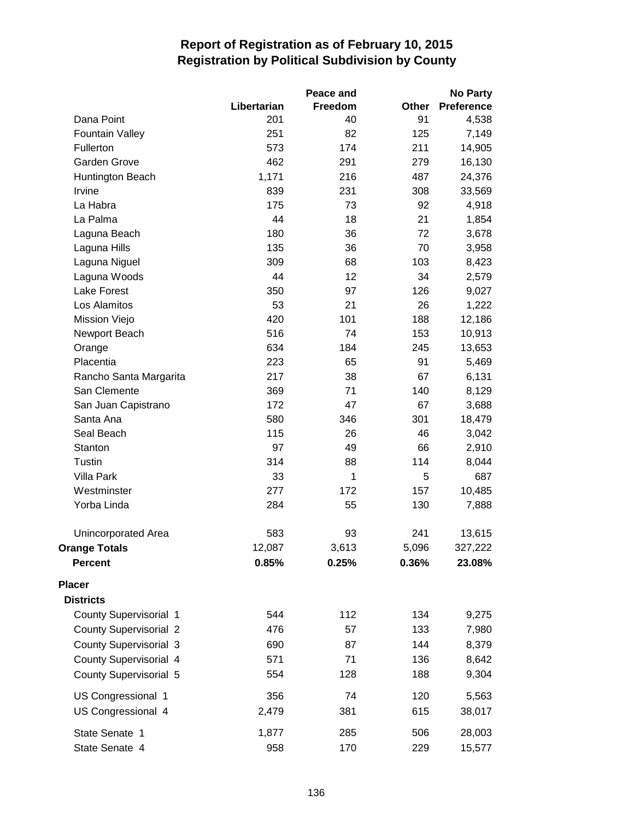|                               |             | Peace and |       | <b>No Party</b>   |
|-------------------------------|-------------|-----------|-------|-------------------|
|                               | Libertarian | Freedom   | Other | <b>Preference</b> |
| Dana Point                    | 201         | 40        | 91    | 4,538             |
| <b>Fountain Valley</b>        | 251         | 82        | 125   | 7,149             |
| Fullerton                     | 573         | 174       | 211   | 14,905            |
| <b>Garden Grove</b>           | 462         | 291       | 279   | 16,130            |
| Huntington Beach              | 1,171       | 216       | 487   | 24,376            |
| Irvine                        | 839         | 231       | 308   | 33,569            |
| La Habra                      | 175         | 73        | 92    | 4,918             |
| La Palma                      | 44          | 18        | 21    | 1,854             |
| Laguna Beach                  | 180         | 36        | 72    | 3,678             |
| Laguna Hills                  | 135         | 36        | 70    | 3,958             |
| Laguna Niguel                 | 309         | 68        | 103   | 8,423             |
| Laguna Woods                  | 44          | 12        | 34    | 2,579             |
| <b>Lake Forest</b>            | 350         | 97        | 126   | 9,027             |
| Los Alamitos                  | 53          | 21        | 26    | 1,222             |
| Mission Viejo                 | 420         | 101       | 188   | 12,186            |
| Newport Beach                 | 516         | 74        | 153   | 10,913            |
| Orange                        | 634         | 184       | 245   | 13,653            |
| Placentia                     | 223         | 65        | 91    | 5,469             |
| Rancho Santa Margarita        | 217         | 38        | 67    | 6,131             |
| San Clemente                  | 369         | 71        | 140   | 8,129             |
| San Juan Capistrano           | 172         | 47        | 67    | 3,688             |
| Santa Ana                     | 580         | 346       | 301   | 18,479            |
| Seal Beach                    | 115         | 26        | 46    | 3,042             |
| Stanton                       | 97          | 49        | 66    | 2,910             |
| Tustin                        | 314         | 88        | 114   | 8,044             |
| Villa Park                    | 33          | 1         | 5     | 687               |
| Westminster                   | 277         | 172       | 157   | 10,485            |
| Yorba Linda                   | 284         | 55        | 130   | 7,888             |
| Unincorporated Area           | 583         | 93        | 241   | 13,615            |
| <b>Orange Totals</b>          | 12,087      | 3,613     | 5,096 | 327,222           |
| <b>Percent</b>                | 0.85%       | 0.25%     | 0.36% | 23.08%            |
| <b>Placer</b>                 |             |           |       |                   |
| <b>Districts</b>              |             |           |       |                   |
| <b>County Supervisorial 1</b> | 544         | 112       | 134   | 9,275             |
| <b>County Supervisorial 2</b> | 476         | 57        | 133   | 7,980             |
| <b>County Supervisorial 3</b> | 690         | 87        | 144   | 8,379             |
| <b>County Supervisorial 4</b> | 571         | 71        | 136   | 8,642             |
| <b>County Supervisorial 5</b> | 554         | 128       | 188   | 9,304             |
| US Congressional 1            | 356         | 74        | 120   | 5,563             |
| US Congressional 4            | 2,479       | 381       | 615   | 38,017            |
| State Senate 1                | 1,877       | 285       | 506   | 28,003            |
| State Senate 4                | 958         | 170       | 229   | 15,577            |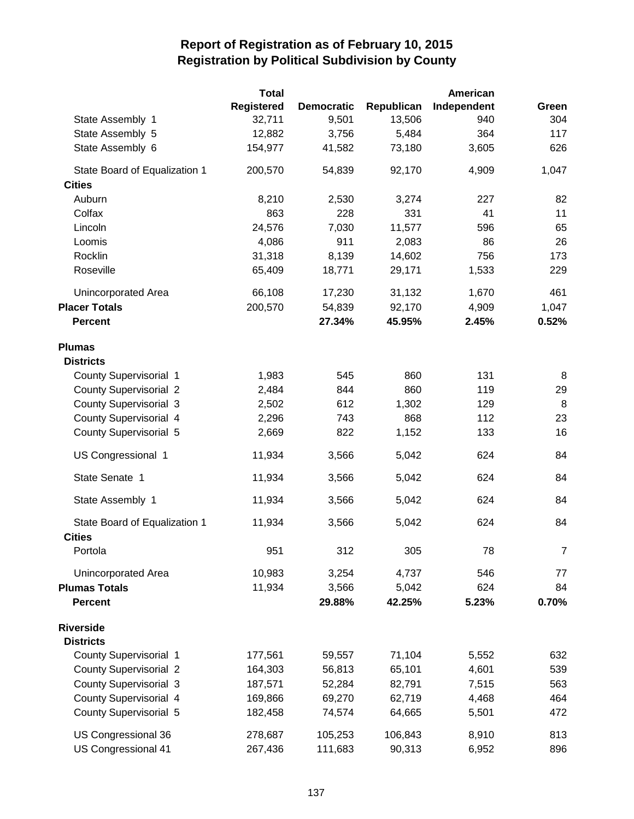|                               | <b>Total</b> |                   |            | American    |       |
|-------------------------------|--------------|-------------------|------------|-------------|-------|
|                               | Registered   | <b>Democratic</b> | Republican | Independent | Green |
| State Assembly 1              | 32,711       | 9,501             | 13,506     | 940         | 304   |
| State Assembly 5              | 12,882       | 3,756             | 5,484      | 364         | 117   |
| State Assembly 6              | 154,977      | 41,582            | 73,180     | 3,605       | 626   |
| State Board of Equalization 1 | 200,570      | 54,839            | 92,170     | 4,909       | 1,047 |
| <b>Cities</b>                 |              |                   |            |             |       |
| Auburn                        | 8,210        | 2,530             | 3,274      | 227         | 82    |
| Colfax                        | 863          | 228               | 331        | 41          | 11    |
| Lincoln                       | 24,576       | 7,030             | 11,577     | 596         | 65    |
| Loomis                        | 4,086        | 911               | 2,083      | 86          | 26    |
| Rocklin                       | 31,318       | 8,139             | 14,602     | 756         | 173   |
| Roseville                     | 65,409       | 18,771            | 29,171     | 1,533       | 229   |
| Unincorporated Area           | 66,108       | 17,230            | 31,132     | 1,670       | 461   |
| <b>Placer Totals</b>          | 200,570      | 54,839            | 92,170     | 4,909       | 1,047 |
| <b>Percent</b>                |              | 27.34%            | 45.95%     | 2.45%       | 0.52% |
| <b>Plumas</b>                 |              |                   |            |             |       |
| <b>Districts</b>              |              |                   |            |             |       |
| <b>County Supervisorial 1</b> | 1,983        | 545               | 860        | 131         | 8     |
| <b>County Supervisorial 2</b> | 2,484        | 844               | 860        | 119         | 29    |
| <b>County Supervisorial 3</b> | 2,502        | 612               | 1,302      | 129         | 8     |
| County Supervisorial 4        | 2,296        | 743               | 868        | 112         | 23    |
| <b>County Supervisorial 5</b> | 2,669        | 822               | 1,152      | 133         | 16    |
| US Congressional 1            | 11,934       | 3,566             | 5,042      | 624         | 84    |
| State Senate 1                | 11,934       | 3,566             | 5,042      | 624         | 84    |
| State Assembly 1              | 11,934       | 3,566             | 5,042      | 624         | 84    |
| State Board of Equalization 1 | 11,934       | 3,566             | 5,042      | 624         | 84    |
| <b>Cities</b>                 |              |                   |            |             |       |
| Portola                       | 951          | 312               | 305        | 78          | 7     |
| Unincorporated Area           | 10,983       | 3,254             | 4,737      | 546         | 77    |
| <b>Plumas Totals</b>          | 11,934       | 3,566             | 5,042      | 624         | 84    |
| <b>Percent</b>                |              | 29.88%            | 42.25%     | 5.23%       | 0.70% |
| <b>Riverside</b>              |              |                   |            |             |       |
| <b>Districts</b>              |              |                   |            |             |       |
| <b>County Supervisorial 1</b> | 177,561      | 59,557            | 71,104     | 5,552       | 632   |
| <b>County Supervisorial 2</b> | 164,303      | 56,813            | 65,101     | 4,601       | 539   |
| <b>County Supervisorial 3</b> | 187,571      | 52,284            | 82,791     | 7,515       | 563   |
| <b>County Supervisorial 4</b> | 169,866      | 69,270            | 62,719     | 4,468       | 464   |
| <b>County Supervisorial 5</b> | 182,458      | 74,574            | 64,665     | 5,501       | 472   |
| US Congressional 36           | 278,687      | 105,253           | 106,843    | 8,910       | 813   |
| US Congressional 41           | 267,436      | 111,683           | 90,313     | 6,952       | 896   |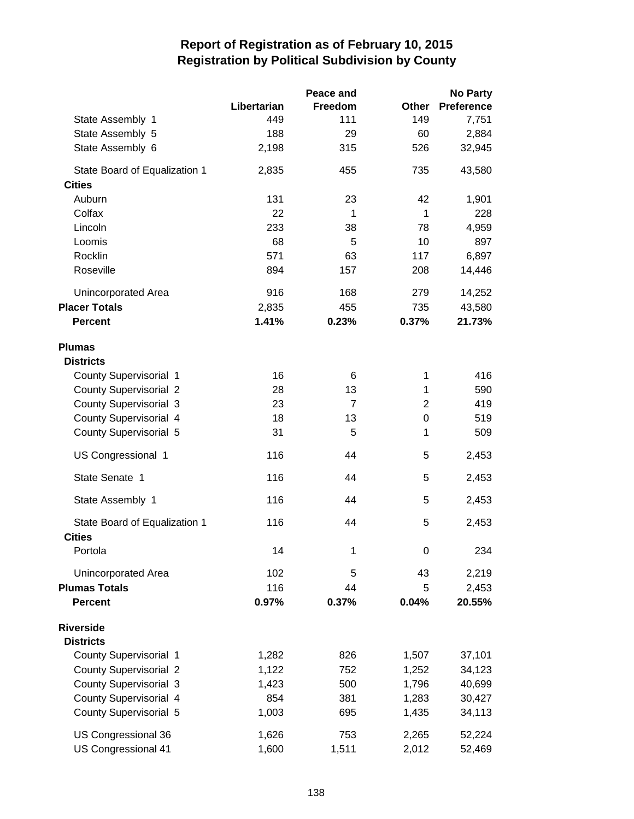|                               |             | Peace and      |                | <b>No Party</b>   |
|-------------------------------|-------------|----------------|----------------|-------------------|
|                               | Libertarian | Freedom        | <b>Other</b>   | <b>Preference</b> |
| State Assembly 1              | 449         | 111            | 149            | 7,751             |
| State Assembly 5              | 188         | 29             | 60             | 2,884             |
| State Assembly 6              | 2,198       | 315            | 526            | 32,945            |
| State Board of Equalization 1 | 2,835       | 455            | 735            | 43,580            |
| <b>Cities</b>                 |             |                |                |                   |
| Auburn                        | 131         | 23             | 42             | 1,901             |
| Colfax                        | 22          | 1              | $\mathbf{1}$   | 228               |
| Lincoln                       | 233         | 38             | 78             | 4,959             |
| Loomis                        | 68          | 5              | 10             | 897               |
| Rocklin                       | 571         | 63             | 117            | 6,897             |
| Roseville                     | 894         | 157            | 208            | 14,446            |
| Unincorporated Area           | 916         | 168            | 279            | 14,252            |
| <b>Placer Totals</b>          | 2,835       | 455            | 735            | 43,580            |
| <b>Percent</b>                | 1.41%       | 0.23%          | 0.37%          | 21.73%            |
| <b>Plumas</b>                 |             |                |                |                   |
| <b>Districts</b>              |             |                |                |                   |
| County Supervisorial 1        | 16          | 6              | 1              | 416               |
| <b>County Supervisorial 2</b> | 28          | 13             | 1              | 590               |
| <b>County Supervisorial 3</b> | 23          | $\overline{7}$ | $\overline{2}$ | 419               |
| County Supervisorial 4        | 18          | 13             | 0              | 519               |
| <b>County Supervisorial 5</b> | 31          | 5              | 1              | 509               |
| US Congressional 1            | 116         | 44             | 5              | 2,453             |
| State Senate 1                | 116         | 44             | 5              | 2,453             |
| State Assembly 1              | 116         | 44             | 5              | 2,453             |
| State Board of Equalization 1 | 116         | 44             | 5              | 2,453             |
| <b>Cities</b><br>Portola      | 14          | 1              | 0              | 234               |
|                               |             |                |                |                   |
| Unincorporated Area           | 102         | 5              | 43             | 2,219             |
| <b>Plumas Totals</b>          | 116         | 44             | 5              | 2,453             |
| <b>Percent</b>                | 0.97%       | 0.37%          | 0.04%          | 20.55%            |
| <b>Riverside</b>              |             |                |                |                   |
| <b>Districts</b>              |             |                |                |                   |
| <b>County Supervisorial 1</b> | 1,282       | 826            | 1,507          | 37,101            |
| <b>County Supervisorial 2</b> | 1,122       | 752            | 1,252          | 34,123            |
| <b>County Supervisorial 3</b> | 1,423       | 500            | 1,796          | 40,699            |
| County Supervisorial 4        | 854         | 381            | 1,283          | 30,427            |
| <b>County Supervisorial 5</b> | 1,003       | 695            | 1,435          | 34,113            |
| US Congressional 36           | 1,626       | 753            | 2,265          | 52,224            |
| US Congressional 41           | 1,600       | 1,511          | 2,012          | 52,469            |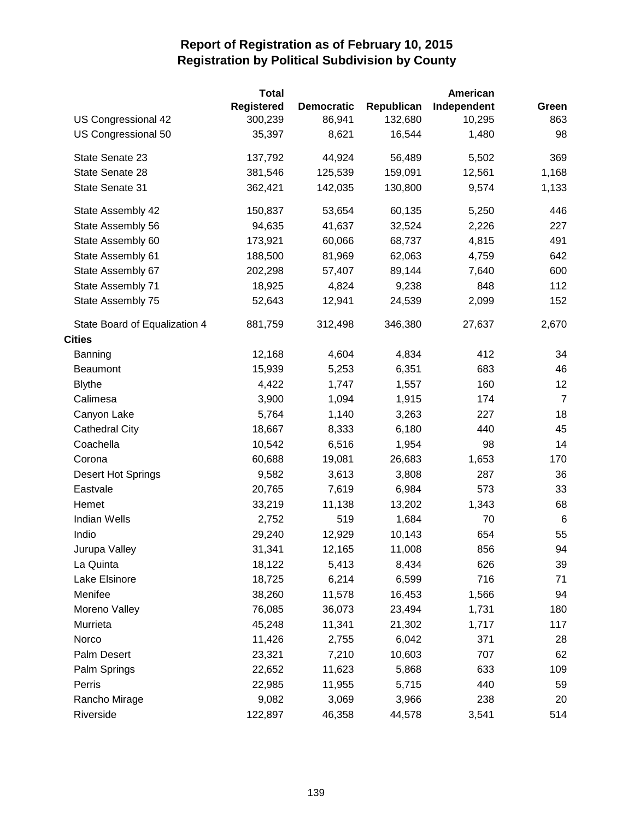|                               | Total             |                   |            | American    |                |
|-------------------------------|-------------------|-------------------|------------|-------------|----------------|
|                               | <b>Registered</b> | <b>Democratic</b> | Republican | Independent | Green          |
| US Congressional 42           | 300,239           | 86,941            | 132,680    | 10,295      | 863            |
| US Congressional 50           | 35,397            | 8,621             | 16,544     | 1,480       | 98             |
| State Senate 23               | 137,792           | 44,924            | 56,489     | 5,502       | 369            |
| State Senate 28               | 381,546           | 125,539           | 159,091    | 12,561      | 1,168          |
| State Senate 31               | 362,421           | 142,035           | 130,800    | 9,574       | 1,133          |
| State Assembly 42             | 150,837           | 53,654            | 60,135     | 5,250       | 446            |
| State Assembly 56             | 94,635            | 41,637            | 32,524     | 2,226       | 227            |
| State Assembly 60             | 173,921           | 60,066            | 68,737     | 4,815       | 491            |
| State Assembly 61             | 188,500           | 81,969            | 62,063     | 4,759       | 642            |
| State Assembly 67             | 202,298           | 57,407            | 89,144     | 7,640       | 600            |
| State Assembly 71             | 18,925            | 4,824             | 9,238      | 848         | 112            |
| State Assembly 75             | 52,643            | 12,941            | 24,539     | 2,099       | 152            |
| State Board of Equalization 4 | 881,759           | 312,498           | 346,380    | 27,637      | 2,670          |
| <b>Cities</b>                 |                   |                   |            |             |                |
| Banning                       | 12,168            | 4,604             | 4,834      | 412         | 34             |
| Beaumont                      | 15,939            | 5,253             | 6,351      | 683         | 46             |
| <b>Blythe</b>                 | 4,422             | 1,747             | 1,557      | 160         | 12             |
| Calimesa                      | 3,900             | 1,094             | 1,915      | 174         | $\overline{7}$ |
| Canyon Lake                   | 5,764             | 1,140             | 3,263      | 227         | 18             |
| <b>Cathedral City</b>         | 18,667            | 8,333             | 6,180      | 440         | 45             |
| Coachella                     | 10,542            | 6,516             | 1,954      | 98          | 14             |
| Corona                        | 60,688            | 19,081            | 26,683     | 1,653       | 170            |
| Desert Hot Springs            | 9,582             | 3,613             | 3,808      | 287         | 36             |
| Eastvale                      | 20,765            | 7,619             | 6,984      | 573         | 33             |
| Hemet                         | 33,219            | 11,138            | 13,202     | 1,343       | 68             |
| <b>Indian Wells</b>           | 2,752             | 519               | 1,684      | 70          | 6              |
| Indio                         | 29,240            | 12,929            | 10,143     | 654         | 55             |
| Jurupa Valley                 | 31,341            | 12,165            | 11,008     | 856         | 94             |
| La Quinta                     | 18,122            | 5,413             | 8,434      | 626         | 39             |
| Lake Elsinore                 | 18,725            | 6,214             | 6,599      | 716         | 71             |
| Menifee                       | 38,260            | 11,578            | 16,453     | 1,566       | 94             |
| Moreno Valley                 | 76,085            | 36,073            | 23,494     | 1,731       | 180            |
| Murrieta                      | 45,248            | 11,341            | 21,302     | 1,717       | 117            |
| Norco                         | 11,426            | 2,755             | 6,042      | 371         | 28             |
| Palm Desert                   | 23,321            | 7,210             | 10,603     | 707         | 62             |
| Palm Springs                  | 22,652            | 11,623            | 5,868      | 633         | 109            |
| Perris                        | 22,985            | 11,955            | 5,715      | 440         | 59             |
| Rancho Mirage                 | 9,082             | 3,069             | 3,966      | 238         | 20             |
| Riverside                     | 122,897           | 46,358            | 44,578     | 3,541       | 514            |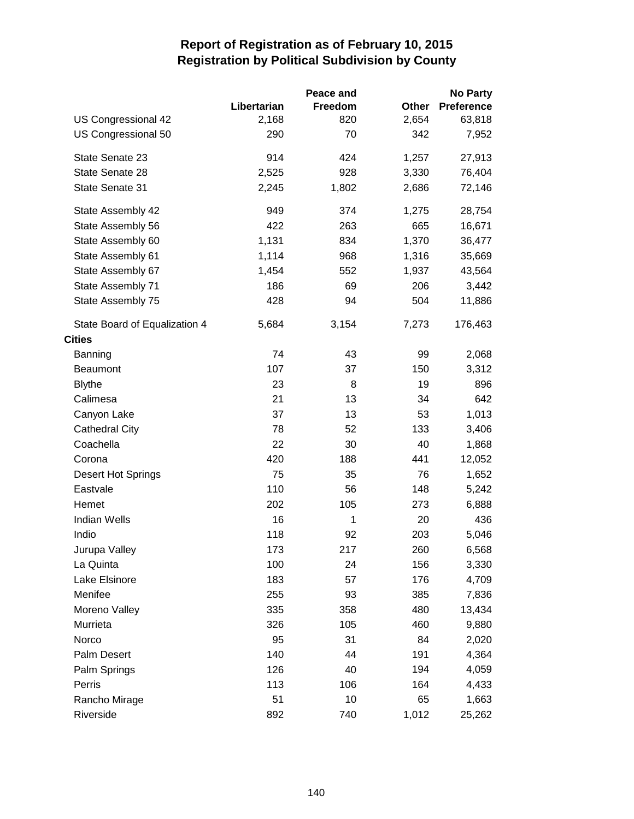|                               |             | Peace and |       | <b>No Party</b>   |
|-------------------------------|-------------|-----------|-------|-------------------|
|                               | Libertarian | Freedom   | Other | <b>Preference</b> |
| US Congressional 42           | 2,168       | 820       | 2,654 | 63,818            |
| US Congressional 50           | 290         | 70        | 342   | 7,952             |
| State Senate 23               | 914         | 424       | 1,257 | 27,913            |
| State Senate 28               | 2,525       | 928       | 3,330 | 76,404            |
| State Senate 31               | 2,245       | 1,802     | 2,686 | 72,146            |
| State Assembly 42             | 949         | 374       | 1,275 | 28,754            |
| State Assembly 56             | 422         | 263       | 665   | 16,671            |
| State Assembly 60             | 1,131       | 834       | 1,370 | 36,477            |
| State Assembly 61             | 1,114       | 968       | 1,316 | 35,669            |
| State Assembly 67             | 1,454       | 552       | 1,937 | 43,564            |
| State Assembly 71             | 186         | 69        | 206   | 3,442             |
| State Assembly 75             | 428         | 94        | 504   | 11,886            |
| State Board of Equalization 4 | 5,684       | 3,154     | 7,273 | 176,463           |
| <b>Cities</b>                 |             |           |       |                   |
| Banning                       | 74          | 43        | 99    | 2,068             |
| Beaumont                      | 107         | 37        | 150   | 3,312             |
| <b>Blythe</b>                 | 23          | 8         | 19    | 896               |
| Calimesa                      | 21          | 13        | 34    | 642               |
| Canyon Lake                   | 37          | 13        | 53    | 1,013             |
| <b>Cathedral City</b>         | 78          | 52        | 133   | 3,406             |
| Coachella                     | 22          | 30        | 40    | 1,868             |
| Corona                        | 420         | 188       | 441   | 12,052            |
| <b>Desert Hot Springs</b>     | 75          | 35        | 76    | 1,652             |
| Eastvale                      | 110         | 56        | 148   | 5,242             |
| Hemet                         | 202         | 105       | 273   | 6,888             |
| Indian Wells                  | 16          | 1         | 20    | 436               |
| Indio                         | 118         | 92        | 203   | 5,046             |
| Jurupa Valley                 | 173         | 217       | 260   | 6,568             |
| La Quinta                     | 100         | 24        | 156   | 3,330             |
| Lake Elsinore                 | 183         | 57        | 176   | 4,709             |
| Menifee                       | 255         | 93        | 385   | 7,836             |
| Moreno Valley                 | 335         | 358       | 480   | 13,434            |
| Murrieta                      | 326         | 105       | 460   | 9,880             |
| Norco                         | 95          | 31        | 84    | 2,020             |
| Palm Desert                   | 140         | 44        | 191   | 4,364             |
| Palm Springs                  | 126         | 40        | 194   | 4,059             |
| Perris                        | 113         | 106       | 164   | 4,433             |
| Rancho Mirage                 | 51          | 10        | 65    | 1,663             |
| Riverside                     | 892         | 740       | 1,012 | 25,262            |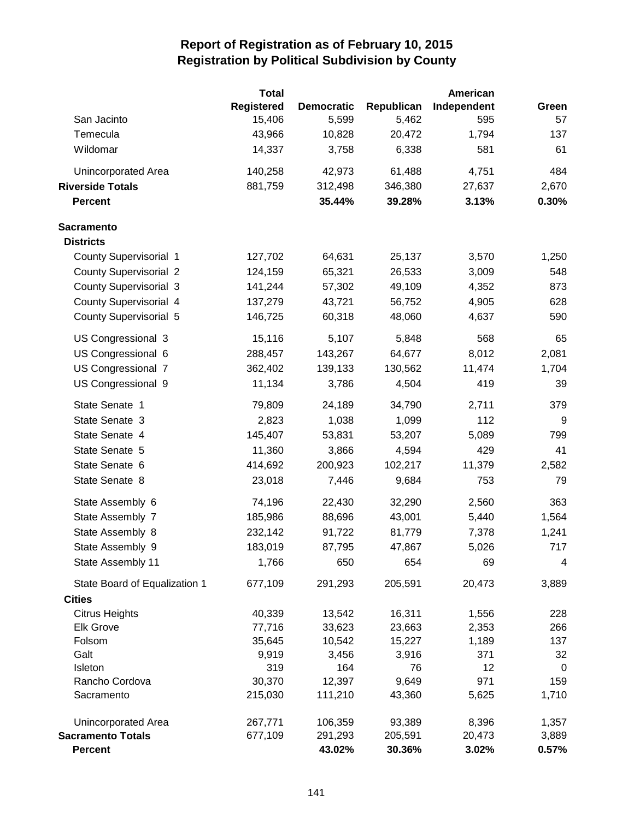|                               | <b>Total</b>      |                   |            | American    |             |
|-------------------------------|-------------------|-------------------|------------|-------------|-------------|
|                               | <b>Registered</b> | <b>Democratic</b> | Republican | Independent | Green       |
| San Jacinto                   | 15,406            | 5,599             | 5,462      | 595         | 57          |
| Temecula                      | 43,966            | 10,828            | 20,472     | 1,794       | 137         |
| Wildomar                      | 14,337            | 3,758             | 6,338      | 581         | 61          |
| <b>Unincorporated Area</b>    | 140,258           | 42,973            | 61,488     | 4,751       | 484         |
| <b>Riverside Totals</b>       | 881,759           | 312,498           | 346,380    | 27,637      | 2,670       |
| <b>Percent</b>                |                   | 35.44%            | 39.28%     | 3.13%       | 0.30%       |
| <b>Sacramento</b>             |                   |                   |            |             |             |
| <b>Districts</b>              |                   |                   |            |             |             |
| <b>County Supervisorial 1</b> | 127,702           | 64,631            | 25,137     | 3,570       | 1,250       |
| <b>County Supervisorial 2</b> | 124,159           | 65,321            | 26,533     | 3,009       | 548         |
| <b>County Supervisorial 3</b> | 141,244           | 57,302            | 49,109     | 4,352       | 873         |
| <b>County Supervisorial 4</b> | 137,279           | 43,721            | 56,752     | 4,905       | 628         |
| <b>County Supervisorial 5</b> | 146,725           | 60,318            | 48,060     | 4,637       | 590         |
| US Congressional 3            | 15,116            | 5,107             | 5,848      | 568         | 65          |
| US Congressional 6            | 288,457           | 143,267           | 64,677     | 8,012       | 2,081       |
| US Congressional 7            | 362,402           | 139,133           | 130,562    | 11,474      | 1,704       |
| US Congressional 9            | 11,134            | 3,786             | 4,504      | 419         | 39          |
| State Senate 1                | 79,809            | 24,189            | 34,790     | 2,711       | 379         |
| State Senate 3                | 2,823             | 1,038             | 1,099      | 112         | 9           |
| State Senate 4                | 145,407           | 53,831            | 53,207     | 5,089       | 799         |
| State Senate 5                | 11,360            | 3,866             | 4,594      | 429         | 41          |
| State Senate 6                | 414,692           | 200,923           | 102,217    | 11,379      | 2,582       |
| State Senate 8                | 23,018            | 7,446             | 9,684      | 753         | 79          |
| State Assembly 6              | 74,196            | 22,430            | 32,290     | 2,560       | 363         |
| State Assembly 7              | 185,986           | 88,696            | 43,001     | 5,440       | 1,564       |
| State Assembly 8              | 232,142           | 91,722            | 81,779     | 7,378       | 1,241       |
| State Assembly 9              | 183,019           | 87,795            | 47,867     | 5,026       | 717         |
| State Assembly 11             | 1,766             | 650               | 654        | 69          | 4           |
| State Board of Equalization 1 | 677,109           | 291,293           | 205,591    | 20,473      | 3,889       |
| <b>Cities</b>                 |                   |                   |            |             |             |
| <b>Citrus Heights</b>         | 40,339            | 13,542            | 16,311     | 1,556       | 228         |
| <b>Elk Grove</b>              | 77,716            | 33,623            | 23,663     | 2,353       | 266         |
| Folsom                        | 35,645            | 10,542            | 15,227     | 1,189       | 137         |
| Galt                          | 9,919             | 3,456             | 3,916      | 371         | 32          |
| Isleton                       | 319               | 164               | 76         | 12          | $\mathbf 0$ |
| Rancho Cordova                | 30,370            | 12,397            | 9,649      | 971         | 159         |
| Sacramento                    | 215,030           | 111,210           | 43,360     | 5,625       | 1,710       |
| Unincorporated Area           | 267,771           | 106,359           | 93,389     | 8,396       | 1,357       |
| <b>Sacramento Totals</b>      | 677,109           | 291,293           | 205,591    | 20,473      | 3,889       |
| <b>Percent</b>                |                   | 43.02%            | 30.36%     | 3.02%       | 0.57%       |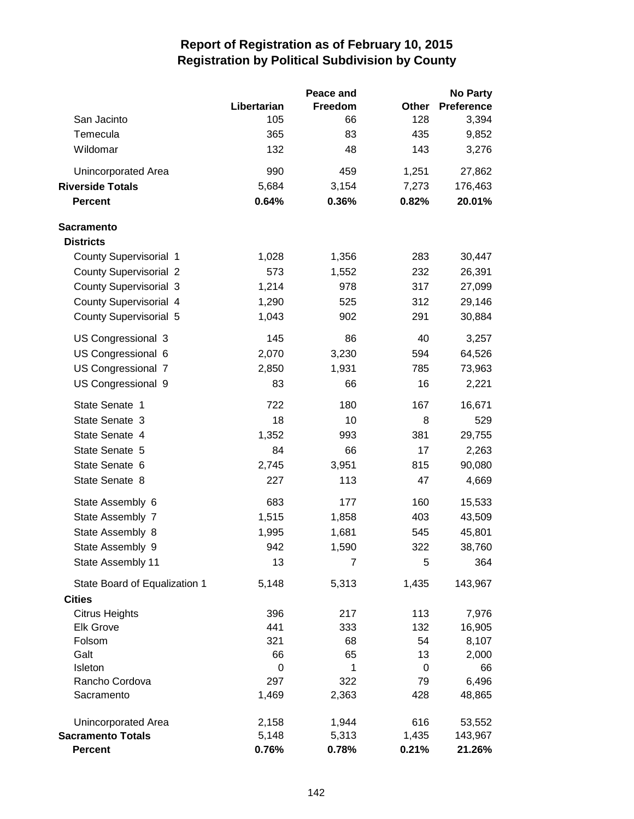|                               |             | Peace and |         | <b>No Party</b>   |
|-------------------------------|-------------|-----------|---------|-------------------|
|                               | Libertarian | Freedom   | Other   | <b>Preference</b> |
| San Jacinto                   | 105         | 66        | 128     | 3,394             |
| Temecula                      | 365         | 83        | 435     | 9,852             |
| Wildomar                      | 132         | 48        | 143     | 3,276             |
| Unincorporated Area           | 990         | 459       | 1,251   | 27,862            |
| <b>Riverside Totals</b>       | 5,684       | 3,154     | 7,273   | 176,463           |
| <b>Percent</b>                | 0.64%       | 0.36%     | 0.82%   | 20.01%            |
| <b>Sacramento</b>             |             |           |         |                   |
| <b>Districts</b>              |             |           |         |                   |
| County Supervisorial 1        | 1,028       | 1,356     | 283     | 30,447            |
| <b>County Supervisorial 2</b> | 573         | 1,552     | 232     | 26,391            |
| <b>County Supervisorial 3</b> | 1,214       | 978       | 317     | 27,099            |
| County Supervisorial 4        | 1,290       | 525       | 312     | 29,146            |
| <b>County Supervisorial 5</b> | 1,043       | 902       | 291     | 30,884            |
| US Congressional 3            | 145         | 86        | 40      | 3,257             |
| US Congressional 6            | 2,070       | 3,230     | 594     | 64,526            |
| US Congressional 7            | 2,850       | 1,931     | 785     | 73,963            |
| US Congressional 9            | 83          | 66        | 16      | 2,221             |
| State Senate 1                | 722         | 180       | 167     | 16,671            |
| State Senate 3                | 18          | 10        | 8       | 529               |
| State Senate 4                | 1,352       | 993       | 381     | 29,755            |
| State Senate 5                | 84          | 66        | 17      | 2,263             |
| State Senate 6                | 2,745       | 3,951     | 815     | 90,080            |
| State Senate 8                | 227         | 113       | 47      | 4,669             |
| State Assembly 6              | 683         | 177       | 160     | 15,533            |
| State Assembly 7              | 1,515       | 1,858     | 403     | 43,509            |
| State Assembly 8              | 1,995       | 1,681     | 545     | 45,801            |
| State Assembly 9              | 942         | 1,590     | 322     | 38,760            |
| State Assembly 11             | 13          | 7         | 5       | 364               |
| State Board of Equalization 1 | 5,148       | 5,313     | 1,435   | 143,967           |
| <b>Cities</b>                 |             |           |         |                   |
| <b>Citrus Heights</b>         | 396         | 217       | 113     | 7,976             |
| <b>Elk Grove</b>              | 441         | 333       | 132     | 16,905            |
| Folsom<br>Galt                | 321<br>66   | 68<br>65  | 54      | 8,107             |
| Isleton                       | 0           | 1         | 13<br>0 | 2,000<br>66       |
| Rancho Cordova                | 297         | 322       | 79      | 6,496             |
| Sacramento                    | 1,469       | 2,363     | 428     | 48,865            |
| Unincorporated Area           | 2,158       | 1,944     | 616     | 53,552            |
| <b>Sacramento Totals</b>      | 5,148       | 5,313     | 1,435   | 143,967           |
| <b>Percent</b>                | 0.76%       | 0.78%     | 0.21%   | 21.26%            |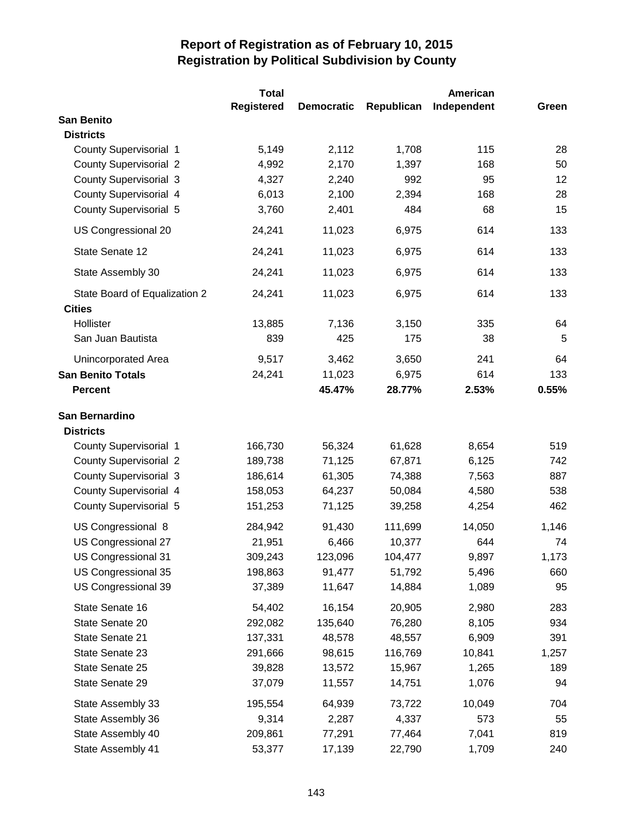|                                                | <b>Total</b>      |                   |            | American    |       |
|------------------------------------------------|-------------------|-------------------|------------|-------------|-------|
|                                                | <b>Registered</b> | <b>Democratic</b> | Republican | Independent | Green |
| <b>San Benito</b>                              |                   |                   |            |             |       |
| <b>Districts</b>                               |                   |                   |            |             |       |
| <b>County Supervisorial 1</b>                  | 5,149             | 2,112             | 1,708      | 115         | 28    |
| <b>County Supervisorial 2</b>                  | 4,992             | 2,170             | 1,397      | 168         | 50    |
| <b>County Supervisorial 3</b>                  | 4,327             | 2,240             | 992        | 95          | 12    |
| County Supervisorial 4                         | 6,013             | 2,100             | 2,394      | 168         | 28    |
| <b>County Supervisorial 5</b>                  | 3,760             | 2,401             | 484        | 68          | 15    |
| US Congressional 20                            | 24,241            | 11,023            | 6,975      | 614         | 133   |
| State Senate 12                                | 24,241            | 11,023            | 6,975      | 614         | 133   |
| State Assembly 30                              | 24,241            | 11,023            | 6,975      | 614         | 133   |
| State Board of Equalization 2<br><b>Cities</b> | 24,241            | 11,023            | 6,975      | 614         | 133   |
| Hollister                                      | 13,885            | 7,136             | 3,150      | 335         | 64    |
| San Juan Bautista                              | 839               | 425               | 175        | 38          | 5     |
| Unincorporated Area                            | 9,517             | 3,462             | 3,650      | 241         | 64    |
| <b>San Benito Totals</b>                       | 24,241            | 11,023            | 6,975      | 614         | 133   |
| <b>Percent</b>                                 |                   | 45.47%            | 28.77%     | 2.53%       | 0.55% |
|                                                |                   |                   |            |             |       |
| San Bernardino                                 |                   |                   |            |             |       |
| <b>Districts</b>                               |                   |                   |            |             |       |
| County Supervisorial 1                         | 166,730           | 56,324            | 61,628     | 8,654       | 519   |
| <b>County Supervisorial 2</b>                  | 189,738           | 71,125            | 67,871     | 6,125       | 742   |
| <b>County Supervisorial 3</b>                  | 186,614           | 61,305            | 74,388     | 7,563       | 887   |
| <b>County Supervisorial 4</b>                  | 158,053           | 64,237            | 50,084     | 4,580       | 538   |
| <b>County Supervisorial 5</b>                  | 151,253           | 71,125            | 39,258     | 4,254       | 462   |
| US Congressional 8                             | 284,942           | 91,430            | 111,699    | 14,050      | 1,146 |
| US Congressional 27                            | 21,951            | 6,466             | 10,377     | 644         | 74    |
| US Congressional 31                            | 309,243           | 123,096           | 104,477    | 9,897       | 1,173 |
| US Congressional 35                            | 198,863           | 91,477            | 51,792     | 5,496       | 660   |
| US Congressional 39                            | 37,389            | 11,647            | 14,884     | 1,089       | 95    |
| State Senate 16                                | 54,402            | 16,154            | 20,905     | 2,980       | 283   |
| State Senate 20                                | 292,082           | 135,640           | 76,280     | 8,105       | 934   |
| State Senate 21                                | 137,331           | 48,578            | 48,557     | 6,909       | 391   |
| State Senate 23                                | 291,666           | 98,615            | 116,769    | 10,841      | 1,257 |
| State Senate 25                                | 39,828            | 13,572            | 15,967     | 1,265       | 189   |
| State Senate 29                                | 37,079            | 11,557            | 14,751     | 1,076       | 94    |
| State Assembly 33                              | 195,554           | 64,939            | 73,722     | 10,049      | 704   |
| State Assembly 36                              | 9,314             | 2,287             | 4,337      | 573         | 55    |
| State Assembly 40                              | 209,861           | 77,291            | 77,464     | 7,041       | 819   |
| State Assembly 41                              | 53,377            | 17,139            | 22,790     | 1,709       | 240   |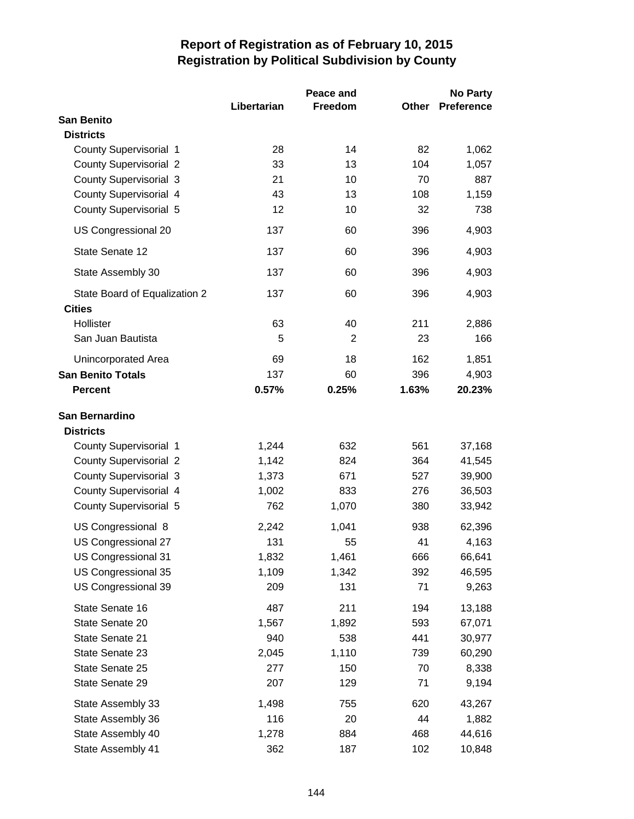|                               | Libertarian | Peace and<br>Freedom | Other | <b>No Party</b><br><b>Preference</b> |
|-------------------------------|-------------|----------------------|-------|--------------------------------------|
| <b>San Benito</b>             |             |                      |       |                                      |
| <b>Districts</b>              |             |                      |       |                                      |
| <b>County Supervisorial 1</b> | 28          | 14                   | 82    | 1,062                                |
| <b>County Supervisorial 2</b> | 33          | 13                   | 104   | 1,057                                |
| <b>County Supervisorial 3</b> | 21          | 10                   | 70    | 887                                  |
| <b>County Supervisorial 4</b> | 43          | 13                   | 108   | 1,159                                |
| <b>County Supervisorial 5</b> | 12          | 10                   | 32    | 738                                  |
| US Congressional 20           | 137         | 60                   | 396   | 4,903                                |
| State Senate 12               | 137         | 60                   | 396   | 4,903                                |
| State Assembly 30             | 137         | 60                   | 396   | 4,903                                |
| State Board of Equalization 2 | 137         | 60                   | 396   | 4,903                                |
| <b>Cities</b>                 |             |                      |       |                                      |
| Hollister                     | 63          | 40                   | 211   | 2,886                                |
| San Juan Bautista             | 5           | 2                    | 23    | 166                                  |
| Unincorporated Area           | 69          | 18                   | 162   | 1,851                                |
| <b>San Benito Totals</b>      | 137         | 60                   | 396   | 4,903                                |
| <b>Percent</b>                | 0.57%       | 0.25%                | 1.63% | 20.23%                               |
| San Bernardino                |             |                      |       |                                      |
| <b>Districts</b>              |             |                      |       |                                      |
| County Supervisorial 1        | 1,244       | 632                  | 561   | 37,168                               |
| <b>County Supervisorial 2</b> | 1,142       | 824                  | 364   | 41,545                               |
| <b>County Supervisorial 3</b> | 1,373       | 671                  | 527   | 39,900                               |
| County Supervisorial 4        | 1,002       | 833                  | 276   | 36,503                               |
| <b>County Supervisorial 5</b> | 762         | 1,070                | 380   | 33,942                               |
| US Congressional 8            | 2,242       | 1,041                | 938   | 62,396                               |
| US Congressional 27           | 131         | 55                   | 41    | 4,163                                |
| US Congressional 31           | 1,832       | 1,461                | 666   | 66,641                               |
| US Congressional 35           | 1,109       | 1,342                | 392   | 46,595                               |
| US Congressional 39           | 209         | 131                  | 71    | 9,263                                |
| State Senate 16               | 487         | 211                  | 194   | 13,188                               |
| State Senate 20               | 1,567       | 1,892                | 593   | 67,071                               |
| State Senate 21               | 940         | 538                  | 441   | 30,977                               |
| State Senate 23               | 2,045       | 1,110                | 739   | 60,290                               |
| State Senate 25               | 277         | 150                  | 70    | 8,338                                |
| State Senate 29               | 207         | 129                  | 71    | 9,194                                |
| State Assembly 33             | 1,498       | 755                  | 620   | 43,267                               |
| State Assembly 36             | 116         | 20                   | 44    | 1,882                                |
| State Assembly 40             | 1,278       | 884                  | 468   | 44,616                               |
| State Assembly 41             | 362         | 187                  | 102   | 10,848                               |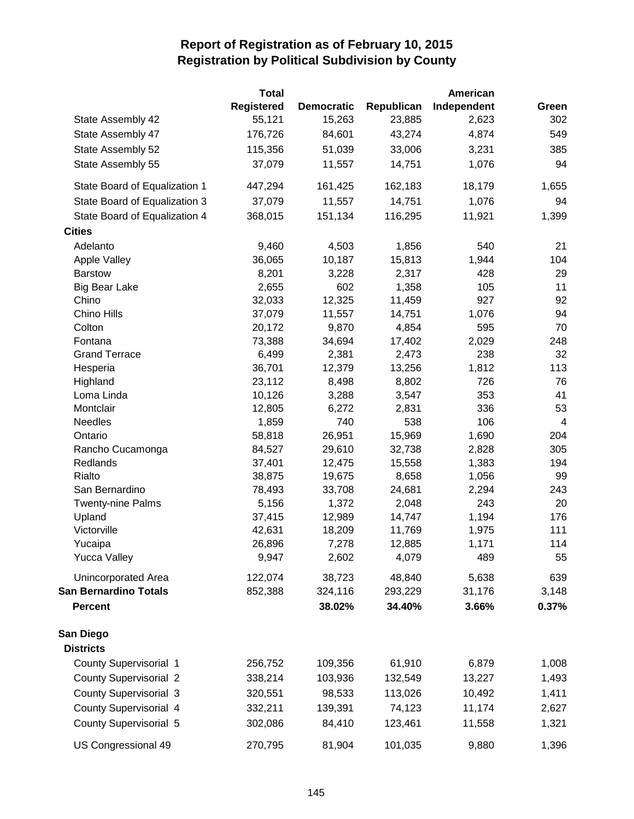|                                    | <b>Total</b>      |                   |                 | American     |                |
|------------------------------------|-------------------|-------------------|-----------------|--------------|----------------|
|                                    | <b>Registered</b> | <b>Democratic</b> | Republican      | Independent  | Green          |
| State Assembly 42                  | 55,121            | 15,263            | 23,885          | 2,623        | 302            |
| State Assembly 47                  | 176,726           | 84,601            | 43,274          | 4,874        | 549            |
| State Assembly 52                  | 115,356           | 51,039            | 33,006          | 3,231        | 385            |
| State Assembly 55                  | 37,079            | 11,557            | 14,751          | 1,076        | 94             |
| State Board of Equalization 1      | 447,294           | 161,425           | 162,183         | 18,179       | 1,655          |
| State Board of Equalization 3      | 37,079            | 11,557            | 14,751          | 1,076        | 94             |
| State Board of Equalization 4      | 368,015           | 151,134           | 116,295         | 11,921       | 1,399          |
| <b>Cities</b>                      |                   |                   |                 |              |                |
| Adelanto                           | 9,460             | 4,503             | 1,856           | 540          | 21             |
| <b>Apple Valley</b>                | 36,065            | 10,187            | 15,813          | 1,944        | 104            |
| <b>Barstow</b>                     | 8,201             | 3,228             | 2,317           | 428          | 29             |
| <b>Big Bear Lake</b>               | 2,655             | 602               | 1,358           | 105          | 11             |
| Chino                              | 32,033            | 12,325            | 11,459          | 927          | 92             |
| Chino Hills                        | 37,079            | 11,557            | 14,751          | 1,076        | 94             |
| Colton                             | 20,172            | 9,870             | 4,854           | 595          | 70             |
| Fontana                            | 73,388            | 34,694            | 17,402          | 2,029        | 248            |
| <b>Grand Terrace</b>               | 6,499             | 2,381             | 2,473           | 238          | 32             |
| Hesperia                           | 36,701            | 12,379            | 13,256          | 1,812        | 113            |
| Highland                           | 23,112            | 8,498             | 8,802           | 726          | 76             |
| Loma Linda                         | 10,126            | 3,288             | 3,547           | 353          | 41             |
| Montclair                          | 12,805            | 6,272             | 2,831           | 336          | 53             |
| <b>Needles</b>                     | 1,859             | 740               | 538             | 106          | $\overline{4}$ |
| Ontario                            | 58,818            | 26,951            | 15,969          | 1,690        | 204            |
| Rancho Cucamonga                   | 84,527            | 29,610            | 32,738          | 2,828        | 305            |
| Redlands                           | 37,401            | 12,475            | 15,558          | 1,383        | 194            |
| Rialto                             | 38,875            | 19,675            | 8,658           | 1,056        | 99             |
| San Bernardino                     | 78,493            | 33,708<br>1,372   | 24,681          | 2,294<br>243 | 243<br>20      |
| <b>Twenty-nine Palms</b><br>Upland | 5,156<br>37,415   | 12,989            | 2,048<br>14,747 | 1,194        | 176            |
| Victorville                        | 42,631            | 18,209            | 11,769          | 1,975        | 111            |
| Yucaipa                            | 26,896            | 7,278             | 12,885          | 1,171        | 114            |
| <b>Yucca Valley</b>                | 9,947             | 2,602             | 4,079           | 489          | 55             |
| Unincorporated Area                | 122,074           | 38,723            | 48,840          | 5,638        | 639            |
| <b>San Bernardino Totals</b>       | 852,388           | 324,116           | 293,229         | 31,176       | 3,148          |
| <b>Percent</b>                     |                   | 38.02%            | 34.40%          | 3.66%        | 0.37%          |
| San Diego                          |                   |                   |                 |              |                |
| <b>Districts</b>                   |                   |                   |                 |              |                |
| County Supervisorial 1             | 256,752           | 109,356           | 61,910          | 6,879        | 1,008          |
| <b>County Supervisorial 2</b>      | 338,214           | 103,936           | 132,549         | 13,227       | 1,493          |
| <b>County Supervisorial 3</b>      | 320,551           | 98,533            | 113,026         | 10,492       | 1,411          |
| County Supervisorial 4             | 332,211           | 139,391           | 74,123          | 11,174       | 2,627          |
| <b>County Supervisorial 5</b>      | 302,086           | 84,410            | 123,461         | 11,558       | 1,321          |
| US Congressional 49                | 270,795           | 81,904            | 101,035         | 9,880        | 1,396          |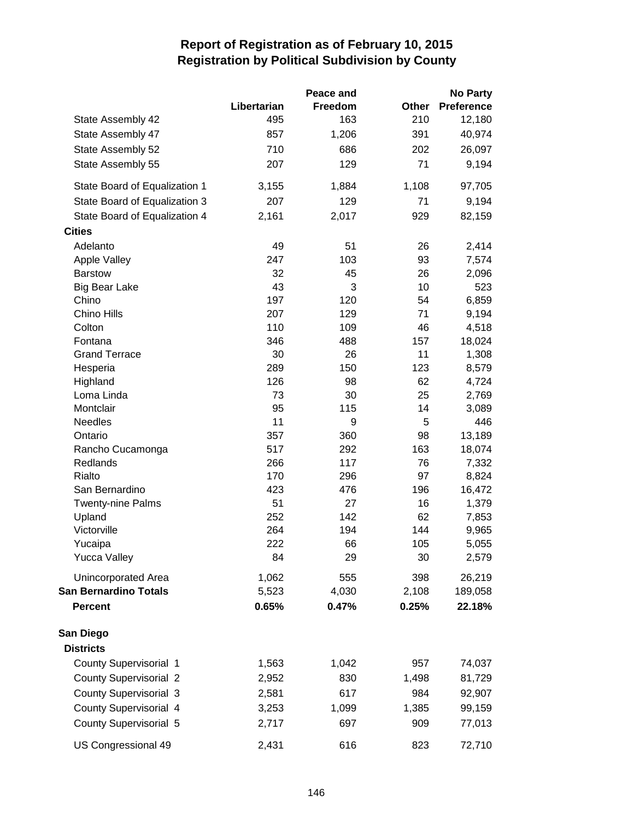|                               |             | Peace and  |           | <b>No Party</b>   |
|-------------------------------|-------------|------------|-----------|-------------------|
|                               | Libertarian | Freedom    | Other     | <b>Preference</b> |
| State Assembly 42             | 495         | 163        | 210       | 12,180            |
| State Assembly 47             | 857         | 1,206      | 391       | 40,974            |
| State Assembly 52             | 710         | 686        | 202       | 26,097            |
| State Assembly 55             | 207         | 129        | 71        | 9,194             |
| State Board of Equalization 1 | 3,155       | 1,884      | 1,108     | 97,705            |
| State Board of Equalization 3 | 207         | 129        | 71        | 9,194             |
| State Board of Equalization 4 | 2,161       | 2,017      | 929       | 82,159            |
| <b>Cities</b>                 |             |            |           |                   |
| Adelanto                      | 49          | 51         | 26        | 2,414             |
| <b>Apple Valley</b>           | 247         | 103        | 93        | 7,574             |
| <b>Barstow</b>                | 32          | 45         | 26        | 2,096             |
| <b>Big Bear Lake</b>          | 43          | 3          | 10        | 523               |
| Chino                         | 197         | 120        | 54        | 6,859             |
| Chino Hills                   | 207         | 129        | 71        | 9,194             |
| Colton                        | 110         | 109        | 46        | 4,518             |
| Fontana                       | 346         | 488        | 157       | 18,024            |
| <b>Grand Terrace</b>          | 30          | 26         | 11        | 1,308             |
| Hesperia                      | 289         | 150        | 123       | 8,579             |
| Highland                      | 126         | 98         | 62        | 4,724             |
| Loma Linda                    | 73          | 30         | 25        | 2,769             |
| Montclair                     | 95          | 115        | 14        | 3,089             |
| <b>Needles</b>                | 11          | 9          | 5         | 446               |
| Ontario                       | 357<br>517  | 360<br>292 | 98<br>163 | 13,189<br>18,074  |
| Rancho Cucamonga<br>Redlands  | 266         | 117        | 76        | 7,332             |
| Rialto                        | 170         | 296        | 97        | 8,824             |
| San Bernardino                | 423         | 476        | 196       | 16,472            |
| <b>Twenty-nine Palms</b>      | 51          | 27         | 16        | 1,379             |
| Upland                        | 252         | 142        | 62        | 7,853             |
| Victorville                   | 264         | 194        | 144       | 9,965             |
| Yucaipa                       | 222         | 66         | 105       | 5,055             |
| <b>Yucca Valley</b>           | 84          | 29         | 30        | 2,579             |
| Unincorporated Area           | 1,062       | 555        | 398       | 26,219            |
| <b>San Bernardino Totals</b>  | 5,523       | 4,030      | 2,108     | 189,058           |
| <b>Percent</b>                | 0.65%       | 0.47%      | 0.25%     | 22.18%            |
| San Diego                     |             |            |           |                   |
| <b>Districts</b>              |             |            |           |                   |
| <b>County Supervisorial 1</b> | 1,563       | 1,042      | 957       | 74,037            |
| <b>County Supervisorial 2</b> | 2,952       | 830        | 1,498     | 81,729            |
| <b>County Supervisorial 3</b> | 2,581       | 617        | 984       | 92,907            |
| County Supervisorial 4        | 3,253       | 1,099      | 1,385     | 99,159            |
| <b>County Supervisorial 5</b> | 2,717       | 697        | 909       | 77,013            |
| US Congressional 49           | 2,431       | 616        | 823       | 72,710            |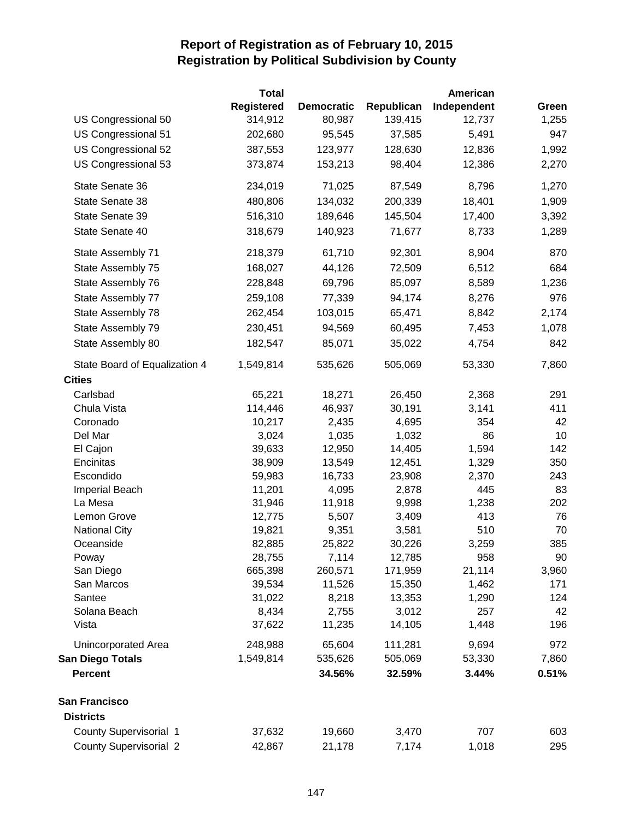|                               | Total      |                   |            | American    |       |
|-------------------------------|------------|-------------------|------------|-------------|-------|
|                               | Registered | <b>Democratic</b> | Republican | Independent | Green |
| US Congressional 50           | 314,912    | 80,987            | 139,415    | 12,737      | 1,255 |
| US Congressional 51           | 202,680    | 95,545            | 37,585     | 5,491       | 947   |
| US Congressional 52           | 387,553    | 123,977           | 128,630    | 12,836      | 1,992 |
| US Congressional 53           | 373,874    | 153,213           | 98,404     | 12,386      | 2,270 |
| State Senate 36               | 234,019    | 71,025            | 87,549     | 8,796       | 1,270 |
| State Senate 38               | 480,806    | 134,032           | 200,339    | 18,401      | 1,909 |
| State Senate 39               | 516,310    | 189,646           | 145,504    | 17,400      | 3,392 |
| State Senate 40               | 318,679    | 140,923           | 71,677     | 8,733       | 1,289 |
| State Assembly 71             | 218,379    | 61,710            | 92,301     | 8,904       | 870   |
| State Assembly 75             | 168,027    | 44,126            | 72,509     | 6,512       | 684   |
| State Assembly 76             | 228,848    | 69,796            | 85,097     | 8,589       | 1,236 |
| State Assembly 77             | 259,108    | 77,339            | 94,174     | 8,276       | 976   |
| State Assembly 78             | 262,454    | 103,015           | 65,471     | 8,842       | 2,174 |
| State Assembly 79             | 230,451    | 94,569            | 60,495     | 7,453       | 1,078 |
| State Assembly 80             | 182,547    | 85,071            | 35,022     | 4,754       | 842   |
| State Board of Equalization 4 | 1,549,814  | 535,626           | 505,069    | 53,330      | 7,860 |
| <b>Cities</b>                 |            |                   |            |             |       |
| Carlsbad                      | 65,221     | 18,271            | 26,450     | 2,368       | 291   |
| Chula Vista                   | 114,446    | 46,937            | 30,191     | 3,141       | 411   |
| Coronado                      | 10,217     | 2,435             | 4,695      | 354         | 42    |
| Del Mar                       | 3,024      | 1,035             | 1,032      | 86          | 10    |
| El Cajon                      | 39,633     | 12,950            | 14,405     | 1,594       | 142   |
| Encinitas                     | 38,909     | 13,549            | 12,451     | 1,329       | 350   |
| Escondido                     | 59,983     | 16,733            | 23,908     | 2,370       | 243   |
| Imperial Beach                | 11,201     | 4,095             | 2,878      | 445         | 83    |
| La Mesa                       | 31,946     | 11,918            | 9,998      | 1,238       | 202   |
| Lemon Grove                   | 12,775     | 5,507             | 3,409      | 413         | 76    |
| <b>National City</b>          | 19,821     | 9,351             | 3,581      | 510         | 70    |
| Oceanside                     | 82,885     | 25,822            | 30,226     | 3,259       | 385   |
| Poway                         | 28,755     | 7,114             | 12,785     | 958         | 90    |
| San Diego                     | 665,398    | 260,571           | 171,959    | 21,114      | 3,960 |
| San Marcos                    | 39,534     | 11,526            | 15,350     | 1,462       | 171   |
| Santee                        | 31,022     | 8,218             | 13,353     | 1,290       | 124   |
| Solana Beach                  | 8,434      | 2,755             | 3,012      | 257         | 42    |
| Vista                         | 37,622     | 11,235            | 14,105     | 1,448       | 196   |
| Unincorporated Area           | 248,988    | 65,604            | 111,281    | 9,694       | 972   |
| <b>San Diego Totals</b>       | 1,549,814  | 535,626           | 505,069    | 53,330      | 7,860 |
| <b>Percent</b>                |            | 34.56%            | 32.59%     | 3.44%       | 0.51% |
| <b>San Francisco</b>          |            |                   |            |             |       |
| <b>Districts</b>              |            |                   |            |             |       |
| County Supervisorial 1        | 37,632     | 19,660            | 3,470      | 707         | 603   |
| <b>County Supervisorial 2</b> | 42,867     | 21,178            | 7,174      | 1,018       | 295   |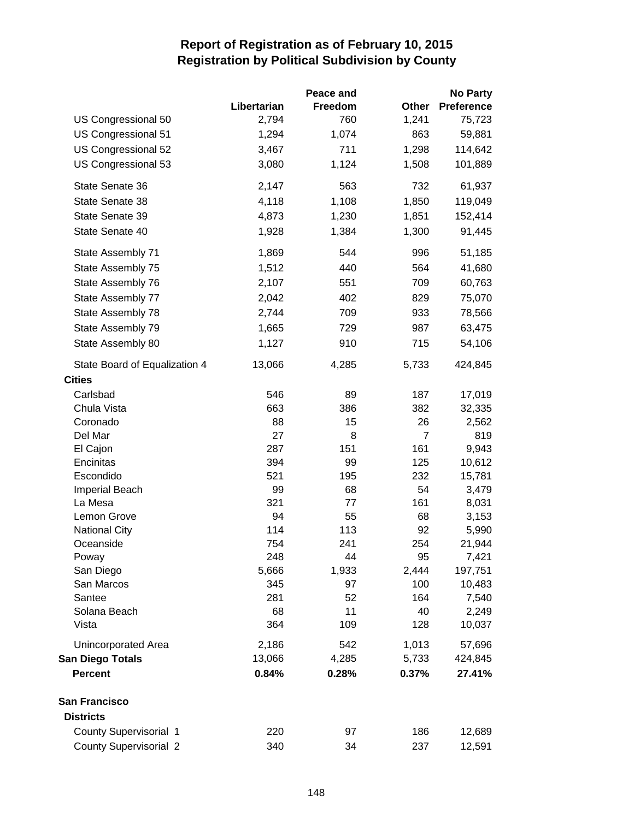|                               |              | Peace and   |                | <b>No Party</b>   |
|-------------------------------|--------------|-------------|----------------|-------------------|
|                               | Libertarian  | Freedom     | Other          | <b>Preference</b> |
| US Congressional 50           | 2,794        | 760         | 1,241          | 75,723            |
| US Congressional 51           | 1,294        | 1,074       | 863            | 59,881            |
| US Congressional 52           | 3,467        | 711         | 1,298          | 114,642           |
| US Congressional 53           | 3,080        | 1,124       | 1,508          | 101,889           |
| State Senate 36               | 2,147        | 563         | 732            | 61,937            |
| State Senate 38               | 4,118        | 1,108       | 1,850          | 119,049           |
| State Senate 39               | 4,873        | 1,230       | 1,851          | 152,414           |
| State Senate 40               | 1,928        | 1,384       | 1,300          | 91,445            |
| State Assembly 71             | 1,869        | 544         | 996            | 51,185            |
| State Assembly 75             | 1,512        | 440         | 564            | 41,680            |
| State Assembly 76             | 2,107        | 551         | 709            | 60,763            |
| State Assembly 77             | 2,042        | 402         | 829            | 75,070            |
| State Assembly 78             | 2,744        | 709         | 933            | 78,566            |
| State Assembly 79             | 1,665        | 729         | 987            | 63,475            |
| State Assembly 80             | 1,127        | 910         | 715            | 54,106            |
| State Board of Equalization 4 | 13,066       | 4,285       | 5,733          | 424,845           |
| <b>Cities</b>                 |              |             |                |                   |
| Carlsbad                      | 546          | 89          | 187            | 17,019            |
| Chula Vista                   | 663          | 386         | 382            | 32,335            |
| Coronado                      | 88           | 15          | 26             | 2,562             |
| Del Mar                       | 27           | 8           | $\overline{7}$ | 819               |
| El Cajon                      | 287          | 151         | 161            | 9,943             |
| Encinitas                     | 394          | 99          | 125            | 10,612            |
| Escondido                     | 521          | 195         | 232            | 15,781            |
| <b>Imperial Beach</b>         | 99           | 68          | 54             | 3,479             |
| La Mesa                       | 321          | 77          | 161            | 8,031             |
| Lemon Grove                   | 94           | 55          | 68             | 3,153             |
| <b>National City</b>          | 114          | 113         | 92             | 5,990             |
| Oceanside                     | 754          | 241         | 254            | 21,944            |
| Poway<br>San Diego            | 248<br>5,666 | 44<br>1,933 | 95<br>2,444    | 7,421<br>197,751  |
| San Marcos                    | 345          | 97          | 100            | 10,483            |
| Santee                        | 281          | 52          | 164            | 7,540             |
| Solana Beach                  | 68           | 11          | 40             | 2,249             |
| Vista                         | 364          | 109         | 128            | 10,037            |
| Unincorporated Area           | 2,186        | 542         | 1,013          | 57,696            |
| <b>San Diego Totals</b>       | 13,066       | 4,285       | 5,733          | 424,845           |
| <b>Percent</b>                | 0.84%        | 0.28%       | 0.37%          | 27.41%            |
| <b>San Francisco</b>          |              |             |                |                   |
| <b>Districts</b>              |              |             |                |                   |
| <b>County Supervisorial 1</b> | 220          | 97          | 186            | 12,689            |
| <b>County Supervisorial 2</b> | 340          | 34          | 237            | 12,591            |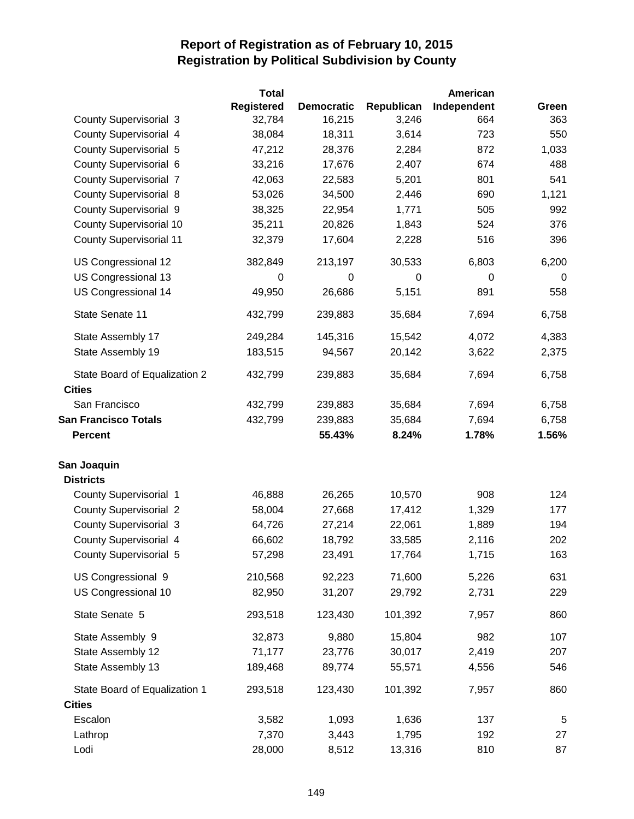|                                                | <b>Total</b>      |                   |             | American    |                |
|------------------------------------------------|-------------------|-------------------|-------------|-------------|----------------|
|                                                | <b>Registered</b> | <b>Democratic</b> | Republican  | Independent | Green          |
| <b>County Supervisorial 3</b>                  | 32,784            | 16,215            | 3,246       | 664         | 363            |
| County Supervisorial 4                         | 38,084            | 18,311            | 3,614       | 723         | 550            |
| <b>County Supervisorial 5</b>                  | 47,212            | 28,376            | 2,284       | 872         | 1,033          |
| County Supervisorial 6                         | 33,216            | 17,676            | 2,407       | 674         | 488            |
| <b>County Supervisorial 7</b>                  | 42,063            | 22,583            | 5,201       | 801         | 541            |
| <b>County Supervisorial 8</b>                  | 53,026            | 34,500            | 2,446       | 690         | 1,121          |
| <b>County Supervisorial 9</b>                  | 38,325            | 22,954            | 1,771       | 505         | 992            |
| <b>County Supervisorial 10</b>                 | 35,211            | 20,826            | 1,843       | 524         | 376            |
| <b>County Supervisorial 11</b>                 | 32,379            | 17,604            | 2,228       | 516         | 396            |
| US Congressional 12                            | 382,849           | 213,197           | 30,533      | 6,803       | 6,200          |
| US Congressional 13                            | $\mathbf 0$       | 0                 | $\mathbf 0$ | $\mathbf 0$ | $\overline{0}$ |
| US Congressional 14                            | 49,950            | 26,686            | 5,151       | 891         | 558            |
| State Senate 11                                | 432,799           | 239,883           | 35,684      | 7,694       | 6,758          |
| State Assembly 17                              | 249,284           | 145,316           | 15,542      | 4,072       | 4,383          |
| State Assembly 19                              | 183,515           | 94,567            | 20,142      | 3,622       | 2,375          |
| State Board of Equalization 2<br><b>Cities</b> | 432,799           | 239,883           | 35,684      | 7,694       | 6,758          |
| San Francisco                                  | 432,799           | 239,883           | 35,684      | 7,694       | 6,758          |
| <b>San Francisco Totals</b>                    | 432,799           | 239,883           | 35,684      | 7,694       | 6,758          |
| <b>Percent</b>                                 |                   | 55.43%            | 8.24%       | 1.78%       | 1.56%          |
|                                                |                   |                   |             |             |                |
| San Joaquin<br><b>Districts</b>                |                   |                   |             |             |                |
| County Supervisorial 1                         | 46,888            | 26,265            | 10,570      | 908         | 124            |
| <b>County Supervisorial 2</b>                  | 58,004            | 27,668            | 17,412      | 1,329       | 177            |
| <b>County Supervisorial 3</b>                  | 64,726            | 27,214            | 22,061      | 1,889       | 194            |
| County Supervisorial 4                         | 66,602            | 18,792            | 33,585      | 2,116       | 202            |
| <b>County Supervisorial 5</b>                  | 57,298            | 23,491            | 17,764      | 1,715       | 163            |
| US Congressional 9                             | 210,568           | 92,223            | 71,600      | 5,226       | 631            |
| US Congressional 10                            | 82,950            | 31,207            | 29,792      | 2,731       | 229            |
| State Senate 5                                 | 293,518           | 123,430           | 101,392     | 7,957       | 860            |
| State Assembly 9                               | 32,873            | 9,880             | 15,804      | 982         | 107            |
| State Assembly 12                              | 71,177            | 23,776            | 30,017      | 2,419       | 207            |
| State Assembly 13                              | 189,468           | 89,774            | 55,571      | 4,556       | 546            |
| State Board of Equalization 1                  | 293,518           | 123,430           | 101,392     | 7,957       | 860            |
| <b>Cities</b>                                  |                   |                   |             |             |                |
| Escalon                                        | 3,582             | 1,093             | 1,636       | 137         | $\,$ 5 $\,$    |
| Lathrop                                        | 7,370             | 3,443             | 1,795       | 192         | 27             |
| Lodi                                           | 28,000            | 8,512             | 13,316      | 810         | 87             |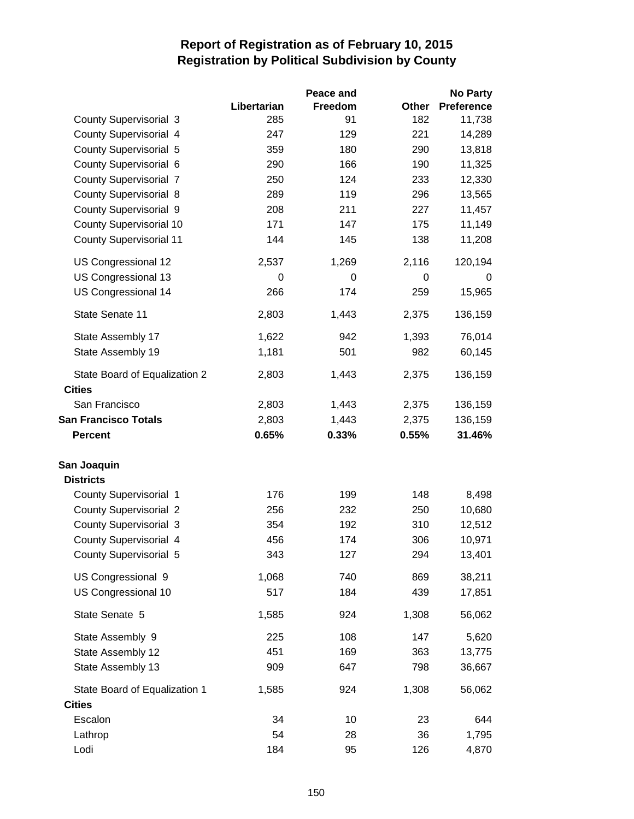|                                                |             | Peace and |       | <b>No Party</b>   |
|------------------------------------------------|-------------|-----------|-------|-------------------|
|                                                | Libertarian | Freedom   | Other | <b>Preference</b> |
| <b>County Supervisorial 3</b>                  | 285         | 91        | 182   | 11,738            |
| County Supervisorial 4                         | 247         | 129       | 221   | 14,289            |
| <b>County Supervisorial 5</b>                  | 359         | 180       | 290   | 13,818            |
| County Supervisorial 6                         | 290         | 166       | 190   | 11,325            |
| <b>County Supervisorial 7</b>                  | 250         | 124       | 233   | 12,330            |
| <b>County Supervisorial 8</b>                  | 289         | 119       | 296   | 13,565            |
| <b>County Supervisorial 9</b>                  | 208         | 211       | 227   | 11,457            |
| <b>County Supervisorial 10</b>                 | 171         | 147       | 175   | 11,149            |
| <b>County Supervisorial 11</b>                 | 144         | 145       | 138   | 11,208            |
| US Congressional 12                            | 2,537       | 1,269     | 2,116 | 120,194           |
| US Congressional 13                            | 0           | 0         | 0     | 0                 |
| US Congressional 14                            | 266         | 174       | 259   | 15,965            |
| State Senate 11                                | 2,803       | 1,443     | 2,375 | 136,159           |
| State Assembly 17                              | 1,622       | 942       | 1,393 | 76,014            |
| State Assembly 19                              | 1,181       | 501       | 982   | 60,145            |
| State Board of Equalization 2<br><b>Cities</b> | 2,803       | 1,443     | 2,375 | 136,159           |
| San Francisco                                  | 2,803       | 1,443     | 2,375 | 136,159           |
| <b>San Francisco Totals</b>                    | 2,803       | 1,443     | 2,375 | 136,159           |
| <b>Percent</b>                                 | 0.65%       | 0.33%     | 0.55% | 31.46%            |
| San Joaquin                                    |             |           |       |                   |
| <b>Districts</b>                               |             |           |       |                   |
| County Supervisorial 1                         | 176         | 199       | 148   | 8,498             |
| <b>County Supervisorial 2</b>                  | 256         | 232       | 250   | 10,680            |
| <b>County Supervisorial 3</b>                  | 354         | 192       | 310   | 12,512            |
| <b>County Supervisorial 4</b>                  | 456         | 174       | 306   | 10,971            |
| County Supervisorial 5                         | 343         | 127       | 294   | 13,401            |
| US Congressional 9                             | 1,068       | 740       | 869   | 38,211            |
| US Congressional 10                            | 517         | 184       | 439   | 17,851            |
| State Senate 5                                 | 1,585       | 924       | 1,308 | 56,062            |
| State Assembly 9                               | 225         | 108       | 147   | 5,620             |
| State Assembly 12                              | 451         | 169       | 363   | 13,775            |
| State Assembly 13                              | 909         | 647       | 798   | 36,667            |
| State Board of Equalization 1                  | 1,585       | 924       | 1,308 | 56,062            |
| <b>Cities</b>                                  |             |           |       |                   |
| Escalon                                        | 34          | 10        | 23    | 644               |
| Lathrop                                        | 54          | 28        | 36    | 1,795             |
| Lodi                                           | 184         | 95        | 126   | 4,870             |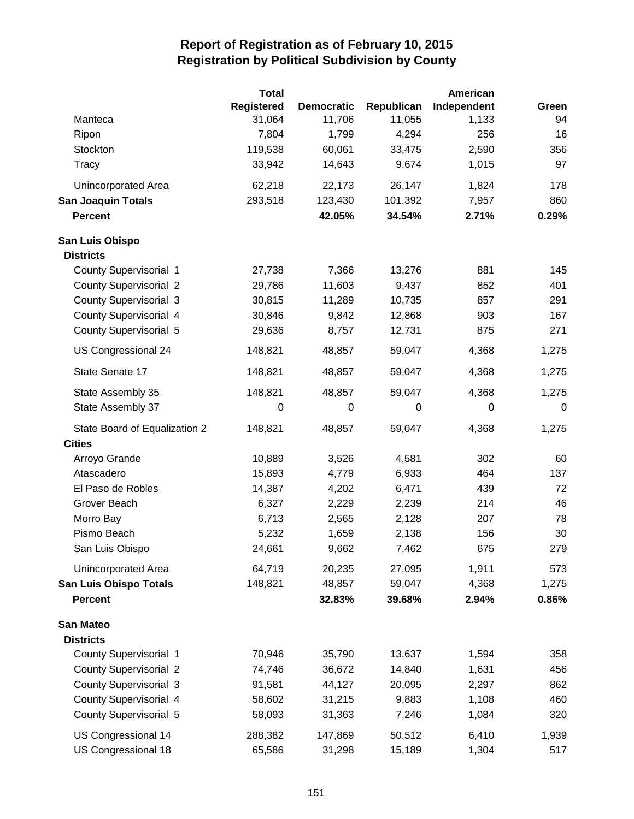|                               | <b>Total</b>      |                   |                  | American    |       |
|-------------------------------|-------------------|-------------------|------------------|-------------|-------|
|                               | <b>Registered</b> | <b>Democratic</b> | Republican       | Independent | Green |
| Manteca                       | 31,064            | 11,706            | 11,055           | 1,133       | 94    |
| Ripon                         | 7,804             | 1,799             | 4,294            | 256         | 16    |
| Stockton                      | 119,538           | 60,061            | 33,475           | 2,590       | 356   |
| Tracy                         | 33,942            | 14,643            | 9,674            | 1,015       | 97    |
| Unincorporated Area           | 62,218            | 22,173            | 26,147           | 1,824       | 178   |
| <b>San Joaquin Totals</b>     | 293,518           | 123,430           | 101,392          | 7,957       | 860   |
| <b>Percent</b>                |                   | 42.05%            | 34.54%           | 2.71%       | 0.29% |
| San Luis Obispo               |                   |                   |                  |             |       |
| <b>Districts</b>              |                   |                   |                  |             |       |
| <b>County Supervisorial 1</b> | 27,738            | 7,366             | 13,276           | 881         | 145   |
| <b>County Supervisorial 2</b> | 29,786            | 11,603            | 9,437            | 852         | 401   |
| <b>County Supervisorial 3</b> | 30,815            | 11,289            | 10,735           | 857         | 291   |
| <b>County Supervisorial 4</b> | 30,846            | 9,842             | 12,868           | 903         | 167   |
| <b>County Supervisorial 5</b> | 29,636            | 8,757             | 12,731           | 875         | 271   |
| US Congressional 24           | 148,821           | 48,857            | 59,047           | 4,368       | 1,275 |
| State Senate 17               | 148,821           | 48,857            | 59,047           | 4,368       | 1,275 |
| State Assembly 35             | 148,821           | 48,857            | 59,047           | 4,368       | 1,275 |
| State Assembly 37             | $\mathbf 0$       | $\mathbf 0$       | $\boldsymbol{0}$ | $\mathbf 0$ | 0     |
| State Board of Equalization 2 | 148,821           | 48,857            | 59,047           | 4,368       | 1,275 |
| <b>Cities</b>                 |                   |                   |                  |             |       |
| Arroyo Grande                 | 10,889            | 3,526             | 4,581            | 302         | 60    |
| Atascadero                    | 15,893            | 4,779             | 6,933            | 464         | 137   |
| El Paso de Robles             | 14,387            | 4,202             | 6,471            | 439         | 72    |
| Grover Beach                  | 6,327             | 2,229             | 2,239            | 214         | 46    |
| Morro Bay                     | 6,713             | 2,565             | 2,128            | 207         | 78    |
| Pismo Beach                   | 5,232             | 1,659             | 2,138            | 156         | 30    |
| San Luis Obispo               | 24,661            | 9,662             | 7,462            | 675         | 279   |
| Unincorporated Area           | 64,719            | 20,235            | 27,095           | 1,911       | 573   |
| <b>San Luis Obispo Totals</b> | 148,821           | 48,857            | 59,047           | 4,368       | 1,275 |
| <b>Percent</b>                |                   | 32.83%            | 39.68%           | 2.94%       | 0.86% |
| <b>San Mateo</b>              |                   |                   |                  |             |       |
| <b>Districts</b>              |                   |                   |                  |             |       |
| <b>County Supervisorial 1</b> | 70,946            | 35,790            | 13,637           | 1,594       | 358   |
| <b>County Supervisorial 2</b> | 74,746            | 36,672            | 14,840           | 1,631       | 456   |
| <b>County Supervisorial 3</b> | 91,581            | 44,127            | 20,095           | 2,297       | 862   |
| <b>County Supervisorial 4</b> | 58,602            | 31,215            | 9,883            | 1,108       | 460   |
| <b>County Supervisorial 5</b> | 58,093            | 31,363            | 7,246            | 1,084       | 320   |
| US Congressional 14           | 288,382           | 147,869           | 50,512           | 6,410       | 1,939 |
| US Congressional 18           | 65,586            | 31,298            | 15,189           | 1,304       | 517   |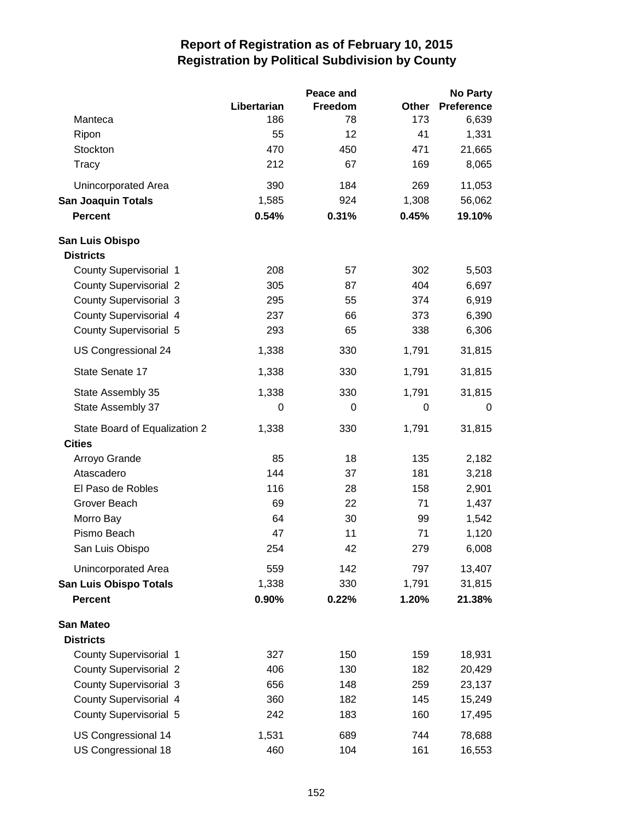|                               |             | Peace and |       | <b>No Party</b>   |
|-------------------------------|-------------|-----------|-------|-------------------|
|                               | Libertarian | Freedom   | Other | <b>Preference</b> |
| Manteca                       | 186         | 78        | 173   | 6,639             |
| Ripon                         | 55          | 12        | 41    | 1,331             |
| Stockton                      | 470         | 450       | 471   | 21,665            |
| Tracy                         | 212         | 67        | 169   | 8,065             |
| Unincorporated Area           | 390         | 184       | 269   | 11,053            |
| <b>San Joaquin Totals</b>     | 1,585       | 924       | 1,308 | 56,062            |
| <b>Percent</b>                | 0.54%       | 0.31%     | 0.45% | 19.10%            |
| San Luis Obispo               |             |           |       |                   |
| <b>Districts</b>              |             |           |       |                   |
| County Supervisorial 1        | 208         | 57        | 302   | 5,503             |
| <b>County Supervisorial 2</b> | 305         | 87        | 404   | 6,697             |
| <b>County Supervisorial 3</b> | 295         | 55        | 374   | 6,919             |
| County Supervisorial 4        | 237         | 66        | 373   | 6,390             |
| <b>County Supervisorial 5</b> | 293         | 65        | 338   | 6,306             |
| US Congressional 24           | 1,338       | 330       | 1,791 | 31,815            |
| State Senate 17               | 1,338       | 330       | 1,791 | 31,815            |
| State Assembly 35             | 1,338       | 330       | 1,791 | 31,815            |
| State Assembly 37             | 0           | 0         | 0     | 0                 |
| State Board of Equalization 2 | 1,338       | 330       | 1,791 | 31,815            |
| <b>Cities</b>                 |             |           |       |                   |
| Arroyo Grande                 | 85          | 18        | 135   | 2,182             |
| Atascadero                    | 144         | 37        | 181   | 3,218             |
| El Paso de Robles             | 116         | 28        | 158   | 2,901             |
| Grover Beach                  | 69          | 22        | 71    | 1,437             |
| Morro Bay                     | 64          | 30        | 99    | 1,542             |
| Pismo Beach                   | 47          | 11        | 71    | 1,120             |
| San Luis Obispo               | 254         | 42        | 279   | 6,008             |
| Unincorporated Area           | 559         | 142       | 797   | 13,407            |
| <b>San Luis Obispo Totals</b> | 1,338       | 330       | 1,791 | 31,815            |
| <b>Percent</b>                | 0.90%       | 0.22%     | 1.20% | 21.38%            |
| <b>San Mateo</b>              |             |           |       |                   |
| <b>Districts</b>              |             |           |       |                   |
| <b>County Supervisorial 1</b> | 327         | 150       | 159   | 18,931            |
| <b>County Supervisorial 2</b> | 406         | 130       | 182   | 20,429            |
| <b>County Supervisorial 3</b> | 656         | 148       | 259   | 23,137            |
| <b>County Supervisorial 4</b> | 360         | 182       | 145   | 15,249            |
| <b>County Supervisorial 5</b> | 242         | 183       | 160   | 17,495            |
| US Congressional 14           | 1,531       | 689       | 744   | 78,688            |
| US Congressional 18           | 460         | 104       | 161   | 16,553            |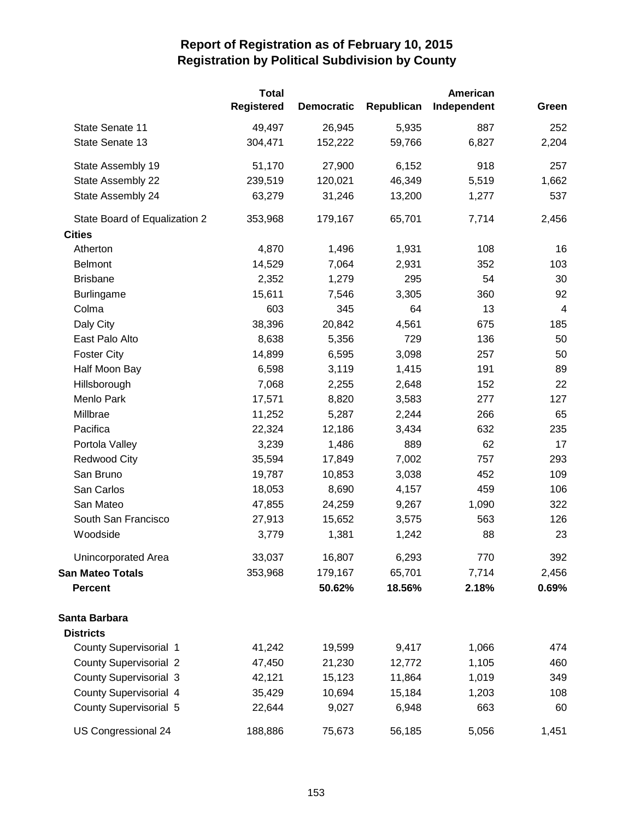|                               | <b>Total</b><br>American |                   |            |             |                |
|-------------------------------|--------------------------|-------------------|------------|-------------|----------------|
|                               | <b>Registered</b>        | <b>Democratic</b> | Republican | Independent | Green          |
| State Senate 11               | 49,497                   | 26,945            | 5,935      | 887         | 252            |
| State Senate 13               | 304,471                  | 152,222           | 59,766     | 6,827       | 2,204          |
| State Assembly 19             | 51,170                   | 27,900            | 6,152      | 918         | 257            |
| State Assembly 22             | 239,519                  | 120,021           | 46,349     | 5,519       | 1,662          |
| State Assembly 24             | 63,279                   | 31,246            | 13,200     | 1,277       | 537            |
| State Board of Equalization 2 | 353,968                  | 179,167           | 65,701     | 7,714       | 2,456          |
| <b>Cities</b>                 |                          |                   |            |             |                |
| Atherton                      | 4,870                    | 1,496             | 1,931      | 108         | 16             |
| <b>Belmont</b>                | 14,529                   | 7,064             | 2,931      | 352         | 103            |
| <b>Brisbane</b>               | 2,352                    | 1,279             | 295        | 54          | 30             |
| <b>Burlingame</b>             | 15,611                   | 7,546             | 3,305      | 360         | 92             |
| Colma                         | 603                      | 345               | 64         | 13          | $\overline{4}$ |
| Daly City                     | 38,396                   | 20,842            | 4,561      | 675         | 185            |
| East Palo Alto                | 8,638                    | 5,356             | 729        | 136         | 50             |
| <b>Foster City</b>            | 14,899                   | 6,595             | 3,098      | 257         | 50             |
| Half Moon Bay                 | 6,598                    | 3,119             | 1,415      | 191         | 89             |
| Hillsborough                  | 7,068                    | 2,255             | 2,648      | 152         | 22             |
| Menlo Park                    | 17,571                   | 8,820             | 3,583      | 277         | 127            |
| Millbrae                      | 11,252                   | 5,287             | 2,244      | 266         | 65             |
| Pacifica                      | 22,324                   | 12,186            | 3,434      | 632         | 235            |
| Portola Valley                | 3,239                    | 1,486             | 889        | 62          | 17             |
| <b>Redwood City</b>           | 35,594                   | 17,849            | 7,002      | 757         | 293            |
| San Bruno                     | 19,787                   | 10,853            | 3,038      | 452         | 109            |
| San Carlos                    | 18,053                   | 8,690             | 4,157      | 459         | 106            |
| San Mateo                     | 47,855                   | 24,259            | 9,267      | 1,090       | 322            |
| South San Francisco           | 27,913                   | 15,652            | 3,575      | 563         | 126            |
| Woodside                      | 3,779                    | 1,381             | 1,242      | 88          | 23             |
| Unincorporated Area           | 33,037                   | 16,807            | 6,293      | 770         | 392            |
| San Mateo Totals              | 353,968                  | 179,167           | 65,701     | 7,714       | 2,456          |
| <b>Percent</b>                |                          | 50.62%            | 18.56%     | 2.18%       | 0.69%          |
| Santa Barbara                 |                          |                   |            |             |                |
| <b>Districts</b>              |                          |                   |            |             |                |
| <b>County Supervisorial 1</b> | 41,242                   | 19,599            | 9,417      | 1,066       | 474            |
| <b>County Supervisorial 2</b> | 47,450                   | 21,230            | 12,772     | 1,105       | 460            |
| <b>County Supervisorial 3</b> | 42,121                   | 15,123            | 11,864     | 1,019       | 349            |
| County Supervisorial 4        | 35,429                   | 10,694            | 15,184     | 1,203       | 108            |
| <b>County Supervisorial 5</b> | 22,644                   | 9,027             | 6,948      | 663         | 60             |
| US Congressional 24           | 188,886                  | 75,673            | 56,185     | 5,056       | 1,451          |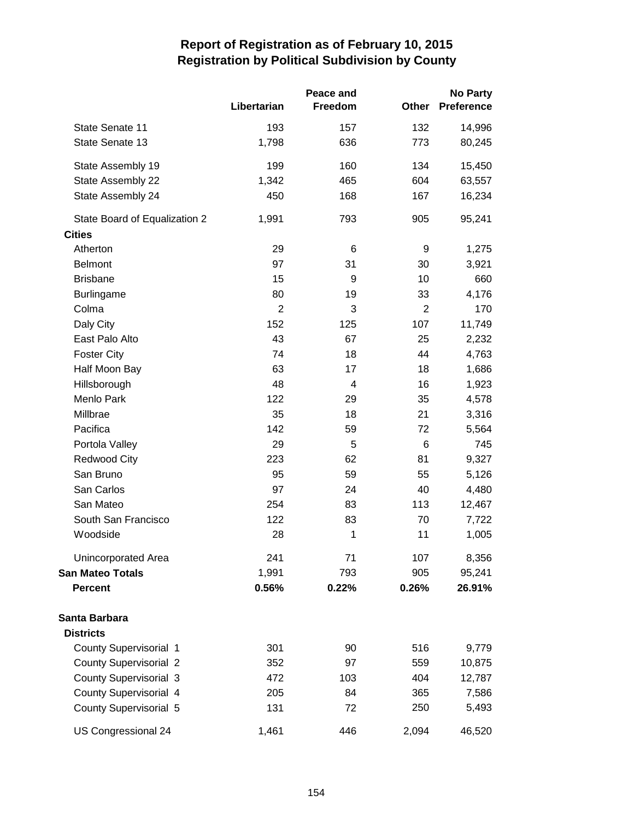|                               |             | Peace and |                | <b>No Party</b>   |  |
|-------------------------------|-------------|-----------|----------------|-------------------|--|
|                               | Libertarian | Freedom   | Other          | <b>Preference</b> |  |
| State Senate 11               | 193         | 157       | 132            | 14,996            |  |
| State Senate 13               | 1,798       | 636       | 773            | 80,245            |  |
| State Assembly 19             | 199         | 160       | 134            | 15,450            |  |
| State Assembly 22             | 1,342       | 465       | 604            | 63,557            |  |
| State Assembly 24             | 450         | 168       | 167            | 16,234            |  |
| State Board of Equalization 2 | 1,991       | 793       | 905            | 95,241            |  |
| <b>Cities</b>                 |             |           |                |                   |  |
| Atherton                      | 29          | 6         | 9              | 1,275             |  |
| <b>Belmont</b>                | 97          | 31        | 30             | 3,921             |  |
| <b>Brisbane</b>               | 15          | 9         | 10             | 660               |  |
| <b>Burlingame</b>             | 80          | 19        | 33             | 4,176             |  |
| Colma                         | 2           | 3         | $\overline{2}$ | 170               |  |
| Daly City                     | 152         | 125       | 107            | 11,749            |  |
| East Palo Alto                | 43          | 67        | 25             | 2,232             |  |
| <b>Foster City</b>            | 74          | 18        | 44             | 4,763             |  |
| Half Moon Bay                 | 63          | 17        | 18             | 1,686             |  |
| Hillsborough                  | 48          | 4         | 16             | 1,923             |  |
| Menlo Park                    | 122         | 29        | 35             | 4,578             |  |
| Millbrae                      | 35          | 18        | 21             | 3,316             |  |
| Pacifica                      | 142         | 59        | 72             | 5,564             |  |
| Portola Valley                | 29          | 5         | 6              | 745               |  |
| <b>Redwood City</b>           | 223         | 62        | 81             | 9,327             |  |
| San Bruno                     | 95          | 59        | 55             | 5,126             |  |
| San Carlos                    | 97          | 24        | 40             | 4,480             |  |
| San Mateo                     | 254         | 83        | 113            | 12,467            |  |
| South San Francisco           | 122         | 83        | 70             | 7,722             |  |
| Woodside                      | 28          | 1         | 11             | 1,005             |  |
| Unincorporated Area           | 241         | 71        | 107            | 8,356             |  |
| San Mateo Totals              | 1,991       | 793       | 905            | 95,241            |  |
| <b>Percent</b>                | 0.56%       | 0.22%     | 0.26%          | 26.91%            |  |
| Santa Barbara                 |             |           |                |                   |  |
| <b>Districts</b>              |             |           |                |                   |  |
| <b>County Supervisorial 1</b> | 301         | 90        | 516            | 9,779             |  |
| <b>County Supervisorial 2</b> | 352         | 97        | 559            | 10,875            |  |
| <b>County Supervisorial 3</b> | 472         | 103       | 404            | 12,787            |  |
| County Supervisorial 4        | 205         | 84        | 365            | 7,586             |  |
| <b>County Supervisorial 5</b> | 131         | 72        | 250            | 5,493             |  |
| US Congressional 24           | 1,461       | 446       | 2,094          | 46,520            |  |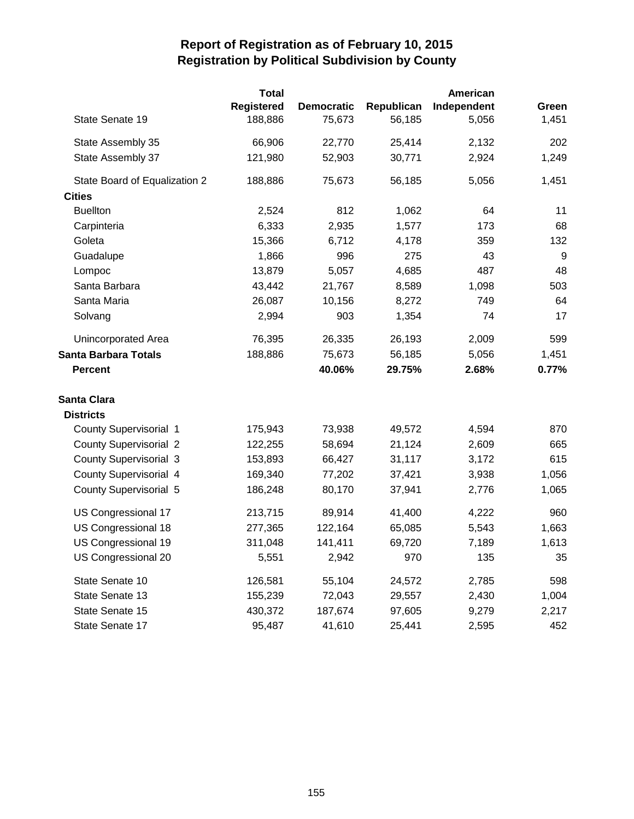|                               | <b>Total</b>      |                   |            | American    |       |
|-------------------------------|-------------------|-------------------|------------|-------------|-------|
|                               | <b>Registered</b> | <b>Democratic</b> | Republican | Independent | Green |
| State Senate 19               | 188,886           | 75,673            | 56,185     | 5,056       | 1,451 |
| State Assembly 35             | 66,906            | 22,770            | 25,414     | 2,132       | 202   |
| State Assembly 37             | 121,980           | 52,903            | 30,771     | 2,924       | 1,249 |
| State Board of Equalization 2 | 188,886           | 75,673            | 56,185     | 5,056       | 1,451 |
| <b>Cities</b>                 |                   |                   |            |             |       |
| <b>Buellton</b>               | 2,524             | 812               | 1,062      | 64          | 11    |
| Carpinteria                   | 6,333             | 2,935             | 1,577      | 173         | 68    |
| Goleta                        | 15,366            | 6,712             | 4,178      | 359         | 132   |
| Guadalupe                     | 1,866             | 996               | 275        | 43          | 9     |
| Lompoc                        | 13,879            | 5,057             | 4,685      | 487         | 48    |
| Santa Barbara                 | 43,442            | 21,767            | 8,589      | 1,098       | 503   |
| Santa Maria                   | 26,087            | 10,156            | 8,272      | 749         | 64    |
| Solvang                       | 2,994             | 903               | 1,354      | 74          | 17    |
| Unincorporated Area           | 76,395            | 26,335            | 26,193     | 2,009       | 599   |
| Santa Barbara Totals          | 188,886           | 75,673            | 56,185     | 5,056       | 1,451 |
| <b>Percent</b>                |                   | 40.06%            | 29.75%     | 2.68%       | 0.77% |
| Santa Clara                   |                   |                   |            |             |       |
| <b>Districts</b>              |                   |                   |            |             |       |
| <b>County Supervisorial 1</b> | 175,943           | 73,938            | 49,572     | 4,594       | 870   |
| <b>County Supervisorial 2</b> | 122,255           | 58,694            | 21,124     | 2,609       | 665   |
| <b>County Supervisorial 3</b> | 153,893           | 66,427            | 31,117     | 3,172       | 615   |
| County Supervisorial 4        | 169,340           | 77,202            | 37,421     | 3,938       | 1,056 |
| <b>County Supervisorial 5</b> | 186,248           | 80,170            | 37,941     | 2,776       | 1,065 |
| US Congressional 17           | 213,715           | 89,914            | 41,400     | 4,222       | 960   |
| US Congressional 18           | 277,365           | 122,164           | 65,085     | 5,543       | 1,663 |
| US Congressional 19           | 311,048           | 141,411           | 69,720     | 7,189       | 1,613 |
| US Congressional 20           | 5,551             | 2,942             | 970        | 135         | 35    |
| State Senate 10               | 126,581           | 55,104            | 24,572     | 2,785       | 598   |
| State Senate 13               | 155,239           | 72,043            | 29,557     | 2,430       | 1,004 |
| State Senate 15               | 430,372           | 187,674           | 97,605     | 9,279       | 2,217 |
| State Senate 17               | 95,487            | 41,610            | 25,441     | 2,595       | 452   |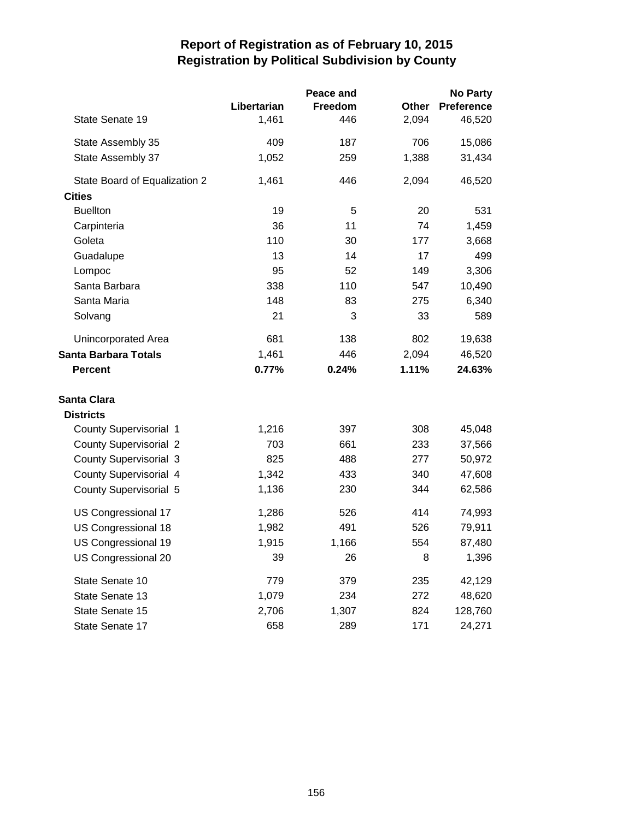|                               |             | Peace and |       | <b>No Party</b>   |
|-------------------------------|-------------|-----------|-------|-------------------|
|                               | Libertarian | Freedom   | Other | <b>Preference</b> |
| State Senate 19               | 1,461       | 446       | 2,094 | 46,520            |
| State Assembly 35             | 409         | 187       | 706   | 15,086            |
| State Assembly 37             | 1,052       | 259       | 1,388 | 31,434            |
| State Board of Equalization 2 | 1,461       | 446       | 2,094 | 46,520            |
| <b>Cities</b>                 |             |           |       |                   |
| <b>Buellton</b>               | 19          | 5         | 20    | 531               |
| Carpinteria                   | 36          | 11        | 74    | 1,459             |
| Goleta                        | 110         | 30        | 177   | 3,668             |
| Guadalupe                     | 13          | 14        | 17    | 499               |
| Lompoc                        | 95          | 52        | 149   | 3,306             |
| Santa Barbara                 | 338         | 110       | 547   | 10,490            |
| Santa Maria                   | 148         | 83        | 275   | 6,340             |
| Solvang                       | 21          | 3         | 33    | 589               |
| <b>Unincorporated Area</b>    | 681         | 138       | 802   | 19,638            |
| <b>Santa Barbara Totals</b>   | 1,461       | 446       | 2,094 | 46,520            |
| <b>Percent</b>                | 0.77%       | 0.24%     | 1.11% | 24.63%            |
| <b>Santa Clara</b>            |             |           |       |                   |
| <b>Districts</b>              |             |           |       |                   |
| <b>County Supervisorial 1</b> | 1,216       | 397       | 308   | 45,048            |
| <b>County Supervisorial 2</b> | 703         | 661       | 233   | 37,566            |
| <b>County Supervisorial 3</b> | 825         | 488       | 277   | 50,972            |
| <b>County Supervisorial 4</b> | 1,342       | 433       | 340   | 47,608            |
| <b>County Supervisorial 5</b> | 1,136       | 230       | 344   | 62,586            |
| US Congressional 17           | 1,286       | 526       | 414   | 74,993            |
| US Congressional 18           | 1,982       | 491       | 526   | 79,911            |
| US Congressional 19           | 1,915       | 1,166     | 554   | 87,480            |
| US Congressional 20           | 39          | 26        | 8     | 1,396             |
| State Senate 10               | 779         | 379       | 235   | 42,129            |
| State Senate 13               | 1,079       | 234       | 272   | 48,620            |
| State Senate 15               | 2,706       | 1,307     | 824   | 128,760           |
| State Senate 17               | 658         | 289       | 171   | 24,271            |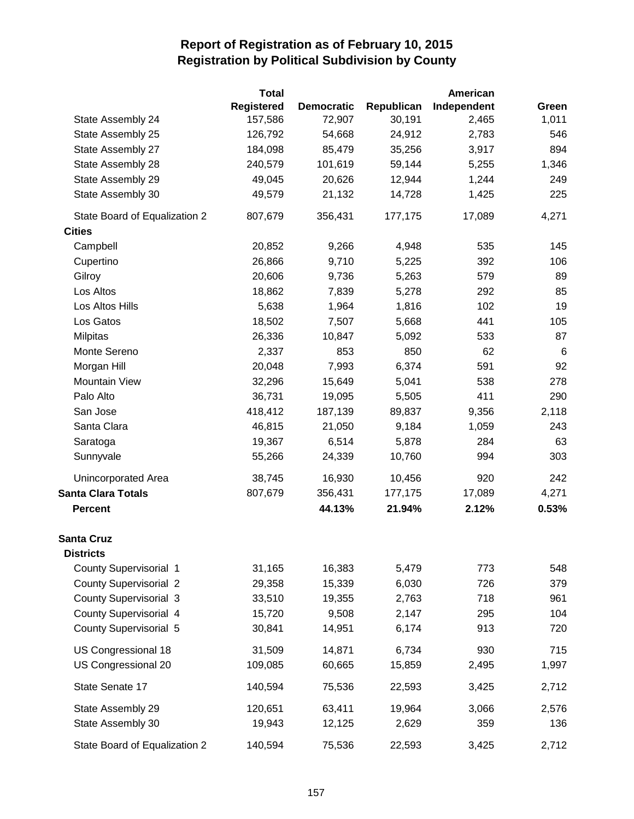|                               | Total      |                   |            | American    |       |
|-------------------------------|------------|-------------------|------------|-------------|-------|
|                               | Registered | <b>Democratic</b> | Republican | Independent | Green |
| State Assembly 24             | 157,586    | 72,907            | 30,191     | 2,465       | 1,011 |
| State Assembly 25             | 126,792    | 54,668            | 24,912     | 2,783       | 546   |
| State Assembly 27             | 184,098    | 85,479            | 35,256     | 3,917       | 894   |
| State Assembly 28             | 240,579    | 101,619           | 59,144     | 5,255       | 1,346 |
| State Assembly 29             | 49,045     | 20,626            | 12,944     | 1,244       | 249   |
| State Assembly 30             | 49,579     | 21,132            | 14,728     | 1,425       | 225   |
| State Board of Equalization 2 | 807,679    | 356,431           | 177,175    | 17,089      | 4,271 |
| <b>Cities</b>                 |            |                   |            |             |       |
| Campbell                      | 20,852     | 9,266             | 4,948      | 535         | 145   |
| Cupertino                     | 26,866     | 9,710             | 5,225      | 392         | 106   |
| Gilroy                        | 20,606     | 9,736             | 5,263      | 579         | 89    |
| Los Altos                     | 18,862     | 7,839             | 5,278      | 292         | 85    |
| Los Altos Hills               | 5,638      | 1,964             | 1,816      | 102         | 19    |
| Los Gatos                     | 18,502     | 7,507             | 5,668      | 441         | 105   |
| <b>Milpitas</b>               | 26,336     | 10,847            | 5,092      | 533         | 87    |
| Monte Sereno                  | 2,337      | 853               | 850        | 62          | $\,6$ |
| Morgan Hill                   | 20,048     | 7,993             | 6,374      | 591         | 92    |
| <b>Mountain View</b>          | 32,296     | 15,649            | 5,041      | 538         | 278   |
| Palo Alto                     | 36,731     | 19,095            | 5,505      | 411         | 290   |
| San Jose                      | 418,412    | 187,139           | 89,837     | 9,356       | 2,118 |
| Santa Clara                   | 46,815     | 21,050            | 9,184      | 1,059       | 243   |
| Saratoga                      | 19,367     | 6,514             | 5,878      | 284         | 63    |
| Sunnyvale                     | 55,266     | 24,339            | 10,760     | 994         | 303   |
| Unincorporated Area           | 38,745     | 16,930            | 10,456     | 920         | 242   |
| <b>Santa Clara Totals</b>     | 807,679    | 356,431           | 177,175    | 17,089      | 4,271 |
| <b>Percent</b>                |            | 44.13%            | 21.94%     | 2.12%       | 0.53% |
| <b>Santa Cruz</b>             |            |                   |            |             |       |
| <b>Districts</b>              |            |                   |            |             |       |
| <b>County Supervisorial 1</b> | 31,165     | 16,383            | 5,479      | 773         | 548   |
| <b>County Supervisorial 2</b> | 29,358     | 15,339            | 6,030      | 726         | 379   |
| <b>County Supervisorial 3</b> | 33,510     | 19,355            | 2,763      | 718         | 961   |
| County Supervisorial 4        | 15,720     | 9,508             | 2,147      | 295         | 104   |
| <b>County Supervisorial 5</b> | 30,841     | 14,951            | 6,174      | 913         | 720   |
| US Congressional 18           | 31,509     | 14,871            | 6,734      | 930         | 715   |
| US Congressional 20           | 109,085    | 60,665            | 15,859     | 2,495       | 1,997 |
| State Senate 17               | 140,594    | 75,536            | 22,593     | 3,425       | 2,712 |
| State Assembly 29             | 120,651    | 63,411            | 19,964     | 3,066       | 2,576 |
| State Assembly 30             | 19,943     | 12,125            | 2,629      | 359         | 136   |
| State Board of Equalization 2 | 140,594    | 75,536            | 22,593     | 3,425       | 2,712 |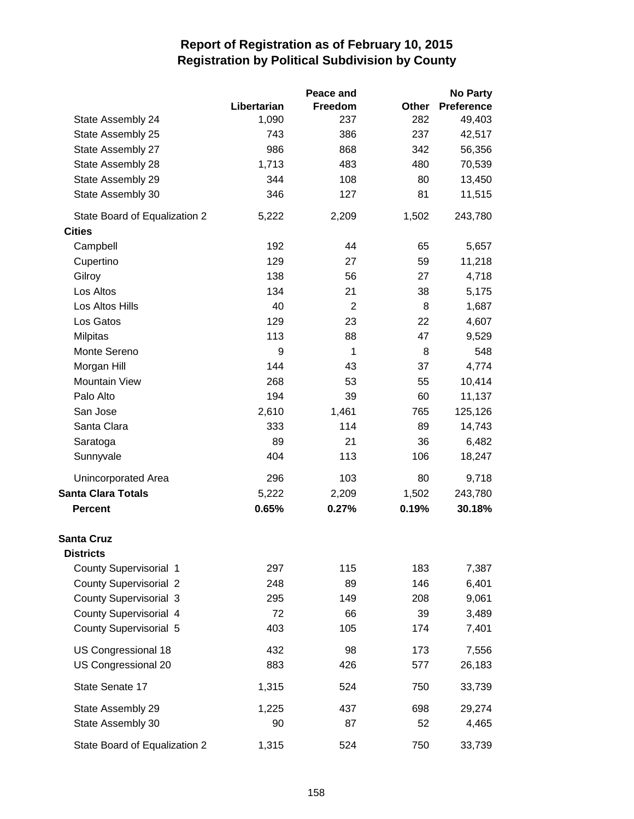|                               |             | Peace and      |       | <b>No Party</b>   |
|-------------------------------|-------------|----------------|-------|-------------------|
|                               | Libertarian | Freedom        | Other | <b>Preference</b> |
| State Assembly 24             | 1,090       | 237            | 282   | 49,403            |
| State Assembly 25             | 743         | 386            | 237   | 42,517            |
| State Assembly 27             | 986         | 868            | 342   | 56,356            |
| State Assembly 28             | 1,713       | 483            | 480   | 70,539            |
| State Assembly 29             | 344         | 108            | 80    | 13,450            |
| State Assembly 30             | 346         | 127            | 81    | 11,515            |
| State Board of Equalization 2 | 5,222       | 2,209          | 1,502 | 243,780           |
| <b>Cities</b>                 |             |                |       |                   |
| Campbell                      | 192         | 44             | 65    | 5,657             |
| Cupertino                     | 129         | 27             | 59    | 11,218            |
| Gilroy                        | 138         | 56             | 27    | 4,718             |
| Los Altos                     | 134         | 21             | 38    | 5,175             |
| Los Altos Hills               | 40          | $\overline{2}$ | 8     | 1,687             |
| Los Gatos                     | 129         | 23             | 22    | 4,607             |
| Milpitas                      | 113         | 88             | 47    | 9,529             |
| Monte Sereno                  | 9           | 1              | 8     | 548               |
| Morgan Hill                   | 144         | 43             | 37    | 4,774             |
| <b>Mountain View</b>          | 268         | 53             | 55    | 10,414            |
| Palo Alto                     | 194         | 39             | 60    | 11,137            |
| San Jose                      | 2,610       | 1,461          | 765   | 125,126           |
| Santa Clara                   | 333         | 114            | 89    | 14,743            |
| Saratoga                      | 89          | 21             | 36    | 6,482             |
| Sunnyvale                     | 404         | 113            | 106   | 18,247            |
| Unincorporated Area           | 296         | 103            | 80    | 9,718             |
| <b>Santa Clara Totals</b>     | 5,222       | 2,209          | 1,502 | 243,780           |
| <b>Percent</b>                | 0.65%       | 0.27%          | 0.19% | 30.18%            |
| <b>Santa Cruz</b>             |             |                |       |                   |
| <b>Districts</b>              |             |                |       |                   |
| <b>County Supervisorial 1</b> | 297         | 115            | 183   | 7,387             |
| <b>County Supervisorial 2</b> | 248         | 89             | 146   | 6,401             |
| <b>County Supervisorial 3</b> | 295         | 149            | 208   | 9,061             |
| County Supervisorial 4        | 72          | 66             | 39    | 3,489             |
| County Supervisorial 5        | 403         | 105            | 174   | 7,401             |
| US Congressional 18           | 432         | 98             | 173   | 7,556             |
| US Congressional 20           | 883         | 426            | 577   | 26,183            |
| State Senate 17               | 1,315       | 524            | 750   | 33,739            |
| State Assembly 29             | 1,225       | 437            | 698   | 29,274            |
| State Assembly 30             | 90          | 87             | 52    | 4,465             |
| State Board of Equalization 2 | 1,315       | 524            | 750   | 33,739            |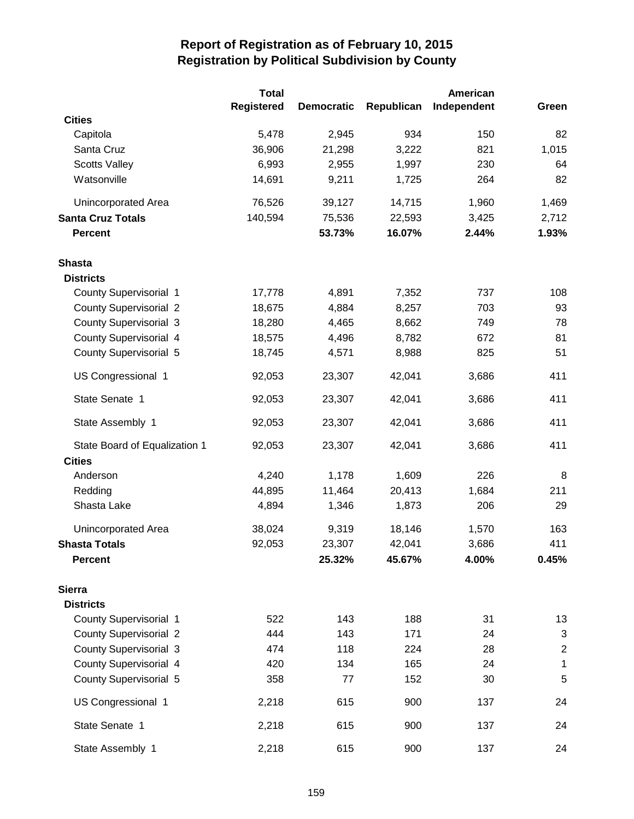|                               | <b>Total</b>      |                   | American   |             |                         |
|-------------------------------|-------------------|-------------------|------------|-------------|-------------------------|
|                               | <b>Registered</b> | <b>Democratic</b> | Republican | Independent | Green                   |
| <b>Cities</b>                 |                   |                   |            |             |                         |
| Capitola                      | 5,478             | 2,945             | 934        | 150         | 82                      |
| Santa Cruz                    | 36,906            | 21,298            | 3,222      | 821         | 1,015                   |
| <b>Scotts Valley</b>          | 6,993             | 2,955             | 1,997      | 230         | 64                      |
| Watsonville                   | 14,691            | 9,211             | 1,725      | 264         | 82                      |
| Unincorporated Area           | 76,526            | 39,127            | 14,715     | 1,960       | 1,469                   |
| <b>Santa Cruz Totals</b>      | 140,594           | 75,536            | 22,593     | 3,425       | 2,712                   |
| <b>Percent</b>                |                   | 53.73%            | 16.07%     | 2.44%       | 1.93%                   |
| <b>Shasta</b>                 |                   |                   |            |             |                         |
| <b>Districts</b>              |                   |                   |            |             |                         |
| <b>County Supervisorial 1</b> | 17,778            | 4,891             | 7,352      | 737         | 108                     |
| <b>County Supervisorial 2</b> | 18,675            | 4,884             | 8,257      | 703         | 93                      |
| <b>County Supervisorial 3</b> | 18,280            | 4,465             | 8,662      | 749         | 78                      |
| County Supervisorial 4        | 18,575            | 4,496             | 8,782      | 672         | 81                      |
| <b>County Supervisorial 5</b> | 18,745            | 4,571             | 8,988      | 825         | 51                      |
| US Congressional 1            | 92,053            | 23,307            | 42,041     | 3,686       | 411                     |
| State Senate 1                | 92,053            | 23,307            | 42,041     | 3,686       | 411                     |
| State Assembly 1              | 92,053            | 23,307            | 42,041     | 3,686       | 411                     |
| State Board of Equalization 1 | 92,053            | 23,307            | 42,041     | 3,686       | 411                     |
| <b>Cities</b>                 |                   |                   |            |             |                         |
| Anderson                      | 4,240             | 1,178             | 1,609      | 226         | 8                       |
| Redding                       | 44,895            | 11,464            | 20,413     | 1,684       | 211                     |
| Shasta Lake                   | 4,894             | 1,346             | 1,873      | 206         | 29                      |
| <b>Unincorporated Area</b>    | 38,024            | 9,319             | 18,146     | 1,570       | 163                     |
| <b>Shasta Totals</b>          | 92,053            | 23,307            | 42,041     | 3,686       | 411                     |
| <b>Percent</b>                |                   | 25.32%            | 45.67%     | 4.00%       | 0.45%                   |
| <b>Sierra</b>                 |                   |                   |            |             |                         |
| <b>Districts</b>              |                   |                   |            |             |                         |
| <b>County Supervisorial 1</b> | 522               | 143               | 188        | 31          | 13                      |
| <b>County Supervisorial 2</b> | 444               | 143               | 171        | 24          | 3                       |
| <b>County Supervisorial 3</b> | 474               | 118               | 224        | 28          | $\overline{\mathbf{c}}$ |
| County Supervisorial 4        | 420               | 134               | 165        | 24          | 1                       |
| <b>County Supervisorial 5</b> | 358               | 77                | 152        | 30          | 5                       |
| US Congressional 1            | 2,218             | 615               | 900        | 137         | 24                      |
| State Senate 1                | 2,218             | 615               | 900        | 137         | 24                      |
| State Assembly 1              | 2,218             | 615               | 900        | 137         | 24                      |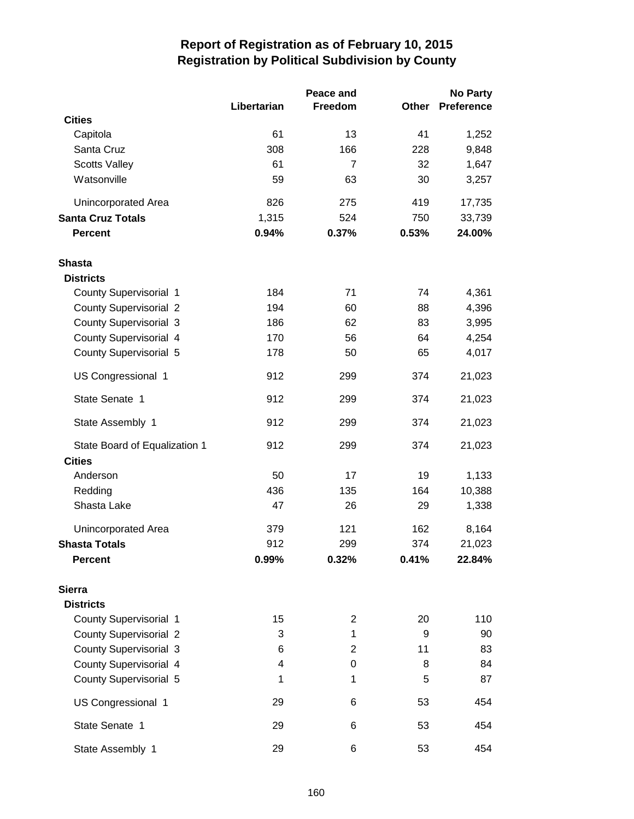|                               |             | Peace and      |       | <b>No Party</b>   |  |
|-------------------------------|-------------|----------------|-------|-------------------|--|
|                               | Libertarian | Freedom        | Other | <b>Preference</b> |  |
| <b>Cities</b>                 |             |                |       |                   |  |
| Capitola                      | 61          | 13             | 41    | 1,252             |  |
| Santa Cruz                    | 308         | 166            | 228   | 9,848             |  |
| <b>Scotts Valley</b>          | 61          | $\overline{7}$ | 32    | 1,647             |  |
| Watsonville                   | 59          | 63             | 30    | 3,257             |  |
| Unincorporated Area           | 826         | 275            | 419   | 17,735            |  |
| <b>Santa Cruz Totals</b>      | 1,315       | 524            | 750   | 33,739            |  |
| <b>Percent</b>                | 0.94%       | 0.37%          | 0.53% | 24.00%            |  |
| Shasta                        |             |                |       |                   |  |
| <b>Districts</b>              |             |                |       |                   |  |
| <b>County Supervisorial 1</b> | 184         | 71             | 74    | 4,361             |  |
| <b>County Supervisorial 2</b> | 194         | 60             | 88    | 4,396             |  |
| <b>County Supervisorial 3</b> | 186         | 62             | 83    | 3,995             |  |
| County Supervisorial 4        | 170         | 56             | 64    | 4,254             |  |
| County Supervisorial 5        | 178         | 50             | 65    | 4,017             |  |
| US Congressional 1            | 912         | 299            | 374   | 21,023            |  |
| State Senate 1                | 912         | 299            | 374   | 21,023            |  |
| State Assembly 1              | 912         | 299            | 374   | 21,023            |  |
| State Board of Equalization 1 | 912         | 299            | 374   | 21,023            |  |
| <b>Cities</b>                 |             |                |       |                   |  |
| Anderson                      | 50          | 17             | 19    | 1,133             |  |
| Redding                       | 436         | 135            | 164   | 10,388            |  |
| Shasta Lake                   | 47          | 26             | 29    | 1,338             |  |
| Unincorporated Area           | 379         | 121            | 162   | 8,164             |  |
| <b>Shasta Totals</b>          | 912         | 299            | 374   | 21,023            |  |
| <b>Percent</b>                | 0.99%       | 0.32%          | 0.41% | 22.84%            |  |
| <b>Sierra</b>                 |             |                |       |                   |  |
| <b>Districts</b>              |             |                |       |                   |  |
| County Supervisorial 1        | 15          | $\overline{c}$ | 20    | 110               |  |
| <b>County Supervisorial 2</b> | 3           | 1              | 9     | 90                |  |
| <b>County Supervisorial 3</b> | 6           | 2              | 11    | 83                |  |
| County Supervisorial 4        | 4           | 0              | 8     | 84                |  |
| <b>County Supervisorial 5</b> | 1           | 1              | 5     | 87                |  |
| US Congressional 1            | 29          | 6              | 53    | 454               |  |
| State Senate 1                | 29          | 6              | 53    | 454               |  |
| State Assembly 1              | 29          | 6              | 53    | 454               |  |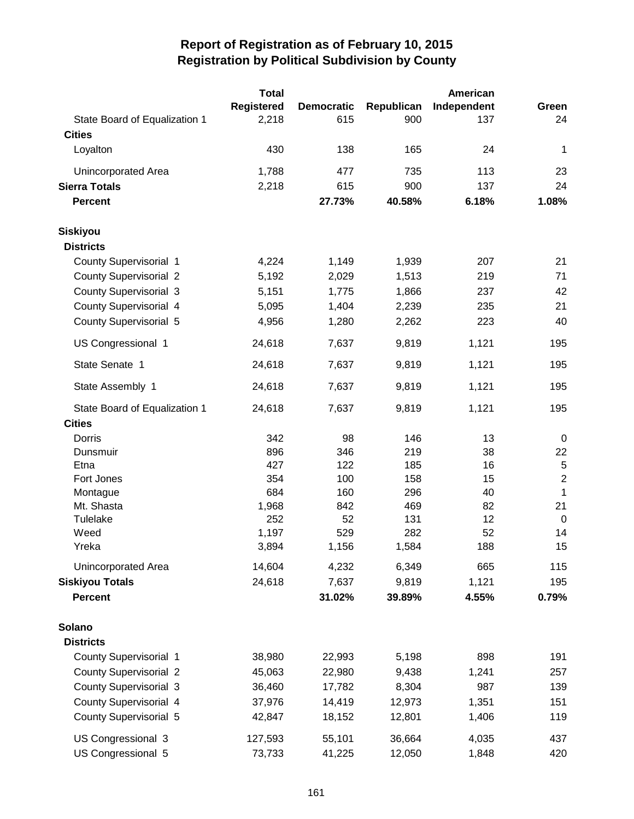|                               | <b>Total</b>      |                   |            | <b>American</b> |                |
|-------------------------------|-------------------|-------------------|------------|-----------------|----------------|
|                               | <b>Registered</b> | <b>Democratic</b> | Republican | Independent     | Green          |
| State Board of Equalization 1 | 2,218             | 615               | 900        | 137             | 24             |
| <b>Cities</b>                 |                   |                   |            |                 |                |
| Loyalton                      | 430               | 138               | 165        | 24              | 1              |
| <b>Unincorporated Area</b>    | 1,788             | 477               | 735        | 113             | 23             |
| <b>Sierra Totals</b>          | 2,218             | 615               | 900        | 137             | 24             |
| <b>Percent</b>                |                   | 27.73%            | 40.58%     | 6.18%           | 1.08%          |
| <b>Siskiyou</b>               |                   |                   |            |                 |                |
| <b>Districts</b>              |                   |                   |            |                 |                |
| County Supervisorial 1        | 4,224             | 1,149             | 1,939      | 207             | 21             |
| <b>County Supervisorial 2</b> | 5,192             | 2,029             | 1,513      | 219             | 71             |
| <b>County Supervisorial 3</b> | 5,151             | 1,775             | 1,866      | 237             | 42             |
| <b>County Supervisorial 4</b> | 5,095             | 1,404             | 2,239      | 235             | 21             |
| <b>County Supervisorial 5</b> | 4,956             | 1,280             | 2,262      | 223             | 40             |
| US Congressional 1            | 24,618            | 7,637             | 9,819      | 1,121           | 195            |
| State Senate 1                | 24,618            | 7,637             | 9,819      | 1,121           | 195            |
| State Assembly 1              | 24,618            | 7,637             | 9,819      | 1,121           | 195            |
| State Board of Equalization 1 | 24,618            | 7,637             | 9,819      | 1,121           | 195            |
| <b>Cities</b>                 |                   |                   |            |                 |                |
| Dorris                        | 342               | 98                | 146        | 13              | $\mathbf 0$    |
| Dunsmuir                      | 896               | 346               | 219        | 38              | 22             |
| Etna                          | 427               | 122               | 185        | 16              | $\sqrt{5}$     |
| Fort Jones                    | 354               | 100               | 158        | 15              | $\overline{2}$ |
| Montague                      | 684               | 160               | 296        | 40              | $\mathbf{1}$   |
| Mt. Shasta                    | 1,968             | 842               | 469        | 82              | 21             |
| Tulelake                      | 252               | 52                | 131        | 12              | $\mathbf 0$    |
| Weed                          | 1,197             | 529               | 282        | 52              | 14             |
| Yreka                         | 3,894             | 1,156             | 1,584      | 188             | 15             |
| Unincorporated Area           | 14,604            | 4,232             | 6,349      | 665             | 115            |
| <b>Siskiyou Totals</b>        | 24,618            | 7,637             | 9,819      | 1,121           | 195            |
| <b>Percent</b>                |                   | 31.02%            | 39.89%     | 4.55%           | 0.79%          |
| Solano                        |                   |                   |            |                 |                |
| <b>Districts</b>              |                   |                   |            |                 |                |
| County Supervisorial 1        | 38,980            | 22,993            | 5,198      | 898             | 191            |
| <b>County Supervisorial 2</b> | 45,063            | 22,980            | 9,438      | 1,241           | 257            |
| <b>County Supervisorial 3</b> | 36,460            | 17,782            | 8,304      | 987             | 139            |
| <b>County Supervisorial 4</b> | 37,976            | 14,419            | 12,973     | 1,351           | 151            |
| <b>County Supervisorial 5</b> | 42,847            | 18,152            | 12,801     | 1,406           | 119            |
| US Congressional 3            | 127,593           | 55,101            | 36,664     | 4,035           | 437            |
| US Congressional 5            | 73,733            | 41,225            | 12,050     | 1,848           | 420            |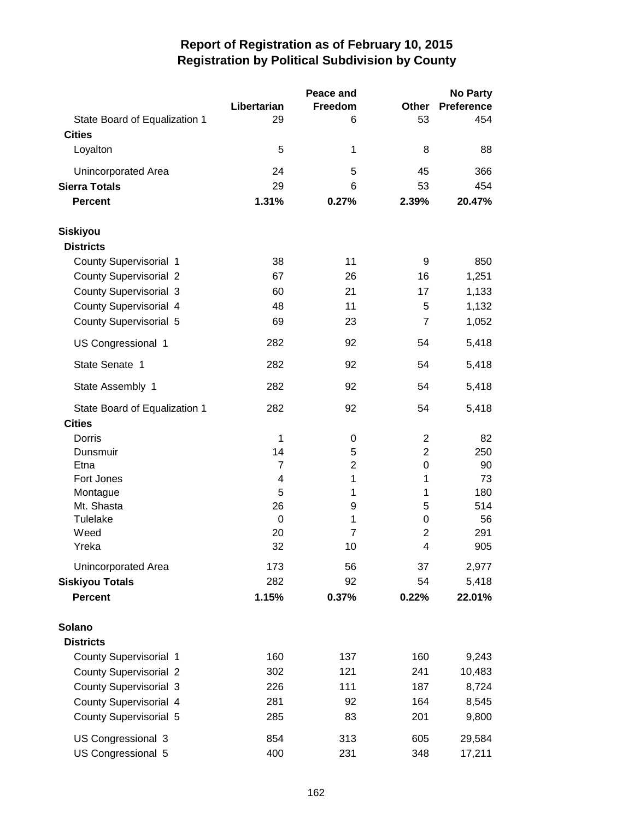|                               |             | Peace and      |                | No Party          |
|-------------------------------|-------------|----------------|----------------|-------------------|
|                               | Libertarian | Freedom        | Other          | <b>Preference</b> |
| State Board of Equalization 1 | 29          | 6              | 53             | 454               |
| <b>Cities</b>                 |             |                |                |                   |
| Loyalton                      | 5           | 1              | 8              | 88                |
| Unincorporated Area           | 24          | 5              | 45             | 366               |
| <b>Sierra Totals</b>          | 29          | 6              | 53             | 454               |
| <b>Percent</b>                | 1.31%       | 0.27%          | 2.39%          | 20.47%            |
| <b>Siskiyou</b>               |             |                |                |                   |
| <b>Districts</b>              |             |                |                |                   |
| County Supervisorial 1        | 38          | 11             | 9              | 850               |
| <b>County Supervisorial 2</b> | 67          | 26             | 16             | 1,251             |
| <b>County Supervisorial 3</b> | 60          | 21             | 17             | 1,133             |
| County Supervisorial 4        | 48          | 11             | 5              | 1,132             |
| <b>County Supervisorial 5</b> | 69          | 23             | $\overline{7}$ | 1,052             |
| US Congressional 1            | 282         | 92             | 54             | 5,418             |
|                               |             |                |                |                   |
| State Senate 1                | 282         | 92             | 54             | 5,418             |
| State Assembly 1              | 282         | 92             | 54             | 5,418             |
| State Board of Equalization 1 | 282         | 92             | 54             | 5,418             |
| <b>Cities</b>                 |             |                |                |                   |
| Dorris                        | 1           | 0              | $\overline{2}$ | 82                |
| Dunsmuir                      | 14          | 5              | $\overline{2}$ | 250               |
| Etna                          | 7           | $\overline{c}$ | 0              | 90                |
| Fort Jones                    | 4           | 1              | 1              | 73                |
| Montague                      | 5           | 1              | 1              | 180               |
| Mt. Shasta                    | 26          | 9              | 5              | 514               |
| Tulelake                      | 0           | 1              | 0              | 56                |
| Weed                          | 20          | $\overline{7}$ | $\overline{2}$ | 291               |
| Yreka                         | 32          | 10             | 4              | 905               |
| Unincorporated Area           | 173         | 56             | 37             | 2,977             |
| <b>Siskiyou Totals</b>        | 282         | 92             | 54             | 5,418             |
| <b>Percent</b>                | 1.15%       | 0.37%          | 0.22%          | 22.01%            |
| Solano                        |             |                |                |                   |
| <b>Districts</b>              |             |                |                |                   |
| County Supervisorial 1        | 160         | 137            | 160            | 9,243             |
| <b>County Supervisorial 2</b> | 302         | 121            | 241            | 10,483            |
| <b>County Supervisorial 3</b> | 226         | 111            | 187            | 8,724             |
| County Supervisorial 4        | 281         | 92             | 164            | 8,545             |
| <b>County Supervisorial 5</b> | 285         | 83             | 201            | 9,800             |
| US Congressional 3            | 854         | 313            | 605            | 29,584            |
| US Congressional 5            | 400         | 231            | 348            | 17,211            |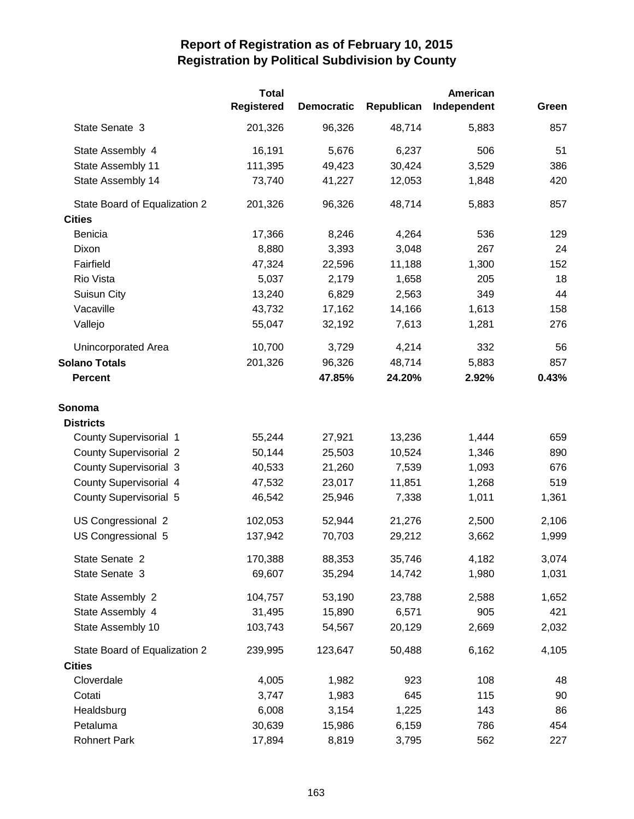|                               | <b>Total</b>      | American          |            |             |       |  |  |
|-------------------------------|-------------------|-------------------|------------|-------------|-------|--|--|
|                               | <b>Registered</b> | <b>Democratic</b> | Republican | Independent | Green |  |  |
| State Senate 3                | 201,326           | 96,326            | 48,714     | 5,883       | 857   |  |  |
| State Assembly 4              | 16,191            | 5,676             | 6,237      | 506         | 51    |  |  |
| State Assembly 11             | 111,395           | 49,423            | 30,424     | 3,529       | 386   |  |  |
| State Assembly 14             | 73,740            | 41,227            | 12,053     | 1,848       | 420   |  |  |
| State Board of Equalization 2 | 201,326           | 96,326            | 48,714     | 5,883       | 857   |  |  |
| <b>Cities</b>                 |                   |                   |            |             |       |  |  |
| Benicia                       | 17,366            | 8,246             | 4,264      | 536         | 129   |  |  |
| Dixon                         | 8,880             | 3,393             | 3,048      | 267         | 24    |  |  |
| Fairfield                     | 47,324            | 22,596            | 11,188     | 1,300       | 152   |  |  |
| Rio Vista                     | 5,037             | 2,179             | 1,658      | 205         | 18    |  |  |
| Suisun City                   | 13,240            | 6,829             | 2,563      | 349         | 44    |  |  |
| Vacaville                     | 43,732            | 17,162            | 14,166     | 1,613       | 158   |  |  |
| Vallejo                       | 55,047            | 32,192            | 7,613      | 1,281       | 276   |  |  |
| Unincorporated Area           | 10,700            | 3,729             | 4,214      | 332         | 56    |  |  |
| <b>Solano Totals</b>          | 201,326           | 96,326            | 48,714     | 5,883       | 857   |  |  |
| <b>Percent</b>                |                   | 47.85%            | 24.20%     | 2.92%       | 0.43% |  |  |
| Sonoma                        |                   |                   |            |             |       |  |  |
| <b>Districts</b>              |                   |                   |            |             |       |  |  |
| <b>County Supervisorial 1</b> | 55,244            | 27,921            | 13,236     | 1,444       | 659   |  |  |
| <b>County Supervisorial 2</b> | 50,144            | 25,503            | 10,524     | 1,346       | 890   |  |  |
| <b>County Supervisorial 3</b> | 40,533            | 21,260            | 7,539      | 1,093       | 676   |  |  |
| County Supervisorial 4        | 47,532            | 23,017            | 11,851     | 1,268       | 519   |  |  |
| <b>County Supervisorial 5</b> | 46,542            | 25,946            | 7,338      | 1,011       | 1,361 |  |  |
| US Congressional 2            | 102,053           | 52,944            | 21,276     | 2,500       | 2,106 |  |  |
| US Congressional 5            | 137,942           | 70,703            | 29,212     | 3,662       | 1,999 |  |  |
| State Senate 2                | 170,388           | 88,353            | 35,746     | 4,182       | 3,074 |  |  |
| State Senate 3                | 69,607            | 35,294            | 14,742     | 1,980       | 1,031 |  |  |
| State Assembly 2              | 104,757           | 53,190            | 23,788     | 2,588       | 1,652 |  |  |
| State Assembly 4              | 31,495            | 15,890            | 6,571      | 905         | 421   |  |  |
| State Assembly 10             | 103,743           | 54,567            | 20,129     | 2,669       | 2,032 |  |  |
| State Board of Equalization 2 | 239,995           | 123,647           | 50,488     | 6,162       | 4,105 |  |  |
| <b>Cities</b>                 |                   |                   |            |             |       |  |  |
| Cloverdale                    | 4,005             | 1,982             | 923        | 108         | 48    |  |  |
| Cotati                        | 3,747             | 1,983             | 645        | 115         | 90    |  |  |
| Healdsburg                    | 6,008             | 3,154             | 1,225      | 143         | 86    |  |  |
| Petaluma                      | 30,639            | 15,986            | 6,159      | 786         | 454   |  |  |
| <b>Rohnert Park</b>           | 17,894            | 8,819             | 3,795      | 562         | 227   |  |  |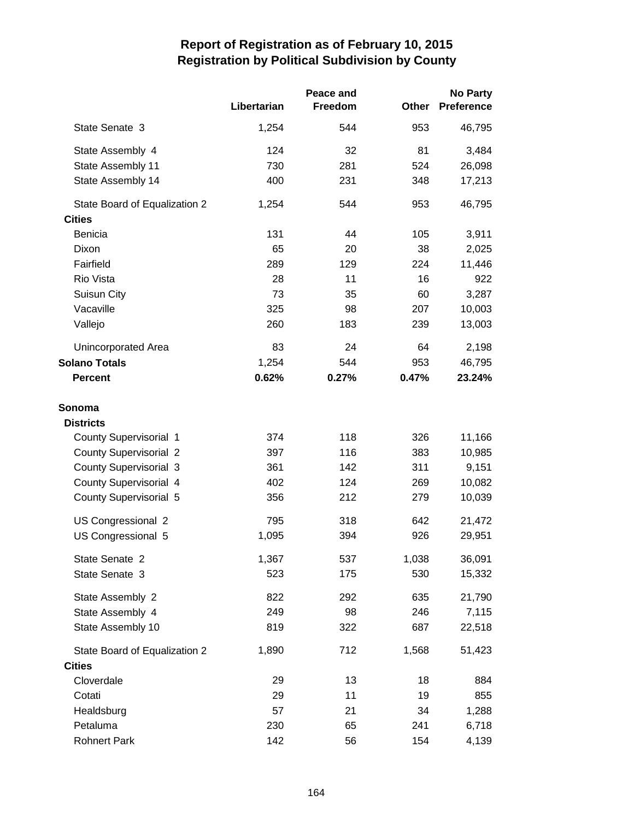|                               |             | Peace and |              | <b>No Party</b>   |  |
|-------------------------------|-------------|-----------|--------------|-------------------|--|
|                               | Libertarian | Freedom   | <b>Other</b> | <b>Preference</b> |  |
| State Senate 3                | 1,254       | 544       | 953          | 46,795            |  |
| State Assembly 4              | 124         | 32        | 81           | 3,484             |  |
| State Assembly 11             | 730         | 281       | 524          | 26,098            |  |
| State Assembly 14             | 400         | 231       | 348          | 17,213            |  |
| State Board of Equalization 2 | 1,254       | 544       | 953          | 46,795            |  |
| <b>Cities</b>                 |             |           |              |                   |  |
| <b>Benicia</b>                | 131         | 44        | 105          | 3,911             |  |
| Dixon                         | 65          | 20        | 38           | 2,025             |  |
| Fairfield                     | 289         | 129       | 224          | 11,446            |  |
| Rio Vista                     | 28          | 11        | 16           | 922               |  |
| Suisun City                   | 73          | 35        | 60           | 3,287             |  |
| Vacaville                     | 325         | 98        | 207          | 10,003            |  |
| Vallejo                       | 260         | 183       | 239          | 13,003            |  |
| Unincorporated Area           | 83          | 24        | 64           | 2,198             |  |
| <b>Solano Totals</b>          | 1,254       | 544       | 953          | 46,795            |  |
| <b>Percent</b>                | 0.62%       | 0.27%     | 0.47%        | 23.24%            |  |
| Sonoma                        |             |           |              |                   |  |
| <b>Districts</b>              |             |           |              |                   |  |
| <b>County Supervisorial 1</b> | 374         | 118       | 326          | 11,166            |  |
| <b>County Supervisorial 2</b> | 397         | 116       | 383          | 10,985            |  |
| <b>County Supervisorial 3</b> | 361         | 142       | 311          | 9,151             |  |
| County Supervisorial 4        | 402         | 124       | 269          | 10,082            |  |
| <b>County Supervisorial 5</b> | 356         | 212       | 279          | 10,039            |  |
| US Congressional 2            | 795         | 318       | 642          | 21,472            |  |
| US Congressional 5            | 1,095       | 394       | 926          | 29,951            |  |
| State Senate 2                | 1,367       | 537       | 1,038        | 36,091            |  |
| State Senate 3                | 523         | 175       | 530          | 15,332            |  |
| State Assembly 2              | 822         | 292       | 635          | 21,790            |  |
| State Assembly 4              | 249         | 98        | 246          | 7,115             |  |
| State Assembly 10             | 819         | 322       | 687          | 22,518            |  |
| State Board of Equalization 2 | 1,890       | 712       | 1,568        | 51,423            |  |
| <b>Cities</b>                 |             |           |              |                   |  |
| Cloverdale                    | 29          | 13        | 18           | 884               |  |
| Cotati                        | 29          | 11        | 19           | 855               |  |
| Healdsburg                    | 57          | 21        | 34           | 1,288             |  |
| Petaluma                      | 230         | 65        | 241          | 6,718             |  |
| <b>Rohnert Park</b>           | 142         | 56        | 154          | 4,139             |  |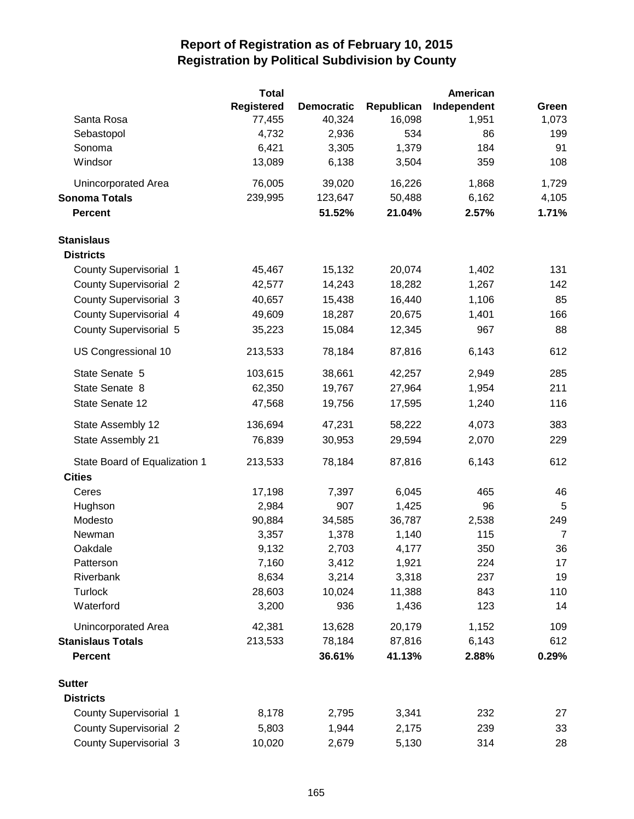|                               | <b>Total</b>      |                   |                 | American    |                |
|-------------------------------|-------------------|-------------------|-----------------|-------------|----------------|
|                               | <b>Registered</b> | <b>Democratic</b> | Republican      | Independent | Green          |
| Santa Rosa                    | 77,455            | 40,324            | 16,098          | 1,951       | 1,073          |
| Sebastopol                    | 4,732             | 2,936             | 534             | 86          | 199            |
| Sonoma                        | 6,421             | 3,305             | 1,379           | 184         | 91             |
| Windsor                       | 13,089            | 6,138             | 3,504           | 359         | 108            |
| Unincorporated Area           | 76,005            | 39,020            | 16,226          | 1,868       | 1,729          |
| <b>Sonoma Totals</b>          | 239,995           | 123,647           | 50,488          | 6,162       | 4,105          |
| <b>Percent</b>                |                   | 51.52%            | 21.04%          | 2.57%       | 1.71%          |
| <b>Stanislaus</b>             |                   |                   |                 |             |                |
| <b>Districts</b>              |                   |                   |                 |             |                |
| <b>County Supervisorial 1</b> | 45,467            | 15,132            | 20,074          | 1,402       | 131            |
| <b>County Supervisorial 2</b> | 42,577            | 14,243            | 18,282          | 1,267       | 142            |
| <b>County Supervisorial 3</b> | 40,657            | 15,438            | 16,440          | 1,106       | 85             |
| County Supervisorial 4        | 49,609            | 18,287            | 20,675          | 1,401       | 166            |
| County Supervisorial 5        | 35,223            | 15,084            | 12,345          | 967         | 88             |
| US Congressional 10           | 213,533           | 78,184            | 87,816          | 6,143       | 612            |
| State Senate 5                | 103,615           | 38,661            | 42,257          | 2,949       | 285            |
| State Senate 8                | 62,350            | 19,767            | 27,964          | 1,954       | 211            |
| State Senate 12               | 47,568            | 19,756            | 17,595          | 1,240       | 116            |
| State Assembly 12             | 136,694           | 47,231            | 58,222          | 4,073       | 383            |
| State Assembly 21             | 76,839            | 30,953            | 29,594          | 2,070       | 229            |
| State Board of Equalization 1 | 213,533           | 78,184            | 87,816          | 6,143       | 612            |
| <b>Cities</b>                 |                   |                   |                 |             |                |
| Ceres                         | 17,198            | 7,397             | 6,045           | 465         | 46             |
| Hughson                       | 2,984             | 907               | 1,425           | 96          | 5              |
| Modesto                       | 90,884            | 34,585            | 36,787          | 2,538       | 249            |
| Newman                        | 3,357             | 1,378             | 1,140           | 115         | $\overline{7}$ |
| Oakdale                       | 9,132             | 2,703             | 4,177           | 350         | 36             |
| Patterson                     | 7,160             | 3,412             | 1,921           | 224         | 17             |
| Riverbank<br>Turlock          | 8,634<br>28,603   | 3,214             | 3,318           | 237<br>843  | 19             |
| Waterford                     | 3,200             | 10,024<br>936     | 11,388<br>1,436 | 123         | 110<br>14      |
| Unincorporated Area           | 42,381            | 13,628            | 20,179          | 1,152       | 109            |
| <b>Stanislaus Totals</b>      | 213,533           | 78,184            | 87,816          | 6,143       | 612            |
| <b>Percent</b>                |                   | 36.61%            | 41.13%          | 2.88%       | 0.29%          |
| <b>Sutter</b>                 |                   |                   |                 |             |                |
| <b>Districts</b>              |                   |                   |                 |             |                |
| <b>County Supervisorial 1</b> | 8,178             | 2,795             | 3,341           | 232         | 27             |
| <b>County Supervisorial 2</b> | 5,803             | 1,944             | 2,175           | 239         | 33             |
| <b>County Supervisorial 3</b> | 10,020            | 2,679             | 5,130           | 314         | 28             |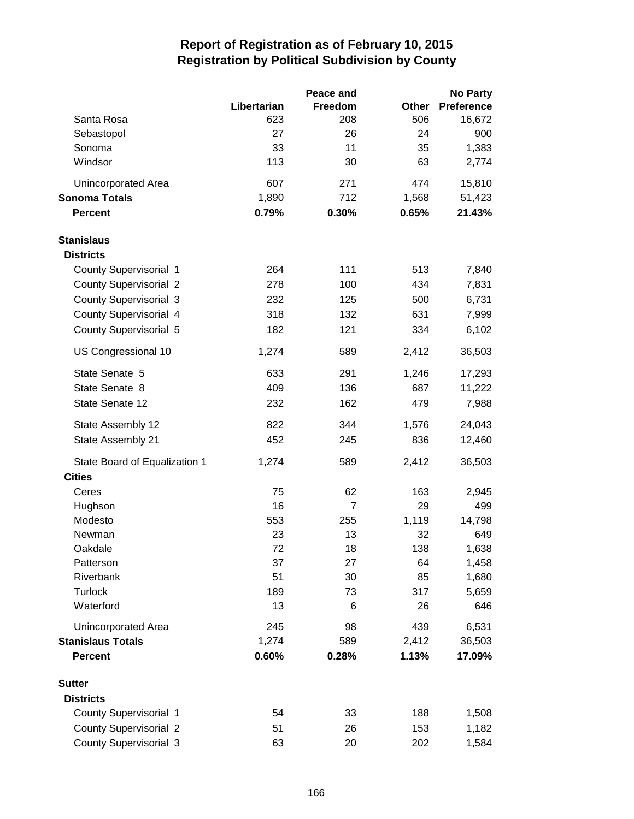|                               |             | Peace and      |           | <b>No Party</b>   |
|-------------------------------|-------------|----------------|-----------|-------------------|
|                               | Libertarian | Freedom        | Other     | <b>Preference</b> |
| Santa Rosa                    | 623         | 208            | 506       | 16,672            |
| Sebastopol                    | 27          | 26             | 24        | 900               |
| Sonoma                        | 33          | 11             | 35        | 1,383             |
| Windsor                       | 113         | 30             | 63        | 2,774             |
| Unincorporated Area           | 607         | 271            | 474       | 15,810            |
| <b>Sonoma Totals</b>          | 1,890       | 712            | 1,568     | 51,423            |
| Percent                       | 0.79%       | 0.30%          | 0.65%     | 21.43%            |
| <b>Stanislaus</b>             |             |                |           |                   |
| <b>Districts</b>              |             |                |           |                   |
| County Supervisorial 1        | 264         | 111            | 513       | 7,840             |
| <b>County Supervisorial 2</b> | 278         | 100            | 434       | 7,831             |
| <b>County Supervisorial 3</b> | 232         | 125            | 500       | 6,731             |
| County Supervisorial 4        | 318         | 132            | 631       | 7,999             |
| County Supervisorial 5        | 182         | 121            | 334       | 6,102             |
| US Congressional 10           | 1,274       | 589            | 2,412     | 36,503            |
| State Senate 5                | 633         | 291            | 1,246     | 17,293            |
| State Senate 8                | 409         | 136            | 687       | 11,222            |
| State Senate 12               | 232         | 162            | 479       | 7,988             |
| State Assembly 12             | 822         | 344            | 1,576     | 24,043            |
| State Assembly 21             | 452         | 245            | 836       | 12,460            |
| State Board of Equalization 1 | 1,274       | 589            | 2,412     | 36,503            |
| <b>Cities</b>                 |             |                |           |                   |
| Ceres                         | 75          | 62             | 163       | 2,945             |
| Hughson                       | 16          | $\overline{7}$ | 29        | 499               |
| Modesto                       | 553         | 255            | 1,119     | 14,798            |
| Newman                        | 23          | 13             | 32        | 649               |
| Oakdale<br>Patterson          | 72<br>37    | 18<br>27       | 138<br>64 | 1,638             |
| Riverbank                     | 51          | 30             | 85        | 1,458<br>1,680    |
| <b>Turlock</b>                | 189         | 73             | 317       | 5,659             |
| Waterford                     | 13          | 6              | 26        | 646               |
| Unincorporated Area           | 245         | 98             | 439       | 6,531             |
| <b>Stanislaus Totals</b>      | 1,274       | 589            | 2,412     | 36,503            |
| <b>Percent</b>                | 0.60%       | 0.28%          | 1.13%     | 17.09%            |
| <b>Sutter</b>                 |             |                |           |                   |
| <b>Districts</b>              |             |                |           |                   |
| County Supervisorial 1        | 54          | 33             | 188       | 1,508             |
| <b>County Supervisorial 2</b> | 51          | 26             | 153       | 1,182             |
| <b>County Supervisorial 3</b> | 63          | 20             | 202       | 1,584             |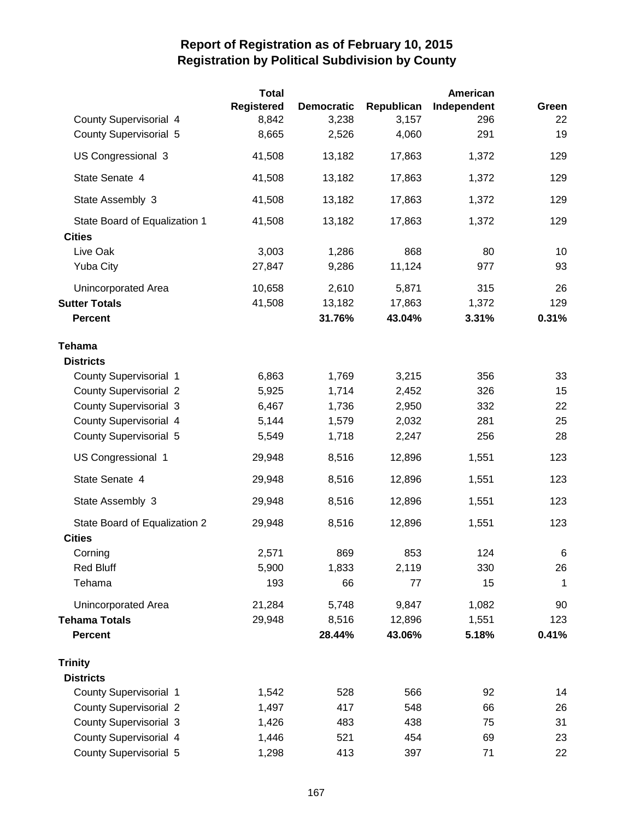|                               | <b>Total</b>      |                   |            | American    |       |
|-------------------------------|-------------------|-------------------|------------|-------------|-------|
|                               | <b>Registered</b> | <b>Democratic</b> | Republican | Independent | Green |
| <b>County Supervisorial 4</b> | 8,842             | 3,238             | 3,157      | 296         | 22    |
| <b>County Supervisorial 5</b> | 8,665             | 2,526             | 4,060      | 291         | 19    |
| US Congressional 3            | 41,508            | 13,182            | 17,863     | 1,372       | 129   |
| State Senate 4                | 41,508            | 13,182            | 17,863     | 1,372       | 129   |
| State Assembly 3              | 41,508            | 13,182            | 17,863     | 1,372       | 129   |
| State Board of Equalization 1 | 41,508            | 13,182            | 17,863     | 1,372       | 129   |
| <b>Cities</b>                 |                   |                   |            |             |       |
| Live Oak                      | 3,003             | 1,286             | 868        | 80          | 10    |
| <b>Yuba City</b>              | 27,847            | 9,286             | 11,124     | 977         | 93    |
| Unincorporated Area           | 10,658            | 2,610             | 5,871      | 315         | 26    |
| <b>Sutter Totals</b>          | 41,508            | 13,182            | 17,863     | 1,372       | 129   |
| <b>Percent</b>                |                   | 31.76%            | 43.04%     | 3.31%       | 0.31% |
| <b>Tehama</b>                 |                   |                   |            |             |       |
| <b>Districts</b>              |                   |                   |            |             |       |
| County Supervisorial 1        | 6,863             | 1,769             | 3,215      | 356         | 33    |
| <b>County Supervisorial 2</b> | 5,925             | 1,714             | 2,452      | 326         | 15    |
| <b>County Supervisorial 3</b> | 6,467             | 1,736             | 2,950      | 332         | 22    |
| <b>County Supervisorial 4</b> | 5,144             | 1,579             | 2,032      | 281         | 25    |
| <b>County Supervisorial 5</b> | 5,549             | 1,718             | 2,247      | 256         | 28    |
| US Congressional 1            | 29,948            | 8,516             | 12,896     | 1,551       | 123   |
| State Senate 4                | 29,948            | 8,516             | 12,896     | 1,551       | 123   |
| State Assembly 3              | 29,948            | 8,516             | 12,896     | 1,551       | 123   |
| State Board of Equalization 2 | 29,948            | 8,516             | 12,896     | 1,551       | 123   |
| <b>Cities</b>                 |                   |                   |            |             |       |
| Corning                       | 2,571             | 869               | 853        | 124         | 6     |
| <b>Red Bluff</b>              | 5,900             | 1,833             | 2,119      | 330         | 26    |
| Tehama                        | 193               | 66                | 77         | 15          | 1     |
| Unincorporated Area           | 21,284            | 5,748             | 9,847      | 1,082       | 90    |
| <b>Tehama Totals</b>          | 29,948            | 8,516             | 12,896     | 1,551       | 123   |
| <b>Percent</b>                |                   | 28.44%            | 43.06%     | 5.18%       | 0.41% |
| <b>Trinity</b>                |                   |                   |            |             |       |
| <b>Districts</b>              |                   |                   |            |             |       |
| County Supervisorial 1        | 1,542             | 528               | 566        | 92          | 14    |
| <b>County Supervisorial 2</b> | 1,497             | 417               | 548        | 66          | 26    |
| <b>County Supervisorial 3</b> | 1,426             | 483               | 438        | 75          | 31    |
| <b>County Supervisorial 4</b> | 1,446             | 521               | 454        | 69          | 23    |
| <b>County Supervisorial 5</b> | 1,298             | 413               | 397        | 71          | 22    |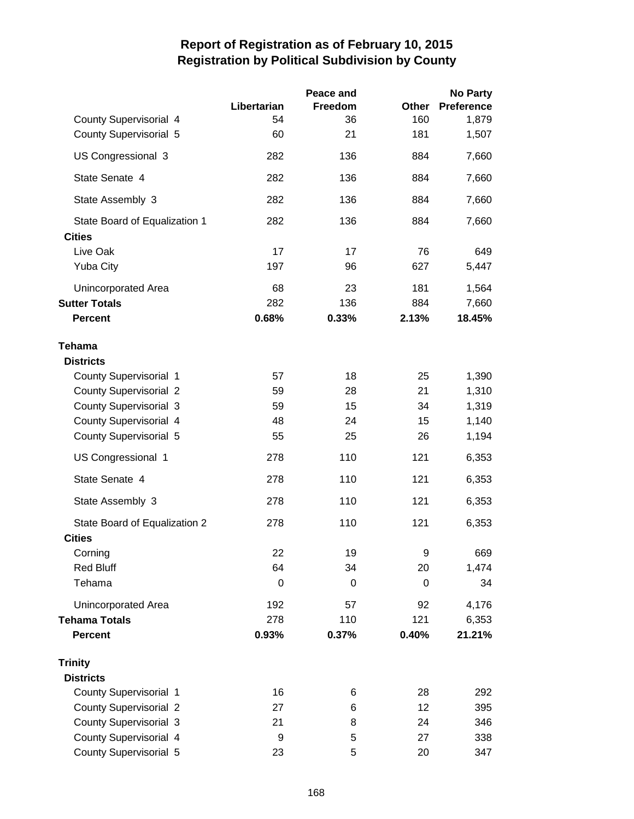|                               |                  | Peace and   |       | <b>No Party</b>   |
|-------------------------------|------------------|-------------|-------|-------------------|
|                               | Libertarian      | Freedom     | Other | <b>Preference</b> |
| County Supervisorial 4        | 54               | 36          | 160   | 1,879             |
| <b>County Supervisorial 5</b> | 60               | 21          | 181   | 1,507             |
| US Congressional 3            | 282              | 136         | 884   | 7,660             |
| State Senate 4                | 282              | 136         | 884   | 7,660             |
| State Assembly 3              | 282              | 136         | 884   | 7,660             |
| State Board of Equalization 1 | 282              | 136         | 884   | 7,660             |
| <b>Cities</b>                 |                  |             |       |                   |
| Live Oak                      | 17               | 17          | 76    | 649               |
| <b>Yuba City</b>              | 197              | 96          | 627   | 5,447             |
| Unincorporated Area           | 68               | 23          | 181   | 1,564             |
| <b>Sutter Totals</b>          | 282              | 136         | 884   | 7,660             |
| <b>Percent</b>                | 0.68%            | 0.33%       | 2.13% | 18.45%            |
| <b>Tehama</b>                 |                  |             |       |                   |
| <b>Districts</b>              |                  |             |       |                   |
| <b>County Supervisorial 1</b> | 57               | 18          | 25    | 1,390             |
| <b>County Supervisorial 2</b> | 59               | 28          | 21    | 1,310             |
| <b>County Supervisorial 3</b> | 59               | 15          | 34    | 1,319             |
| County Supervisorial 4        | 48               | 24          | 15    | 1,140             |
| <b>County Supervisorial 5</b> | 55               | 25          | 26    | 1,194             |
| US Congressional 1            | 278              | 110         | 121   | 6,353             |
| State Senate 4                | 278              | 110         | 121   | 6,353             |
| State Assembly 3              | 278              | 110         | 121   | 6,353             |
| State Board of Equalization 2 | 278              | 110         | 121   | 6,353             |
| <b>Cities</b>                 |                  |             |       |                   |
| Corning                       | 22               | 19          | 9     | 669               |
| <b>Red Bluff</b>              | 64               | 34          | 20    | 1,474             |
| Tehama                        | $\boldsymbol{0}$ | $\mathbf 0$ | 0     | 34                |
| Unincorporated Area           | 192              | 57          | 92    | 4,176             |
| <b>Tehama Totals</b>          | 278              | 110         | 121   | 6,353             |
| <b>Percent</b>                | 0.93%            | 0.37%       | 0.40% | 21.21%            |
| <b>Trinity</b>                |                  |             |       |                   |
| <b>Districts</b>              |                  |             |       |                   |
| County Supervisorial 1        | 16               | 6           | 28    | 292               |
| <b>County Supervisorial 2</b> | 27               | 6           | 12    | 395               |
| <b>County Supervisorial 3</b> | 21               | 8           | 24    | 346               |
| County Supervisorial 4        | 9                | 5           | 27    | 338               |
| <b>County Supervisorial 5</b> | 23               | 5           | 20    | 347               |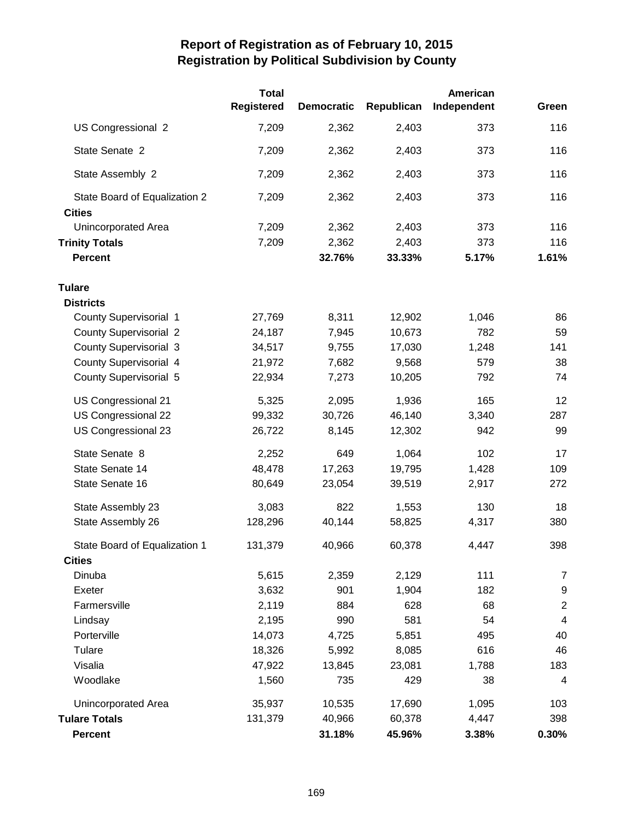|                                                | <b>Total</b>      |                   |            | American    |                  |
|------------------------------------------------|-------------------|-------------------|------------|-------------|------------------|
|                                                | <b>Registered</b> | <b>Democratic</b> | Republican | Independent | Green            |
| US Congressional 2                             | 7,209             | 2,362             | 2,403      | 373         | 116              |
| State Senate 2                                 | 7,209             | 2,362             | 2,403      | 373         | 116              |
| State Assembly 2                               | 7,209             | 2,362             | 2,403      | 373         | 116              |
| State Board of Equalization 2<br><b>Cities</b> | 7,209             | 2,362             | 2,403      | 373         | 116              |
| Unincorporated Area                            | 7,209             | 2,362             | 2,403      | 373         | 116              |
| <b>Trinity Totals</b>                          | 7,209             | 2,362             | 2,403      | 373         | 116              |
| <b>Percent</b>                                 |                   | 32.76%            | 33.33%     | 5.17%       | 1.61%            |
| <b>Tulare</b>                                  |                   |                   |            |             |                  |
| <b>Districts</b>                               |                   |                   |            |             |                  |
| <b>County Supervisorial 1</b>                  | 27,769            | 8,311             | 12,902     | 1,046       | 86               |
| <b>County Supervisorial 2</b>                  | 24,187            | 7,945             | 10,673     | 782         | 59               |
| <b>County Supervisorial 3</b>                  | 34,517            | 9,755             | 17,030     | 1,248       | 141              |
| County Supervisorial 4                         | 21,972            | 7,682             | 9,568      | 579         | 38               |
| <b>County Supervisorial 5</b>                  | 22,934            | 7,273             | 10,205     | 792         | 74               |
| US Congressional 21                            | 5,325             | 2,095             | 1,936      | 165         | 12               |
| US Congressional 22                            | 99,332            | 30,726            | 46,140     | 3,340       | 287              |
| US Congressional 23                            | 26,722            | 8,145             | 12,302     | 942         | 99               |
| State Senate 8                                 | 2,252             | 649               | 1,064      | 102         | 17               |
| State Senate 14                                | 48,478            | 17,263            | 19,795     | 1,428       | 109              |
| State Senate 16                                | 80,649            | 23,054            | 39,519     | 2,917       | 272              |
| State Assembly 23                              | 3,083             | 822               | 1,553      | 130         | 18               |
| State Assembly 26                              | 128,296           | 40,144            | 58,825     | 4,317       | 380              |
| State Board of Equalization 1                  | 131,379           | 40,966            | 60,378     | 4,447       | 398              |
| <b>Cities</b>                                  |                   |                   |            |             |                  |
| Dinuba                                         | 5,615             | 2,359             | 2,129      | 111         | $\overline{7}$   |
| Exeter                                         | 3,632             | 901               | 1,904      | 182         | $\boldsymbol{9}$ |
| Farmersville                                   | 2,119             | 884               | 628        | 68          | $\overline{2}$   |
| Lindsay                                        | 2,195             | 990               | 581        | 54          | 4                |
| Porterville                                    | 14,073            | 4,725             | 5,851      | 495         | 40               |
| Tulare                                         | 18,326            | 5,992             | 8,085      | 616         | 46               |
| Visalia                                        | 47,922            | 13,845            | 23,081     | 1,788       | 183              |
| Woodlake                                       | 1,560             | 735               | 429        | 38          | 4                |
| Unincorporated Area                            | 35,937            | 10,535            | 17,690     | 1,095       | 103              |
| <b>Tulare Totals</b>                           | 131,379           | 40,966            | 60,378     | 4,447       | 398              |
| <b>Percent</b>                                 |                   | 31.18%            | 45.96%     | 3.38%       | 0.30%            |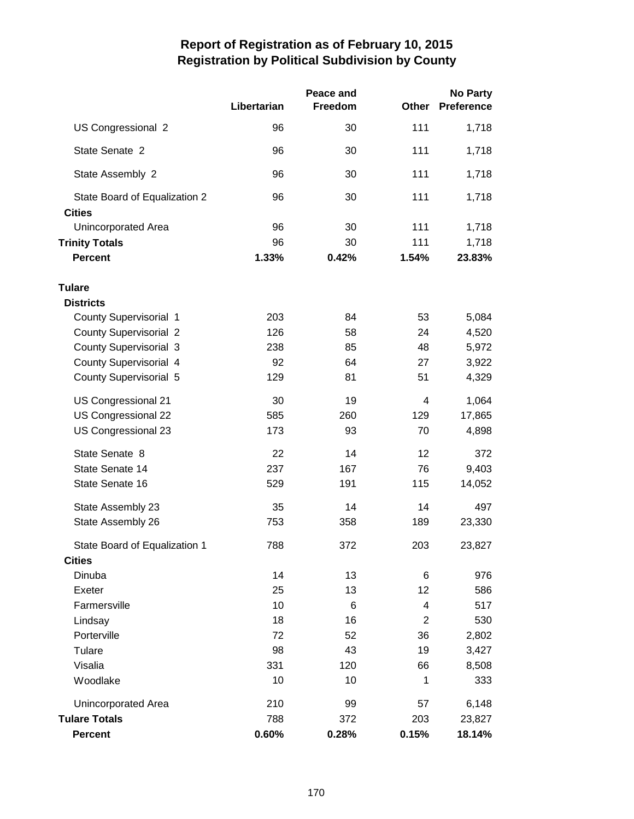|                                                | Libertarian | Peace and<br>Freedom | <b>Other</b>   | <b>No Party</b><br><b>Preference</b> |
|------------------------------------------------|-------------|----------------------|----------------|--------------------------------------|
| US Congressional 2                             | 96          | 30                   | 111            | 1,718                                |
| State Senate 2                                 | 96          | 30                   | 111            | 1,718                                |
| State Assembly 2                               | 96          | 30                   | 111            | 1,718                                |
| State Board of Equalization 2<br><b>Cities</b> | 96          | 30                   | 111            | 1,718                                |
| Unincorporated Area                            | 96          | 30                   | 111            | 1,718                                |
| <b>Trinity Totals</b>                          | 96          | 30                   | 111            | 1,718                                |
| <b>Percent</b>                                 | 1.33%       | 0.42%                | 1.54%          | 23.83%                               |
| <b>Tulare</b>                                  |             |                      |                |                                      |
| <b>Districts</b>                               |             |                      |                |                                      |
| <b>County Supervisorial 1</b>                  | 203         | 84                   | 53             | 5,084                                |
| <b>County Supervisorial 2</b>                  | 126         | 58                   | 24             | 4,520                                |
| <b>County Supervisorial 3</b>                  | 238         | 85                   | 48             | 5,972                                |
| <b>County Supervisorial 4</b>                  | 92          | 64                   | 27             | 3,922                                |
| <b>County Supervisorial 5</b>                  | 129         | 81                   | 51             | 4,329                                |
| US Congressional 21                            | 30          | 19                   | 4              | 1,064                                |
| US Congressional 22                            | 585         | 260                  | 129            | 17,865                               |
| US Congressional 23                            | 173         | 93                   | 70             | 4,898                                |
| State Senate 8                                 | 22          | 14                   | 12             | 372                                  |
| State Senate 14                                | 237         | 167                  | 76             | 9,403                                |
| State Senate 16                                | 529         | 191                  | 115            | 14,052                               |
| State Assembly 23                              | 35          | 14                   | 14             | 497                                  |
| State Assembly 26                              | 753         | 358                  | 189            | 23,330                               |
| State Board of Equalization 1                  | 788         | 372                  | 203            | 23,827                               |
| <b>Cities</b>                                  |             |                      |                |                                      |
| Dinuba                                         | 14          | 13                   | 6              | 976                                  |
| Exeter                                         | 25          | 13                   | 12             | 586                                  |
| Farmersville                                   | 10          | 6                    | 4              | 517                                  |
| Lindsay                                        | 18          | 16                   | $\overline{2}$ | 530                                  |
| Porterville                                    | 72          | 52                   | 36             | 2,802                                |
| Tulare                                         | 98          | 43                   | 19             | 3,427                                |
| Visalia                                        | 331         | 120                  | 66             | 8,508                                |
| Woodlake                                       | 10          | 10                   | 1              | 333                                  |
| Unincorporated Area                            | 210         | 99                   | 57             | 6,148                                |
| <b>Tulare Totals</b>                           | 788         | 372                  | 203            | 23,827                               |
| <b>Percent</b>                                 | 0.60%       | 0.28%                | 0.15%          | 18.14%                               |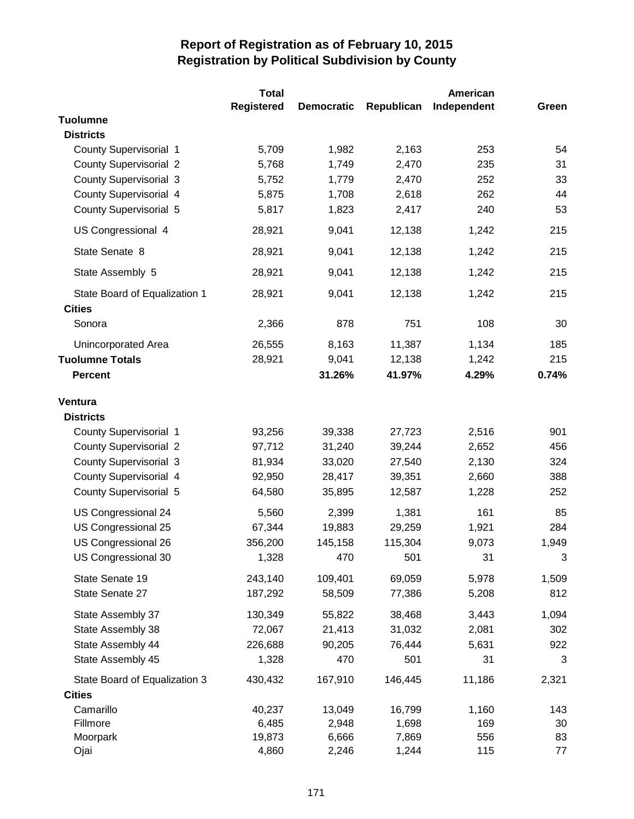|                                                | Total             |                   |            | American    |       |
|------------------------------------------------|-------------------|-------------------|------------|-------------|-------|
|                                                | <b>Registered</b> | <b>Democratic</b> | Republican | Independent | Green |
| <b>Tuolumne</b>                                |                   |                   |            |             |       |
| <b>Districts</b>                               |                   |                   |            |             |       |
| County Supervisorial 1                         | 5,709             | 1,982             | 2,163      | 253         | 54    |
| <b>County Supervisorial 2</b>                  | 5,768             | 1,749             | 2,470      | 235         | 31    |
| <b>County Supervisorial 3</b>                  | 5,752             | 1,779             | 2,470      | 252         | 33    |
| County Supervisorial 4                         | 5,875             | 1,708             | 2,618      | 262         | 44    |
| <b>County Supervisorial 5</b>                  | 5,817             | 1,823             | 2,417      | 240         | 53    |
| US Congressional 4                             | 28,921            | 9,041             | 12,138     | 1,242       | 215   |
| State Senate 8                                 | 28,921            | 9,041             | 12,138     | 1,242       | 215   |
| State Assembly 5                               | 28,921            | 9,041             | 12,138     | 1,242       | 215   |
| State Board of Equalization 1<br><b>Cities</b> | 28,921            | 9,041             | 12,138     | 1,242       | 215   |
| Sonora                                         | 2,366             | 878               | 751        | 108         | 30    |
| Unincorporated Area                            | 26,555            | 8,163             | 11,387     | 1,134       | 185   |
| <b>Tuolumne Totals</b>                         | 28,921            | 9,041             | 12,138     | 1,242       | 215   |
| <b>Percent</b>                                 |                   | 31.26%            | 41.97%     | 4.29%       | 0.74% |
| Ventura                                        |                   |                   |            |             |       |
| <b>Districts</b>                               |                   |                   |            |             |       |
| <b>County Supervisorial 1</b>                  | 93,256            | 39,338            | 27,723     | 2,516       | 901   |
| <b>County Supervisorial 2</b>                  | 97,712            | 31,240            | 39,244     | 2,652       | 456   |
| <b>County Supervisorial 3</b>                  | 81,934            | 33,020            | 27,540     | 2,130       | 324   |
| <b>County Supervisorial 4</b>                  | 92,950            | 28,417            | 39,351     | 2,660       | 388   |
| <b>County Supervisorial 5</b>                  | 64,580            | 35,895            | 12,587     | 1,228       | 252   |
| US Congressional 24                            | 5,560             | 2,399             | 1,381      | 161         | 85    |
| US Congressional 25                            | 67,344            | 19,883            | 29,259     | 1,921       | 284   |
| US Congressional 26                            | 356,200           | 145,158           | 115,304    | 9,073       | 1,949 |
| US Congressional 30                            | 1,328             | 470               | 501        | 31          | 3     |
| State Senate 19                                | 243,140           | 109,401           | 69,059     | 5,978       | 1,509 |
| State Senate 27                                | 187,292           | 58,509            | 77,386     | 5,208       | 812   |
| State Assembly 37                              | 130,349           | 55,822            | 38,468     | 3,443       | 1,094 |
| State Assembly 38                              | 72,067            | 21,413            | 31,032     | 2,081       | 302   |
| State Assembly 44                              | 226,688           | 90,205            | 76,444     | 5,631       | 922   |
| State Assembly 45                              | 1,328             | 470               | 501        | 31          | 3     |
| State Board of Equalization 3                  | 430,432           | 167,910           | 146,445    | 11,186      | 2,321 |
| <b>Cities</b>                                  |                   |                   |            |             |       |
| Camarillo                                      | 40,237            | 13,049            | 16,799     | 1,160       | 143   |
| Fillmore                                       | 6,485             | 2,948             | 1,698      | 169         | 30    |
| Moorpark                                       | 19,873            | 6,666             | 7,869      | 556         | 83    |
| Ojai                                           | 4,860             | 2,246             | 1,244      | 115         | 77    |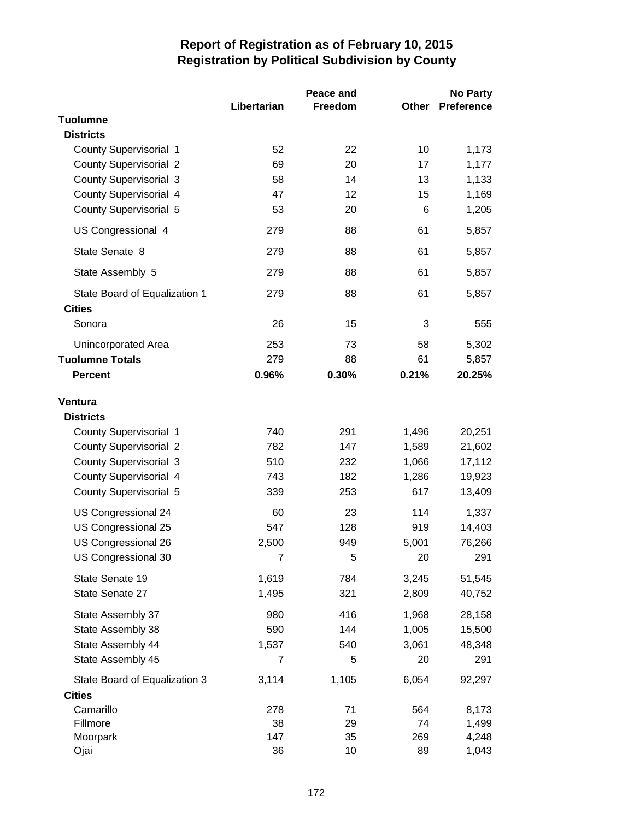| Libertarian<br>Preference<br>Freedom<br>Other<br><b>Tuolumne</b><br><b>Districts</b><br>County Supervisorial 1<br>52<br>22<br>10<br>1,173<br><b>County Supervisorial 2</b><br>69<br>20<br>17<br>1,177<br><b>County Supervisorial 3</b><br>14<br>1,133<br>58<br>13<br>County Supervisorial 4<br>12<br>47<br>15<br>1,169<br><b>County Supervisorial 5</b><br>53<br>6<br>1,205<br>20<br>US Congressional 4<br>279<br>88<br>61<br>5,857<br>61<br>State Senate 8<br>279<br>88<br>5,857<br>279<br>88<br>61<br>5,857<br>State Assembly 5<br>88<br>61<br>279<br>5,857<br>State Board of Equalization 1<br><b>Cities</b><br>Sonora<br>26<br>15<br>3<br>555<br>253<br>73<br>58<br>5,302<br>Unincorporated Area<br>279<br><b>Tuolumne Totals</b><br>88<br>61<br>5,857<br>0.96%<br>0.30%<br>0.21%<br>20.25%<br><b>Percent</b><br>Ventura<br><b>Districts</b><br>740<br>291<br>1,496<br>20,251<br>County Supervisorial 1<br><b>County Supervisorial 2</b><br>147<br>782<br>1,589<br>21,602<br><b>County Supervisorial 3</b><br>510<br>232<br>1,066<br>17,112<br>County Supervisorial 4<br>743<br>182<br>1,286<br>19,923<br>617<br><b>County Supervisorial 5</b><br>339<br>253<br>13,409<br>US Congressional 24<br>60<br>23<br>114<br>1,337<br>547<br>128<br>14,403<br>US Congressional 25<br>919<br>76,266<br>US Congressional 26<br>2,500<br>5,001<br>949<br>US Congressional 30<br>7<br>5<br>20<br>291<br>State Senate 19<br>1,619<br>784<br>3,245<br>51,545<br>State Senate 27<br>1,495<br>321<br>2,809<br>40,752<br>980<br>416<br>1,968<br>State Assembly 37<br>28,158<br>State Assembly 38<br>590<br>144<br>1,005<br>15,500<br>State Assembly 44<br>1,537<br>540<br>3,061<br>48,348<br>State Assembly 45<br>$\overline{7}$<br>5<br>291<br>20<br>State Board of Equalization 3<br>3,114<br>1,105<br>6,054<br>92,297<br><b>Cities</b><br>Camarillo<br>278<br>71<br>564<br>8,173<br>74<br>Fillmore<br>38<br>29<br>1,499<br>147<br>35<br>269<br>Moorpark<br>4,248<br>36<br>10<br>89<br>Ojai<br>1,043 |  | Peace and | No Party |
|------------------------------------------------------------------------------------------------------------------------------------------------------------------------------------------------------------------------------------------------------------------------------------------------------------------------------------------------------------------------------------------------------------------------------------------------------------------------------------------------------------------------------------------------------------------------------------------------------------------------------------------------------------------------------------------------------------------------------------------------------------------------------------------------------------------------------------------------------------------------------------------------------------------------------------------------------------------------------------------------------------------------------------------------------------------------------------------------------------------------------------------------------------------------------------------------------------------------------------------------------------------------------------------------------------------------------------------------------------------------------------------------------------------------------------------------------------------------------------------------------------------------------------------------------------------------------------------------------------------------------------------------------------------------------------------------------------------------------------------------------------------------------------------------------------------------------------------------------------------------------------------------------------------------------------------------------------------------------------------|--|-----------|----------|
|                                                                                                                                                                                                                                                                                                                                                                                                                                                                                                                                                                                                                                                                                                                                                                                                                                                                                                                                                                                                                                                                                                                                                                                                                                                                                                                                                                                                                                                                                                                                                                                                                                                                                                                                                                                                                                                                                                                                                                                          |  |           |          |
|                                                                                                                                                                                                                                                                                                                                                                                                                                                                                                                                                                                                                                                                                                                                                                                                                                                                                                                                                                                                                                                                                                                                                                                                                                                                                                                                                                                                                                                                                                                                                                                                                                                                                                                                                                                                                                                                                                                                                                                          |  |           |          |
|                                                                                                                                                                                                                                                                                                                                                                                                                                                                                                                                                                                                                                                                                                                                                                                                                                                                                                                                                                                                                                                                                                                                                                                                                                                                                                                                                                                                                                                                                                                                                                                                                                                                                                                                                                                                                                                                                                                                                                                          |  |           |          |
|                                                                                                                                                                                                                                                                                                                                                                                                                                                                                                                                                                                                                                                                                                                                                                                                                                                                                                                                                                                                                                                                                                                                                                                                                                                                                                                                                                                                                                                                                                                                                                                                                                                                                                                                                                                                                                                                                                                                                                                          |  |           |          |
|                                                                                                                                                                                                                                                                                                                                                                                                                                                                                                                                                                                                                                                                                                                                                                                                                                                                                                                                                                                                                                                                                                                                                                                                                                                                                                                                                                                                                                                                                                                                                                                                                                                                                                                                                                                                                                                                                                                                                                                          |  |           |          |
|                                                                                                                                                                                                                                                                                                                                                                                                                                                                                                                                                                                                                                                                                                                                                                                                                                                                                                                                                                                                                                                                                                                                                                                                                                                                                                                                                                                                                                                                                                                                                                                                                                                                                                                                                                                                                                                                                                                                                                                          |  |           |          |
|                                                                                                                                                                                                                                                                                                                                                                                                                                                                                                                                                                                                                                                                                                                                                                                                                                                                                                                                                                                                                                                                                                                                                                                                                                                                                                                                                                                                                                                                                                                                                                                                                                                                                                                                                                                                                                                                                                                                                                                          |  |           |          |
|                                                                                                                                                                                                                                                                                                                                                                                                                                                                                                                                                                                                                                                                                                                                                                                                                                                                                                                                                                                                                                                                                                                                                                                                                                                                                                                                                                                                                                                                                                                                                                                                                                                                                                                                                                                                                                                                                                                                                                                          |  |           |          |
|                                                                                                                                                                                                                                                                                                                                                                                                                                                                                                                                                                                                                                                                                                                                                                                                                                                                                                                                                                                                                                                                                                                                                                                                                                                                                                                                                                                                                                                                                                                                                                                                                                                                                                                                                                                                                                                                                                                                                                                          |  |           |          |
|                                                                                                                                                                                                                                                                                                                                                                                                                                                                                                                                                                                                                                                                                                                                                                                                                                                                                                                                                                                                                                                                                                                                                                                                                                                                                                                                                                                                                                                                                                                                                                                                                                                                                                                                                                                                                                                                                                                                                                                          |  |           |          |
|                                                                                                                                                                                                                                                                                                                                                                                                                                                                                                                                                                                                                                                                                                                                                                                                                                                                                                                                                                                                                                                                                                                                                                                                                                                                                                                                                                                                                                                                                                                                                                                                                                                                                                                                                                                                                                                                                                                                                                                          |  |           |          |
|                                                                                                                                                                                                                                                                                                                                                                                                                                                                                                                                                                                                                                                                                                                                                                                                                                                                                                                                                                                                                                                                                                                                                                                                                                                                                                                                                                                                                                                                                                                                                                                                                                                                                                                                                                                                                                                                                                                                                                                          |  |           |          |
|                                                                                                                                                                                                                                                                                                                                                                                                                                                                                                                                                                                                                                                                                                                                                                                                                                                                                                                                                                                                                                                                                                                                                                                                                                                                                                                                                                                                                                                                                                                                                                                                                                                                                                                                                                                                                                                                                                                                                                                          |  |           |          |
|                                                                                                                                                                                                                                                                                                                                                                                                                                                                                                                                                                                                                                                                                                                                                                                                                                                                                                                                                                                                                                                                                                                                                                                                                                                                                                                                                                                                                                                                                                                                                                                                                                                                                                                                                                                                                                                                                                                                                                                          |  |           |          |
|                                                                                                                                                                                                                                                                                                                                                                                                                                                                                                                                                                                                                                                                                                                                                                                                                                                                                                                                                                                                                                                                                                                                                                                                                                                                                                                                                                                                                                                                                                                                                                                                                                                                                                                                                                                                                                                                                                                                                                                          |  |           |          |
|                                                                                                                                                                                                                                                                                                                                                                                                                                                                                                                                                                                                                                                                                                                                                                                                                                                                                                                                                                                                                                                                                                                                                                                                                                                                                                                                                                                                                                                                                                                                                                                                                                                                                                                                                                                                                                                                                                                                                                                          |  |           |          |
|                                                                                                                                                                                                                                                                                                                                                                                                                                                                                                                                                                                                                                                                                                                                                                                                                                                                                                                                                                                                                                                                                                                                                                                                                                                                                                                                                                                                                                                                                                                                                                                                                                                                                                                                                                                                                                                                                                                                                                                          |  |           |          |
|                                                                                                                                                                                                                                                                                                                                                                                                                                                                                                                                                                                                                                                                                                                                                                                                                                                                                                                                                                                                                                                                                                                                                                                                                                                                                                                                                                                                                                                                                                                                                                                                                                                                                                                                                                                                                                                                                                                                                                                          |  |           |          |
|                                                                                                                                                                                                                                                                                                                                                                                                                                                                                                                                                                                                                                                                                                                                                                                                                                                                                                                                                                                                                                                                                                                                                                                                                                                                                                                                                                                                                                                                                                                                                                                                                                                                                                                                                                                                                                                                                                                                                                                          |  |           |          |
|                                                                                                                                                                                                                                                                                                                                                                                                                                                                                                                                                                                                                                                                                                                                                                                                                                                                                                                                                                                                                                                                                                                                                                                                                                                                                                                                                                                                                                                                                                                                                                                                                                                                                                                                                                                                                                                                                                                                                                                          |  |           |          |
|                                                                                                                                                                                                                                                                                                                                                                                                                                                                                                                                                                                                                                                                                                                                                                                                                                                                                                                                                                                                                                                                                                                                                                                                                                                                                                                                                                                                                                                                                                                                                                                                                                                                                                                                                                                                                                                                                                                                                                                          |  |           |          |
|                                                                                                                                                                                                                                                                                                                                                                                                                                                                                                                                                                                                                                                                                                                                                                                                                                                                                                                                                                                                                                                                                                                                                                                                                                                                                                                                                                                                                                                                                                                                                                                                                                                                                                                                                                                                                                                                                                                                                                                          |  |           |          |
|                                                                                                                                                                                                                                                                                                                                                                                                                                                                                                                                                                                                                                                                                                                                                                                                                                                                                                                                                                                                                                                                                                                                                                                                                                                                                                                                                                                                                                                                                                                                                                                                                                                                                                                                                                                                                                                                                                                                                                                          |  |           |          |
|                                                                                                                                                                                                                                                                                                                                                                                                                                                                                                                                                                                                                                                                                                                                                                                                                                                                                                                                                                                                                                                                                                                                                                                                                                                                                                                                                                                                                                                                                                                                                                                                                                                                                                                                                                                                                                                                                                                                                                                          |  |           |          |
|                                                                                                                                                                                                                                                                                                                                                                                                                                                                                                                                                                                                                                                                                                                                                                                                                                                                                                                                                                                                                                                                                                                                                                                                                                                                                                                                                                                                                                                                                                                                                                                                                                                                                                                                                                                                                                                                                                                                                                                          |  |           |          |
|                                                                                                                                                                                                                                                                                                                                                                                                                                                                                                                                                                                                                                                                                                                                                                                                                                                                                                                                                                                                                                                                                                                                                                                                                                                                                                                                                                                                                                                                                                                                                                                                                                                                                                                                                                                                                                                                                                                                                                                          |  |           |          |
|                                                                                                                                                                                                                                                                                                                                                                                                                                                                                                                                                                                                                                                                                                                                                                                                                                                                                                                                                                                                                                                                                                                                                                                                                                                                                                                                                                                                                                                                                                                                                                                                                                                                                                                                                                                                                                                                                                                                                                                          |  |           |          |
|                                                                                                                                                                                                                                                                                                                                                                                                                                                                                                                                                                                                                                                                                                                                                                                                                                                                                                                                                                                                                                                                                                                                                                                                                                                                                                                                                                                                                                                                                                                                                                                                                                                                                                                                                                                                                                                                                                                                                                                          |  |           |          |
|                                                                                                                                                                                                                                                                                                                                                                                                                                                                                                                                                                                                                                                                                                                                                                                                                                                                                                                                                                                                                                                                                                                                                                                                                                                                                                                                                                                                                                                                                                                                                                                                                                                                                                                                                                                                                                                                                                                                                                                          |  |           |          |
|                                                                                                                                                                                                                                                                                                                                                                                                                                                                                                                                                                                                                                                                                                                                                                                                                                                                                                                                                                                                                                                                                                                                                                                                                                                                                                                                                                                                                                                                                                                                                                                                                                                                                                                                                                                                                                                                                                                                                                                          |  |           |          |
|                                                                                                                                                                                                                                                                                                                                                                                                                                                                                                                                                                                                                                                                                                                                                                                                                                                                                                                                                                                                                                                                                                                                                                                                                                                                                                                                                                                                                                                                                                                                                                                                                                                                                                                                                                                                                                                                                                                                                                                          |  |           |          |
|                                                                                                                                                                                                                                                                                                                                                                                                                                                                                                                                                                                                                                                                                                                                                                                                                                                                                                                                                                                                                                                                                                                                                                                                                                                                                                                                                                                                                                                                                                                                                                                                                                                                                                                                                                                                                                                                                                                                                                                          |  |           |          |
|                                                                                                                                                                                                                                                                                                                                                                                                                                                                                                                                                                                                                                                                                                                                                                                                                                                                                                                                                                                                                                                                                                                                                                                                                                                                                                                                                                                                                                                                                                                                                                                                                                                                                                                                                                                                                                                                                                                                                                                          |  |           |          |
|                                                                                                                                                                                                                                                                                                                                                                                                                                                                                                                                                                                                                                                                                                                                                                                                                                                                                                                                                                                                                                                                                                                                                                                                                                                                                                                                                                                                                                                                                                                                                                                                                                                                                                                                                                                                                                                                                                                                                                                          |  |           |          |
|                                                                                                                                                                                                                                                                                                                                                                                                                                                                                                                                                                                                                                                                                                                                                                                                                                                                                                                                                                                                                                                                                                                                                                                                                                                                                                                                                                                                                                                                                                                                                                                                                                                                                                                                                                                                                                                                                                                                                                                          |  |           |          |
|                                                                                                                                                                                                                                                                                                                                                                                                                                                                                                                                                                                                                                                                                                                                                                                                                                                                                                                                                                                                                                                                                                                                                                                                                                                                                                                                                                                                                                                                                                                                                                                                                                                                                                                                                                                                                                                                                                                                                                                          |  |           |          |
|                                                                                                                                                                                                                                                                                                                                                                                                                                                                                                                                                                                                                                                                                                                                                                                                                                                                                                                                                                                                                                                                                                                                                                                                                                                                                                                                                                                                                                                                                                                                                                                                                                                                                                                                                                                                                                                                                                                                                                                          |  |           |          |
|                                                                                                                                                                                                                                                                                                                                                                                                                                                                                                                                                                                                                                                                                                                                                                                                                                                                                                                                                                                                                                                                                                                                                                                                                                                                                                                                                                                                                                                                                                                                                                                                                                                                                                                                                                                                                                                                                                                                                                                          |  |           |          |
|                                                                                                                                                                                                                                                                                                                                                                                                                                                                                                                                                                                                                                                                                                                                                                                                                                                                                                                                                                                                                                                                                                                                                                                                                                                                                                                                                                                                                                                                                                                                                                                                                                                                                                                                                                                                                                                                                                                                                                                          |  |           |          |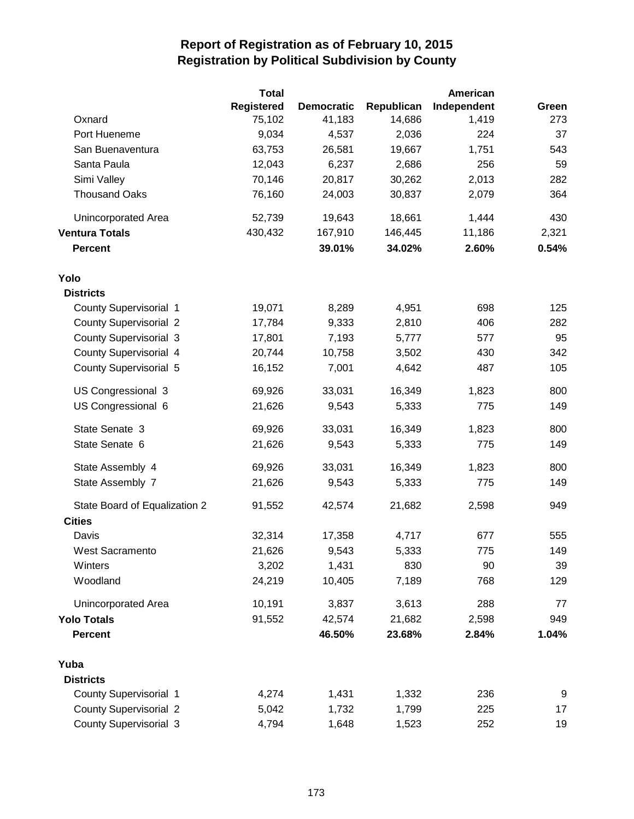|                               | <b>Total</b>      |                   |            | <b>American</b> |       |
|-------------------------------|-------------------|-------------------|------------|-----------------|-------|
|                               | <b>Registered</b> | <b>Democratic</b> | Republican | Independent     | Green |
| Oxnard                        | 75,102            | 41,183            | 14,686     | 1,419           | 273   |
| Port Hueneme                  | 9,034             | 4,537             | 2,036      | 224             | 37    |
| San Buenaventura              | 63,753            | 26,581            | 19,667     | 1,751           | 543   |
| Santa Paula                   | 12,043            | 6,237             | 2,686      | 256             | 59    |
| Simi Valley                   | 70,146            | 20,817            | 30,262     | 2,013           | 282   |
| <b>Thousand Oaks</b>          | 76,160            | 24,003            | 30,837     | 2,079           | 364   |
| Unincorporated Area           | 52,739            | 19,643            | 18,661     | 1,444           | 430   |
| <b>Ventura Totals</b>         | 430,432           | 167,910           | 146,445    | 11,186          | 2,321 |
| <b>Percent</b>                |                   | 39.01%            | 34.02%     | 2.60%           | 0.54% |
| Yolo                          |                   |                   |            |                 |       |
| <b>Districts</b>              |                   |                   |            |                 |       |
| <b>County Supervisorial 1</b> | 19,071            | 8,289             | 4,951      | 698             | 125   |
| <b>County Supervisorial 2</b> | 17,784            | 9,333             | 2,810      | 406             | 282   |
| <b>County Supervisorial 3</b> | 17,801            | 7,193             | 5,777      | 577             | 95    |
| County Supervisorial 4        | 20,744            | 10,758            | 3,502      | 430             | 342   |
| County Supervisorial 5        | 16,152            | 7,001             | 4,642      | 487             | 105   |
| US Congressional 3            | 69,926            | 33,031            | 16,349     | 1,823           | 800   |
| US Congressional 6            | 21,626            | 9,543             | 5,333      | 775             | 149   |
| State Senate 3                | 69,926            | 33,031            | 16,349     | 1,823           | 800   |
| State Senate 6                | 21,626            | 9,543             | 5,333      | 775             | 149   |
| State Assembly 4              | 69,926            | 33,031            | 16,349     | 1,823           | 800   |
| State Assembly 7              | 21,626            | 9,543             | 5,333      | 775             | 149   |
| State Board of Equalization 2 | 91,552            | 42,574            | 21,682     | 2,598           | 949   |
| <b>Cities</b>                 |                   |                   |            |                 |       |
| Davis                         | 32,314            | 17,358            | 4,717      | 677             | 555   |
| West Sacramento               | 21,626            | 9,543             | 5,333      | 775             | 149   |
| Winters                       | 3,202             | 1,431             | 830        | 90              | 39    |
| Woodland                      | 24,219            | 10,405            | 7,189      | 768             | 129   |
| <b>Unincorporated Area</b>    | 10,191            | 3,837             | 3,613      | 288             | 77    |
| <b>Yolo Totals</b>            | 91,552            | 42,574            | 21,682     | 2,598           | 949   |
| <b>Percent</b>                |                   | 46.50%            | 23.68%     | 2.84%           | 1.04% |
| Yuba                          |                   |                   |            |                 |       |
| <b>Districts</b>              |                   |                   |            |                 |       |
| <b>County Supervisorial 1</b> | 4,274             | 1,431             | 1,332      | 236             | 9     |
| <b>County Supervisorial 2</b> | 5,042             | 1,732             | 1,799      | 225             | 17    |
| <b>County Supervisorial 3</b> | 4,794             | 1,648             | 1,523      | 252             | 19    |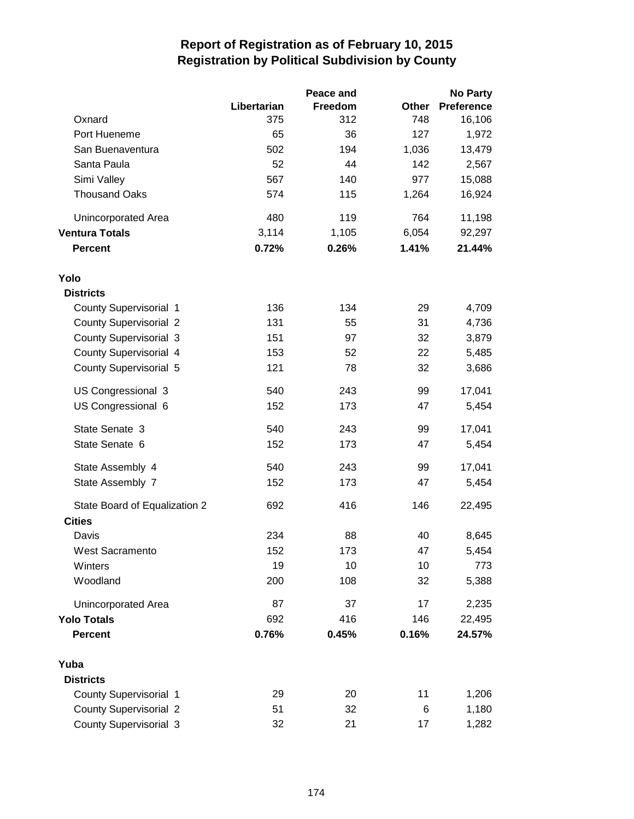|                               |             | Peace and |       | <b>No Party</b>   |
|-------------------------------|-------------|-----------|-------|-------------------|
|                               | Libertarian | Freedom   | Other | <b>Preference</b> |
| Oxnard                        | 375         | 312       | 748   | 16,106            |
| Port Hueneme                  | 65          | 36        | 127   | 1,972             |
| San Buenaventura              | 502         | 194       | 1,036 | 13,479            |
| Santa Paula                   | 52          | 44        | 142   | 2,567             |
| Simi Valley                   | 567         | 140       | 977   | 15,088            |
| <b>Thousand Oaks</b>          | 574         | 115       | 1,264 | 16,924            |
| Unincorporated Area           | 480         | 119       | 764   | 11,198            |
| <b>Ventura Totals</b>         | 3,114       | 1,105     | 6,054 | 92,297            |
| <b>Percent</b>                | 0.72%       | 0.26%     | 1.41% | 21.44%            |
| Yolo                          |             |           |       |                   |
| <b>Districts</b>              |             |           |       |                   |
| <b>County Supervisorial 1</b> | 136         | 134       | 29    | 4,709             |
| <b>County Supervisorial 2</b> | 131         | 55        | 31    | 4,736             |
| <b>County Supervisorial 3</b> | 151         | 97        | 32    | 3,879             |
| County Supervisorial 4        | 153         | 52        | 22    | 5,485             |
| County Supervisorial 5        | 121         | 78        | 32    | 3,686             |
| US Congressional 3            | 540         | 243       | 99    | 17,041            |
| US Congressional 6            | 152         | 173       | 47    | 5,454             |
| State Senate 3                | 540         | 243       | 99    | 17,041            |
| State Senate 6                | 152         | 173       | 47    | 5,454             |
| State Assembly 4              | 540         | 243       | 99    | 17,041            |
| State Assembly 7              | 152         | 173       | 47    | 5,454             |
| State Board of Equalization 2 | 692         | 416       | 146   | 22,495            |
| <b>Cities</b>                 |             |           |       |                   |
| Davis                         | 234         | 88        | 40    | 8,645             |
| West Sacramento               | 152         | 173       | 47    | 5,454             |
| Winters                       | 19          | 10        | 10    | 773               |
| Woodland                      | 200         | 108       | 32    | 5,388             |
| Unincorporated Area           | 87          | 37        | 17    | 2,235             |
| <b>Yolo Totals</b>            | 692         | 416       | 146   | 22,495            |
| <b>Percent</b>                | 0.76%       | 0.45%     | 0.16% | 24.57%            |
| Yuba                          |             |           |       |                   |
| <b>Districts</b>              |             |           |       |                   |
| <b>County Supervisorial 1</b> | 29          | 20        | 11    | 1,206             |
| <b>County Supervisorial 2</b> | 51          | 32        | 6     | 1,180             |
| <b>County Supervisorial 3</b> | 32          | 21        | 17    | 1,282             |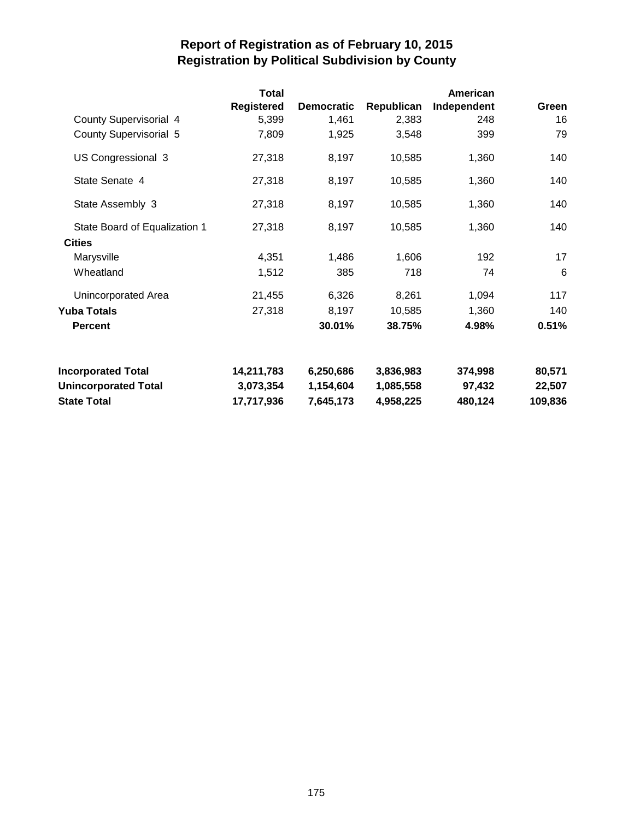|                               | <b>Total</b>      |                   |            | American    |         |
|-------------------------------|-------------------|-------------------|------------|-------------|---------|
|                               | <b>Registered</b> | <b>Democratic</b> | Republican | Independent | Green   |
| County Supervisorial 4        | 5,399             | 1,461             | 2,383      | 248         | 16      |
| <b>County Supervisorial 5</b> | 7,809             | 1,925             | 3,548      | 399         | 79      |
| US Congressional 3            | 27,318            | 8,197             | 10,585     | 1,360       | 140     |
| State Senate 4                | 27,318            | 8,197             | 10,585     | 1,360       | 140     |
| State Assembly 3              | 27,318            | 8,197             | 10,585     | 1,360       | 140     |
| State Board of Equalization 1 | 27,318            | 8,197             | 10,585     | 1,360       | 140     |
| <b>Cities</b>                 |                   |                   |            |             |         |
| Marysville                    | 4,351             | 1,486             | 1,606      | 192         | 17      |
| Wheatland                     | 1,512             | 385               | 718        | 74          | 6       |
| Unincorporated Area           | 21,455            | 6,326             | 8,261      | 1,094       | 117     |
| Yuba Totals                   | 27,318            | 8,197             | 10,585     | 1,360       | 140     |
| <b>Percent</b>                |                   | 30.01%            | 38.75%     | 4.98%       | 0.51%   |
| <b>Incorporated Total</b>     | 14,211,783        | 6,250,686         | 3,836,983  | 374,998     | 80,571  |
| <b>Unincorporated Total</b>   | 3,073,354         | 1,154,604         | 1,085,558  | 97,432      | 22,507  |
| <b>State Total</b>            | 17,717,936        | 7,645,173         | 4,958,225  | 480,124     | 109,836 |